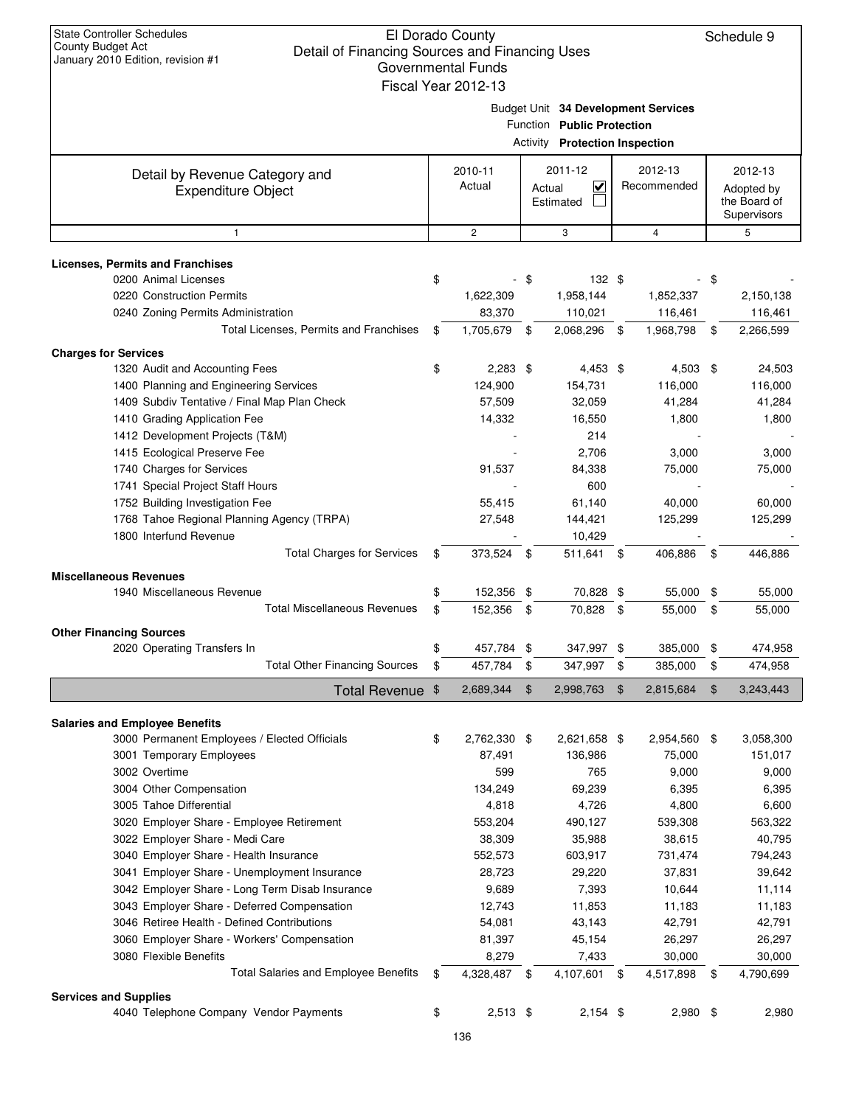|                                                             |                                                                                                                                                                                                                                                                                                                                                                                                                                                                                                                                                                                                                                                                                                                                                                                                                                                                                                                                                                                                                                                                                                                                                                                                                                                                               | Governmental Funds<br>Fiscal Year 2012-13 |                                                                                                            |                 |    |                                           |
|-------------------------------------------------------------|-------------------------------------------------------------------------------------------------------------------------------------------------------------------------------------------------------------------------------------------------------------------------------------------------------------------------------------------------------------------------------------------------------------------------------------------------------------------------------------------------------------------------------------------------------------------------------------------------------------------------------------------------------------------------------------------------------------------------------------------------------------------------------------------------------------------------------------------------------------------------------------------------------------------------------------------------------------------------------------------------------------------------------------------------------------------------------------------------------------------------------------------------------------------------------------------------------------------------------------------------------------------------------|-------------------------------------------|------------------------------------------------------------------------------------------------------------|-----------------|----|-------------------------------------------|
|                                                             |                                                                                                                                                                                                                                                                                                                                                                                                                                                                                                                                                                                                                                                                                                                                                                                                                                                                                                                                                                                                                                                                                                                                                                                                                                                                               |                                           | Budget Unit 34 Development Services<br>Function Public Protection<br><b>Activity Protection Inspection</b> |                 |    |                                           |
|                                                             |                                                                                                                                                                                                                                                                                                                                                                                                                                                                                                                                                                                                                                                                                                                                                                                                                                                                                                                                                                                                                                                                                                                                                                                                                                                                               | 2010-11                                   | 2011-12                                                                                                    | 2012-13         |    | 2012-13                                   |
| Detail by Revenue Category and<br><b>Expenditure Object</b> |                                                                                                                                                                                                                                                                                                                                                                                                                                                                                                                                                                                                                                                                                                                                                                                                                                                                                                                                                                                                                                                                                                                                                                                                                                                                               | Actual                                    | <u>V</u><br>Actual<br>Estimated                                                                            | Recommended     |    | Adopted by<br>the Board of<br>Supervisors |
| 1                                                           |                                                                                                                                                                                                                                                                                                                                                                                                                                                                                                                                                                                                                                                                                                                                                                                                                                                                                                                                                                                                                                                                                                                                                                                                                                                                               | $\overline{2}$                            | 3                                                                                                          | $\overline{4}$  |    | 5                                         |
|                                                             |                                                                                                                                                                                                                                                                                                                                                                                                                                                                                                                                                                                                                                                                                                                                                                                                                                                                                                                                                                                                                                                                                                                                                                                                                                                                               |                                           |                                                                                                            |                 |    |                                           |
| <b>Licenses, Permits and Franchises</b>                     |                                                                                                                                                                                                                                                                                                                                                                                                                                                                                                                                                                                                                                                                                                                                                                                                                                                                                                                                                                                                                                                                                                                                                                                                                                                                               |                                           |                                                                                                            |                 |    |                                           |
| 0200 Animal Licenses<br>0220 Construction Permits           |                                                                                                                                                                                                                                                                                                                                                                                                                                                                                                                                                                                                                                                                                                                                                                                                                                                                                                                                                                                                                                                                                                                                                                                                                                                                               |                                           |                                                                                                            |                 |    |                                           |
|                                                             |                                                                                                                                                                                                                                                                                                                                                                                                                                                                                                                                                                                                                                                                                                                                                                                                                                                                                                                                                                                                                                                                                                                                                                                                                                                                               |                                           |                                                                                                            |                 |    | 2,150,138                                 |
| 0240 Zoning Permits Administration                          |                                                                                                                                                                                                                                                                                                                                                                                                                                                                                                                                                                                                                                                                                                                                                                                                                                                                                                                                                                                                                                                                                                                                                                                                                                                                               |                                           |                                                                                                            |                 |    | 116,461                                   |
|                                                             |                                                                                                                                                                                                                                                                                                                                                                                                                                                                                                                                                                                                                                                                                                                                                                                                                                                                                                                                                                                                                                                                                                                                                                                                                                                                               |                                           |                                                                                                            |                 |    | 2,266,599                                 |
| <b>Charges for Services</b>                                 |                                                                                                                                                                                                                                                                                                                                                                                                                                                                                                                                                                                                                                                                                                                                                                                                                                                                                                                                                                                                                                                                                                                                                                                                                                                                               |                                           |                                                                                                            |                 |    |                                           |
| 1320 Audit and Accounting Fees                              |                                                                                                                                                                                                                                                                                                                                                                                                                                                                                                                                                                                                                                                                                                                                                                                                                                                                                                                                                                                                                                                                                                                                                                                                                                                                               |                                           |                                                                                                            |                 | \$ | 24,503                                    |
| 1400 Planning and Engineering Services                      |                                                                                                                                                                                                                                                                                                                                                                                                                                                                                                                                                                                                                                                                                                                                                                                                                                                                                                                                                                                                                                                                                                                                                                                                                                                                               |                                           |                                                                                                            |                 |    | 116,000                                   |
| 1409 Subdiv Tentative / Final Map Plan Check                |                                                                                                                                                                                                                                                                                                                                                                                                                                                                                                                                                                                                                                                                                                                                                                                                                                                                                                                                                                                                                                                                                                                                                                                                                                                                               |                                           |                                                                                                            | 41,284          |    | 41,284                                    |
| 1410 Grading Application Fee                                |                                                                                                                                                                                                                                                                                                                                                                                                                                                                                                                                                                                                                                                                                                                                                                                                                                                                                                                                                                                                                                                                                                                                                                                                                                                                               |                                           |                                                                                                            |                 |    | 1,800                                     |
| 1412 Development Projects (T&M)                             |                                                                                                                                                                                                                                                                                                                                                                                                                                                                                                                                                                                                                                                                                                                                                                                                                                                                                                                                                                                                                                                                                                                                                                                                                                                                               |                                           |                                                                                                            |                 |    |                                           |
| 1415 Ecological Preserve Fee                                |                                                                                                                                                                                                                                                                                                                                                                                                                                                                                                                                                                                                                                                                                                                                                                                                                                                                                                                                                                                                                                                                                                                                                                                                                                                                               |                                           |                                                                                                            |                 |    | 3,000                                     |
| 1740 Charges for Services                                   |                                                                                                                                                                                                                                                                                                                                                                                                                                                                                                                                                                                                                                                                                                                                                                                                                                                                                                                                                                                                                                                                                                                                                                                                                                                                               |                                           |                                                                                                            |                 |    | 75,000                                    |
| 1741 Special Project Staff Hours                            |                                                                                                                                                                                                                                                                                                                                                                                                                                                                                                                                                                                                                                                                                                                                                                                                                                                                                                                                                                                                                                                                                                                                                                                                                                                                               |                                           |                                                                                                            |                 |    |                                           |
| 1752 Building Investigation Fee                             |                                                                                                                                                                                                                                                                                                                                                                                                                                                                                                                                                                                                                                                                                                                                                                                                                                                                                                                                                                                                                                                                                                                                                                                                                                                                               |                                           |                                                                                                            |                 |    | 60,000                                    |
| 1768 Tahoe Regional Planning Agency (TRPA)                  |                                                                                                                                                                                                                                                                                                                                                                                                                                                                                                                                                                                                                                                                                                                                                                                                                                                                                                                                                                                                                                                                                                                                                                                                                                                                               |                                           |                                                                                                            |                 |    | 125,299                                   |
| 1800 Interfund Revenue                                      |                                                                                                                                                                                                                                                                                                                                                                                                                                                                                                                                                                                                                                                                                                                                                                                                                                                                                                                                                                                                                                                                                                                                                                                                                                                                               |                                           |                                                                                                            |                 |    |                                           |
|                                                             |                                                                                                                                                                                                                                                                                                                                                                                                                                                                                                                                                                                                                                                                                                                                                                                                                                                                                                                                                                                                                                                                                                                                                                                                                                                                               |                                           |                                                                                                            |                 |    | 446,886                                   |
| <b>Miscellaneous Revenues</b>                               |                                                                                                                                                                                                                                                                                                                                                                                                                                                                                                                                                                                                                                                                                                                                                                                                                                                                                                                                                                                                                                                                                                                                                                                                                                                                               |                                           |                                                                                                            |                 |    |                                           |
| 1940 Miscellaneous Revenue                                  |                                                                                                                                                                                                                                                                                                                                                                                                                                                                                                                                                                                                                                                                                                                                                                                                                                                                                                                                                                                                                                                                                                                                                                                                                                                                               |                                           |                                                                                                            |                 |    | 55,000                                    |
|                                                             |                                                                                                                                                                                                                                                                                                                                                                                                                                                                                                                                                                                                                                                                                                                                                                                                                                                                                                                                                                                                                                                                                                                                                                                                                                                                               |                                           |                                                                                                            |                 |    | 55,000                                    |
| <b>Other Financing Sources</b>                              | \$<br>132 \$<br>-\$<br>\$<br>1,622,309<br>1,958,144<br>1,852,337<br>83,370<br>110,021<br>116,461<br>Total Licenses, Permits and Franchises<br>1,705,679 \$<br>2,068,296<br>1,968,798<br>\$<br>\$<br>\$<br>\$<br>$2,283$ \$<br>$4,453$ \$<br>4,503<br>124,900<br>154,731<br>116,000<br>57,509<br>32,059<br>14,332<br>16,550<br>1,800<br>214<br>2,706<br>3,000<br>91,537<br>84,338<br>75,000<br>600<br>55,415<br>61,140<br>40,000<br>27,548<br>144,421<br>125,299<br>10,429<br><b>Total Charges for Services</b><br>\$<br>373,524<br>- \$<br>511,641<br>\$<br>406,886<br>\$<br>\$<br>152,356 \$<br>70,828 \$<br>55,000<br>\$<br><b>Total Miscellaneous Revenues</b><br>\$<br>152.356<br>70,828<br>\$<br>55,000<br>\$<br>-\$<br>\$<br>457,784 \$<br>347,997 \$<br>385,000<br>\$<br>457,784<br>\$<br>347,997<br>385,000<br>-\$<br>\$<br>\$<br>\$<br>2,689,344<br>\$<br>2,998,763<br>$\boldsymbol{\mathsf{\$}}$<br>2,815,684<br>Total Revenue \$<br>2,762,330 \$<br>\$<br>2,621,658 \$<br>2,954,560<br>\$<br>75,000<br>87,491<br>136,986<br>599<br>765<br>9,000<br>69,239<br>134,249<br>6,395<br>4,800<br>4,818<br>4,726<br>553,204<br>490,127<br>539,308<br>38,309<br>35,988<br>38,615<br>552,573<br>603,917<br>731,474<br>28,723<br>29,220<br>37,831<br>7,393<br>9,689<br>10,644 |                                           |                                                                                                            |                 |    |                                           |
| 2020 Operating Transfers In                                 |                                                                                                                                                                                                                                                                                                                                                                                                                                                                                                                                                                                                                                                                                                                                                                                                                                                                                                                                                                                                                                                                                                                                                                                                                                                                               |                                           |                                                                                                            |                 |    | 474,958                                   |
| <b>Total Other Financing Sources</b>                        |                                                                                                                                                                                                                                                                                                                                                                                                                                                                                                                                                                                                                                                                                                                                                                                                                                                                                                                                                                                                                                                                                                                                                                                                                                                                               |                                           |                                                                                                            |                 |    | 474,958                                   |
|                                                             |                                                                                                                                                                                                                                                                                                                                                                                                                                                                                                                                                                                                                                                                                                                                                                                                                                                                                                                                                                                                                                                                                                                                                                                                                                                                               |                                           |                                                                                                            |                 |    | 3,243,443                                 |
| <b>Salaries and Employee Benefits</b>                       |                                                                                                                                                                                                                                                                                                                                                                                                                                                                                                                                                                                                                                                                                                                                                                                                                                                                                                                                                                                                                                                                                                                                                                                                                                                                               |                                           |                                                                                                            |                 |    |                                           |
| 3000 Permanent Employees / Elected Officials                |                                                                                                                                                                                                                                                                                                                                                                                                                                                                                                                                                                                                                                                                                                                                                                                                                                                                                                                                                                                                                                                                                                                                                                                                                                                                               |                                           |                                                                                                            |                 |    | 3,058,300                                 |
| 3001 Temporary Employees                                    |                                                                                                                                                                                                                                                                                                                                                                                                                                                                                                                                                                                                                                                                                                                                                                                                                                                                                                                                                                                                                                                                                                                                                                                                                                                                               |                                           |                                                                                                            |                 |    | 151,017                                   |
| 3002 Overtime                                               |                                                                                                                                                                                                                                                                                                                                                                                                                                                                                                                                                                                                                                                                                                                                                                                                                                                                                                                                                                                                                                                                                                                                                                                                                                                                               |                                           |                                                                                                            |                 |    | 9,000                                     |
| 3004 Other Compensation                                     |                                                                                                                                                                                                                                                                                                                                                                                                                                                                                                                                                                                                                                                                                                                                                                                                                                                                                                                                                                                                                                                                                                                                                                                                                                                                               |                                           |                                                                                                            |                 |    | 6,395                                     |
| 3005 Tahoe Differential                                     |                                                                                                                                                                                                                                                                                                                                                                                                                                                                                                                                                                                                                                                                                                                                                                                                                                                                                                                                                                                                                                                                                                                                                                                                                                                                               |                                           |                                                                                                            |                 |    | 6,600                                     |
| 3020 Employer Share - Employee Retirement                   |                                                                                                                                                                                                                                                                                                                                                                                                                                                                                                                                                                                                                                                                                                                                                                                                                                                                                                                                                                                                                                                                                                                                                                                                                                                                               |                                           |                                                                                                            |                 |    | 563,322                                   |
| 3022 Employer Share - Medi Care                             |                                                                                                                                                                                                                                                                                                                                                                                                                                                                                                                                                                                                                                                                                                                                                                                                                                                                                                                                                                                                                                                                                                                                                                                                                                                                               |                                           |                                                                                                            |                 |    | 40,795                                    |
| 3040 Employer Share - Health Insurance                      |                                                                                                                                                                                                                                                                                                                                                                                                                                                                                                                                                                                                                                                                                                                                                                                                                                                                                                                                                                                                                                                                                                                                                                                                                                                                               |                                           |                                                                                                            |                 |    | 794,243                                   |
| 3041 Employer Share - Unemployment Insurance                |                                                                                                                                                                                                                                                                                                                                                                                                                                                                                                                                                                                                                                                                                                                                                                                                                                                                                                                                                                                                                                                                                                                                                                                                                                                                               |                                           |                                                                                                            |                 |    | 39,642                                    |
| 3042 Employer Share - Long Term Disab Insurance             |                                                                                                                                                                                                                                                                                                                                                                                                                                                                                                                                                                                                                                                                                                                                                                                                                                                                                                                                                                                                                                                                                                                                                                                                                                                                               |                                           |                                                                                                            |                 |    | 11,114                                    |
| 3043 Employer Share - Deferred Compensation                 |                                                                                                                                                                                                                                                                                                                                                                                                                                                                                                                                                                                                                                                                                                                                                                                                                                                                                                                                                                                                                                                                                                                                                                                                                                                                               | 12,743                                    | 11,853                                                                                                     | 11,183          |    | 11,183                                    |
| 3046 Retiree Health - Defined Contributions                 |                                                                                                                                                                                                                                                                                                                                                                                                                                                                                                                                                                                                                                                                                                                                                                                                                                                                                                                                                                                                                                                                                                                                                                                                                                                                               | 54,081                                    | 43,143                                                                                                     | 42,791          |    | 42,791                                    |
| 3060 Employer Share - Workers' Compensation                 |                                                                                                                                                                                                                                                                                                                                                                                                                                                                                                                                                                                                                                                                                                                                                                                                                                                                                                                                                                                                                                                                                                                                                                                                                                                                               | 81,397                                    | 45,154                                                                                                     | 26,297          |    | 26,297                                    |
| 3080 Flexible Benefits                                      |                                                                                                                                                                                                                                                                                                                                                                                                                                                                                                                                                                                                                                                                                                                                                                                                                                                                                                                                                                                                                                                                                                                                                                                                                                                                               | 8,279                                     | 7,433                                                                                                      | 30,000          |    | 30,000                                    |
| <b>Total Salaries and Employee Benefits</b>                 | \$                                                                                                                                                                                                                                                                                                                                                                                                                                                                                                                                                                                                                                                                                                                                                                                                                                                                                                                                                                                                                                                                                                                                                                                                                                                                            | 4,328,487 \$                              | 4,107,601                                                                                                  | \$<br>4,517,898 | \$ | 4,790,699                                 |
| <b>Services and Supplies</b>                                |                                                                                                                                                                                                                                                                                                                                                                                                                                                                                                                                                                                                                                                                                                                                                                                                                                                                                                                                                                                                                                                                                                                                                                                                                                                                               |                                           |                                                                                                            |                 |    |                                           |
| 4040 Telephone Company Vendor Payments                      | \$                                                                                                                                                                                                                                                                                                                                                                                                                                                                                                                                                                                                                                                                                                                                                                                                                                                                                                                                                                                                                                                                                                                                                                                                                                                                            | $2,513$ \$                                | $2,154$ \$                                                                                                 | $2,980$ \$      |    | 2,980                                     |
|                                                             |                                                                                                                                                                                                                                                                                                                                                                                                                                                                                                                                                                                                                                                                                                                                                                                                                                                                                                                                                                                                                                                                                                                                                                                                                                                                               |                                           |                                                                                                            |                 |    |                                           |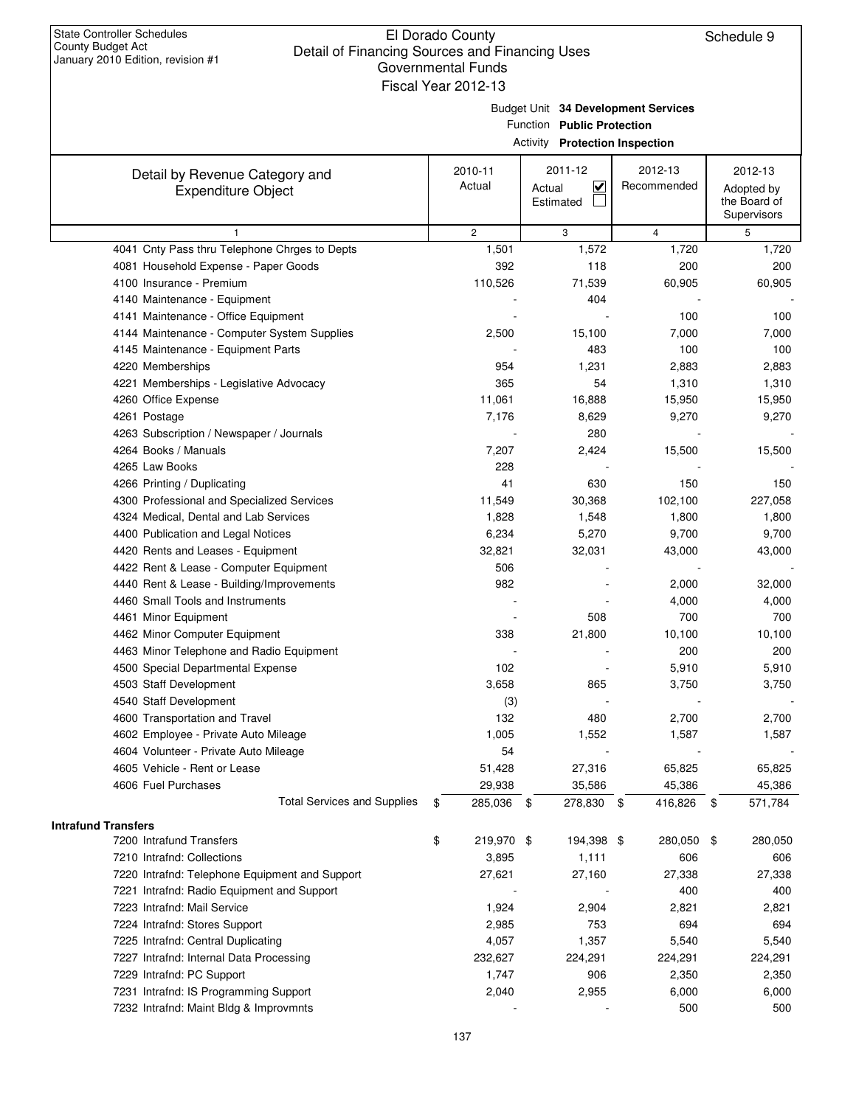Budget Unit **34 Development Services**

Function **Public Protection**

|  | Activity Protection Inspection |  |
|--|--------------------------------|--|
|--|--------------------------------|--|

| Detail by Revenue Category and                 | 2010-11          | 2011-12                        | 2012-13         | 2012-13       |
|------------------------------------------------|------------------|--------------------------------|-----------------|---------------|
| <b>Expenditure Object</b>                      | Actual           | $\blacktriangledown$<br>Actual | Recommended     | Adopted by    |
|                                                |                  | Estimated                      |                 | the Board of  |
|                                                |                  |                                |                 | Supervisors   |
|                                                | $\overline{c}$   | 3                              | 4               | 5             |
| 4041 Cnty Pass thru Telephone Chrges to Depts  | 1,501            | 1,572                          | 1,720           | 1,720         |
| 4081 Household Expense - Paper Goods           | 392              | 118                            | 200             | 200           |
| 4100 Insurance - Premium                       | 110,526          | 71,539                         | 60,905          | 60,905        |
| 4140 Maintenance - Equipment                   |                  | 404                            |                 |               |
| 4141 Maintenance - Office Equipment            |                  |                                | 100             | 100           |
| 4144 Maintenance - Computer System Supplies    | 2,500            | 15,100                         | 7,000           | 7,000         |
| 4145 Maintenance - Equipment Parts             |                  | 483                            | 100             | 100           |
| 4220 Memberships                               | 954              | 1,231                          | 2,883           | 2,883         |
| 4221 Memberships - Legislative Advocacy        | 365              | 54                             | 1,310           | 1,310         |
| 4260 Office Expense                            | 11,061           | 16,888                         | 15,950          | 15,950        |
| 4261 Postage                                   | 7,176            | 8,629                          | 9,270           | 9,270         |
| 4263 Subscription / Newspaper / Journals       |                  | 280                            |                 |               |
| 4264 Books / Manuals                           | 7,207            | 2,424                          | 15,500          | 15,500        |
| 4265 Law Books                                 | 228              |                                |                 |               |
| 4266 Printing / Duplicating                    | 41               | 630                            | 150             | 150           |
| 4300 Professional and Specialized Services     | 11,549           | 30,368                         | 102,100         | 227,058       |
| 4324 Medical, Dental and Lab Services          | 1,828            | 1,548                          | 1,800           | 1,800         |
| 4400 Publication and Legal Notices             | 6,234            | 5,270                          | 9,700           | 9,700         |
| 4420 Rents and Leases - Equipment              | 32,821           | 32,031                         | 43,000          | 43,000        |
| 4422 Rent & Lease - Computer Equipment         | 506              |                                |                 |               |
| 4440 Rent & Lease - Building/Improvements      | 982              |                                | 2,000           | 32,000        |
| 4460 Small Tools and Instruments               |                  |                                | 4,000           | 4,000         |
| 4461 Minor Equipment                           |                  | 508                            | 700             | 700           |
| 4462 Minor Computer Equipment                  | 338              | 21,800                         | 10,100          | 10,100        |
| 4463 Minor Telephone and Radio Equipment       |                  |                                | 200             | 200           |
| 4500 Special Departmental Expense              | 102              |                                | 5,910           | 5,910         |
| 4503 Staff Development                         | 3,658            | 865                            | 3,750           | 3,750         |
| 4540 Staff Development                         | (3)              |                                |                 |               |
| 4600 Transportation and Travel                 | 132              | 480                            | 2,700           | 2,700         |
| 4602 Employee - Private Auto Mileage           | 1,005            | 1,552                          | 1,587           | 1,587         |
| 4604 Volunteer - Private Auto Mileage          | 54               |                                |                 |               |
| 4605 Vehicle - Rent or Lease                   | 51,428           | 27,316                         | 65,825          | 65,825        |
| 4606 Fuel Purchases                            | 29,938           | 35,586                         | 45,386          | 45,386        |
| <b>Total Services and Supplies</b>             | 285,036<br>\$    | 278,830<br>\$                  | 416,826<br>- \$ | 571,784<br>\$ |
|                                                |                  |                                |                 |               |
| <b>Intrafund Transfers</b>                     |                  |                                |                 |               |
| 7200 Intrafund Transfers                       | \$<br>219,970 \$ | 194,398 \$                     | 280,050         | \$<br>280,050 |
| 7210 Intrafnd: Collections                     | 3,895            | 1,111                          | 606             | 606           |
| 7220 Intrafnd: Telephone Equipment and Support | 27,621           | 27,160                         | 27,338          | 27,338        |
| 7221 Intrafnd: Radio Equipment and Support     |                  |                                | 400             | 400           |
| 7223 Intrafnd: Mail Service                    | 1,924            | 2,904                          | 2,821           | 2,821         |
| 7224 Intrafnd: Stores Support                  | 2,985            | 753                            | 694             | 694           |
| 7225 Intrafnd: Central Duplicating             | 4,057            | 1,357                          | 5,540           | 5,540         |
| 7227 Intrafnd: Internal Data Processing        | 232,627          | 224,291                        | 224,291         | 224,291       |
| 7229 Intrafnd: PC Support                      | 1,747            | 906                            | 2,350           | 2,350         |
| 7231 Intrafnd: IS Programming Support          | 2,040            | 2,955                          | 6,000           | 6,000         |
| 7232 Intrafnd: Maint Bldg & Improvmnts         |                  |                                | 500             | 500           |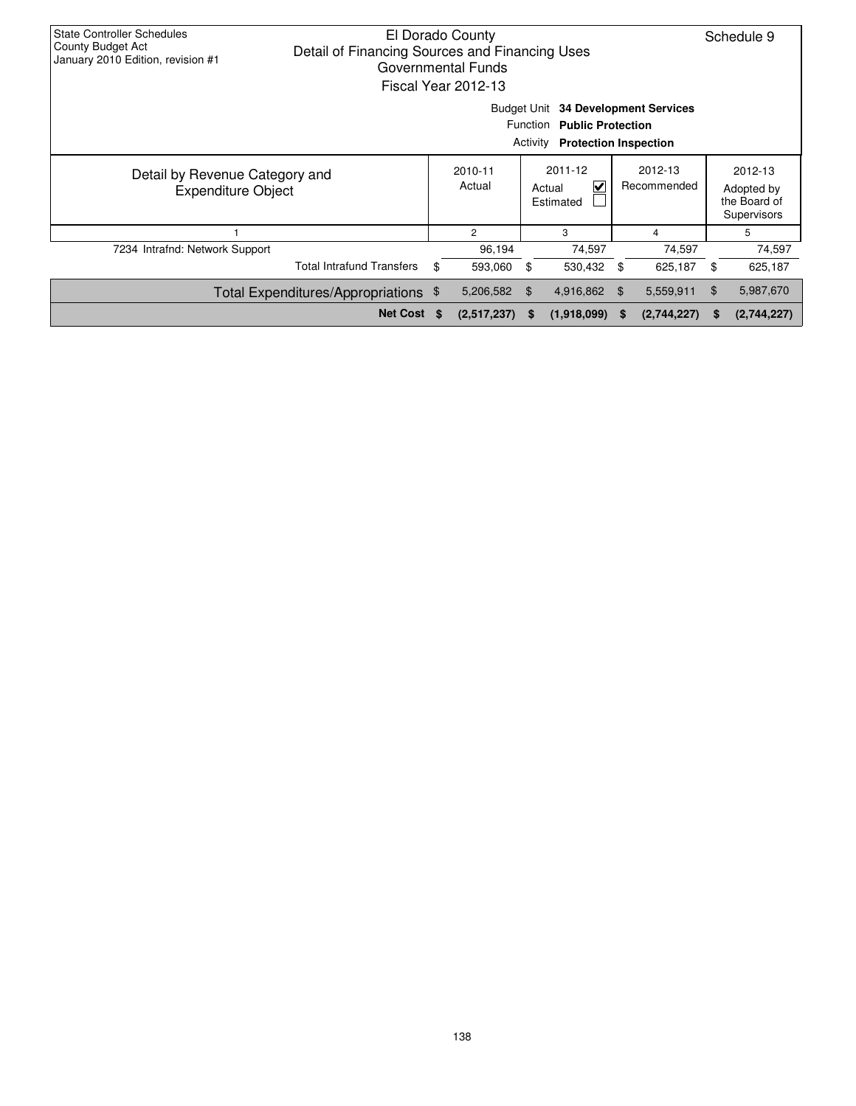| <b>State Controller Schedules</b><br>County Budget Act<br>January 2010 Edition, revision #1 | Detail of Financing Sources and Financing Uses | El Dorado County<br>Governmental Funds<br>Fiscal Year 2012-13 |          |                                                                                                   |    |                        |    | Schedule 9                                           |
|---------------------------------------------------------------------------------------------|------------------------------------------------|---------------------------------------------------------------|----------|---------------------------------------------------------------------------------------------------|----|------------------------|----|------------------------------------------------------|
|                                                                                             |                                                |                                                               | Activity | Budget Unit 34 Development Services<br>Function Public Protection<br><b>Protection Inspection</b> |    |                        |    |                                                      |
| Detail by Revenue Category and<br><b>Expenditure Object</b>                                 |                                                | 2010-11<br>Actual                                             |          | 2011-12<br>$\checkmark$<br>Actual<br>Estimated                                                    |    | 2012-13<br>Recommended |    | 2012-13<br>Adopted by<br>the Board of<br>Supervisors |
|                                                                                             |                                                | $\overline{2}$                                                |          | 3                                                                                                 |    | 4                      |    | 5                                                    |
| 7234 Intrafnd: Network Support                                                              |                                                | 96,194                                                        |          | 74,597                                                                                            |    | 74,597                 |    | 74,597                                               |
|                                                                                             | <b>Total Intrafund Transfers</b>               | \$<br>593,060                                                 | \$       | 530,432                                                                                           | \$ | 625,187                | \$ | 625,187                                              |
|                                                                                             | Total Expenditures/Appropriations \$           | 5,206,582                                                     | - \$     | 4,916,862 \$                                                                                      |    | 5,559,911              | \$ | 5,987,670                                            |
|                                                                                             | Net Cost \$                                    | (2,517,237)                                                   | S.       | (1,918,099)                                                                                       | S  | (2,744,227)            | S  | (2,744,227)                                          |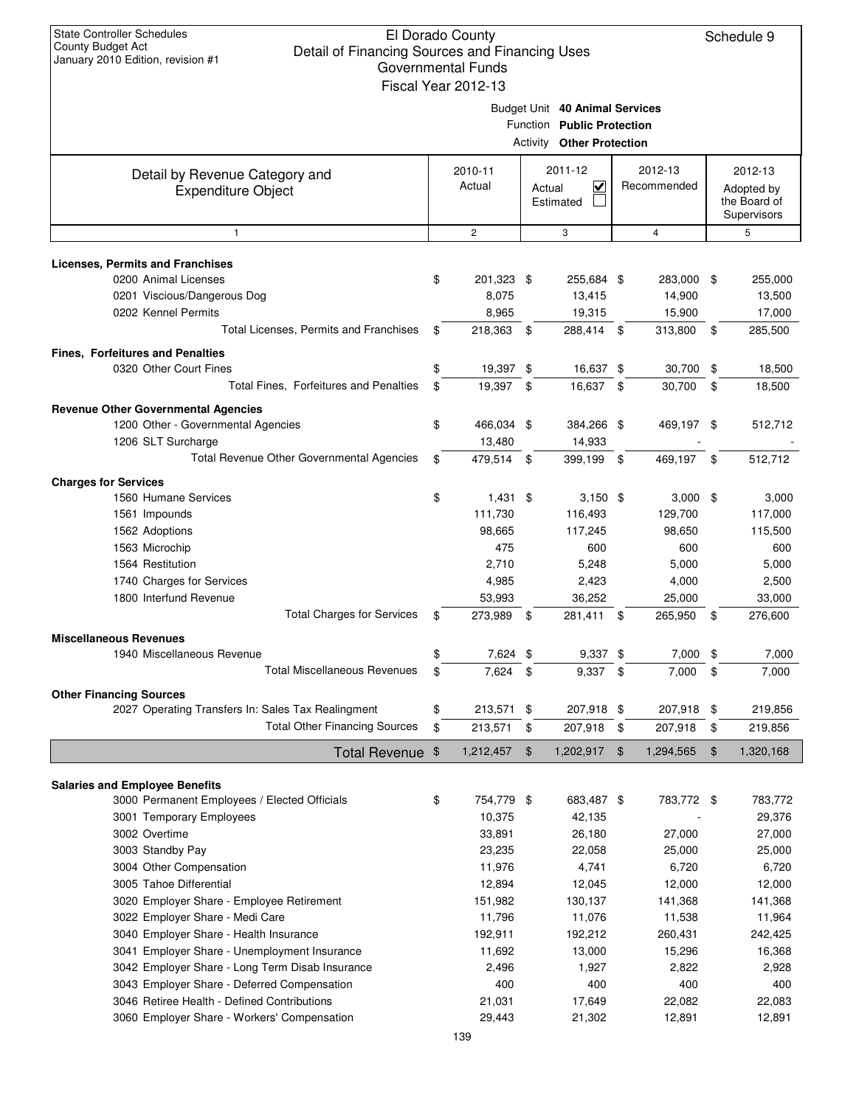|                                                                                  | Governmental Funds<br>Fiscal Year 2012-13 |               |                                                                                                  |                |                        |                                                      |
|----------------------------------------------------------------------------------|-------------------------------------------|---------------|--------------------------------------------------------------------------------------------------|----------------|------------------------|------------------------------------------------------|
|                                                                                  |                                           |               | Budget Unit 40 Animal Services<br>Function Public Protection<br><b>Activity Other Protection</b> |                |                        |                                                      |
| Detail by Revenue Category and<br><b>Expenditure Object</b>                      | 2010-11<br>Actual                         |               | 2011-12<br>$\checkmark$<br>Actual<br>Estimated                                                   |                | 2012-13<br>Recommended | 2012-13<br>Adopted by<br>the Board of<br>Supervisors |
| 1                                                                                | $\overline{2}$                            |               | 3                                                                                                |                | $\overline{4}$         | 5                                                    |
| <b>Licenses, Permits and Franchises</b>                                          |                                           |               |                                                                                                  |                |                        |                                                      |
| 0200 Animal Licenses                                                             | \$<br>201,323 \$                          |               | 255,684 \$                                                                                       |                | 283,000 \$             | 255,000                                              |
| 0201 Viscious/Dangerous Dog                                                      | 8,075                                     |               | 13,415                                                                                           |                | 14,900                 | 13,500                                               |
| 0202 Kennel Permits                                                              | 8,965                                     |               | 19,315                                                                                           |                | 15,900                 | 17,000                                               |
| Total Licenses, Permits and Franchises                                           | \$<br>218,363 \$                          |               | 288,414 \$                                                                                       |                | 313,800                | \$<br>285,500                                        |
| <b>Fines, Forfeitures and Penalties</b>                                          |                                           |               |                                                                                                  |                |                        |                                                      |
| 0320 Other Court Fines                                                           | \$<br>19,397 \$                           |               | 16,637 \$                                                                                        |                | 30,700                 | \$<br>18,500                                         |
| Total Fines, Forfeitures and Penalties                                           | \$<br>19,397 \$                           |               | 16,637 \$                                                                                        |                | 30,700                 | \$<br>18,500                                         |
|                                                                                  |                                           |               |                                                                                                  |                |                        |                                                      |
| <b>Revenue Other Governmental Agencies</b><br>1200 Other - Governmental Agencies | \$<br>466,034 \$                          |               | 384,266 \$                                                                                       |                | 469,197 \$             | 512,712                                              |
| 1206 SLT Surcharge                                                               | 13,480                                    |               | 14,933                                                                                           |                |                        |                                                      |
| Total Revenue Other Governmental Agencies                                        | \$<br>479,514 \$                          |               | 399,199 \$                                                                                       |                | 469,197                | \$<br>512,712                                        |
|                                                                                  |                                           |               |                                                                                                  |                |                        |                                                      |
| <b>Charges for Services</b>                                                      |                                           |               |                                                                                                  |                |                        |                                                      |
| 1560 Humane Services                                                             | \$<br>$1,431$ \$                          |               | $3,150$ \$                                                                                       |                | $3,000$ \$             | 3,000                                                |
| 1561 Impounds                                                                    | 111,730<br>98,665                         |               | 116,493<br>117,245                                                                               |                | 129,700<br>98,650      | 117,000<br>115,500                                   |
| 1562 Adoptions<br>1563 Microchip                                                 | 475                                       |               | 600                                                                                              |                | 600                    | 600                                                  |
| 1564 Restitution                                                                 | 2,710                                     |               | 5,248                                                                                            |                | 5,000                  | 5,000                                                |
| 1740 Charges for Services                                                        | 4,985                                     |               | 2,423                                                                                            |                | 4,000                  | 2,500                                                |
| 1800 Interfund Revenue                                                           | 53,993                                    |               | 36,252                                                                                           |                | 25,000                 | 33,000                                               |
| <b>Total Charges for Services</b>                                                | \$<br>273,989 \$                          |               | 281,411 \$                                                                                       |                | 265,950                | \$<br>276,600                                        |
|                                                                                  |                                           |               |                                                                                                  |                |                        |                                                      |
| <b>Miscellaneous Revenues</b>                                                    |                                           |               |                                                                                                  |                |                        |                                                      |
| 1940 Miscellaneous Revenue<br><b>Total Miscellaneous Revenues</b>                | \$<br>7,624 \$                            |               | $9,337$ \$                                                                                       |                | 7,000                  | \$<br>7,000                                          |
|                                                                                  | \$<br>7,624                               | -\$           | 9,337                                                                                            | \$             | 7,000                  | \$<br>7,000                                          |
| <b>Other Financing Sources</b>                                                   |                                           |               |                                                                                                  |                |                        |                                                      |
| 2027 Operating Transfers In: Sales Tax Realingment                               | \$<br>213,571 \$                          |               | 207,918 \$                                                                                       |                | 207,918 \$             | 219,856                                              |
| <b>Total Other Financing Sources</b>                                             | \$<br>213,571                             | \$            | 207,918                                                                                          | \$             | 207,918                | \$<br>219,856                                        |
| Total Revenue \$                                                                 | 1,212,457                                 | $\frac{1}{2}$ | 1,202,917                                                                                        | $\mathfrak{F}$ | 1,294,565              | \$<br>1,320,168                                      |
|                                                                                  |                                           |               |                                                                                                  |                |                        |                                                      |
| <b>Salaries and Employee Benefits</b>                                            |                                           |               |                                                                                                  |                |                        |                                                      |
| 3000 Permanent Employees / Elected Officials                                     | \$<br>754,779 \$                          |               | 683,487 \$                                                                                       |                | 783,772 \$             | 783,772                                              |
| 3001 Temporary Employees                                                         | 10,375                                    |               | 42,135                                                                                           |                |                        | 29,376                                               |
| 3002 Overtime                                                                    | 33,891                                    |               | 26,180                                                                                           |                | 27,000                 | 27,000                                               |
| 3003 Standby Pay                                                                 | 23,235                                    |               | 22,058                                                                                           |                | 25,000                 | 25,000                                               |
| 3004 Other Compensation<br>3005 Tahoe Differential                               | 11,976<br>12,894                          |               | 4,741<br>12,045                                                                                  |                | 6,720<br>12,000        | 6,720                                                |
| 3020 Employer Share - Employee Retirement                                        | 151,982                                   |               | 130,137                                                                                          |                | 141,368                | 12,000<br>141,368                                    |
| 3022 Employer Share - Medi Care                                                  | 11,796                                    |               | 11,076                                                                                           |                | 11,538                 | 11,964                                               |
| 3040 Employer Share - Health Insurance                                           | 192,911                                   |               | 192,212                                                                                          |                | 260,431                | 242,425                                              |
| 3041 Employer Share - Unemployment Insurance                                     | 11,692                                    |               | 13,000                                                                                           |                | 15,296                 | 16,368                                               |
| 3042 Employer Share - Long Term Disab Insurance                                  | 2,496                                     |               | 1,927                                                                                            |                | 2,822                  | 2,928                                                |
| 3043 Employer Share - Deferred Compensation                                      | 400                                       |               | 400                                                                                              |                | 400                    | 400                                                  |
| 3046 Retiree Health - Defined Contributions                                      | 21,031                                    |               | 17,649                                                                                           |                | 22,082                 | 22,083                                               |
| 3060 Employer Share - Workers' Compensation                                      | 29,443                                    |               | 21,302                                                                                           |                | 12,891                 | 12,891                                               |
|                                                                                  | 139                                       |               |                                                                                                  |                |                        |                                                      |
|                                                                                  |                                           |               |                                                                                                  |                |                        |                                                      |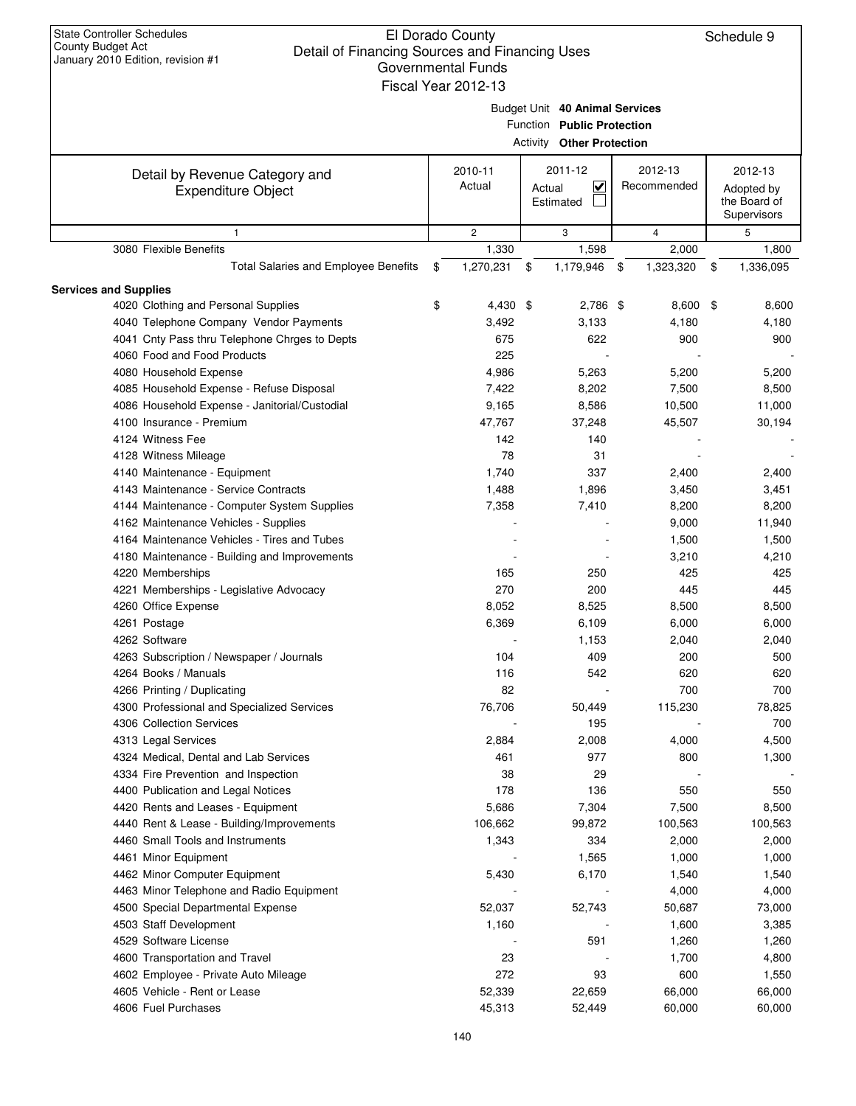| January ZUTU LUINUH, IEVISIUH # I                           | <b>Governmental Funds</b> |        |                                                              |                        |                                                      |
|-------------------------------------------------------------|---------------------------|--------|--------------------------------------------------------------|------------------------|------------------------------------------------------|
|                                                             | Fiscal Year 2012-13       |        | Budget Unit 40 Animal Services<br>Function Public Protection |                        |                                                      |
|                                                             |                           |        | <b>Activity Other Protection</b>                             |                        |                                                      |
| Detail by Revenue Category and<br><b>Expenditure Object</b> | 2010-11<br>Actual         | Actual | 2011-12<br>$\overline{\mathbf{v}}$<br>Estimated              | 2012-13<br>Recommended | 2012-13<br>Adopted by<br>the Board of<br>Supervisors |
| $\mathbf{1}$                                                | $\mathbf{2}$              |        | 3                                                            | 4                      | 5                                                    |
| 3080 Flexible Benefits                                      | 1,330                     |        | 1,598                                                        | 2,000                  | 1,800                                                |
| <b>Total Salaries and Employee Benefits</b>                 | \$<br>1,270,231           | \$     | 1,179,946                                                    | \$<br>1,323,320        | \$<br>1,336,095                                      |
| <b>Services and Supplies</b>                                |                           |        |                                                              |                        |                                                      |
| 4020 Clothing and Personal Supplies                         | \$<br>$4,430$ \$          |        | 2,786 \$                                                     | $8,600$ \$             | 8,600                                                |
| 4040 Telephone Company Vendor Payments                      | 3,492                     |        | 3,133                                                        | 4,180                  | 4,180                                                |
| 4041 Cnty Pass thru Telephone Chrges to Depts               | 675                       |        | 622                                                          | 900                    | 900                                                  |
| 4060 Food and Food Products                                 | 225                       |        |                                                              |                        |                                                      |
| 4080 Household Expense                                      | 4,986                     |        | 5,263                                                        | 5,200                  | 5,200                                                |
| 4085 Household Expense - Refuse Disposal                    | 7,422                     |        | 8,202                                                        | 7,500                  | 8,500                                                |
| 4086 Household Expense - Janitorial/Custodial               | 9,165                     |        | 8,586                                                        | 10,500                 | 11,000                                               |
| 4100 Insurance - Premium                                    | 47,767                    |        | 37,248                                                       | 45,507                 | 30,194                                               |
| 4124 Witness Fee                                            | 142                       |        | 140                                                          |                        |                                                      |
| 4128 Witness Mileage                                        | 78                        |        | 31                                                           |                        |                                                      |
| 4140 Maintenance - Equipment                                | 1,740                     |        | 337                                                          | 2,400                  | 2,400                                                |
| 4143 Maintenance - Service Contracts                        | 1,488                     |        | 1,896                                                        | 3,450                  | 3,451                                                |
| 4144 Maintenance - Computer System Supplies                 | 7,358                     |        | 7,410                                                        | 8,200                  | 8,200                                                |
| 4162 Maintenance Vehicles - Supplies                        |                           |        |                                                              | 9,000                  | 11,940                                               |
| 4164 Maintenance Vehicles - Tires and Tubes                 |                           |        |                                                              | 1,500                  | 1,500                                                |
| 4180 Maintenance - Building and Improvements                |                           |        |                                                              | 3,210                  | 4,210                                                |
| 4220 Memberships                                            | 165                       |        | 250                                                          | 425                    | 425                                                  |
| 4221 Memberships - Legislative Advocacy                     | 270                       |        | 200                                                          | 445                    | 445                                                  |
| 4260 Office Expense                                         | 8,052                     |        | 8,525                                                        | 8,500                  | 8,500                                                |
| 4261 Postage                                                | 6,369                     |        | 6,109                                                        | 6,000                  | 6,000                                                |
| 4262 Software                                               |                           |        | 1,153                                                        | 2,040                  | 2,040                                                |
| 4263 Subscription / Newspaper / Journals                    | 104                       |        | 409                                                          | 200                    | 500                                                  |
| 4264 Books / Manuals                                        | 116                       |        | 542                                                          | 620                    | 620                                                  |
| 4266 Printing / Duplicating                                 | 82                        |        |                                                              | 700                    | 700                                                  |
| 4300 Professional and Specialized Services                  | 76,706                    |        | 50,449                                                       | 115,230                | 78,825                                               |
| 4306 Collection Services                                    |                           |        | 195                                                          |                        | 700                                                  |
| 4313 Legal Services                                         | 2,884                     |        | 2,008                                                        | 4,000                  | 4,500                                                |
| 4324 Medical, Dental and Lab Services                       | 461                       |        | 977                                                          | 800                    | 1,300                                                |
| 4334 Fire Prevention and Inspection                         | 38                        |        | 29                                                           |                        |                                                      |
| 4400 Publication and Legal Notices                          | 178                       |        | 136                                                          | 550                    | 550                                                  |
| 4420 Rents and Leases - Equipment                           | 5,686                     |        | 7,304                                                        | 7,500                  | 8,500                                                |
| 4440 Rent & Lease - Building/Improvements                   | 106,662                   |        | 99,872                                                       | 100,563                | 100,563                                              |
| 4460 Small Tools and Instruments                            | 1,343                     |        | 334                                                          | 2,000                  | 2,000                                                |
| 4461 Minor Equipment                                        |                           |        | 1,565                                                        | 1,000                  | 1,000                                                |
| 4462 Minor Computer Equipment                               | 5,430                     |        | 6,170                                                        | 1,540                  | 1,540                                                |
| 4463 Minor Telephone and Radio Equipment                    |                           |        |                                                              | 4,000                  | 4,000                                                |
| 4500 Special Departmental Expense                           | 52,037                    |        | 52,743                                                       | 50,687                 | 73,000                                               |
| 4503 Staff Development                                      | 1,160                     |        |                                                              | 1,600                  | 3,385                                                |
| 4529 Software License                                       |                           |        | 591                                                          | 1,260                  | 1,260                                                |
| 4600 Transportation and Travel                              | 23                        |        |                                                              | 1,700                  | 4,800                                                |
| 4602 Employee - Private Auto Mileage                        | 272                       |        | 93                                                           | 600                    | 1,550                                                |
| 4605 Vehicle - Rent or Lease                                | 52,339                    |        | 22,659                                                       | 66,000                 | 66,000                                               |
| 4606 Fuel Purchases                                         | 45,313                    |        | 52,449                                                       | 60,000                 | 60,000                                               |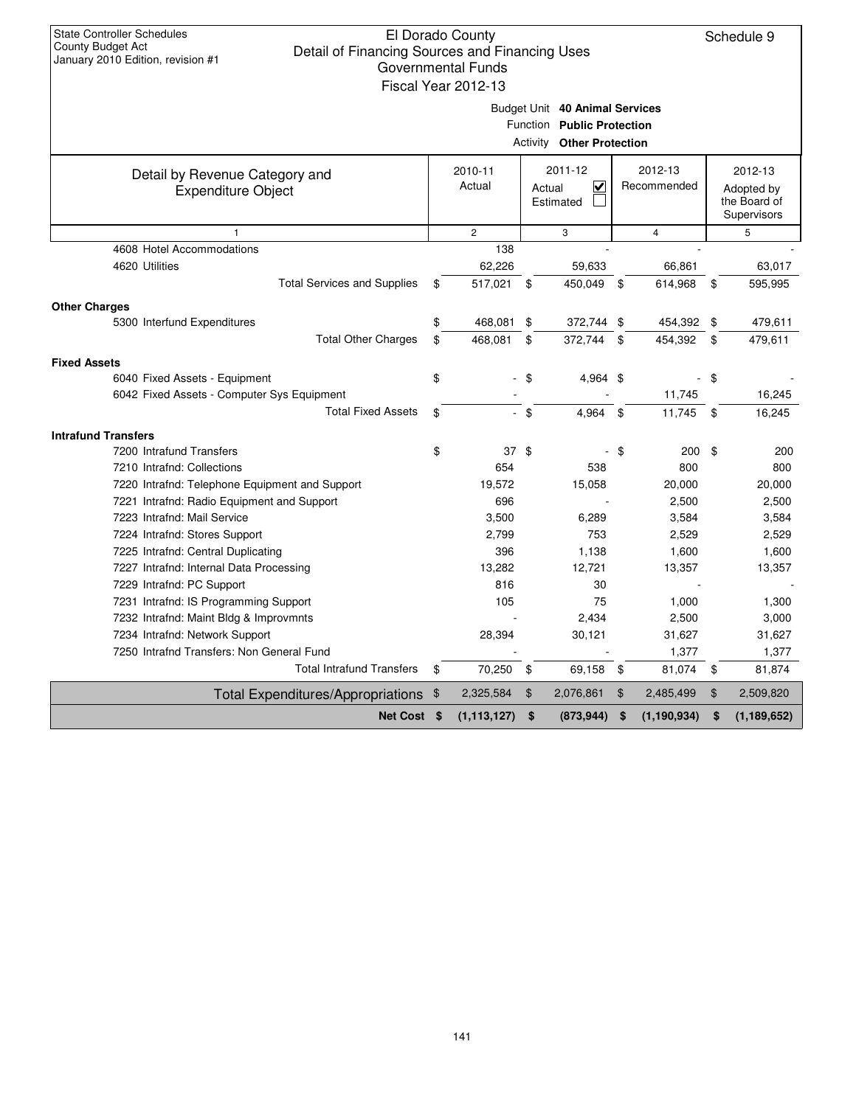|                                                             | Fiscal Year 2012-13 |        |                                                                                                  |                |                        |      |                                                      |
|-------------------------------------------------------------|---------------------|--------|--------------------------------------------------------------------------------------------------|----------------|------------------------|------|------------------------------------------------------|
|                                                             |                     |        | Budget Unit 40 Animal Services<br>Function Public Protection<br><b>Activity Other Protection</b> |                |                        |      |                                                      |
| Detail by Revenue Category and<br><b>Expenditure Object</b> | 2010-11<br>Actual   |        | 2011-12<br>$\overline{\mathbf{v}}$<br>Actual<br>Estimated                                        |                | 2012-13<br>Recommended |      | 2012-13<br>Adopted by<br>the Board of<br>Supervisors |
| 1                                                           | $\overline{2}$      |        | 3                                                                                                |                | 4                      |      | 5                                                    |
| 4608 Hotel Accommodations                                   | 138                 |        |                                                                                                  |                |                        |      |                                                      |
| 4620 Utilities                                              | 62,226              |        | 59,633                                                                                           |                | 66,861                 |      | 63,017                                               |
| <b>Total Services and Supplies</b>                          | \$<br>517,021       | - \$   | 450,049                                                                                          | -\$            | 614,968                | \$   | 595,995                                              |
| <b>Other Charges</b>                                        |                     |        |                                                                                                  |                |                        |      |                                                      |
| 5300 Interfund Expenditures                                 | \$<br>468,081       | \$     | 372,744 \$                                                                                       |                | 454,392                | \$   | 479,611                                              |
| <b>Total Other Charges</b>                                  | \$<br>468,081       | \$     | 372,744                                                                                          | \$             | 454,392                | \$   | 479,611                                              |
| <b>Fixed Assets</b>                                         |                     |        |                                                                                                  |                |                        |      |                                                      |
| 6040 Fixed Assets - Equipment                               | \$                  | $-$ \$ | 4,964 \$                                                                                         |                |                        | - \$ |                                                      |
| 6042 Fixed Assets - Computer Sys Equipment                  |                     |        |                                                                                                  |                | 11,745                 |      | 16,245                                               |
| <b>Total Fixed Assets</b>                                   | \$                  | $-$ \$ | 4,964                                                                                            | \$             | 11,745                 | \$   | 16,245                                               |
| <b>Intrafund Transfers</b>                                  |                     |        |                                                                                                  |                |                        |      |                                                      |
| 7200 Intrafund Transfers                                    | \$<br>$37$ \$       |        |                                                                                                  | \$             | 200                    | \$   | 200                                                  |
| 7210 Intrafnd: Collections                                  | 654                 |        | 538                                                                                              |                | 800                    |      | 800                                                  |
| 7220 Intrafnd: Telephone Equipment and Support              | 19,572              |        | 15,058                                                                                           |                | 20,000                 |      | 20,000                                               |
| 7221 Intrafnd: Radio Equipment and Support                  | 696                 |        |                                                                                                  |                | 2,500                  |      | 2,500                                                |
| 7223 Intrafnd: Mail Service                                 | 3,500               |        | 6,289                                                                                            |                | 3,584                  |      | 3,584                                                |
| 7224 Intrafnd: Stores Support                               | 2,799               |        | 753                                                                                              |                | 2,529                  |      | 2,529                                                |
| 7225 Intrafnd: Central Duplicating                          | 396                 |        | 1,138                                                                                            |                | 1,600                  |      | 1,600                                                |
| 7227 Intrafnd: Internal Data Processing                     | 13,282              |        | 12,721                                                                                           |                | 13,357                 |      | 13,357                                               |
| 7229 Intrafnd: PC Support                                   | 816                 |        | 30                                                                                               |                |                        |      |                                                      |
| 7231 Intrafnd: IS Programming Support                       | 105                 |        | 75                                                                                               |                | 1,000                  |      | 1,300                                                |
| 7232 Intrafnd: Maint Bldg & Improvmnts                      |                     |        | 2,434                                                                                            |                | 2,500                  |      | 3,000                                                |
| 7234 Intrafnd: Network Support                              | 28,394              |        | 30,121                                                                                           |                | 31,627                 |      | 31,627                                               |
| 7250 Intrafnd Transfers: Non General Fund                   |                     |        |                                                                                                  |                | 1,377                  |      | 1,377                                                |
| <b>Total Intrafund Transfers</b>                            | \$<br>70,250        | \$     | 69,158                                                                                           | \$             | 81,074                 | \$   | 81,874                                               |
| Total Expenditures/Appropriations \$                        | 2,325,584           | \$     | 2,076,861                                                                                        | $\mathfrak{F}$ | 2,485,499              | \$   | 2,509,820                                            |
| Net Cost \$                                                 | (1, 113, 127)       | \$     | (873, 944)                                                                                       | \$             | (1, 190, 934)          | \$   | (1, 189, 652)                                        |
|                                                             |                     |        |                                                                                                  |                |                        |      |                                                      |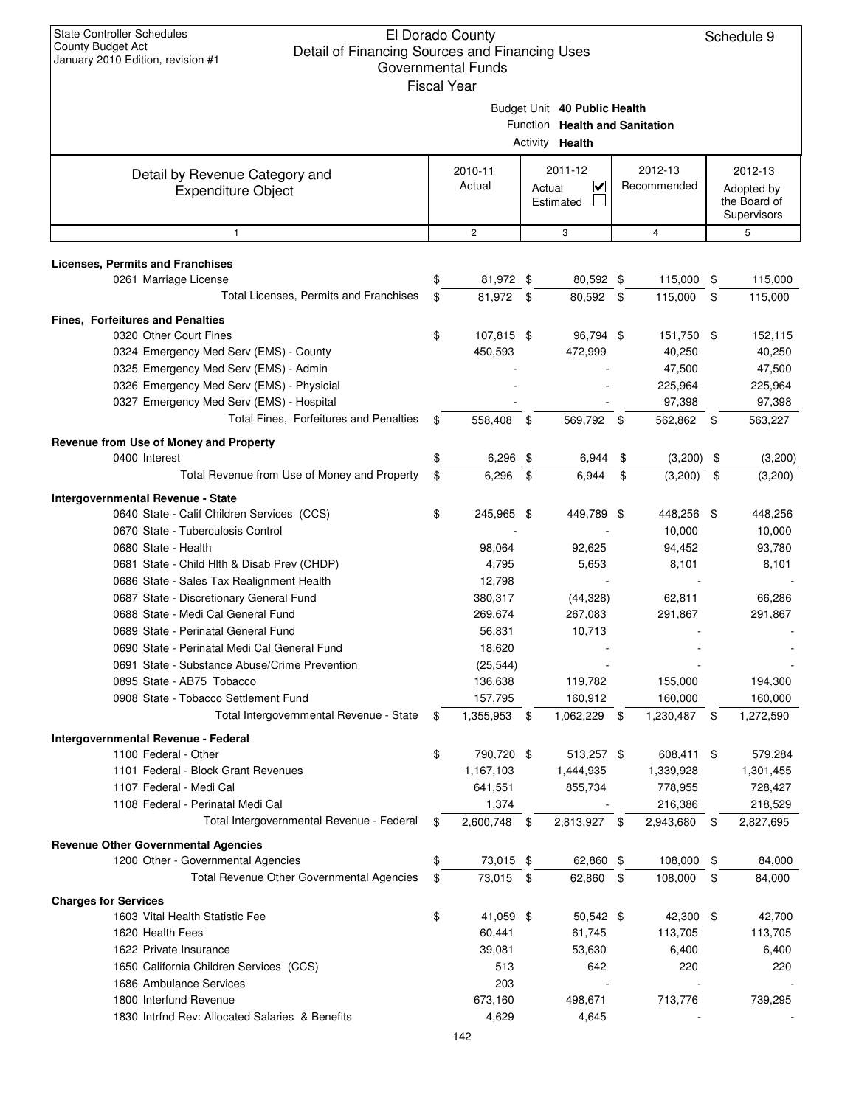|        | Governmental Funds<br><b>Fiscal Year</b> |                                                    |                                |
|--------|------------------------------------------|----------------------------------------------------|--------------------------------|
|        |                                          | Budget Unit 40 Public Health<br>Activity<br>Health | Function Health and Sanitation |
| ry and | 2010-11<br>Actual                        | 2011-12<br>$A$ ctual                               | $2012 - 13$<br>Recommer        |

| Detail by Revenue Category and<br><b>Expenditure Object</b> | 2010-11<br>Actual  | 2011-12<br>$\overline{\mathbf{v}}$<br>Actual<br>Estimated | 2012-13<br>Recommended |      | 2012-13<br>Adopted by<br>the Board of<br>Supervisors |
|-------------------------------------------------------------|--------------------|-----------------------------------------------------------|------------------------|------|------------------------------------------------------|
| $\mathbf{1}$                                                | $\mathbf{2}$       | 3                                                         | $\overline{4}$         |      | 5                                                    |
| <b>Licenses, Permits and Franchises</b>                     |                    |                                                           |                        |      |                                                      |
| 0261 Marriage License                                       | \$<br>81,972 \$    | 80,592 \$                                                 | 115,000                | \$   | 115,000                                              |
| Total Licenses, Permits and Franchises                      | \$<br>81,972       | \$<br>80,592 \$                                           | 115,000                | \$   | 115,000                                              |
|                                                             |                    |                                                           |                        |      |                                                      |
| Fines, Forfeitures and Penalties                            |                    |                                                           |                        |      |                                                      |
| 0320 Other Court Fines                                      | \$<br>107,815 \$   | 96,794 \$                                                 | 151,750 \$             |      | 152,115                                              |
| 0324 Emergency Med Serv (EMS) - County                      | 450,593            | 472,999                                                   | 40,250                 |      | 40,250                                               |
| 0325 Emergency Med Serv (EMS) - Admin                       |                    |                                                           | 47,500                 |      | 47,500                                               |
| 0326 Emergency Med Serv (EMS) - Physicial                   |                    |                                                           | 225,964                |      | 225,964                                              |
| 0327 Emergency Med Serv (EMS) - Hospital                    |                    |                                                           | 97,398                 |      | 97,398                                               |
| Total Fines, Forfeitures and Penalties                      | \$<br>558,408      | \$<br>569,792 \$                                          | 562,862                | \$   | 563,227                                              |
| Revenue from Use of Money and Property                      |                    |                                                           |                        |      |                                                      |
| 0400 Interest                                               | \$<br>$6,296$ \$   | 6,944                                                     | \$<br>(3,200)          | \$   | (3,200)                                              |
| Total Revenue from Use of Money and Property                | \$<br>6.296        | \$<br>6,944                                               | \$<br>(3,200)          | \$   | (3,200)                                              |
| <b>Intergovernmental Revenue - State</b>                    |                    |                                                           |                        |      |                                                      |
| 0640 State - Calif Children Services (CCS)                  | \$<br>245,965 \$   | 449,789 \$                                                | 448,256                | \$   | 448,256                                              |
| 0670 State - Tuberculosis Control                           |                    |                                                           | 10,000                 |      | 10,000                                               |
| 0680 State - Health                                         | 98,064             | 92,625                                                    | 94,452                 |      | 93,780                                               |
| 0681 State - Child Hlth & Disab Prev (CHDP)                 | 4,795              | 5,653                                                     | 8,101                  |      | 8,101                                                |
| 0686 State - Sales Tax Realignment Health                   | 12,798             |                                                           |                        |      |                                                      |
| 0687 State - Discretionary General Fund                     | 380,317            | (44, 328)                                                 | 62,811                 |      | 66,286                                               |
| 0688 State - Medi Cal General Fund                          | 269,674            | 267,083                                                   | 291,867                |      | 291,867                                              |
| 0689 State - Perinatal General Fund                         | 56,831             | 10,713                                                    |                        |      |                                                      |
| 0690 State - Perinatal Medi Cal General Fund                | 18,620             |                                                           |                        |      |                                                      |
| 0691 State - Substance Abuse/Crime Prevention               | (25, 544)          |                                                           |                        |      |                                                      |
| 0895 State - AB75 Tobacco                                   | 136,638            | 119,782                                                   | 155,000                |      | 194,300                                              |
| 0908 State - Tobacco Settlement Fund                        | 157,795            | 160,912                                                   | 160,000                |      | 160,000                                              |
| Total Intergovernmental Revenue - State                     | \$<br>1,355,953 \$ | 1,062,229 \$                                              | 1,230,487              | \$   | 1,272,590                                            |
|                                                             |                    |                                                           |                        |      |                                                      |
| Intergovernmental Revenue - Federal<br>1100 Federal - Other | \$<br>790,720 \$   | 513,257 \$                                                | 608,411                | - \$ | 579,284                                              |
| 1101 Federal - Block Grant Revenues                         | 1,167,103          | 1,444,935                                                 | 1,339,928              |      | 1,301,455                                            |
| 1107 Federal - Medi Cal                                     | 641,551            | 855,734                                                   | 778,955                |      | 728,427                                              |
| 1108 Federal - Perinatal Medi Cal                           | 1,374              |                                                           | 216,386                |      | 218,529                                              |
| Total Intergovernmental Revenue - Federal                   | \$<br>2,600,748    | \$<br>2,813,927 \$                                        | 2,943,680              | \$   | 2,827,695                                            |
|                                                             |                    |                                                           |                        |      |                                                      |
| <b>Revenue Other Governmental Agencies</b>                  |                    |                                                           |                        |      |                                                      |
| 1200 Other - Governmental Agencies                          | \$<br>73,015 \$    | 62,860 \$                                                 | 108,000                | \$   | 84,000                                               |
| Total Revenue Other Governmental Agencies                   | \$<br>73,015 \$    | 62,860 \$                                                 | 108,000                | \$   | 84,000                                               |
| <b>Charges for Services</b>                                 |                    |                                                           |                        |      |                                                      |
| 1603 Vital Health Statistic Fee                             | \$<br>41,059 \$    | 50,542 \$                                                 | 42,300 \$              |      | 42,700                                               |
| 1620 Health Fees                                            | 60,441             | 61,745                                                    | 113,705                |      | 113,705                                              |
| 1622 Private Insurance                                      | 39,081             | 53,630                                                    | 6,400                  |      | 6,400                                                |
| 1650 California Children Services (CCS)                     | 513                | 642                                                       | 220                    |      | 220                                                  |
| 1686 Ambulance Services                                     | 203                |                                                           |                        |      |                                                      |
| 1800 Interfund Revenue                                      | 673,160            | 498,671                                                   | 713,776                |      | 739,295                                              |
| 1830 Intrfnd Rev: Allocated Salaries & Benefits             | 4,629              | 4,645                                                     |                        |      |                                                      |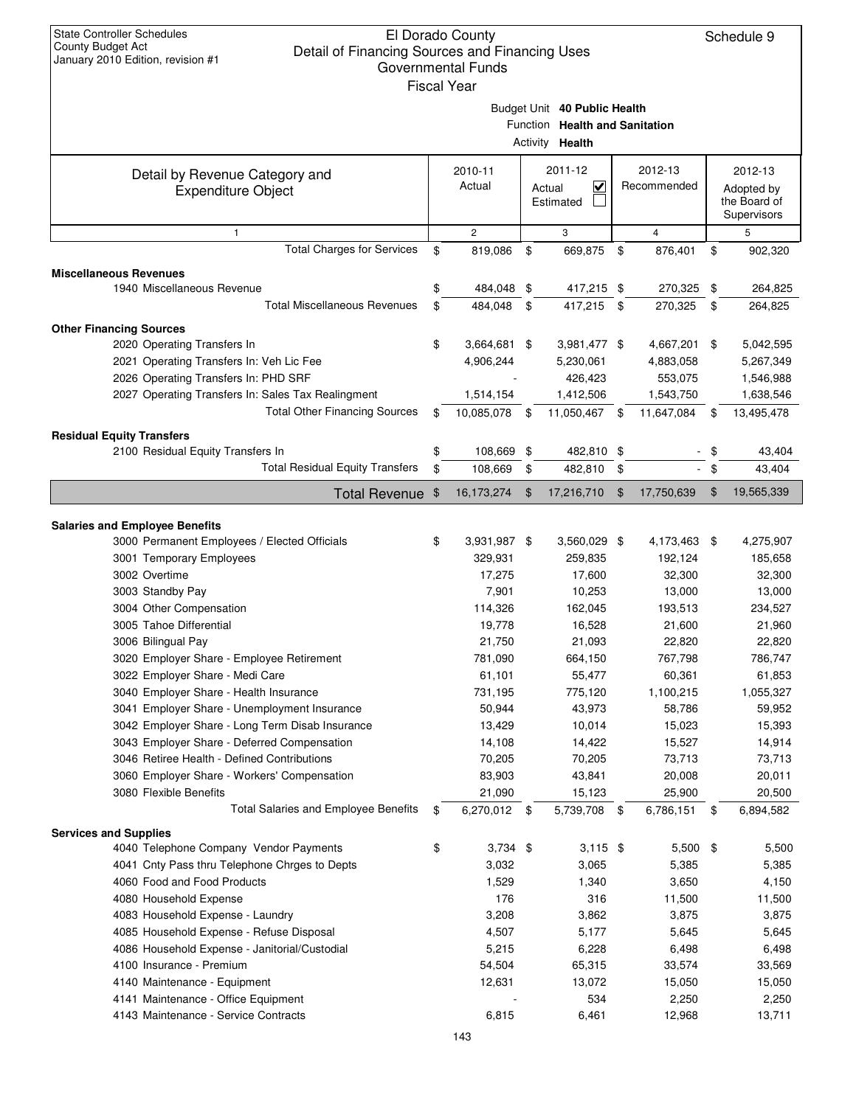|                                                                                       |                  |                       |    | Budget Unit 40 Public Health<br>Function Health and Sanitation<br>Activity Health |               |             |                             |
|---------------------------------------------------------------------------------------|------------------|-----------------------|----|-----------------------------------------------------------------------------------|---------------|-------------|-----------------------------|
|                                                                                       |                  | 2010-11               |    | 2011-12                                                                           |               | 2012-13     | 2012-13                     |
| Detail by Revenue Category and<br><b>Expenditure Object</b>                           | Actual<br>Actual |                       |    | $\overline{\mathsf{v}}$                                                           |               | Recommended | Adopted by                  |
|                                                                                       |                  |                       |    | Estimated                                                                         |               |             | the Board of<br>Supervisors |
| 1                                                                                     |                  | $\overline{2}$        |    | 3                                                                                 |               | 4           | 5                           |
| <b>Total Charges for Services</b>                                                     | \$               | 819,086               | \$ | 669,875                                                                           | \$            | 876,401     | \$<br>902,320               |
| <b>Miscellaneous Revenues</b>                                                         |                  |                       |    |                                                                                   |               |             |                             |
| 1940 Miscellaneous Revenue                                                            | \$               | 484,048 \$            |    | 417,215 \$                                                                        |               | 270,325     | \$<br>264,825               |
| <b>Total Miscellaneous Revenues</b>                                                   | \$               | 484,048               | \$ | 417,215                                                                           | \$            | 270,325     | \$<br>264,825               |
| <b>Other Financing Sources</b>                                                        |                  |                       |    |                                                                                   |               |             |                             |
| 2020 Operating Transfers In                                                           | \$               | 3,664,681 \$          |    | 3,981,477 \$                                                                      |               | 4,667,201   | \$<br>5,042,595             |
| 2021 Operating Transfers In: Veh Lic Fee                                              |                  | 4,906,244             |    | 5,230,061                                                                         |               | 4,883,058   | 5,267,349                   |
| 2026 Operating Transfers In: PHD SRF                                                  |                  |                       |    | 426,423                                                                           |               | 553,075     | 1,546,988                   |
| 2027 Operating Transfers In: Sales Tax Realingment                                    |                  | 1,514,154             |    | 1,412,506                                                                         |               | 1,543,750   | 1,638,546                   |
| <b>Total Other Financing Sources</b>                                                  | \$               | 10,085,078            | \$ | 11,050,467                                                                        | \$            | 11,647,084  | \$<br>13,495,478            |
|                                                                                       |                  |                       |    |                                                                                   |               |             |                             |
| <b>Residual Equity Transfers</b>                                                      |                  |                       |    |                                                                                   |               |             |                             |
| 2100 Residual Equity Transfers In<br><b>Total Residual Equity Transfers</b>           | \$<br>\$         | 108,669 \$<br>108,669 |    | 482,810 \$                                                                        |               |             | \$<br>43,404                |
|                                                                                       |                  |                       | \$ | 482,810                                                                           | \$            |             | \$<br>43,404                |
| <b>Total Revenue</b>                                                                  | \$               | 16,173,274            | \$ | 17,216,710                                                                        | $\sqrt[6]{3}$ | 17,750,639  | \$<br>19,565,339            |
|                                                                                       |                  |                       |    |                                                                                   |               |             |                             |
| <b>Salaries and Employee Benefits</b><br>3000 Permanent Employees / Elected Officials | \$               | 3,931,987 \$          |    | 3,560,029 \$                                                                      |               | 4,173,463   | \$<br>4,275,907             |
| 3001 Temporary Employees                                                              |                  | 329,931               |    | 259,835                                                                           |               | 192,124     | 185,658                     |
| 3002 Overtime                                                                         |                  | 17,275                |    | 17,600                                                                            |               | 32,300      | 32,300                      |
| 3003 Standby Pay                                                                      |                  | 7,901                 |    | 10,253                                                                            |               | 13,000      | 13,000                      |
| 3004 Other Compensation                                                               |                  | 114,326               |    | 162,045                                                                           |               | 193,513     | 234,527                     |
| 3005 Tahoe Differential                                                               |                  | 19,778                |    | 16,528                                                                            |               | 21,600      | 21,960                      |
| 3006 Bilingual Pay                                                                    |                  | 21,750                |    | 21,093                                                                            |               | 22,820      | 22,820                      |
| 3020 Employer Share - Employee Retirement                                             |                  | 781,090               |    | 664,150                                                                           |               | 767,798     | 786,747                     |
| 3022 Employer Share - Medi Care                                                       |                  | 61,101                |    | 55,477                                                                            |               | 60,361      | 61,853                      |
| 3040 Employer Share - Health Insurance                                                |                  | 731,195               |    | 775,120                                                                           |               | 1,100,215   | 1,055,327                   |
| 3041 Employer Share - Unemployment Insurance                                          |                  | 50,944                |    | 43,973                                                                            |               | 58,786      | 59,952                      |
| 3042 Employer Share - Long Term Disab Insurance                                       |                  | 13,429                |    | 10,014                                                                            |               | 15,023      | 15,393                      |
| 3043 Employer Share - Deferred Compensation                                           |                  | 14,108                |    | 14,422                                                                            |               | 15,527      | 14,914                      |
| 3046 Retiree Health - Defined Contributions                                           |                  | 70,205                |    | 70,205                                                                            |               | 73,713      | 73,713                      |
| 3060 Employer Share - Workers' Compensation                                           |                  | 83,903                |    | 43,841                                                                            |               | 20,008      | 20,011                      |
| 3080 Flexible Benefits                                                                |                  | 21,090                |    | 15,123                                                                            |               | 25,900      | 20,500                      |
| <b>Total Salaries and Employee Benefits</b>                                           | \$               | 6,270,012 \$          |    | 5,739,708 \$                                                                      |               | 6,786,151   | \$<br>6,894,582             |
| <b>Services and Supplies</b>                                                          |                  |                       |    |                                                                                   |               |             |                             |
| 4040 Telephone Company Vendor Payments                                                | \$               | $3,734$ \$            |    | $3,115$ \$                                                                        |               | $5,500$ \$  | 5,500                       |
| 4041 Cnty Pass thru Telephone Chrges to Depts                                         |                  | 3,032                 |    | 3,065                                                                             |               | 5,385       | 5,385                       |
| 4060 Food and Food Products                                                           |                  | 1,529                 |    | 1,340                                                                             |               | 3,650       | 4,150                       |
| 4080 Household Expense                                                                |                  | 176                   |    | 316                                                                               |               | 11,500      | 11,500                      |
| 4083 Household Expense - Laundry                                                      |                  | 3,208                 |    | 3,862                                                                             |               | 3,875       | 3,875                       |
| 4085 Household Expense - Refuse Disposal                                              |                  | 4,507                 |    | 5,177                                                                             |               | 5,645       | 5,645                       |
| 4086 Household Expense - Janitorial/Custodial                                         |                  | 5,215                 |    | 6,228                                                                             |               | 6,498       | 6,498                       |
| 4100 Insurance - Premium                                                              |                  | 54,504                |    | 65,315                                                                            |               | 33,574      | 33,569                      |
| 4140 Maintenance - Equipment                                                          |                  | 12,631                |    | 13,072                                                                            |               | 15,050      | 15,050                      |
| 4141 Maintenance - Office Equipment                                                   |                  |                       |    | 534                                                                               |               | 2,250       | 2,250                       |
| 4143 Maintenance - Service Contracts                                                  |                  | 6,815                 |    | 6,461                                                                             |               | 12,968      | 13,711                      |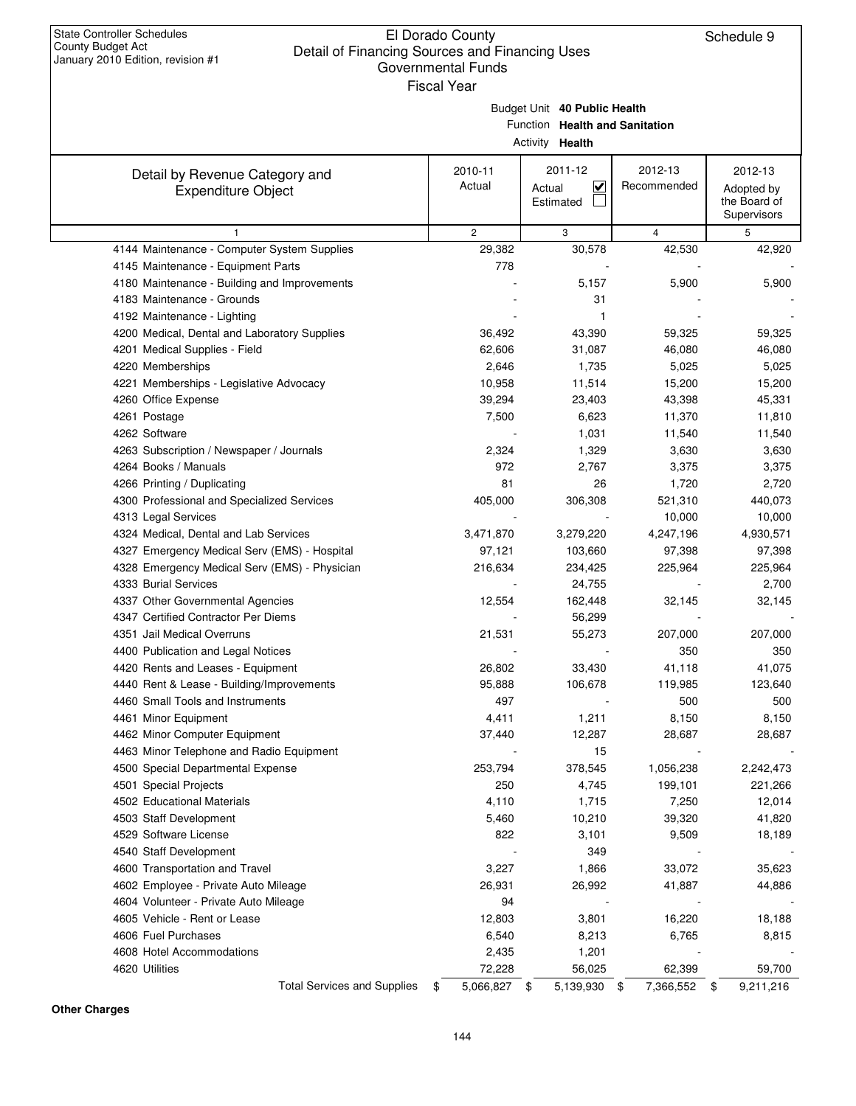|                                                             |                   | Budget Unit 40 Public Health<br>Function Health and Sanitation<br>Activity Health |                        |                                                      |
|-------------------------------------------------------------|-------------------|-----------------------------------------------------------------------------------|------------------------|------------------------------------------------------|
| Detail by Revenue Category and<br><b>Expenditure Object</b> | 2010-11<br>Actual | 2011-12<br>$\overline{\mathbf{v}}$<br>Actual<br>Estimated                         | 2012-13<br>Recommended | 2012-13<br>Adopted by<br>the Board of<br>Supervisors |
| $\mathbf{1}$                                                | $\overline{2}$    | 3                                                                                 | $\overline{4}$         | 5                                                    |
| 4144 Maintenance - Computer System Supplies                 | 29,382            | 30,578                                                                            | 42,530                 | 42,920                                               |
| 4145 Maintenance - Equipment Parts                          | 778               |                                                                                   |                        |                                                      |
| 4180 Maintenance - Building and Improvements                |                   | 5,157                                                                             | 5,900                  | 5,900                                                |
| 4183 Maintenance - Grounds                                  |                   | 31                                                                                |                        |                                                      |
| 4192 Maintenance - Lighting                                 |                   | 1                                                                                 |                        |                                                      |
| 4200 Medical, Dental and Laboratory Supplies                | 36,492            | 43,390                                                                            | 59,325                 | 59,325                                               |
| 4201 Medical Supplies - Field                               | 62,606            | 31,087                                                                            | 46,080                 | 46,080                                               |
| 4220 Memberships                                            | 2,646             | 1,735                                                                             | 5,025                  | 5,025                                                |
| 4221 Memberships - Legislative Advocacy                     | 10,958            | 11,514                                                                            | 15,200                 | 15,200                                               |
| 4260 Office Expense                                         | 39,294            | 23,403                                                                            | 43,398                 | 45,331                                               |
| 4261 Postage                                                | 7,500             | 6,623                                                                             | 11,370                 | 11,810                                               |
| 4262 Software                                               |                   | 1,031                                                                             | 11,540                 | 11,540                                               |
| 4263 Subscription / Newspaper / Journals                    | 2,324             | 1,329                                                                             | 3,630                  | 3,630                                                |
| 4264 Books / Manuals                                        | 972               | 2,767                                                                             | 3,375                  | 3,375                                                |
| 4266 Printing / Duplicating                                 | 81                | 26                                                                                | 1,720                  | 2,720                                                |
| 4300 Professional and Specialized Services                  | 405,000           | 306,308                                                                           | 521,310                | 440,073                                              |
| 4313 Legal Services                                         |                   |                                                                                   | 10,000                 | 10,000                                               |
| 4324 Medical, Dental and Lab Services                       | 3,471,870         | 3,279,220                                                                         | 4,247,196              | 4,930,571                                            |
| 4327 Emergency Medical Serv (EMS) - Hospital                | 97,121            | 103,660                                                                           | 97,398                 | 97,398                                               |
| 4328 Emergency Medical Serv (EMS) - Physician               | 216,634           | 234,425                                                                           | 225,964                | 225,964                                              |
| 4333 Burial Services                                        |                   | 24,755                                                                            |                        | 2,700                                                |
| 4337 Other Governmental Agencies                            | 12,554            | 162,448                                                                           | 32,145                 | 32,145                                               |
| 4347 Certified Contractor Per Diems                         |                   | 56,299                                                                            |                        |                                                      |
| 4351 Jail Medical Overruns                                  | 21,531            | 55,273                                                                            | 207,000                | 207,000                                              |
| 4400 Publication and Legal Notices                          |                   |                                                                                   | 350                    | 350                                                  |
| 4420 Rents and Leases - Equipment                           | 26,802            | 33,430                                                                            | 41,118                 | 41,075                                               |
| 4440 Rent & Lease - Building/Improvements                   | 95,888            | 106,678                                                                           | 119,985                | 123,640                                              |
| 4460 Small Tools and Instruments                            | 497               |                                                                                   | 500                    | 500                                                  |
| 4461 Minor Equipment                                        | 4,411             | 1,211                                                                             | 8,150                  | 8,150                                                |
| 4462 Minor Computer Equipment                               | 37,440            | 12,287                                                                            | 28,687                 | 28,687                                               |
| 4463 Minor Telephone and Radio Equipment                    |                   | 15                                                                                |                        |                                                      |
| 4500 Special Departmental Expense                           | 253,794           | 378,545                                                                           | 1,056,238              | 2,242,473                                            |
| 4501 Special Projects                                       | 250               | 4,745                                                                             | 199,101                | 221,266                                              |
| 4502 Educational Materials                                  | 4,110             | 1,715                                                                             | 7,250                  | 12,014                                               |
| 4503 Staff Development                                      | 5,460             | 10,210                                                                            | 39,320                 | 41,820                                               |
| 4529 Software License                                       | 822               | 3,101                                                                             | 9,509                  | 18,189                                               |
| 4540 Staff Development                                      |                   | 349                                                                               |                        |                                                      |
| 4600 Transportation and Travel                              | 3,227             | 1,866<br>26,992                                                                   | 33,072                 | 35,623                                               |
| 4602 Employee - Private Auto Mileage                        | 26,931            |                                                                                   | 41,887                 | 44,886                                               |
| 4604 Volunteer - Private Auto Mileage                       | 94                |                                                                                   |                        |                                                      |
| 4605 Vehicle - Rent or Lease                                | 12,803            | 3,801                                                                             | 16,220                 | 18,188                                               |
| 4606 Fuel Purchases                                         | 6,540             | 8,213                                                                             | 6,765                  | 8,815                                                |
| 4608 Hotel Accommodations<br>4620 Utilities                 | 2,435             | 1,201                                                                             |                        |                                                      |
|                                                             | 72,228            | 56,025                                                                            | 62,399                 | 59,700                                               |

**Other Charges**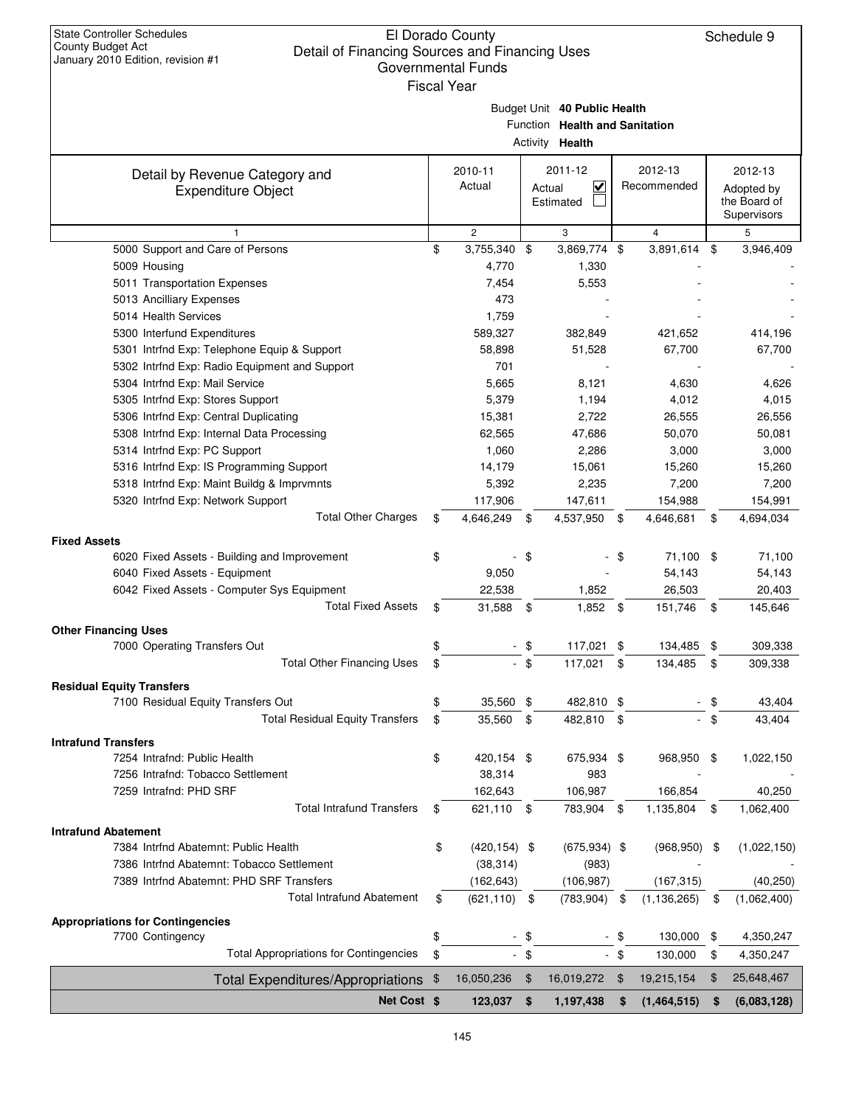| Clair or Financing Ocarces and Financing Oses<br>January 2010 Edition, revision #1 |            | Governmental Funds<br><b>Fiscal Year</b> |               |                                                                                   |        |                        |      |                                                      |
|------------------------------------------------------------------------------------|------------|------------------------------------------|---------------|-----------------------------------------------------------------------------------|--------|------------------------|------|------------------------------------------------------|
|                                                                                    |            |                                          |               | Budget Unit 40 Public Health<br>Function Health and Sanitation<br>Activity Health |        |                        |      |                                                      |
| Detail by Revenue Category and<br><b>Expenditure Object</b>                        |            | 2010-11<br>Actual                        |               | 2011-12<br>V<br>Actual<br>Estimated                                               |        | 2012-13<br>Recommended |      | 2012-13<br>Adopted by<br>the Board of<br>Supervisors |
| $\mathbf{1}$                                                                       |            | $\overline{c}$                           |               | 3                                                                                 |        | $\overline{4}$         |      | 5                                                    |
| 5000 Support and Care of Persons                                                   | \$         | 3,755,340 \$                             |               | 3,869,774 \$                                                                      |        | 3,891,614              | \$   | 3,946,409                                            |
| 5009 Housing                                                                       |            | 4,770                                    |               | 1,330                                                                             |        |                        |      |                                                      |
| 5011 Transportation Expenses                                                       |            | 7,454                                    |               | 5,553                                                                             |        |                        |      |                                                      |
| 5013 Ancilliary Expenses                                                           |            | 473                                      |               |                                                                                   |        |                        |      |                                                      |
| 5014 Health Services                                                               |            | 1,759                                    |               |                                                                                   |        |                        |      |                                                      |
| 5300 Interfund Expenditures                                                        |            | 589,327                                  |               | 382,849                                                                           |        | 421,652                |      | 414,196                                              |
| 5301 Intrfnd Exp: Telephone Equip & Support                                        |            | 58,898                                   |               | 51,528                                                                            |        | 67,700                 |      | 67,700                                               |
| 5302 Intrfnd Exp: Radio Equipment and Support                                      |            | 701                                      |               |                                                                                   |        |                        |      |                                                      |
| 5304 Intrfnd Exp: Mail Service                                                     |            | 5,665                                    |               | 8,121                                                                             |        | 4,630                  |      | 4,626                                                |
| 5305 Intrfnd Exp: Stores Support                                                   |            | 5,379                                    |               | 1,194                                                                             |        | 4,012                  |      | 4,015                                                |
| 5306 Intrfnd Exp: Central Duplicating                                              |            | 15,381                                   |               | 2,722                                                                             |        | 26,555                 |      | 26,556                                               |
| 5308 Intrfnd Exp: Internal Data Processing                                         |            | 62,565                                   |               | 47,686                                                                            |        | 50,070                 |      | 50,081                                               |
| 5314 Intrfnd Exp: PC Support                                                       |            | 1,060                                    |               | 2,286                                                                             |        | 3,000                  |      | 3,000                                                |
| 5316 Intrfnd Exp: IS Programming Support                                           |            | 14,179                                   |               | 15,061                                                                            |        | 15,260                 |      | 15,260                                               |
| 5318 Intrfnd Exp: Maint Buildg & Imprvmnts                                         |            | 5,392                                    |               | 2,235                                                                             |        | 7,200                  |      | 7,200                                                |
| 5320 Intrfnd Exp: Network Support                                                  |            | 117,906                                  |               | 147,611                                                                           |        | 154,988                |      | 154,991                                              |
| <b>Total Other Charges</b>                                                         | \$         | 4,646,249                                | \$            | 4,537,950 \$                                                                      |        | 4,646,681              | \$   | 4,694,034                                            |
| <b>Fixed Assets</b>                                                                |            |                                          |               |                                                                                   |        |                        |      |                                                      |
| 6020 Fixed Assets - Building and Improvement                                       | \$         |                                          | \$            |                                                                                   | - \$   | 71,100 \$              |      | 71,100                                               |
| 6040 Fixed Assets - Equipment                                                      |            | 9,050                                    |               |                                                                                   |        | 54,143                 |      | 54,143                                               |
| 6042 Fixed Assets - Computer Sys Equipment                                         |            | 22,538                                   |               | 1,852                                                                             |        | 26,503                 |      | 20,403                                               |
| <b>Total Fixed Assets</b>                                                          | \$         | 31,588                                   | \$            | 1,852 \$                                                                          |        | 151,746                | \$   | 145,646                                              |
| <b>Other Financing Uses</b>                                                        |            |                                          |               |                                                                                   |        |                        |      |                                                      |
| 7000 Operating Transfers Out                                                       | \$         |                                          | \$            | 117,021 \$                                                                        |        | 134,485                | \$   | 309,338                                              |
| <b>Total Other Financing Uses</b>                                                  | \$         |                                          | $-$ \$        | 117,021 \$                                                                        |        | 134,485                | \$   | 309,338                                              |
|                                                                                    |            |                                          |               |                                                                                   |        |                        |      |                                                      |
| <b>Residual Equity Transfers</b><br>7100 Residual Equity Transfers Out             | \$         | 35,560 \$                                |               | 482,810 \$                                                                        |        |                        | S    | 43,404                                               |
| <b>Total Residual Equity Transfers</b>                                             |            | 35,560                                   |               |                                                                                   |        | $\sim$                 | \$   |                                                      |
|                                                                                    | \$         |                                          | \$            | 482,810 \$                                                                        |        |                        |      | 43,404                                               |
| <b>Intrafund Transfers</b>                                                         |            |                                          |               |                                                                                   |        |                        |      |                                                      |
| 7254 Intrafnd: Public Health                                                       | \$         | 420,154 \$                               |               | 675,934 \$                                                                        |        | 968,950                | -\$  | 1,022,150                                            |
| 7256 Intrafnd: Tobacco Settlement                                                  |            | 38,314                                   |               | 983                                                                               |        |                        |      |                                                      |
| 7259 Intrafnd: PHD SRF                                                             |            | 162,643                                  |               | 106,987                                                                           |        | 166,854                |      | 40,250                                               |
| <b>Total Intrafund Transfers</b>                                                   | \$         | 621,110 \$                               |               | 783,904                                                                           | \$     | 1,135,804              | \$   | 1,062,400                                            |
| <b>Intrafund Abatement</b>                                                         |            |                                          |               |                                                                                   |        |                        |      |                                                      |
| 7384 Intrfnd Abatemnt: Public Health                                               | \$         | $(420, 154)$ \$                          |               | $(675, 934)$ \$                                                                   |        | (968, 950)             | - \$ | (1,022,150)                                          |
| 7386 Intrfnd Abatemnt: Tobacco Settlement                                          |            | (38, 314)                                |               | (983)                                                                             |        |                        |      |                                                      |
| 7389 Intrind Abatemnt: PHD SRF Transfers                                           |            | (162, 643)                               |               | (106, 987)                                                                        |        | (167, 315)             |      | (40, 250)                                            |
| <b>Total Intrafund Abatement</b>                                                   | \$         | $(621, 110)$ \$                          |               | (783, 904)                                                                        | -\$    | (1, 136, 265)          | \$   | (1,062,400)                                          |
| <b>Appropriations for Contingencies</b>                                            |            |                                          |               |                                                                                   |        |                        |      |                                                      |
| 7700 Contingency                                                                   | \$         | $\blacksquare$                           | \$            |                                                                                   | $-$ \$ | 130,000                | \$   | 4,350,247                                            |
| <b>Total Appropriations for Contingencies</b>                                      | \$         |                                          | $-$ \$        |                                                                                   | $-$ \$ | 130,000                | \$   | 4,350,247                                            |
|                                                                                    |            |                                          |               |                                                                                   |        |                        |      |                                                      |
| <b>Total Expenditures/Appropriations</b>                                           | $\sqrt{3}$ | 16,050,236                               | $\frac{1}{2}$ | 16,019,272                                                                        | \$     | 19,215,154             | \$   | 25,648,467                                           |
| Net Cost \$                                                                        |            | 123,037                                  | \$            | 1,197,438                                                                         | \$     | (1,464,515)            | \$   | (6,083,128)                                          |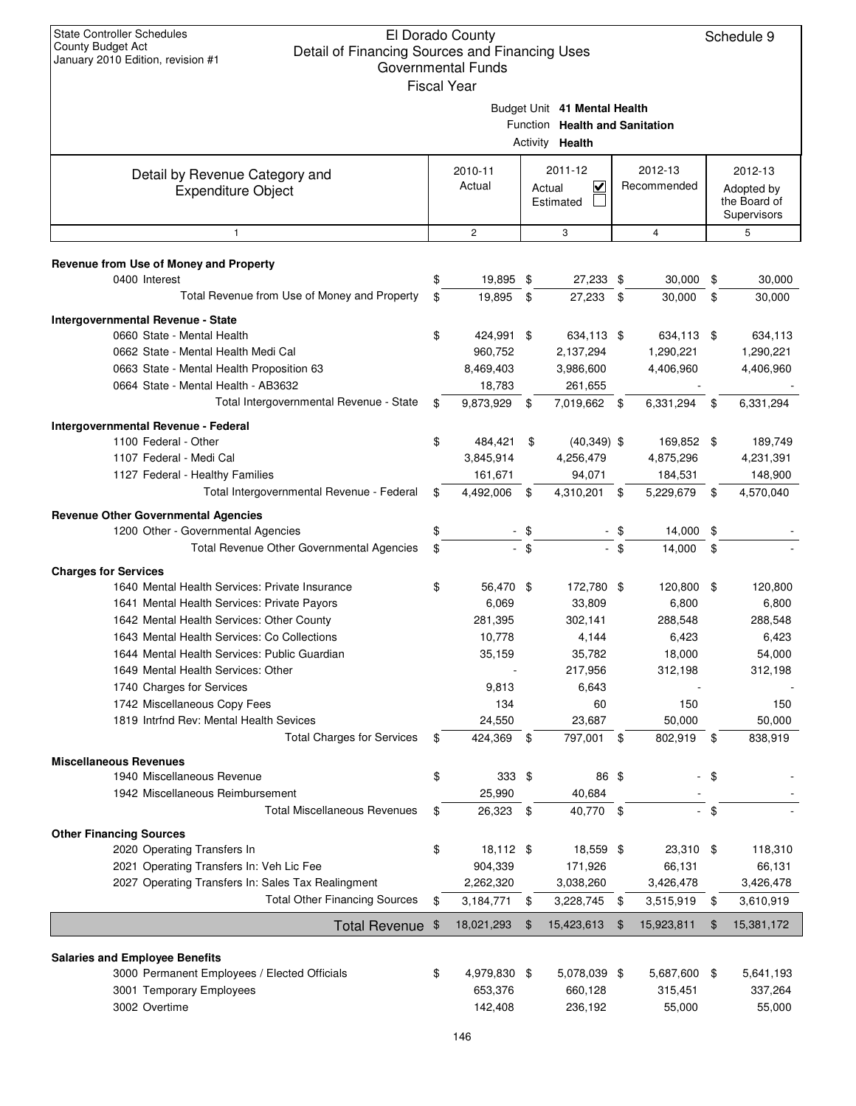| Detail Of Financing Obdities and Financing Oses<br>January 2010 Edition, revision #1  | Governmental Funds |                |                                                                                   |              |                        |        |                                                      |
|---------------------------------------------------------------------------------------|--------------------|----------------|-----------------------------------------------------------------------------------|--------------|------------------------|--------|------------------------------------------------------|
|                                                                                       | <b>Fiscal Year</b> |                | Budget Unit 41 Mental Health<br>Function Health and Sanitation<br>Activity Health |              |                        |        |                                                      |
| Detail by Revenue Category and<br><b>Expenditure Object</b>                           | 2010-11<br>Actual  |                | 2011-12<br>$\checkmark$<br>Actual<br>Estimated                                    |              | 2012-13<br>Recommended |        | 2012-13<br>Adopted by<br>the Board of<br>Supervisors |
| $\mathbf{1}$                                                                          | $\overline{c}$     |                | 3                                                                                 |              | $\overline{4}$         |        | 5                                                    |
| Revenue from Use of Money and Property                                                |                    |                |                                                                                   |              |                        |        |                                                      |
| 0400 Interest                                                                         | \$<br>19,895 \$    |                | 27,233 \$                                                                         |              | 30,000                 | \$     | 30,000                                               |
| Total Revenue from Use of Money and Property                                          | \$<br>19,895       | \$             | 27,233                                                                            | \$           | 30,000                 | \$     | 30,000                                               |
| <b>Intergovernmental Revenue - State</b>                                              |                    |                |                                                                                   |              |                        |        |                                                      |
| 0660 State - Mental Health                                                            | \$<br>424,991 \$   |                | 634,113 \$                                                                        |              | 634,113 \$             |        | 634,113                                              |
| 0662 State - Mental Health Medi Cal                                                   | 960,752            |                | 2,137,294                                                                         |              | 1,290,221              |        | 1,290,221                                            |
| 0663 State - Mental Health Proposition 63                                             | 8,469,403          |                | 3,986,600                                                                         |              | 4,406,960              |        | 4,406,960                                            |
| 0664 State - Mental Health - AB3632                                                   | 18,783             |                | 261,655                                                                           |              |                        |        |                                                      |
| Total Intergovernmental Revenue - State                                               | \$<br>9,873,929 \$ |                | 7,019,662 \$                                                                      |              | 6,331,294              | \$     | 6,331,294                                            |
| Intergovernmental Revenue - Federal                                                   |                    |                |                                                                                   |              |                        |        |                                                      |
| 1100 Federal - Other                                                                  | \$<br>484,421      | \$             | $(40, 349)$ \$                                                                    |              | 169,852 \$             |        | 189,749                                              |
| 1107 Federal - Medi Cal                                                               | 3,845,914          |                | 4,256,479                                                                         |              | 4,875,296              |        | 4,231,391                                            |
| 1127 Federal - Healthy Families                                                       | 161,671            |                | 94,071                                                                            |              | 184,531                |        | 148,900                                              |
| Total Intergovernmental Revenue - Federal                                             | \$<br>4,492,006    | \$             | 4,310,201                                                                         | \$           | 5,229,679              | \$     | 4,570,040                                            |
|                                                                                       |                    |                |                                                                                   |              |                        |        |                                                      |
| <b>Revenue Other Governmental Agencies</b>                                            |                    |                |                                                                                   |              |                        |        |                                                      |
| 1200 Other - Governmental Agencies<br>Total Revenue Other Governmental Agencies       | \$                 | - \$<br>$-$ \$ |                                                                                   | - \$<br>- \$ | 14,000 \$              |        |                                                      |
|                                                                                       | \$                 |                |                                                                                   |              | 14,000                 | \$     |                                                      |
| <b>Charges for Services</b>                                                           |                    |                |                                                                                   |              |                        |        |                                                      |
| 1640 Mental Health Services: Private Insurance                                        | \$<br>56,470 \$    |                | 172,780 \$                                                                        |              | 120,800                | \$     | 120,800                                              |
| 1641 Mental Health Services: Private Payors                                           | 6,069              |                | 33,809                                                                            |              | 6,800                  |        | 6,800                                                |
| 1642 Mental Health Services: Other County                                             | 281,395            |                | 302,141                                                                           |              | 288,548                |        | 288,548                                              |
| 1643 Mental Health Services: Co Collections                                           | 10,778             |                | 4,144                                                                             |              | 6,423                  |        | 6,423                                                |
| 1644 Mental Health Services: Public Guardian                                          | 35,159             |                | 35,782                                                                            |              | 18,000                 |        | 54,000                                               |
| 1649 Mental Health Services: Other                                                    |                    |                | 217,956                                                                           |              | 312,198                |        | 312,198                                              |
| 1740 Charges for Services                                                             | 9,813              |                | 6,643                                                                             |              |                        |        |                                                      |
| 1742 Miscellaneous Copy Fees                                                          | 134                |                | 60                                                                                |              | 150                    |        | 150                                                  |
| 1819 Intrfnd Rev: Mental Health Sevices                                               | 24,550             |                | 23,687                                                                            |              | 50,000                 |        | 50,000                                               |
| <b>Total Charges for Services</b>                                                     | \$<br>424,369 \$   |                | 797,001 \$                                                                        |              | 802,919                | \$     | 838,919                                              |
| <b>Miscellaneous Revenues</b>                                                         |                    |                |                                                                                   |              |                        |        |                                                      |
| 1940 Miscellaneous Revenue                                                            | \$<br>$333$ \$     |                | 86 \$                                                                             |              |                        | \$     |                                                      |
| 1942 Miscellaneous Reimbursement                                                      | 25,990             |                | 40,684                                                                            |              |                        |        |                                                      |
| <b>Total Miscellaneous Revenues</b>                                                   | \$<br>26,323 \$    |                | 40,770 \$                                                                         |              |                        | $-$ \$ |                                                      |
| <b>Other Financing Sources</b>                                                        |                    |                |                                                                                   |              |                        |        |                                                      |
| 2020 Operating Transfers In                                                           | \$<br>18,112 \$    |                | 18,559 \$                                                                         |              | 23,310 \$              |        | 118,310                                              |
| 2021 Operating Transfers In: Veh Lic Fee                                              | 904,339            |                | 171,926                                                                           |              | 66,131                 |        | 66,131                                               |
| 2027 Operating Transfers In: Sales Tax Realingment                                    | 2,262,320          |                | 3,038,260                                                                         |              | 3,426,478              |        | 3,426,478                                            |
| <b>Total Other Financing Sources</b>                                                  | \$<br>3,184,771    | \$             | 3,228,745                                                                         | \$           | 3,515,919              | \$     | 3,610,919                                            |
| <b>Total Revenue</b>                                                                  | \$<br>18,021,293   | \$             | 15,423,613                                                                        | \$           | 15,923,811             | \$     | 15,381,172                                           |
|                                                                                       |                    |                |                                                                                   |              |                        |        |                                                      |
| <b>Salaries and Employee Benefits</b><br>3000 Permanent Employees / Elected Officials | \$<br>4,979,830 \$ |                | 5,078,039 \$                                                                      |              | 5,687,600 \$           |        | 5,641,193                                            |
| 3001 Temporary Employees                                                              | 653,376            |                | 660,128                                                                           |              | 315,451                |        | 337,264                                              |
| 3002 Overtime                                                                         | 142,408            |                | 236,192                                                                           |              | 55,000                 |        | 55,000                                               |
|                                                                                       |                    |                |                                                                                   |              |                        |        |                                                      |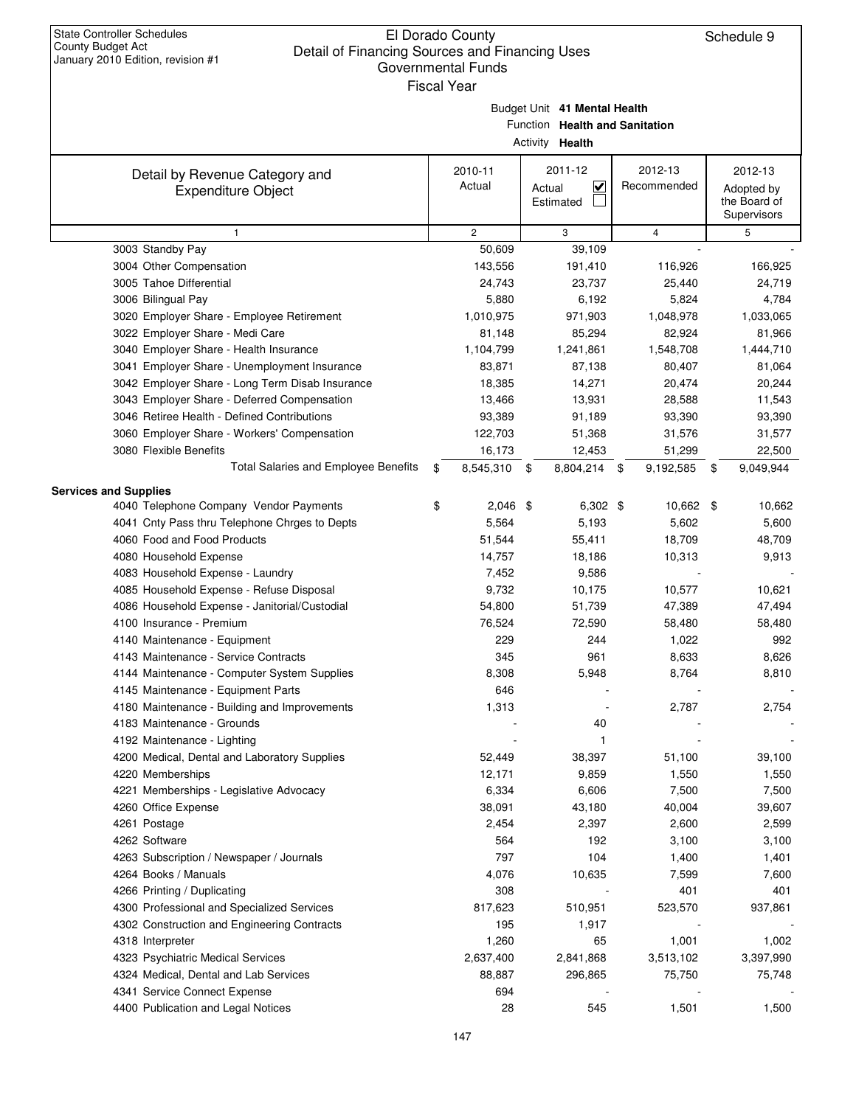| Budget Unit 41 Mental Health |
|------------------------------|

Function **Health and Sanitation**

|                                                                        | Activity Health       |                                   |  |                |                             |
|------------------------------------------------------------------------|-----------------------|-----------------------------------|--|----------------|-----------------------------|
| Detail by Revenue Category and                                         | 2010-11               | 2011-12                           |  | 2012-13        | 2012-13                     |
| <b>Expenditure Object</b>                                              | Actual                | $\overline{\mathbf{v}}$<br>Actual |  | Recommended    | Adopted by                  |
|                                                                        |                       | Estimated                         |  |                | the Board of<br>Supervisors |
| $\mathbf{1}$                                                           | $\mathbf{2}^{\prime}$ | 3                                 |  | $\overline{4}$ | 5                           |
| 3003 Standby Pay                                                       | 50,609                | 39,109                            |  |                |                             |
| 3004 Other Compensation                                                | 143,556               | 191,410                           |  | 116,926        | 166,925                     |
| 3005 Tahoe Differential                                                | 24,743                | 23,737                            |  | 25,440         | 24,719                      |
| 3006 Bilingual Pay                                                     | 5,880                 | 6,192                             |  | 5,824          | 4,784                       |
| 3020 Employer Share - Employee Retirement                              | 1,010,975             | 971,903                           |  | 1,048,978      | 1,033,065                   |
| 3022 Employer Share - Medi Care                                        | 81,148                | 85,294                            |  | 82,924         | 81,966                      |
| 3040 Employer Share - Health Insurance                                 | 1,104,799             | 1,241,861                         |  | 1,548,708      | 1,444,710                   |
| 3041 Employer Share - Unemployment Insurance                           | 83,871                | 87,138                            |  | 80,407         | 81,064                      |
| 3042 Employer Share - Long Term Disab Insurance                        | 18,385                | 14,271                            |  | 20,474         | 20,244                      |
| 3043 Employer Share - Deferred Compensation                            | 13,466                | 13,931                            |  | 28,588         | 11,543                      |
| 3046 Retiree Health - Defined Contributions                            | 93,389                | 91,189                            |  | 93,390         | 93,390                      |
| 3060 Employer Share - Workers' Compensation                            | 122,703               | 51,368                            |  | 31,576         | 31,577                      |
| 3080 Flexible Benefits                                                 | 16,173                | 12,453                            |  | 51,299         | 22,500                      |
| Total Salaries and Employee Benefits                                   | \$<br>8,545,310 \$    | 8,804,214 \$                      |  | 9,192,585      | \$<br>9,049,944             |
|                                                                        |                       |                                   |  |                |                             |
| <b>Services and Supplies</b><br>4040 Telephone Company Vendor Payments | \$<br>$2,046$ \$      | $6,302$ \$                        |  | 10,662 \$      | 10,662                      |
| 4041 Cnty Pass thru Telephone Chrges to Depts                          | 5,564                 | 5,193                             |  | 5,602          | 5,600                       |
| 4060 Food and Food Products                                            | 51,544                | 55,411                            |  | 18,709         | 48,709                      |
| 4080 Household Expense                                                 | 14,757                | 18,186                            |  | 10,313         | 9,913                       |
| 4083 Household Expense - Laundry                                       | 7,452                 | 9,586                             |  |                |                             |
| 4085 Household Expense - Refuse Disposal                               | 9,732                 | 10,175                            |  | 10,577         | 10,621                      |
| 4086 Household Expense - Janitorial/Custodial                          | 54,800                | 51,739                            |  | 47,389         | 47,494                      |
| 4100 Insurance - Premium                                               | 76,524                | 72,590                            |  | 58,480         | 58,480                      |
| 4140 Maintenance - Equipment                                           | 229                   | 244                               |  | 1,022          | 992                         |
| 4143 Maintenance - Service Contracts                                   | 345                   | 961                               |  | 8,633          | 8,626                       |
| 4144 Maintenance - Computer System Supplies                            | 8,308                 | 5,948                             |  | 8,764          | 8,810                       |
| 4145 Maintenance - Equipment Parts                                     | 646                   |                                   |  |                |                             |
| 4180 Maintenance - Building and Improvements                           | 1,313                 |                                   |  | 2,787          | 2,754                       |
| 4183 Maintenance - Grounds                                             |                       | 40                                |  |                |                             |
| 4192 Maintenance - Lighting                                            |                       | 1                                 |  |                |                             |
| 4200 Medical, Dental and Laboratory Supplies                           | 52.449                | 38,397                            |  | 51,100         | 39,100                      |
| 4220 Memberships                                                       | 12,171                | 9,859                             |  | 1,550          | 1,550                       |
| 4221 Memberships - Legislative Advocacy                                | 6,334                 | 6,606                             |  | 7,500          | 7,500                       |
| 4260 Office Expense                                                    | 38,091                | 43,180                            |  | 40,004         | 39,607                      |
| 4261 Postage                                                           | 2,454                 | 2,397                             |  | 2,600          | 2,599                       |
| 4262 Software                                                          | 564                   | 192                               |  | 3,100          | 3,100                       |
| 4263 Subscription / Newspaper / Journals                               | 797                   | 104                               |  | 1,400          | 1,401                       |
| 4264 Books / Manuals                                                   | 4,076                 | 10,635                            |  | 7,599          | 7,600                       |
| 4266 Printing / Duplicating                                            | 308                   |                                   |  | 401            | 401                         |
| 4300 Professional and Specialized Services                             | 817,623               | 510,951                           |  | 523,570        | 937,861                     |
| 4302 Construction and Engineering Contracts                            | 195                   | 1,917                             |  |                |                             |
| 4318 Interpreter                                                       | 1,260                 | 65                                |  | 1,001          | 1,002                       |
| 4323 Psychiatric Medical Services                                      | 2,637,400             | 2,841,868                         |  | 3,513,102      | 3,397,990                   |
| 4324 Medical, Dental and Lab Services                                  | 88,887                | 296,865                           |  | 75,750         | 75,748                      |
| 4341 Service Connect Expense                                           | 694                   |                                   |  |                |                             |
| 4400 Publication and Legal Notices                                     | 28                    | 545                               |  | 1,501          | 1,500                       |
|                                                                        |                       |                                   |  |                |                             |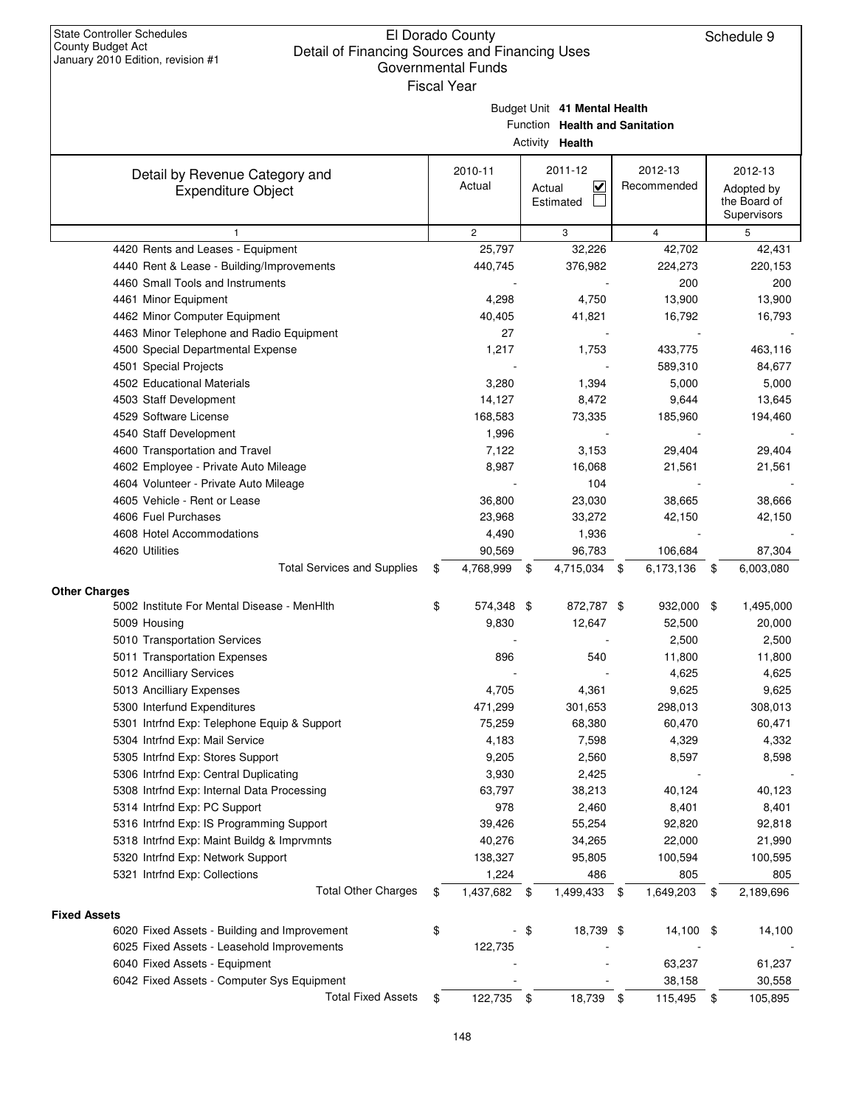|                     |                                                             | <b>Fiscal Year</b>           |                 |                                                           |      |                        |                                                      |
|---------------------|-------------------------------------------------------------|------------------------------|-----------------|-----------------------------------------------------------|------|------------------------|------------------------------------------------------|
|                     |                                                             | Budget Unit 41 Mental Health | Activity Health | Function Health and Sanitation                            |      |                        |                                                      |
|                     | Detail by Revenue Category and<br><b>Expenditure Object</b> | 2010-11<br>Actual            |                 | 2011-12<br>$\overline{\mathsf{v}}$<br>Actual<br>Estimated |      | 2012-13<br>Recommended | 2012-13<br>Adopted by<br>the Board of<br>Supervisors |
|                     | $\mathbf{1}$                                                | $\overline{c}$               |                 | 3                                                         |      | 4                      | 5                                                    |
|                     | 4420 Rents and Leases - Equipment                           | 25,797                       |                 | 32,226                                                    |      | 42,702                 | 42,431                                               |
|                     | 4440 Rent & Lease - Building/Improvements                   | 440,745                      |                 | 376,982                                                   |      | 224,273                | 220,153                                              |
|                     | 4460 Small Tools and Instruments                            |                              |                 |                                                           |      | 200                    | 200                                                  |
|                     | 4461 Minor Equipment                                        | 4,298                        |                 | 4,750                                                     |      | 13,900                 | 13,900                                               |
|                     | 4462 Minor Computer Equipment                               | 40,405                       |                 | 41,821                                                    |      | 16,792                 | 16,793                                               |
|                     | 4463 Minor Telephone and Radio Equipment                    | 27                           |                 |                                                           |      |                        |                                                      |
|                     | 4500 Special Departmental Expense                           | 1,217                        |                 | 1,753                                                     |      | 433,775                | 463,116                                              |
|                     | 4501 Special Projects                                       |                              |                 |                                                           |      | 589,310                | 84,677                                               |
|                     | 4502 Educational Materials                                  | 3,280                        |                 | 1,394                                                     |      | 5,000                  | 5,000                                                |
|                     | 4503 Staff Development                                      | 14,127                       |                 | 8,472                                                     |      | 9,644                  | 13,645                                               |
|                     | 4529 Software License                                       | 168,583                      |                 | 73,335                                                    |      | 185,960                | 194,460                                              |
|                     | 4540 Staff Development                                      | 1,996                        |                 |                                                           |      |                        |                                                      |
|                     | 4600 Transportation and Travel                              | 7,122                        |                 | 3,153                                                     |      | 29,404                 | 29,404                                               |
|                     | 4602 Employee - Private Auto Mileage                        | 8,987                        |                 | 16,068                                                    |      | 21,561                 | 21,561                                               |
|                     | 4604 Volunteer - Private Auto Mileage                       |                              |                 | 104                                                       |      |                        |                                                      |
|                     | 4605 Vehicle - Rent or Lease                                | 36,800                       |                 | 23,030                                                    |      | 38,665                 | 38,666                                               |
|                     | 4606 Fuel Purchases                                         | 23,968                       |                 | 33,272                                                    |      | 42,150                 | 42,150                                               |
|                     | 4608 Hotel Accommodations                                   | 4,490                        |                 | 1,936                                                     |      |                        |                                                      |
|                     | 4620 Utilities                                              | 90,569                       |                 | 96,783                                                    |      | 106,684                | 87,304                                               |
|                     | <b>Total Services and Supplies</b>                          | \$<br>4,768,999              | - \$            | 4,715,034                                                 | \$   | 6,173,136 \$           | 6,003,080                                            |
|                     |                                                             |                              |                 |                                                           |      |                        |                                                      |
| Other Charges       |                                                             |                              |                 |                                                           |      |                        |                                                      |
|                     | 5002 Institute For Mental Disease - MenHlth                 | \$<br>574,348 \$             |                 | 872,787 \$                                                |      | 932,000 \$             | 1,495,000                                            |
|                     | 5009 Housing                                                | 9,830                        |                 | 12,647                                                    |      | 52,500                 | 20,000                                               |
|                     | 5010 Transportation Services                                |                              |                 |                                                           |      | 2,500                  | 2,500                                                |
|                     | 5011 Transportation Expenses                                | 896                          |                 | 540                                                       |      | 11,800                 | 11,800                                               |
|                     | 5012 Ancilliary Services                                    |                              |                 |                                                           |      | 4,625                  | 4,625                                                |
|                     | 5013 Ancilliary Expenses                                    | 4,705                        |                 | 4,361                                                     |      | 9,625                  | 9,625                                                |
|                     | 5300 Interfund Expenditures                                 | 471,299                      |                 | 301,653                                                   |      | 298,013                | 308,013                                              |
|                     | 5301 Intrfnd Exp: Telephone Equip & Support                 | 75,259                       |                 | 68,380                                                    |      | 60,470                 | 60,471                                               |
|                     | 5304 Intrfnd Exp: Mail Service                              | 4,183                        |                 | 7,598                                                     |      | 4,329                  | 4,332                                                |
|                     | 5305 Intrfnd Exp: Stores Support                            | 9,205                        |                 | 2,560                                                     |      | 8,597                  | 8,598                                                |
|                     | 5306 Intrfnd Exp: Central Duplicating                       | 3,930                        |                 | 2,425                                                     |      |                        |                                                      |
|                     | 5308 Intrfnd Exp: Internal Data Processing                  | 63,797                       |                 | 38,213                                                    |      | 40,124                 | 40,123                                               |
|                     | 5314 Intrfnd Exp: PC Support                                | 978                          |                 | 2,460                                                     |      | 8,401                  | 8,401                                                |
|                     | 5316 Intrfnd Exp: IS Programming Support                    | 39,426                       |                 | 55,254                                                    |      | 92,820                 | 92,818                                               |
|                     | 5318 Intrfnd Exp: Maint Buildg & Imprymnts                  | 40,276                       |                 | 34,265                                                    |      | 22,000                 | 21,990                                               |
|                     | 5320 Intrfnd Exp: Network Support                           | 138,327                      |                 | 95,805                                                    |      | 100,594                | 100,595                                              |
|                     | 5321 Intrfnd Exp: Collections                               | 1,224                        |                 | 486                                                       |      | 805                    | 805                                                  |
|                     | <b>Total Other Charges</b>                                  | \$<br>1,437,682 \$           |                 | 1,499,433                                                 | - \$ | 1,649,203              | \$<br>2,189,696                                      |
| <b>Fixed Assets</b> |                                                             |                              |                 |                                                           |      |                        |                                                      |
|                     | 6020 Fixed Assets - Building and Improvement                | \$                           | \$              | 18,739 \$                                                 |      | 14,100                 | \$<br>14,100                                         |
|                     | 6025 Fixed Assets - Leasehold Improvements                  | 122,735                      |                 |                                                           |      |                        |                                                      |
|                     | 6040 Fixed Assets - Equipment                               |                              |                 |                                                           |      | 63,237                 | 61,237                                               |
|                     | 6042 Fixed Assets - Computer Sys Equipment                  |                              |                 |                                                           |      | 38,158                 | 30,558                                               |
|                     | <b>Total Fixed Assets</b>                                   | \$<br>122,735                | \$              | 18,739                                                    | - \$ | 115,495                | \$<br>105,895                                        |
|                     |                                                             |                              |                 |                                                           |      |                        |                                                      |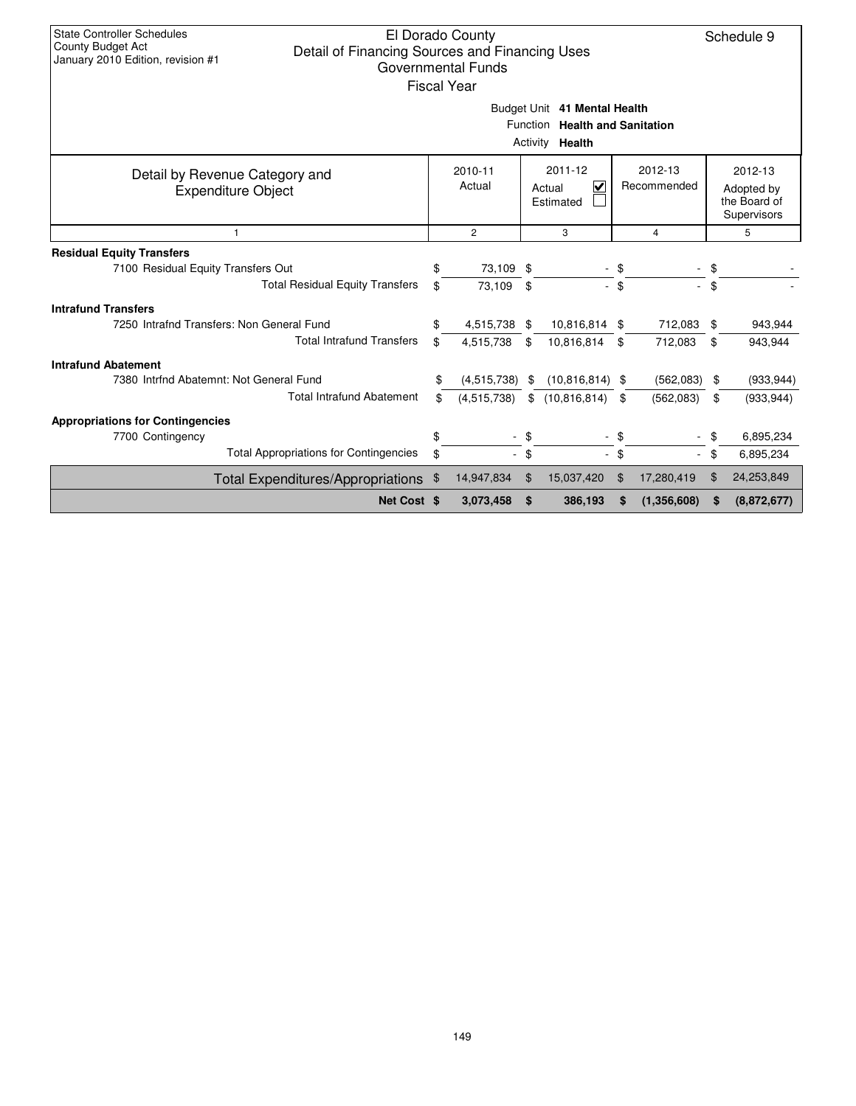| <b>State Controller Schedules</b><br>El Dorado County<br><b>County Budget Act</b><br>Detail of Financing Sources and Financing Uses<br>January 2010 Edition, revision #1<br>Governmental Funds<br><b>Fiscal Year</b> |                                                                                    |              |                          |                             |                |                             |      |                                                      |  |  |  |
|----------------------------------------------------------------------------------------------------------------------------------------------------------------------------------------------------------------------|------------------------------------------------------------------------------------|--------------|--------------------------|-----------------------------|----------------|-----------------------------|------|------------------------------------------------------|--|--|--|
| Budget Unit 41 Mental Health<br>Function Health and Sanitation<br>Activity Health                                                                                                                                    |                                                                                    |              |                          |                             |                |                             |      |                                                      |  |  |  |
| Detail by Revenue Category and<br><b>Expenditure Object</b>                                                                                                                                                          | 2011-12<br>2012-13<br>2010-11<br>Actual<br>V<br>Recommended<br>Actual<br>Estimated |              |                          |                             |                |                             |      | 2012-13<br>Adopted by<br>the Board of<br>Supervisors |  |  |  |
| $\mathbf{1}$                                                                                                                                                                                                         |                                                                                    | $\mathbf{2}$ | 3<br>5<br>$\overline{4}$ |                             |                |                             |      |                                                      |  |  |  |
| <b>Residual Equity Transfers</b>                                                                                                                                                                                     |                                                                                    |              |                          |                             |                |                             |      |                                                      |  |  |  |
| 7100 Residual Equity Transfers Out                                                                                                                                                                                   | \$                                                                                 | 73,109 \$    |                          |                             |                |                             | \$   |                                                      |  |  |  |
| <b>Total Residual Equity Transfers</b>                                                                                                                                                                               | \$                                                                                 | 73,109       | \$                       | $\mathcal{L}_{\mathcal{A}}$ | \$             | $\mathcal{L}^{\mathcal{A}}$ | \$   |                                                      |  |  |  |
| <b>Intrafund Transfers</b>                                                                                                                                                                                           |                                                                                    |              |                          |                             |                |                             |      |                                                      |  |  |  |
| 7250 Intrafnd Transfers: Non General Fund                                                                                                                                                                            | \$                                                                                 | 4,515,738 \$ |                          | 10,816,814 \$               |                | 712,083                     | \$   | 943,944                                              |  |  |  |
| <b>Total Intrafund Transfers</b>                                                                                                                                                                                     | \$                                                                                 | 4,515,738    | \$                       | 10,816,814 \$               |                | 712,083                     | \$   | 943,944                                              |  |  |  |
| <b>Intrafund Abatement</b>                                                                                                                                                                                           |                                                                                    |              |                          |                             |                |                             |      |                                                      |  |  |  |
| 7380 Intrfnd Abatemnt: Not General Fund                                                                                                                                                                              | \$                                                                                 | (4,515,738)  | \$                       | $(10,816,814)$ \$           |                | (562,083)                   | - \$ | (933, 944)                                           |  |  |  |
| <b>Total Intrafund Abatement</b>                                                                                                                                                                                     | \$                                                                                 | (4,515,738)  | \$                       | (10, 816, 814)              | \$             | (562,083)                   | \$   | (933, 944)                                           |  |  |  |
| <b>Appropriations for Contingencies</b>                                                                                                                                                                              |                                                                                    |              |                          |                             |                |                             |      |                                                      |  |  |  |
| 7700 Contingency                                                                                                                                                                                                     | \$                                                                                 |              | \$                       |                             |                |                             | \$   | 6,895,234                                            |  |  |  |
| <b>Total Appropriations for Contingencies</b>                                                                                                                                                                        | \$                                                                                 |              | \$                       | $\mathcal{L}^{\mathcal{A}}$ | \$             |                             | \$   | 6,895,234                                            |  |  |  |
| <b>Total Expenditures/Appropriations</b>                                                                                                                                                                             | \$                                                                                 | 14,947,834   | \$                       | 15,037,420                  | $\mathfrak{F}$ | 17,280,419                  |      | 24,253,849                                           |  |  |  |
| Net Cost \$                                                                                                                                                                                                          |                                                                                    | 3,073,458    | \$                       | 386,193                     | S              | (1,356,608)                 | S    | (8,872,677)                                          |  |  |  |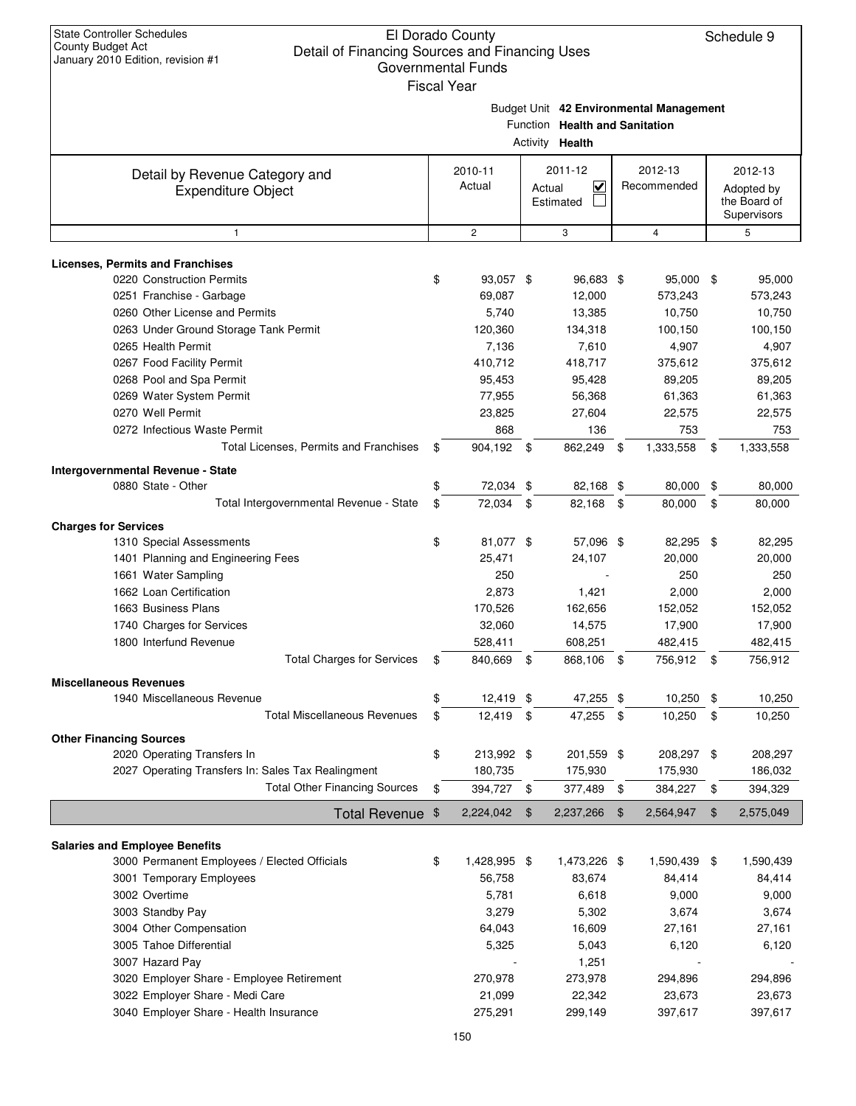|                                                                        |     | <b>Fiscal Year</b> |                                |      |                                         |                  |
|------------------------------------------------------------------------|-----|--------------------|--------------------------------|------|-----------------------------------------|------------------|
|                                                                        |     |                    |                                |      | Budget Unit 42 Environmental Management |                  |
|                                                                        |     |                    | Function Health and Sanitation |      |                                         |                  |
|                                                                        |     |                    | Activity Health                |      |                                         |                  |
| Detail by Revenue Category and                                         |     | 2010-11            | 2011-12                        |      | 2012-13                                 | 2012-13          |
| <b>Expenditure Object</b>                                              |     | Actual             | $\checkmark$<br>Actual         |      | Recommended                             | Adopted by       |
|                                                                        |     |                    | Estimated                      |      |                                         | the Board of     |
| $\mathbf{1}$                                                           |     | $\mathbf{2}$       | 3                              |      | $\overline{4}$                          | Supervisors<br>5 |
|                                                                        |     |                    |                                |      |                                         |                  |
| <b>Licenses, Permits and Franchises</b>                                |     |                    |                                |      |                                         |                  |
| 0220 Construction Permits                                              | \$  | 93,057 \$          | 96,683 \$                      |      | 95,000 \$                               | 95,000           |
| 0251 Franchise - Garbage                                               |     | 69,087             | 12,000                         |      | 573,243                                 | 573,243          |
| 0260 Other License and Permits                                         |     | 5,740              | 13,385                         |      | 10,750                                  | 10,750           |
| 0263 Under Ground Storage Tank Permit                                  |     | 120,360            | 134,318                        |      | 100,150                                 | 100,150          |
| 0265 Health Permit                                                     |     | 7,136              | 7,610                          |      | 4,907                                   | 4,907            |
| 0267 Food Facility Permit                                              |     | 410,712            | 418,717                        |      | 375,612                                 | 375,612          |
| 0268 Pool and Spa Permit                                               |     | 95,453             | 95,428                         |      | 89,205                                  | 89,205           |
| 0269 Water System Permit                                               |     | 77,955             | 56,368                         |      | 61,363                                  | 61,363           |
| 0270 Well Permit                                                       |     | 23,825             | 27,604                         |      | 22,575                                  | 22,575           |
| 0272 Infectious Waste Permit<br>Total Licenses, Permits and Franchises |     | 868                | 136                            |      | 753                                     | 753              |
|                                                                        | \$  | 904,192 \$         | 862,249                        | -\$  | 1,333,558                               | \$<br>1,333,558  |
| <b>Intergovernmental Revenue - State</b>                               |     |                    |                                |      |                                         |                  |
| 0880 State - Other                                                     | \$  | 72,034 \$          | 82,168 \$                      |      | 80,000                                  | \$<br>80,000     |
| Total Intergovernmental Revenue - State                                | \$  | 72,034             | \$<br>82,168                   | \$   | 80,000                                  | \$<br>80,000     |
| <b>Charges for Services</b>                                            |     |                    |                                |      |                                         |                  |
| 1310 Special Assessments                                               | \$  | 81,077 \$          | 57,096 \$                      |      | 82,295                                  | \$<br>82,295     |
| 1401 Planning and Engineering Fees                                     |     | 25,471             | 24,107                         |      | 20,000                                  | 20,000           |
| 1661 Water Sampling                                                    |     | 250                |                                |      | 250                                     | 250              |
| 1662 Loan Certification                                                |     | 2,873              | 1,421                          |      | 2,000                                   | 2,000            |
| 1663 Business Plans                                                    |     | 170,526            | 162,656                        |      | 152,052                                 | 152,052          |
| 1740 Charges for Services                                              |     | 32,060             | 14,575                         |      | 17,900                                  | 17,900           |
| 1800 Interfund Revenue                                                 |     | 528,411            | 608,251                        |      | 482,415                                 | 482,415          |
| <b>Total Charges for Services</b>                                      | \$  | 840,669            | \$<br>868,106                  | -\$  | 756,912                                 | \$<br>756,912    |
| <b>Miscellaneous Revenues</b>                                          |     |                    |                                |      |                                         |                  |
| 1940 Miscellaneous Revenue                                             | \$. | 12,419 \$          | 47,255                         | \$   | 10,250                                  | 10,250           |
| <b>Total Miscellaneous Revenues</b>                                    | \$  | 12,419 \$          | 47,255                         | - \$ | 10,250                                  | \$<br>10,250     |
| <b>Other Financing Sources</b>                                         |     |                    |                                |      |                                         |                  |
| 2020 Operating Transfers In                                            | \$  | 213,992 \$         | 201,559 \$                     |      | 208,297 \$                              | 208,297          |
| 2027 Operating Transfers In: Sales Tax Realingment                     |     | 180,735            | 175,930                        |      | 175,930                                 | 186,032          |
| <b>Total Other Financing Sources</b>                                   | \$  | 394,727            | \$<br>377,489                  | \$   | 384,227                                 | \$<br>394,329    |
| <b>Total Revenue</b>                                                   | \$  | 2,224,042          | \$<br>2,237,266                | \$   | 2,564,947                               | \$<br>2,575,049  |
|                                                                        |     |                    |                                |      |                                         |                  |
| <b>Salaries and Employee Benefits</b>                                  |     |                    |                                |      |                                         |                  |
| 3000 Permanent Employees / Elected Officials                           | \$  | 1,428,995 \$       | 1,473,226 \$                   |      | 1,590,439                               | \$<br>1,590,439  |
| 3001 Temporary Employees                                               |     | 56,758             | 83,674                         |      | 84,414                                  | 84,414           |
| 3002 Overtime                                                          |     | 5,781              | 6,618                          |      | 9,000                                   | 9,000            |
| 3003 Standby Pay                                                       |     | 3,279              | 5,302                          |      | 3,674                                   | 3,674            |
| 3004 Other Compensation                                                |     | 64,043             | 16,609                         |      | 27,161                                  | 27,161           |
| 3005 Tahoe Differential                                                |     | 5,325              | 5,043                          |      | 6,120                                   | 6,120            |
| 3007 Hazard Pay                                                        |     |                    | 1,251                          |      |                                         |                  |
| 3020 Employer Share - Employee Retirement                              |     | 270,978            | 273,978                        |      | 294,896                                 | 294,896          |
| 3022 Employer Share - Medi Care                                        |     | 21,099             | 22,342                         |      | 23,673                                  | 23,673           |
| 3040 Employer Share - Health Insurance                                 |     | 275,291            | 299,149                        |      | 397,617                                 | 397,617          |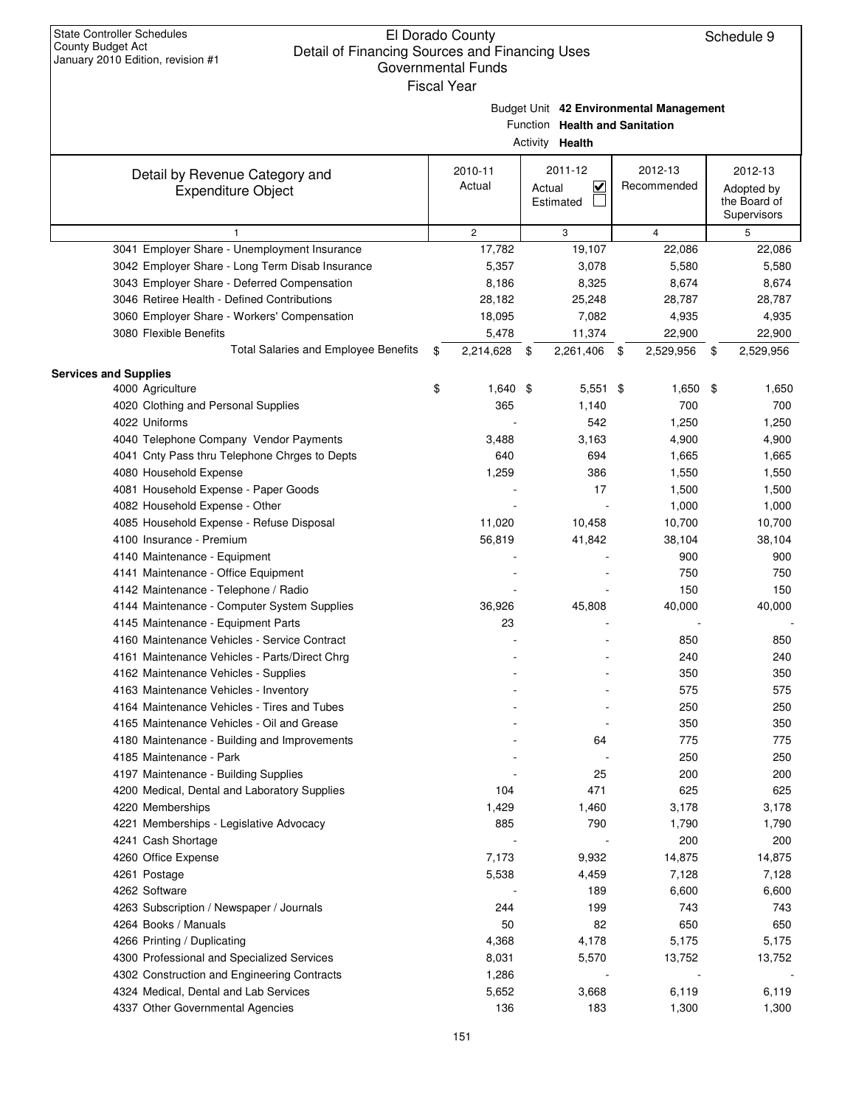|                                                             | <b>Fiscal Year</b> |                                                        |                                         |                                                      |
|-------------------------------------------------------------|--------------------|--------------------------------------------------------|-----------------------------------------|------------------------------------------------------|
|                                                             |                    | Function Health and Sanitation<br>Activity Health      | Budget Unit 42 Environmental Management |                                                      |
| Detail by Revenue Category and<br><b>Expenditure Object</b> | 2010-11<br>Actual  | 2011-12<br>$\blacktriangledown$<br>Actual<br>Estimated | 2012-13<br>Recommended                  | 2012-13<br>Adopted by<br>the Board of<br>Supervisors |
| $\mathbf{1}$                                                | $\overline{c}$     | 3                                                      | 4                                       | 5                                                    |
| 3041 Employer Share - Unemployment Insurance                | 17,782             | 19,107                                                 | 22,086                                  | 22,086                                               |
| 3042 Employer Share - Long Term Disab Insurance             | 5,357              | 3,078                                                  | 5,580                                   | 5,580                                                |
| 3043 Employer Share - Deferred Compensation                 | 8,186              | 8,325                                                  | 8,674                                   | 8,674                                                |
| 3046 Retiree Health - Defined Contributions                 | 28,182             | 25,248                                                 | 28,787                                  | 28,787                                               |
| 3060 Employer Share - Workers' Compensation                 | 18,095             | 7,082                                                  | 4,935                                   | 4,935                                                |
| 3080 Flexible Benefits                                      | 5,478              | 11,374                                                 | 22,900                                  | 22,900                                               |
| Total Salaries and Employee Benefits                        | \$<br>2,214,628    | 2,261,406 \$<br>- \$                                   | 2,529,956                               | 2,529,956<br>\$                                      |
| <b>Services and Supplies</b>                                |                    |                                                        |                                         |                                                      |
| 4000 Agriculture                                            | \$<br>$1,640$ \$   | $5,551$ \$                                             | $1,650$ \$                              | 1,650                                                |
| 4020 Clothing and Personal Supplies                         | 365                | 1,140                                                  | 700                                     | 700                                                  |
| 4022 Uniforms                                               |                    | 542                                                    | 1,250                                   | 1,250                                                |
| 4040 Telephone Company Vendor Payments                      | 3,488              | 3,163                                                  | 4,900                                   | 4,900                                                |
| 4041 Cnty Pass thru Telephone Chrges to Depts               | 640                | 694                                                    | 1,665                                   | 1,665                                                |
| 4080 Household Expense                                      | 1,259              | 386                                                    | 1,550                                   | 1,550                                                |
| 4081 Household Expense - Paper Goods                        |                    | 17                                                     | 1,500                                   | 1,500                                                |
| 4082 Household Expense - Other                              |                    |                                                        | 1,000                                   | 1,000                                                |
| 4085 Household Expense - Refuse Disposal                    | 11,020             | 10,458                                                 | 10,700                                  | 10,700                                               |
| 4100 Insurance - Premium                                    | 56,819             | 41,842                                                 | 38,104                                  | 38,104                                               |
| 4140 Maintenance - Equipment                                |                    |                                                        | 900                                     | 900                                                  |
| 4141 Maintenance - Office Equipment                         |                    |                                                        | 750                                     | 750                                                  |
| 4142 Maintenance - Telephone / Radio                        |                    |                                                        | 150                                     | 150                                                  |
| 4144 Maintenance - Computer System Supplies                 | 36,926             | 45,808                                                 | 40,000                                  | 40,000                                               |
| 4145 Maintenance - Equipment Parts                          | 23                 |                                                        |                                         |                                                      |
| 4160 Maintenance Vehicles - Service Contract                |                    |                                                        | 850                                     | 850                                                  |
| 4161 Maintenance Vehicles - Parts/Direct Chrg               |                    |                                                        | 240                                     | 240                                                  |
| 4162 Maintenance Vehicles - Supplies                        |                    |                                                        | 350                                     | 350                                                  |
| 4163 Maintenance Vehicles - Inventory                       |                    |                                                        | 575                                     | 575                                                  |
| 4164 Maintenance Vehicles - Tires and Tubes                 |                    |                                                        | 250                                     | 250                                                  |
| 4165 Maintenance Vehicles - Oil and Grease                  |                    |                                                        | 350                                     | 350                                                  |
| 4180 Maintenance - Building and Improvements                |                    | 64                                                     | 775                                     | 775                                                  |
| 4185 Maintenance - Park                                     |                    |                                                        | 250                                     | 250                                                  |
| 4197 Maintenance - Building Supplies                        |                    | 25                                                     | 200                                     | 200                                                  |
| 4200 Medical, Dental and Laboratory Supplies                | 104                | 471                                                    | 625                                     | 625                                                  |
| 4220 Memberships                                            | 1,429              | 1,460                                                  | 3,178                                   | 3,178                                                |
| 4221 Memberships - Legislative Advocacy                     | 885                | 790                                                    | 1,790                                   | 1,790                                                |
| 4241 Cash Shortage                                          |                    |                                                        | 200                                     | 200                                                  |
| 4260 Office Expense                                         | 7,173              | 9,932                                                  | 14,875                                  | 14,875                                               |
| 4261 Postage                                                | 5,538              | 4,459                                                  | 7,128                                   | 7,128                                                |
| 4262 Software                                               |                    | 189                                                    | 6,600                                   | 6,600                                                |
| 4263 Subscription / Newspaper / Journals                    | 244                | 199                                                    | 743                                     | 743                                                  |
| 4264 Books / Manuals                                        | 50                 | 82                                                     | 650                                     | 650                                                  |
| 4266 Printing / Duplicating                                 | 4,368              | 4,178                                                  | 5,175                                   | 5,175                                                |
| 4300 Professional and Specialized Services                  | 8,031              | 5,570                                                  | 13,752                                  | 13,752                                               |
| 4302 Construction and Engineering Contracts                 | 1,286              |                                                        |                                         |                                                      |
| 4324 Medical, Dental and Lab Services                       | 5,652              | 3,668                                                  | 6,119                                   | 6,119                                                |
| 4337 Other Governmental Agencies                            | 136                | 183                                                    | 1,300                                   | 1,300                                                |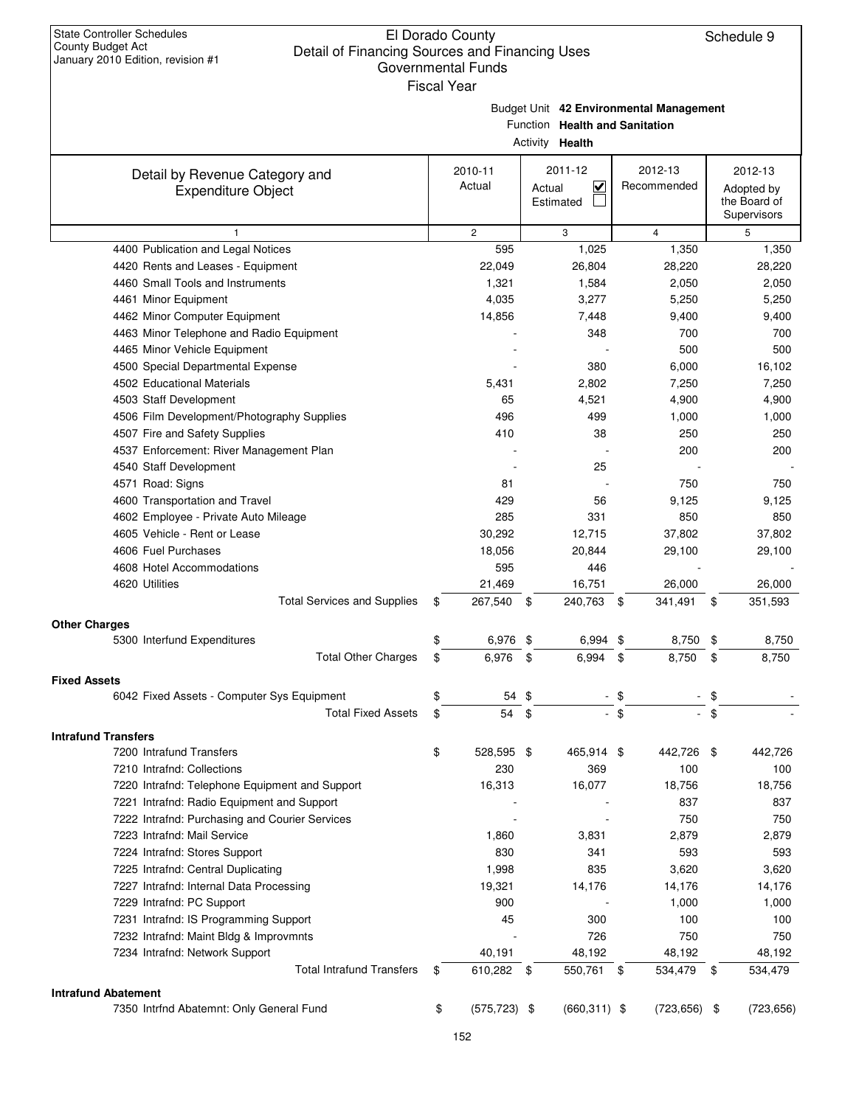Budget Unit **42 Environmental Management**

Function **Health and Sanitation**

|                                                                                              |                       | Activity Health        |                 |     |                  |
|----------------------------------------------------------------------------------------------|-----------------------|------------------------|-----------------|-----|------------------|
| Detail by Revenue Category and                                                               | 2010-11               | 2011-12                | 2012-13         |     | 2012-13          |
| <b>Expenditure Object</b>                                                                    | Actual                | $\checkmark$<br>Actual | Recommended     |     | Adopted by       |
|                                                                                              |                       | Estimated              |                 |     | the Board of     |
| $\mathbf{1}$                                                                                 | $\mathbf{2}$          | 3                      | $\overline{4}$  |     | Supervisors<br>5 |
| 4400 Publication and Legal Notices                                                           | 595                   | 1,025                  | 1,350           |     | 1,350            |
| 4420 Rents and Leases - Equipment                                                            | 22,049                | 26,804                 | 28,220          |     | 28,220           |
| 4460 Small Tools and Instruments                                                             | 1,321                 | 1,584                  | 2,050           |     | 2,050            |
| 4461 Minor Equipment                                                                         | 4,035                 | 3,277                  | 5,250           |     | 5,250            |
|                                                                                              | 14,856                |                        | 9,400           |     |                  |
| 4462 Minor Computer Equipment                                                                |                       | 7,448<br>348           | 700             |     | 9,400<br>700     |
| 4463 Minor Telephone and Radio Equipment                                                     |                       |                        | 500             |     | 500              |
| 4465 Minor Vehicle Equipment                                                                 |                       | 380                    |                 |     |                  |
| 4500 Special Departmental Expense                                                            |                       |                        | 6,000           |     | 16,102           |
| 4502 Educational Materials                                                                   | 5,431                 | 2,802                  | 7,250           |     | 7,250            |
| 4503 Staff Development                                                                       | 65                    | 4,521                  | 4,900           |     | 4,900            |
| 4506 Film Development/Photography Supplies                                                   | 496                   | 499                    | 1,000           |     | 1,000            |
| 4507 Fire and Safety Supplies                                                                | 410                   | 38                     | 250             |     | 250              |
| 4537 Enforcement: River Management Plan                                                      |                       |                        | 200             |     | 200              |
| 4540 Staff Development                                                                       |                       | 25                     |                 |     |                  |
| 4571 Road: Signs                                                                             | 81                    |                        | 750             |     | 750              |
| 4600 Transportation and Travel                                                               | 429                   | 56                     | 9,125           |     | 9,125            |
| 4602 Employee - Private Auto Mileage                                                         | 285                   | 331                    | 850             |     | 850              |
| 4605 Vehicle - Rent or Lease                                                                 | 30,292                | 12,715                 | 37,802          |     | 37,802           |
| 4606 Fuel Purchases                                                                          | 18,056                | 20,844                 | 29,100          |     | 29,100           |
| 4608 Hotel Accommodations                                                                    | 595                   | 446                    |                 |     |                  |
| 4620 Utilities                                                                               | 21,469                | 16,751                 | 26,000          |     | 26,000           |
| <b>Total Services and Supplies</b>                                                           | 267,540<br>\$         | 240,763<br>- \$        | 341,491<br>\$   | \$  | 351,593          |
| <b>Other Charges</b>                                                                         |                       |                        |                 |     |                  |
| 5300 Interfund Expenditures                                                                  | \$<br>6,976 \$        | 6,994 \$               | 8,750           | \$  | 8,750            |
| <b>Total Other Charges</b>                                                                   | \$<br>6,976           | \$<br>6,994            | \$<br>8,750     | \$  | 8,750            |
| <b>Fixed Assets</b>                                                                          |                       |                        |                 |     |                  |
| 6042 Fixed Assets - Computer Sys Equipment                                                   | \$                    | 54 \$                  | $-$ \$          | \$  |                  |
| <b>Total Fixed Assets</b>                                                                    | 54<br>\$              | \$                     | $-$ \$          | \$  |                  |
|                                                                                              |                       |                        |                 |     |                  |
| <b>Intrafund Transfers</b><br>7200 Intrafund Transfers                                       | \$<br>528,595 \$      | 465,914 \$             | 442.726         | -\$ | 442,726          |
|                                                                                              |                       |                        | 100             |     |                  |
| 7210 Intrafnd: Collections                                                                   | 230                   | 369                    |                 |     | 100              |
| 7220 Intrafnd: Telephone Equipment and Support<br>7221 Intrafnd: Radio Equipment and Support | 16,313                | 16,077                 | 18,756<br>837   |     | 18,756           |
| 7222 Intrafnd: Purchasing and Courier Services                                               |                       |                        | 750             |     | 837              |
|                                                                                              |                       |                        |                 |     | 750              |
| 7223 Intrafnd: Mail Service                                                                  | 1,860                 | 3,831                  | 2,879           |     | 2,879            |
| 7224 Intrafnd: Stores Support                                                                | 830                   | 341                    | 593             |     | 593              |
| 7225 Intrafnd: Central Duplicating                                                           | 1,998                 | 835                    | 3,620           |     | 3,620            |
| 7227 Intrafnd: Internal Data Processing                                                      | 19,321                | 14,176                 | 14,176          |     | 14,176           |
| 7229 Intrafnd: PC Support                                                                    | 900                   |                        | 1,000           |     | 1,000            |
| 7231 Intrafnd: IS Programming Support                                                        | 45                    | 300                    | 100             |     | 100              |
| 7232 Intrafnd: Maint Bldg & Improvmnts                                                       |                       | 726                    | 750             |     | 750              |
| 7234 Intrafnd: Network Support                                                               | 40,191                | 48,192                 | 48,192          |     | 48,192           |
| <b>Total Intrafund Transfers</b>                                                             | 610,282 \$<br>\$      | 550,761 \$             | 534,479         | \$  | 534,479          |
| <b>Intrafund Abatement</b>                                                                   |                       |                        |                 |     |                  |
| 7350 Intrfnd Abatemnt: Only General Fund                                                     | \$<br>$(575, 723)$ \$ | $(660, 311)$ \$        | $(723, 656)$ \$ |     | (723, 656)       |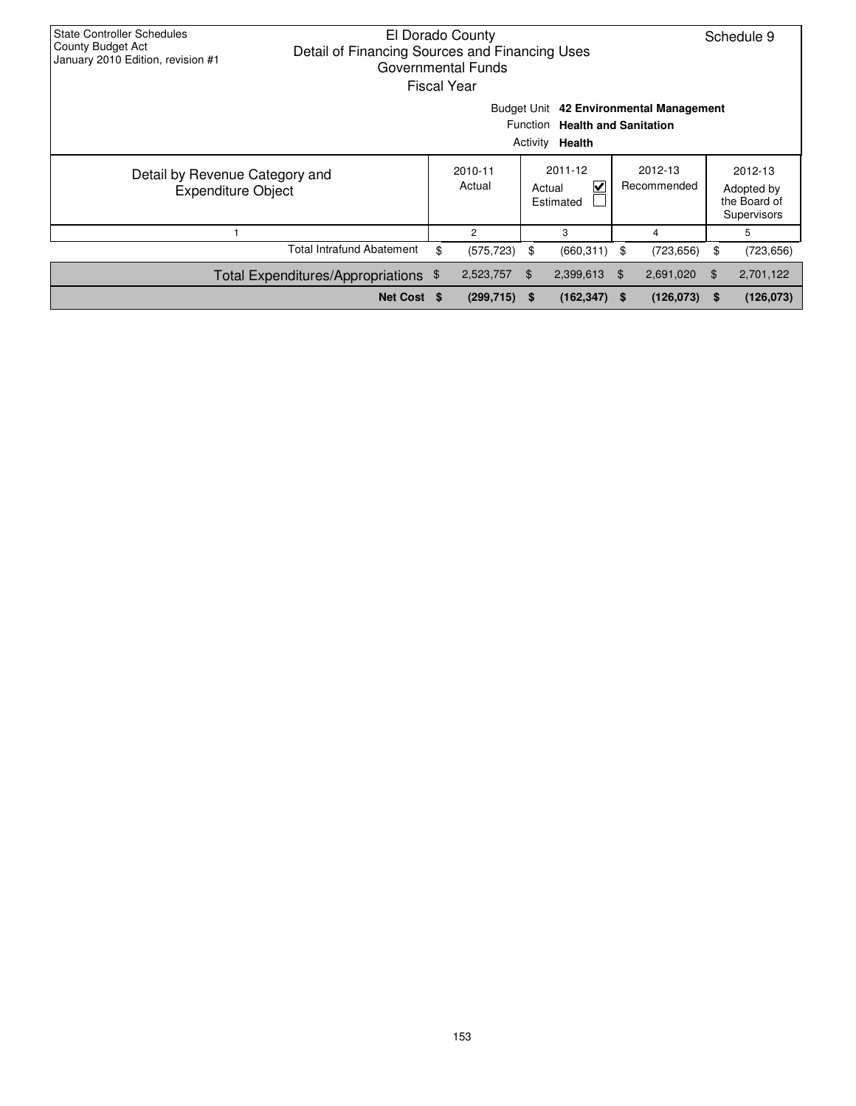| <b>State Controller Schedules</b><br>El Dorado County<br>County Budget Act<br>Detail of Financing Sources and Financing Uses<br>January 2010 Edition, revision #1<br>Governmental Funds<br>Fiscal Year |  |    |                   |                                     |                 |                        |            |    | Schedule 9                                           |
|--------------------------------------------------------------------------------------------------------------------------------------------------------------------------------------------------------|--|----|-------------------|-------------------------------------|-----------------|------------------------|------------|----|------------------------------------------------------|
| Budget Unit 42 Environmental Management<br>Function Health and Sanitation<br>Activity <b>Health</b>                                                                                                    |  |    |                   |                                     |                 |                        |            |    |                                                      |
| Detail by Revenue Category and<br>Expenditure Object                                                                                                                                                   |  |    | 2010-11<br>Actual | 2011-12<br>⊽<br>Actual<br>Estimated |                 | 2012-13<br>Recommended |            |    | 2012-13<br>Adopted by<br>the Board of<br>Supervisors |
|                                                                                                                                                                                                        |  |    | 2                 |                                     | 3               |                        | 4          |    | 5                                                    |
| Total Intrafund Abatement                                                                                                                                                                              |  | \$ | (575, 723)        | \$                                  | $(660, 311)$ \$ |                        | (723, 656) | \$ | (723, 656)                                           |
| Total Expenditures/Appropriations \$                                                                                                                                                                   |  |    | 2,523,757         | \$                                  | 2,399,613       | \$                     | 2,691,020  | \$ | 2,701,122                                            |
| Net Cost \$<br>(126, 073)<br>$(299, 715)$ \$<br>$(162, 347)$ \$<br>(126, 073)<br>S                                                                                                                     |  |    |                   |                                     |                 |                        |            |    |                                                      |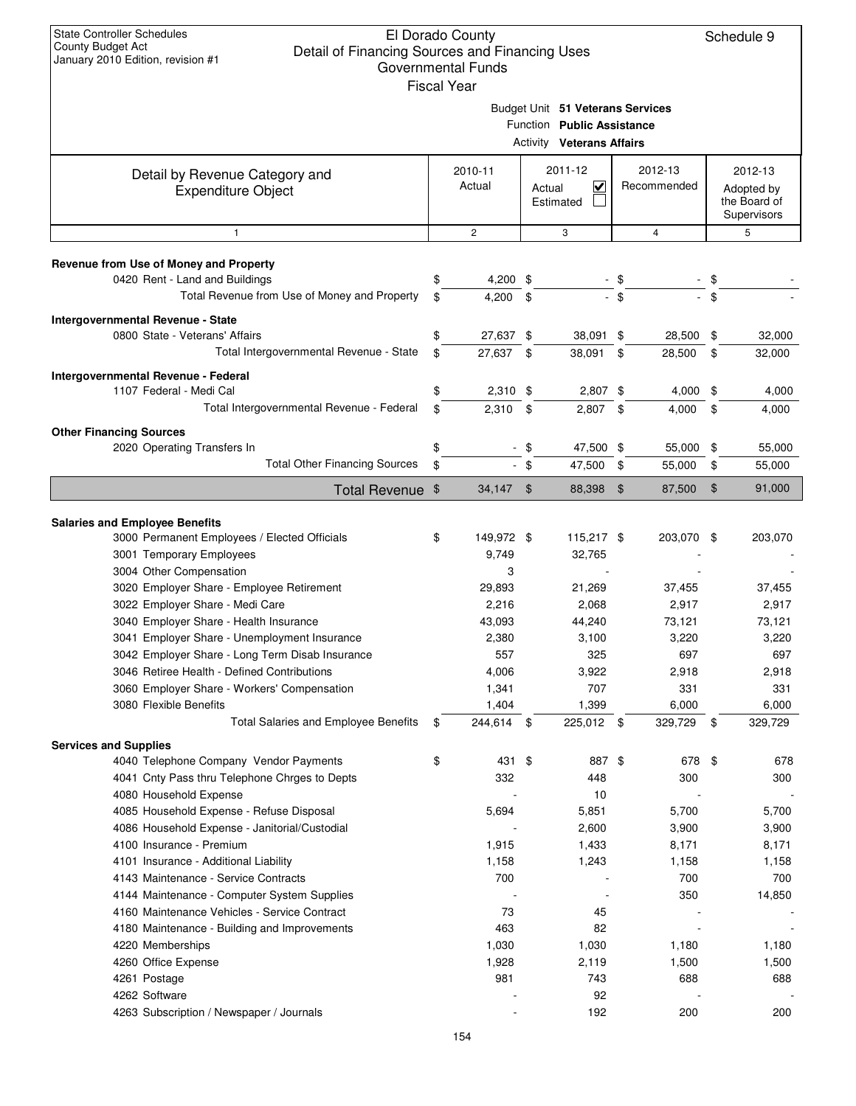| l Year |  |  |  |
|--------|--|--|--|
|        |  |  |  |

|                                                                                                                                                                                           | Budget Unit 51 Veterans Services<br>Function Public Assistance<br><b>Activity Veterans Affairs</b> |                                    |                                     |                                |                        |                              |          |                                                      |  |  |  |
|-------------------------------------------------------------------------------------------------------------------------------------------------------------------------------------------|----------------------------------------------------------------------------------------------------|------------------------------------|-------------------------------------|--------------------------------|------------------------|------------------------------|----------|------------------------------------------------------|--|--|--|
| Detail by Revenue Category and<br><b>Expenditure Object</b>                                                                                                                               | 2010-11<br>Actual                                                                                  |                                    | 2011-12<br>V<br>Actual<br>Estimated |                                | 2012-13<br>Recommended |                              |          | 2012-13<br>Adopted by<br>the Board of<br>Supervisors |  |  |  |
| $\mathbf{1}$                                                                                                                                                                              |                                                                                                    | $\overline{c}$                     |                                     | 3                              |                        | 4                            |          | 5                                                    |  |  |  |
| Revenue from Use of Money and Property<br>0420 Rent - Land and Buildings<br>Total Revenue from Use of Money and Property                                                                  | \$<br>\$                                                                                           | $4,200$ \$<br>4,200                | \$                                  |                                | - \$<br>$-$ \$         |                              |          |                                                      |  |  |  |
| Intergovernmental Revenue - State<br>0800 State - Veterans' Affairs<br>Total Intergovernmental Revenue - State                                                                            | \$<br>\$                                                                                           | 27,637 \$<br>27,637 \$             |                                     | 38,091 \$<br>38,091            | \$                     | 28,500<br>28,500             | \$<br>\$ | 32,000<br>32,000                                     |  |  |  |
| Intergovernmental Revenue - Federal<br>1107 Federal - Medi Cal<br>Total Intergovernmental Revenue - Federal                                                                               | \$<br>\$                                                                                           | $2,310$ \$<br>$2,310$ \$           |                                     | 2,807 \$<br>$2,807$ \$         |                        | 4,000<br>4,000               | \$<br>\$ | 4,000<br>4,000                                       |  |  |  |
| <b>Other Financing Sources</b><br>2020 Operating Transfers In<br><b>Total Other Financing Sources</b>                                                                                     | \$<br>\$                                                                                           |                                    | \$<br>$-$ \$                        | 47,500 \$<br>47,500            | \$                     | 55,000<br>55,000             | \$<br>\$ | 55,000<br>55,000                                     |  |  |  |
| Total Revenue \$                                                                                                                                                                          |                                                                                                    | $34,147$ \$                        |                                     | 88,398                         | $\frac{1}{2}$          | 87,500                       | \$       | 91,000                                               |  |  |  |
| <b>Salaries and Employee Benefits</b><br>3000 Permanent Employees / Elected Officials<br>3001 Temporary Employees<br>3004 Other Compensation<br>3020 Employer Share - Employee Retirement | \$                                                                                                 | 149,972 \$<br>9,749<br>3<br>29,893 |                                     | 115,217 \$<br>32,765<br>21,269 |                        | 203,070 \$<br>37,455         |          | 203,070<br>37,455                                    |  |  |  |
| 3022 Employer Share - Medi Care<br>3040 Employer Share - Health Insurance<br>3041 Employer Share - Unemployment Insurance                                                                 |                                                                                                    | 2,216<br>43,093<br>2,380           |                                     | 2,068<br>44,240<br>3,100       |                        | 2,917<br>73,121<br>3,220     |          | 2,917<br>73,121<br>3,220                             |  |  |  |
| 3042 Employer Share - Long Term Disab Insurance<br>3046 Retiree Health - Defined Contributions<br>3060 Employer Share - Workers' Compensation<br>3080 Flexible Benefits                   |                                                                                                    | 557<br>4,006<br>1,341<br>1,404     |                                     | 325<br>3,922<br>707<br>1,399   |                        | 697<br>2,918<br>331<br>6,000 |          | 697<br>2,918<br>331<br>6,000                         |  |  |  |
| <b>Total Salaries and Employee Benefits</b><br><b>Services and Supplies</b><br>4040 Telephone Company Vendor Payments                                                                     | \$                                                                                                 | 244,614<br>431 \$                  | \$                                  | 225,012<br>887 \$              | \$                     | 329,729<br>678               | \$<br>\$ | 329,729<br>678                                       |  |  |  |
| 4041 Cnty Pass thru Telephone Chrges to Depts<br>4080 Household Expense<br>4085 Household Expense - Refuse Disposal                                                                       |                                                                                                    | 332<br>5,694                       |                                     | 448<br>10<br>5,851             |                        | 300<br>5,700                 |          | 300<br>5,700                                         |  |  |  |
| 4086 Household Expense - Janitorial/Custodial<br>4100 Insurance - Premium<br>4101 Insurance - Additional Liability                                                                        |                                                                                                    | 1,915<br>1,158                     |                                     | 2,600<br>1,433<br>1,243        |                        | 3,900<br>8,171<br>1,158      |          | 3,900<br>8,171<br>1,158                              |  |  |  |
| 4143 Maintenance - Service Contracts<br>4144 Maintenance - Computer System Supplies<br>4160 Maintenance Vehicles - Service Contract                                                       |                                                                                                    | 700<br>73                          |                                     | 45                             |                        | 700<br>350                   |          | 700<br>14,850                                        |  |  |  |
| 4180 Maintenance - Building and Improvements<br>4220 Memberships<br>4260 Office Expense<br>4261 Postage                                                                                   |                                                                                                    | 463<br>1,030<br>1,928<br>981       |                                     | 82<br>1,030<br>2,119<br>743    |                        | 1,180<br>1,500<br>688        |          | 1,180<br>1,500<br>688                                |  |  |  |
| 4262 Software<br>4263 Subscription / Newspaper / Journals                                                                                                                                 |                                                                                                    |                                    |                                     | 92<br>192                      |                        | 200                          |          | 200                                                  |  |  |  |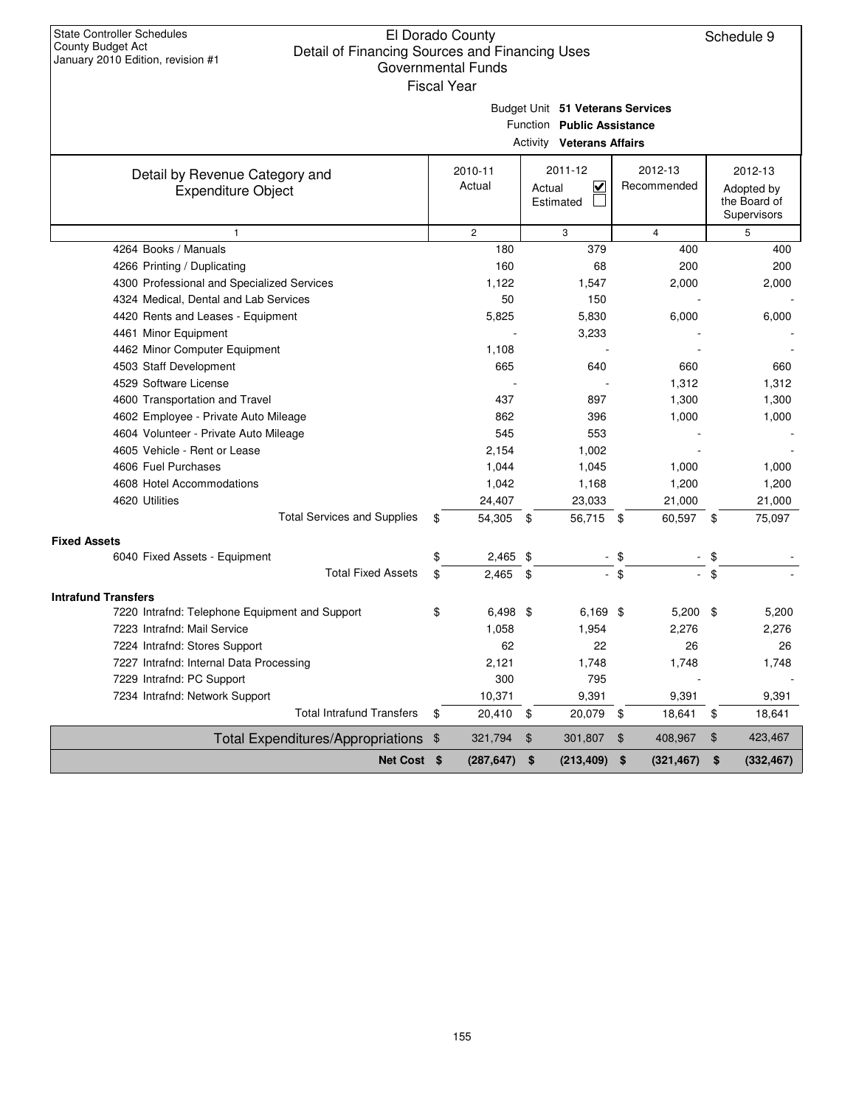Schedule 9

| ear |  |  |  |
|-----|--|--|--|
|     |  |  |  |

Budget Unit **51 Veterans Services**

| Function Public Assistance |
|----------------------------|
|----------------------------|

|                                                             | <b>Activity Veterans Affairs</b> |                   |                                                           |                        |    |                                                      |  |  |  |  |  |
|-------------------------------------------------------------|----------------------------------|-------------------|-----------------------------------------------------------|------------------------|----|------------------------------------------------------|--|--|--|--|--|
| Detail by Revenue Category and<br><b>Expenditure Object</b> |                                  | 2010-11<br>Actual | 2011-12<br>$\overline{\mathbf{v}}$<br>Actual<br>Estimated | 2012-13<br>Recommended |    | 2012-13<br>Adopted by<br>the Board of<br>Supervisors |  |  |  |  |  |
| $\mathbf{1}$                                                |                                  | $\overline{2}$    | 3                                                         | $\overline{4}$         |    | 5                                                    |  |  |  |  |  |
| 4264 Books / Manuals                                        |                                  | 180               | 379                                                       | 400                    |    | 400                                                  |  |  |  |  |  |
| 4266 Printing / Duplicating                                 |                                  | 160               | 68                                                        | 200                    |    | 200                                                  |  |  |  |  |  |
| 4300 Professional and Specialized Services                  |                                  | 1,122             | 1,547                                                     | 2,000                  |    | 2,000                                                |  |  |  |  |  |
| 4324 Medical, Dental and Lab Services                       |                                  | 50                | 150                                                       |                        |    |                                                      |  |  |  |  |  |
| 4420 Rents and Leases - Equipment                           |                                  | 5,825             | 5,830                                                     | 6,000                  |    | 6,000                                                |  |  |  |  |  |
| 4461 Minor Equipment                                        |                                  |                   | 3,233                                                     |                        |    |                                                      |  |  |  |  |  |
| 4462 Minor Computer Equipment                               |                                  | 1,108             |                                                           |                        |    |                                                      |  |  |  |  |  |
| 4503 Staff Development                                      |                                  | 665               | 640                                                       | 660                    |    | 660                                                  |  |  |  |  |  |
| 4529 Software License                                       |                                  |                   |                                                           | 1,312                  |    | 1,312                                                |  |  |  |  |  |
| 4600 Transportation and Travel                              |                                  | 437               | 897                                                       | 1,300                  |    | 1,300                                                |  |  |  |  |  |
| 4602 Employee - Private Auto Mileage                        |                                  | 862               | 396                                                       | 1,000                  |    | 1,000                                                |  |  |  |  |  |
| 4604 Volunteer - Private Auto Mileage                       |                                  | 545               | 553                                                       |                        |    |                                                      |  |  |  |  |  |
| 4605 Vehicle - Rent or Lease                                |                                  | 2,154             | 1,002                                                     |                        |    |                                                      |  |  |  |  |  |
| 4606 Fuel Purchases                                         |                                  | 1,044             | 1,045                                                     | 1,000                  |    | 1,000                                                |  |  |  |  |  |
| 4608 Hotel Accommodations                                   |                                  | 1,042             | 1,168                                                     | 1,200                  |    | 1,200                                                |  |  |  |  |  |
| 4620 Utilities                                              |                                  | 24,407            | 23,033                                                    | 21,000                 |    | 21,000                                               |  |  |  |  |  |
| <b>Total Services and Supplies</b>                          | \$                               | 54,305            | 56,715 \$<br>- \$                                         | 60,597 \$              |    | 75,097                                               |  |  |  |  |  |
| <b>Fixed Assets</b>                                         |                                  |                   |                                                           |                        |    |                                                      |  |  |  |  |  |
| 6040 Fixed Assets - Equipment                               | \$                               | $2,465$ \$        |                                                           | \$                     | \$ |                                                      |  |  |  |  |  |
| <b>Total Fixed Assets</b>                                   | \$                               | 2,465             | \$<br>$\overline{\phantom{a}}$                            | \$<br>$\sim$           | \$ |                                                      |  |  |  |  |  |
| <b>Intrafund Transfers</b>                                  |                                  |                   |                                                           |                        |    |                                                      |  |  |  |  |  |
| 7220 Intrafnd: Telephone Equipment and Support              | \$                               | $6,498$ \$        | $6,169$ \$                                                | $5,200$ \$             |    | 5,200                                                |  |  |  |  |  |
| 7223 Intrafnd: Mail Service                                 |                                  | 1,058             | 1,954                                                     | 2,276                  |    | 2,276                                                |  |  |  |  |  |
| 7224 Intrafnd: Stores Support                               |                                  | 62                | 22                                                        | 26                     |    | 26                                                   |  |  |  |  |  |
| 7227 Intrafnd: Internal Data Processing                     |                                  | 2,121             | 1,748                                                     | 1,748                  |    | 1,748                                                |  |  |  |  |  |
| 7229 Intrafnd: PC Support                                   |                                  | 300               | 795                                                       |                        |    |                                                      |  |  |  |  |  |
| 7234 Intrafnd: Network Support                              |                                  | 10,371            | 9,391                                                     | 9,391                  |    | 9,391                                                |  |  |  |  |  |
| <b>Total Intrafund Transfers</b>                            | \$                               | 20,410            | 20,079<br>\$                                              | \$<br>18,641           | \$ | 18,641                                               |  |  |  |  |  |
| Total Expenditures/Appropriations \$                        |                                  | 321,794           | $\mathfrak{F}$<br>301,807                                 | 408,967<br>\$          | \$ | 423,467                                              |  |  |  |  |  |
| Net Cost \$                                                 |                                  | (287, 647)        | \$<br>(213, 409)                                          | \$<br>(321, 467)       | \$ | (332, 467)                                           |  |  |  |  |  |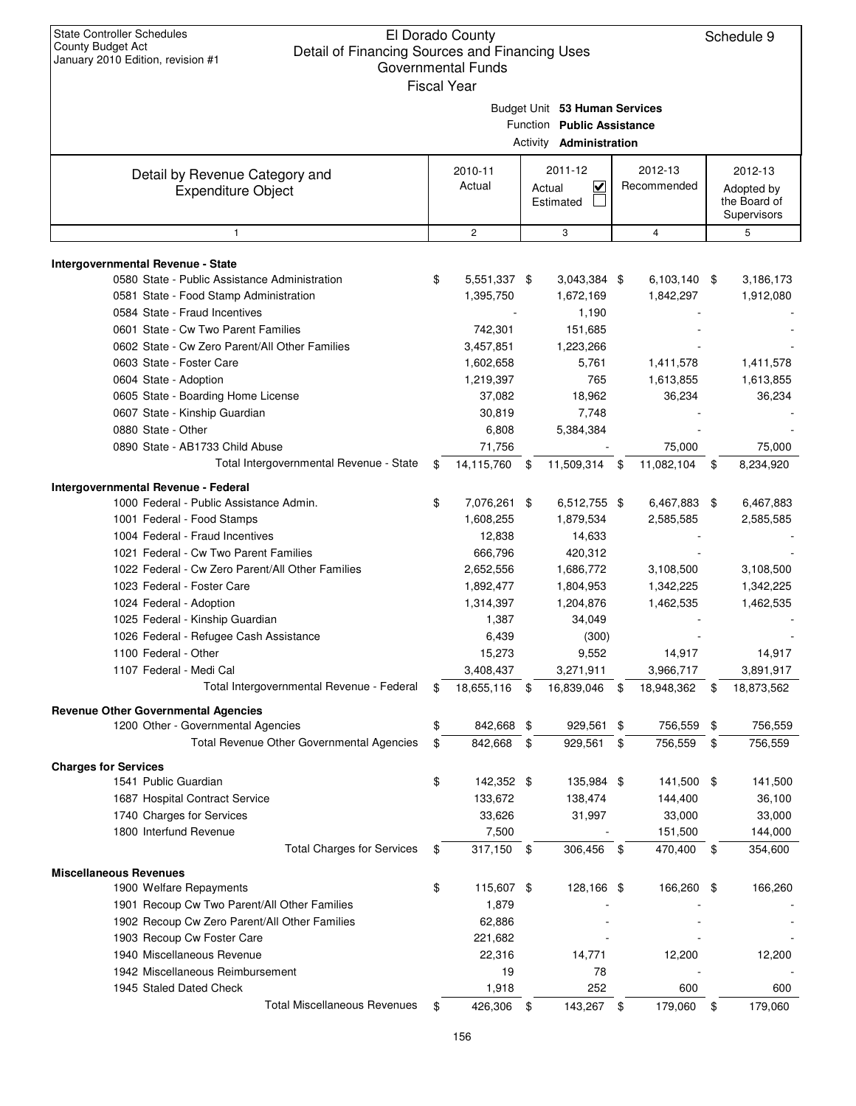| <b>State Controller Schedules</b><br><b>County Budget Act</b><br>Detail of Financing Sources and Financing Uses<br>January 2010 Edition, revision #1 | El Dorado County<br><b>Governmental Funds</b><br><b>Fiscal Year</b> |                                                                                               |                                  | Schedule 9                                           |
|------------------------------------------------------------------------------------------------------------------------------------------------------|---------------------------------------------------------------------|-----------------------------------------------------------------------------------------------|----------------------------------|------------------------------------------------------|
|                                                                                                                                                      |                                                                     | Budget Unit 53 Human Services<br>Function Public Assistance<br>Activity <b>Administration</b> |                                  |                                                      |
| Detail by Revenue Category and<br><b>Expenditure Object</b>                                                                                          | 2010-11<br>Actual                                                   | 2011-12<br>V<br>Actual<br>Estimated                                                           | 2012-13<br>Recommended           | 2012-13<br>Adopted by<br>the Board of<br>Supervisors |
| $\mathbf{1}$                                                                                                                                         | $\mathbf{2}$                                                        | 3                                                                                             | $\overline{4}$                   | 5                                                    |
| <b>Intergovernmental Revenue - State</b><br>0580 State - Public Assistance Administration<br>0581 State - Food Stamp Administration                  | \$<br>5,551,337 \$<br>1,395,750                                     | 3,043,384 \$<br>1,672,169                                                                     | 6,103,140 \$<br>1,842,297        | 3,186,173<br>1,912,080                               |
| 0584 State - Fraud Incentives<br>0601 State - Cw Two Parent Families<br>0602 State - Cw Zero Parent/All Other Families                               | 742,301<br>3,457,851                                                | 1,190<br>151,685<br>1,223,266                                                                 |                                  |                                                      |
| 0603 State - Foster Care<br>0604 State - Adoption<br>0605 State - Boarding Home License                                                              | 1,602,658<br>1,219,397<br>37,082                                    | 5,761<br>765<br>18,962                                                                        | 1,411,578<br>1,613,855<br>36,234 | 1,411,578<br>1,613,855<br>36,234                     |
| 0607 State - Kinship Guardian<br>0880 State - Other<br>0890 State - AB1733 Child Abuse                                                               | 30,819<br>6,808<br>71,756                                           | 7,748<br>5,384,384                                                                            | 75,000                           | 75,000                                               |
| Total Intergovernmental Revenue - State                                                                                                              | \$<br>14,115,760                                                    | \$<br>11,509,314                                                                              | \$<br>11,082,104                 | \$<br>8,234,920                                      |
| Intergovernmental Revenue - Federal                                                                                                                  |                                                                     |                                                                                               |                                  |                                                      |
| 1000 Federal - Public Assistance Admin.<br>1001 Federal - Food Stamps                                                                                | \$<br>7,076,261 \$<br>1,608,255                                     | 6,512,755 \$<br>1,879,534                                                                     | 6,467,883 \$<br>2,585,585        | 6,467,883<br>2,585,585                               |
| 1004 Federal - Fraud Incentives<br>1021 Federal - Cw Two Parent Families                                                                             | 12,838<br>666,796                                                   | 14,633<br>420,312                                                                             |                                  |                                                      |
| 1022 Federal - Cw Zero Parent/All Other Families<br>1023 Federal - Foster Care                                                                       | 2,652,556<br>1,892,477                                              | 1,686,772<br>1,804,953                                                                        | 3,108,500<br>1,342,225           | 3,108,500<br>1,342,225                               |
| 1024 Federal - Adoption<br>1025 Federal - Kinship Guardian                                                                                           | 1,314,397<br>1,387<br>6,439                                         | 1,204,876<br>34,049<br>(300)                                                                  | 1,462,535                        | 1,462,535                                            |
| 1026 Federal - Refugee Cash Assistance<br>1100 Federal - Other<br>1107 Federal - Medi Cal                                                            | 15,273<br>3,408,437                                                 | 9,552<br>3,271,911                                                                            | 14,917<br>3,966,717              | 14,917<br>3,891,917                                  |
| Total Intergovernmental Revenue - Federal                                                                                                            | \$<br>18,655,116                                                    | \$<br>16,839,046                                                                              | \$<br>18,948,362                 | \$<br>18,873,562                                     |
| <b>Revenue Other Governmental Agencies</b>                                                                                                           |                                                                     |                                                                                               |                                  |                                                      |
| 1200 Other - Governmental Agencies                                                                                                                   | \$<br>842,668 \$                                                    | 929,561                                                                                       | \$<br>756,559                    | \$<br>756,559                                        |
| Total Revenue Other Governmental Agencies                                                                                                            | \$<br>842,668                                                       | \$<br>929,561                                                                                 | \$<br>756,559                    | \$<br>756,559                                        |
| <b>Charges for Services</b><br>1541 Public Guardian                                                                                                  | \$<br>142,352 \$                                                    | 135,984 \$                                                                                    | 141,500 \$                       | 141,500                                              |
| 1687 Hospital Contract Service<br>1740 Charges for Services                                                                                          | 133,672<br>33,626                                                   | 138,474<br>31,997                                                                             | 144,400<br>33,000                | 36,100<br>33,000                                     |
| 1800 Interfund Revenue<br><b>Total Charges for Services</b>                                                                                          | \$<br>7,500<br>317,150 \$                                           | 306,456 \$                                                                                    | 151,500<br>470,400               | \$<br>144,000<br>354,600                             |

| <b>Miscellaneous Revenues</b> |  |
|-------------------------------|--|
|-------------------------------|--|

| TULAI UNAIYES IUI JEIVICES                    | 317.150       | ა    | 300.400    | ა   | 470.400 |      | 354.000 |
|-----------------------------------------------|---------------|------|------------|-----|---------|------|---------|
| <b>eous Revenues</b>                          |               |      |            |     |         |      |         |
| 1900 Welfare Repayments                       | \$<br>115.607 | - \$ | 128.166 \$ |     | 166.260 | - \$ | 166,260 |
| 1901 Recoup Cw Two Parent/All Other Families  | 1.879         |      |            |     |         |      |         |
| 1902 Recoup Cw Zero Parent/All Other Families | 62,886        |      | ۰          |     |         |      | $\sim$  |
| 1903 Recoup Cw Foster Care                    | 221,682       |      |            |     |         |      |         |
| 1940 Miscellaneous Revenue                    | 22,316        |      | 14.771     |     | 12.200  |      | 12.200  |
| 1942 Miscellaneous Reimbursement              | 19            |      | 78         |     |         |      |         |
| 1945 Staled Dated Check                       | 1.918         |      | 252        |     | 600     |      | 600     |
| Total Miscellaneous Revenues                  | 426.306       |      | 143.267    | \$. | 179.060 |      | 179,060 |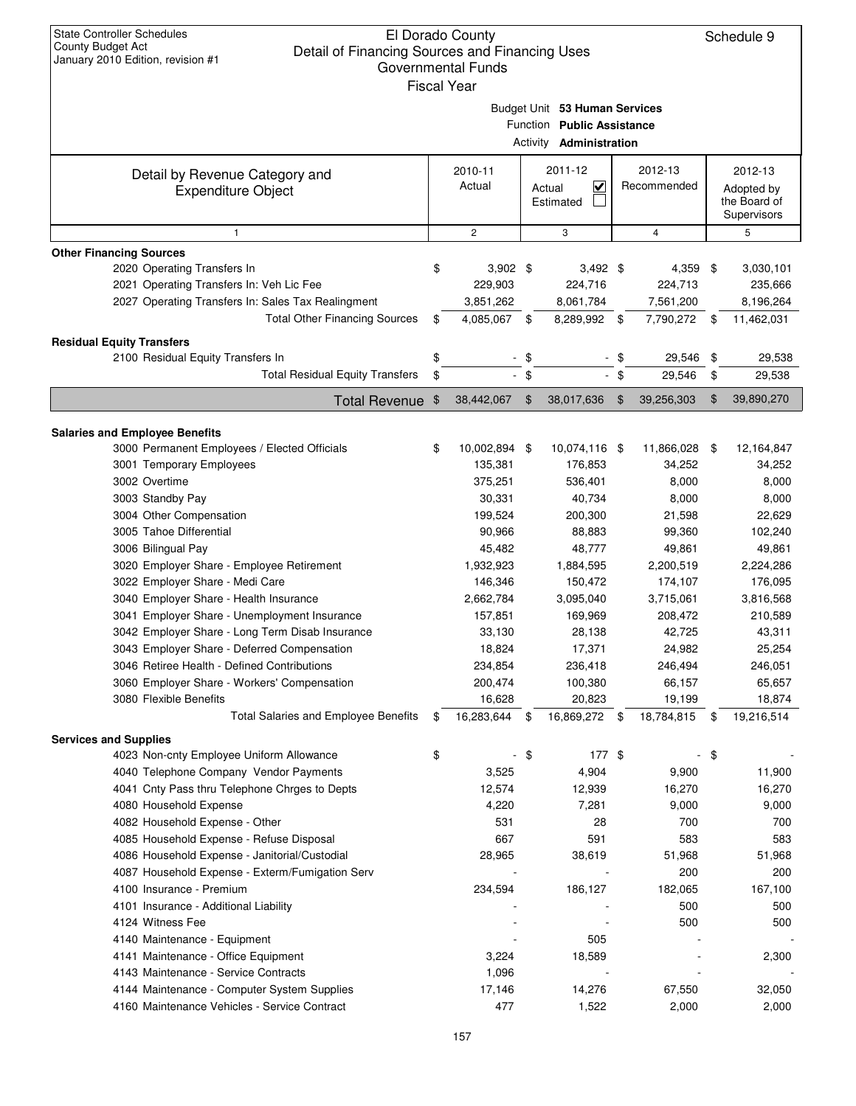| <b>State Controller Schedules</b><br>El Dorado County<br><b>County Budget Act</b><br>Detail of Financing Sources and Financing Uses<br>January 2010 Edition, revision #1<br><b>Governmental Funds</b> |    |                    |    |                                   |        |                |     |              |
|-------------------------------------------------------------------------------------------------------------------------------------------------------------------------------------------------------|----|--------------------|----|-----------------------------------|--------|----------------|-----|--------------|
|                                                                                                                                                                                                       |    | <b>Fiscal Year</b> |    |                                   |        |                |     |              |
|                                                                                                                                                                                                       |    |                    |    |                                   |        |                |     |              |
|                                                                                                                                                                                                       |    |                    |    | Budget Unit 53 Human Services     |        |                |     |              |
|                                                                                                                                                                                                       |    |                    |    | Function Public Assistance        |        |                |     |              |
|                                                                                                                                                                                                       |    |                    |    | Activity <b>Administration</b>    |        |                |     |              |
|                                                                                                                                                                                                       |    | 2010-11            |    | 2011-12                           |        | 2012-13        |     | 2012-13      |
| Detail by Revenue Category and                                                                                                                                                                        |    | Actual             |    | $\overline{\mathbf{v}}$<br>Actual |        | Recommended    |     | Adopted by   |
| <b>Expenditure Object</b>                                                                                                                                                                             |    |                    |    | Estimated                         |        |                |     | the Board of |
|                                                                                                                                                                                                       |    |                    |    |                                   |        |                |     | Supervisors  |
| 1                                                                                                                                                                                                     |    | $\mathbf{2}$       |    | 3                                 |        | $\overline{4}$ |     | 5            |
| <b>Other Financing Sources</b>                                                                                                                                                                        |    |                    |    |                                   |        |                |     |              |
| 2020 Operating Transfers In                                                                                                                                                                           | \$ | $3,902$ \$         |    | $3,492$ \$                        |        | $4,359$ \$     |     | 3,030,101    |
| 2021 Operating Transfers In: Veh Lic Fee                                                                                                                                                              |    | 229,903            |    | 224,716                           |        | 224,713        |     | 235,666      |
| 2027 Operating Transfers In: Sales Tax Realingment                                                                                                                                                    |    | 3,851,262          |    | 8,061,784                         |        | 7,561,200      |     | 8,196,264    |
| <b>Total Other Financing Sources</b>                                                                                                                                                                  | \$ | 4,085,067 \$       |    | 8,289,992 \$                      |        | 7,790,272      | -\$ | 11,462,031   |
|                                                                                                                                                                                                       |    |                    |    |                                   |        |                |     |              |
| <b>Residual Equity Transfers</b>                                                                                                                                                                      |    |                    |    |                                   |        |                |     |              |
| 2100 Residual Equity Transfers In                                                                                                                                                                     | \$ |                    | \$ |                                   | \$     | 29,546         | \$  | 29,538       |
| <b>Total Residual Equity Transfers</b>                                                                                                                                                                | \$ |                    | \$ |                                   | $-$ \$ | 29,546         | \$  | 29,538       |
| Total Revenue \$                                                                                                                                                                                      |    | 38,442,067         | \$ | 38,017,636                        | \$     | 39,256,303     | \$  | 39,890,270   |
|                                                                                                                                                                                                       |    |                    |    |                                   |        |                |     |              |
| <b>Salaries and Employee Benefits</b>                                                                                                                                                                 |    |                    |    |                                   |        |                |     |              |
| 3000 Permanent Employees / Elected Officials                                                                                                                                                          | \$ | 10,002,894 \$      |    | 10,074,116 \$                     |        | 11,866,028 \$  |     | 12,164,847   |
| 3001 Temporary Employees                                                                                                                                                                              |    | 135,381            |    | 176,853                           |        | 34,252         |     | 34,252       |
| 3002 Overtime                                                                                                                                                                                         |    | 375,251            |    | 536,401                           |        | 8,000          |     | 8,000        |
| 3003 Standby Pay                                                                                                                                                                                      |    | 30,331             |    | 40,734                            |        | 8,000          |     | 8,000        |
| 3004 Other Compensation                                                                                                                                                                               |    | 199,524            |    | 200,300                           |        | 21,598         |     | 22,629       |
| 3005 Tahoe Differential                                                                                                                                                                               |    | 90,966             |    | 88,883                            |        | 99,360         |     | 102,240      |
| 3006 Bilingual Pay                                                                                                                                                                                    |    | 45,482             |    | 48,777                            |        | 49,861         |     | 49,861       |
| 3020 Employer Share - Employee Retirement                                                                                                                                                             |    | 1,932,923          |    | 1,884,595                         |        | 2,200,519      |     | 2,224,286    |
|                                                                                                                                                                                                       |    | 146,346            |    | 150,472                           |        | 174,107        |     | 176,095      |
| 3022 Employer Share - Medi Care                                                                                                                                                                       |    |                    |    |                                   |        |                |     |              |
| 3040 Employer Share - Health Insurance                                                                                                                                                                |    | 2,662,784          |    | 3,095,040                         |        | 3,715,061      |     | 3,816,568    |
| 3041 Employer Share - Unemployment Insurance                                                                                                                                                          |    | 157,851            |    | 169,969                           |        | 208,472        |     | 210,589      |
| 3042 Employer Share - Long Term Disab Insurance                                                                                                                                                       |    | 33,130             |    | 28,138                            |        | 42,725         |     | 43,311       |
| 3043 Employer Share - Deferred Compensation                                                                                                                                                           |    | 18,824             |    | 17,371                            |        | 24,982         |     | 25,254       |
| 3046 Retiree Health - Defined Contributions                                                                                                                                                           |    | 234,854            |    | 236,418                           |        | 246,494        |     | 246,051      |
| 3060 Employer Share - Workers' Compensation                                                                                                                                                           |    | 200,474            |    | 100,380                           |        | 66,157         |     | 65,657       |
| 3080 Flexible Benefits                                                                                                                                                                                |    | 16,628             |    | 20,823                            |        | 19,199         |     | 18,874       |
| <b>Total Salaries and Employee Benefits</b>                                                                                                                                                           | \$ | 16,283,644 \$      |    | 16,869,272 \$                     |        | 18,784,815 \$  |     | 19,216,514   |
| <b>Services and Supplies</b>                                                                                                                                                                          |    |                    |    |                                   |        |                |     |              |
| 4023 Non-cnty Employee Uniform Allowance                                                                                                                                                              | \$ |                    | \$ | 177 \$                            |        |                | \$  |              |
| 4040 Telephone Company Vendor Payments                                                                                                                                                                |    | 3,525              |    | 4,904                             |        | 9,900          |     | 11,900       |
| 4041 Cnty Pass thru Telephone Chrges to Depts                                                                                                                                                         |    | 12,574             |    | 12,939                            |        | 16,270         |     | 16,270       |
| 4080 Household Expense                                                                                                                                                                                |    | 4,220              |    | 7,281                             |        | 9,000          |     | 9,000        |
| 4082 Household Expense - Other                                                                                                                                                                        |    | 531                |    | 28                                |        | 700            |     | 700          |
| 4085 Household Expense - Refuse Disposal                                                                                                                                                              |    | 667                |    | 591                               |        | 583            |     | 583          |
| 4086 Household Expense - Janitorial/Custodial                                                                                                                                                         |    | 28,965             |    | 38,619                            |        | 51,968         |     | 51,968       |
|                                                                                                                                                                                                       |    |                    |    |                                   |        |                |     |              |
| 4087 Household Expense - Exterm/Fumigation Serv                                                                                                                                                       |    |                    |    |                                   |        | 200            |     | 200          |
| 4100 Insurance - Premium                                                                                                                                                                              |    | 234,594            |    | 186,127                           |        | 182,065        |     | 167,100      |
| 4101 Insurance - Additional Liability                                                                                                                                                                 |    |                    |    |                                   |        | 500            |     | 500          |
| 4124 Witness Fee                                                                                                                                                                                      |    |                    |    |                                   |        | 500            |     | 500          |
| 4140 Maintenance - Equipment                                                                                                                                                                          |    |                    |    | 505                               |        |                |     |              |
| 4141 Maintenance - Office Equipment                                                                                                                                                                   |    | 3,224              |    | 18,589                            |        |                |     | 2,300        |
| 4143 Maintenance - Service Contracts                                                                                                                                                                  |    | 1,096              |    |                                   |        |                |     |              |
| 4144 Maintenance - Computer System Supplies                                                                                                                                                           |    | 17,146             |    | 14,276                            |        | 67,550         |     | 32,050       |
| 4160 Maintenance Vehicles - Service Contract                                                                                                                                                          |    | 477                |    | 1,522                             |        | 2,000          |     | 2,000        |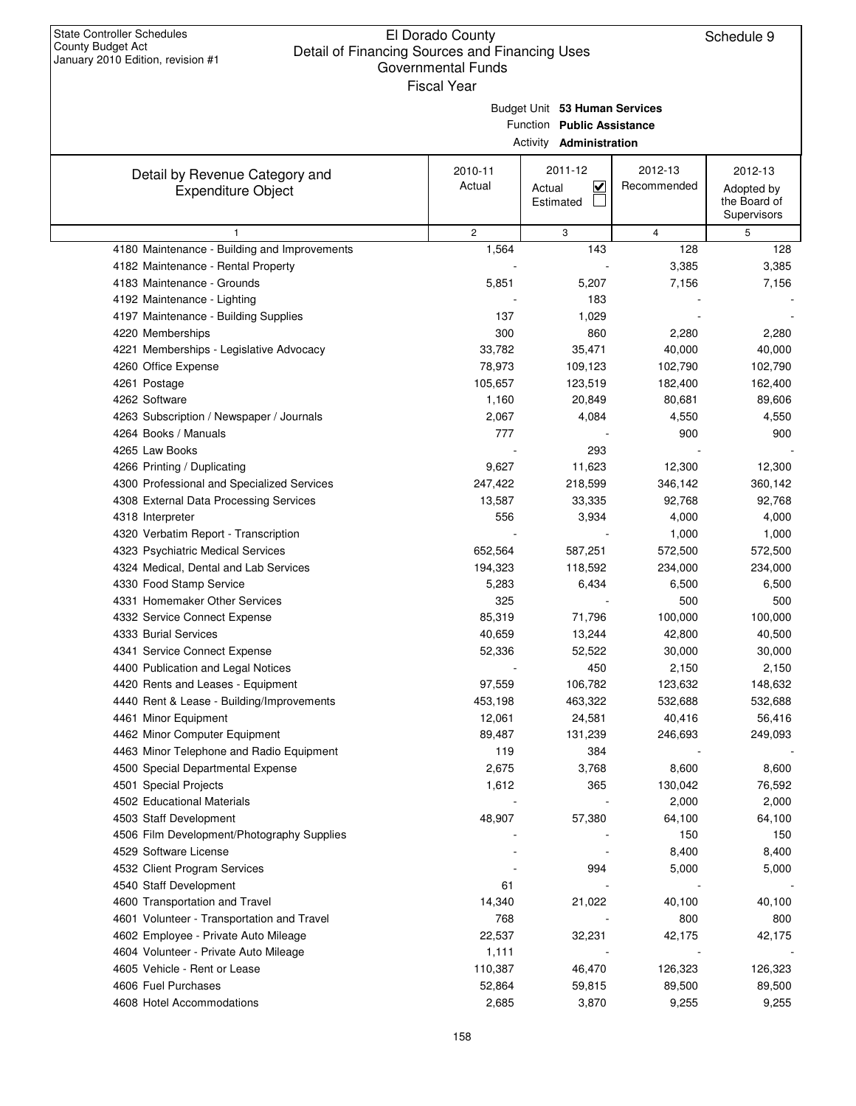|                                                             | Γιδυαι τθαι<br>Budget Unit 53 Human Services<br>Function Public Assistance<br>Activity <b>Administration</b> |                                                |                        |                                                      |  |  |  |  |  |  |
|-------------------------------------------------------------|--------------------------------------------------------------------------------------------------------------|------------------------------------------------|------------------------|------------------------------------------------------|--|--|--|--|--|--|
| Detail by Revenue Category and<br><b>Expenditure Object</b> | 2010-11<br>Actual                                                                                            | 2011-12<br>$\checkmark$<br>Actual<br>Estimated | 2012-13<br>Recommended | 2012-13<br>Adopted by<br>the Board of<br>Supervisors |  |  |  |  |  |  |
| $\mathbf{1}$                                                | $\overline{c}$                                                                                               | 3                                              | $\overline{4}$         | 5                                                    |  |  |  |  |  |  |
| 4180 Maintenance - Building and Improvements                | 1,564                                                                                                        | 143                                            | 128                    | 128                                                  |  |  |  |  |  |  |
| 4182 Maintenance - Rental Property                          |                                                                                                              |                                                | 3,385                  | 3,385                                                |  |  |  |  |  |  |
| 4183 Maintenance - Grounds                                  | 5,851                                                                                                        | 5,207                                          | 7,156                  | 7,156                                                |  |  |  |  |  |  |
| 4192 Maintenance - Lighting                                 |                                                                                                              | 183                                            |                        |                                                      |  |  |  |  |  |  |
| 4197 Maintenance - Building Supplies                        | 137                                                                                                          | 1,029                                          |                        |                                                      |  |  |  |  |  |  |
| 4220 Memberships                                            | 300                                                                                                          | 860                                            | 2,280                  | 2,280                                                |  |  |  |  |  |  |
| 4221 Memberships - Legislative Advocacy                     | 33,782                                                                                                       | 35,471                                         | 40,000                 | 40,000                                               |  |  |  |  |  |  |
| 4260 Office Expense                                         | 78,973                                                                                                       | 109,123                                        | 102,790                | 102,790                                              |  |  |  |  |  |  |
| 4261 Postage                                                | 105,657                                                                                                      | 123,519                                        | 182,400                | 162,400                                              |  |  |  |  |  |  |
| 4262 Software                                               | 1,160                                                                                                        | 20,849                                         | 80,681                 | 89,606                                               |  |  |  |  |  |  |
| 4263 Subscription / Newspaper / Journals                    | 2,067                                                                                                        | 4,084                                          | 4,550                  | 4,550                                                |  |  |  |  |  |  |
| 4264 Books / Manuals                                        | 777                                                                                                          |                                                | 900                    | 900                                                  |  |  |  |  |  |  |
| 4265 Law Books                                              |                                                                                                              | 293                                            |                        |                                                      |  |  |  |  |  |  |
| 4266 Printing / Duplicating                                 | 9,627                                                                                                        | 11,623                                         | 12,300                 | 12,300                                               |  |  |  |  |  |  |
| 4300 Professional and Specialized Services                  | 247,422                                                                                                      | 218,599                                        | 346,142                | 360,142                                              |  |  |  |  |  |  |
| 4308 External Data Processing Services                      | 13,587                                                                                                       | 33,335                                         | 92,768                 | 92,768                                               |  |  |  |  |  |  |
| 4318 Interpreter                                            | 556                                                                                                          | 3,934                                          | 4,000                  | 4,000                                                |  |  |  |  |  |  |
| 4320 Verbatim Report - Transcription                        |                                                                                                              |                                                | 1,000                  | 1,000                                                |  |  |  |  |  |  |
| 4323 Psychiatric Medical Services                           | 652,564                                                                                                      | 587,251                                        | 572,500                | 572,500                                              |  |  |  |  |  |  |
| 4324 Medical, Dental and Lab Services                       | 194,323                                                                                                      | 118,592                                        | 234,000                | 234,000                                              |  |  |  |  |  |  |
| 4330 Food Stamp Service                                     | 5,283                                                                                                        | 6,434                                          | 6,500                  | 6,500                                                |  |  |  |  |  |  |
| 4331 Homemaker Other Services                               | 325                                                                                                          |                                                | 500                    | 500                                                  |  |  |  |  |  |  |
| 4332 Service Connect Expense                                | 85,319                                                                                                       | 71,796                                         | 100,000                | 100,000                                              |  |  |  |  |  |  |
| 4333 Burial Services                                        | 40,659                                                                                                       | 13,244                                         | 42,800                 | 40,500                                               |  |  |  |  |  |  |
| 4341 Service Connect Expense                                | 52,336                                                                                                       | 52,522                                         | 30,000                 | 30,000                                               |  |  |  |  |  |  |
| 4400 Publication and Legal Notices                          |                                                                                                              | 450                                            | 2,150                  | 2,150                                                |  |  |  |  |  |  |
| 4420 Rents and Leases - Equipment                           | 97,559                                                                                                       | 106,782                                        | 123,632                | 148,632                                              |  |  |  |  |  |  |
| 4440 Rent & Lease - Building/Improvements                   | 453,198                                                                                                      | 463,322                                        | 532,688                | 532,688                                              |  |  |  |  |  |  |
| 4461 Minor Equipment                                        | 12,061                                                                                                       | 24,581                                         | 40,416                 | 56,416                                               |  |  |  |  |  |  |
| 4462 Minor Computer Equipment                               | 89,487                                                                                                       | 131,239                                        | 246,693                | 249,093                                              |  |  |  |  |  |  |
| 4463 Minor Telephone and Radio Equipment                    | 119                                                                                                          | 384                                            |                        |                                                      |  |  |  |  |  |  |
| 4500 Special Departmental Expense                           | 2,675                                                                                                        | 3,768                                          | 8,600                  | 8,600                                                |  |  |  |  |  |  |
| 4501 Special Projects                                       | 1,612                                                                                                        | 365                                            | 130,042                | 76,592                                               |  |  |  |  |  |  |
| 4502 Educational Materials                                  |                                                                                                              |                                                | 2,000                  | 2,000                                                |  |  |  |  |  |  |
| 4503 Staff Development                                      | 48,907                                                                                                       | 57,380                                         | 64,100                 | 64,100                                               |  |  |  |  |  |  |
| 4506 Film Development/Photography Supplies                  |                                                                                                              |                                                | 150                    | 150                                                  |  |  |  |  |  |  |
| 4529 Software License                                       |                                                                                                              |                                                | 8,400                  | 8,400                                                |  |  |  |  |  |  |
| 4532 Client Program Services                                |                                                                                                              | 994                                            | 5,000                  | 5,000                                                |  |  |  |  |  |  |
| 4540 Staff Development                                      | 61                                                                                                           |                                                |                        |                                                      |  |  |  |  |  |  |
| 4600 Transportation and Travel                              | 14,340                                                                                                       | 21,022                                         | 40,100                 | 40,100                                               |  |  |  |  |  |  |
| 4601 Volunteer - Transportation and Travel                  | 768                                                                                                          |                                                | 800                    | 800                                                  |  |  |  |  |  |  |
| 4602 Employee - Private Auto Mileage                        | 22,537                                                                                                       | 32,231                                         | 42,175                 | 42,175                                               |  |  |  |  |  |  |
| 4604 Volunteer - Private Auto Mileage                       | 1,111                                                                                                        |                                                |                        |                                                      |  |  |  |  |  |  |
| 4605 Vehicle - Rent or Lease                                | 110,387                                                                                                      | 46,470                                         | 126,323                | 126,323                                              |  |  |  |  |  |  |
| 4606 Fuel Purchases                                         | 52,864                                                                                                       | 59,815                                         | 89,500                 | 89,500                                               |  |  |  |  |  |  |
| 4608 Hotel Accommodations                                   | 2,685                                                                                                        | 3,870                                          | 9,255                  | 9,255                                                |  |  |  |  |  |  |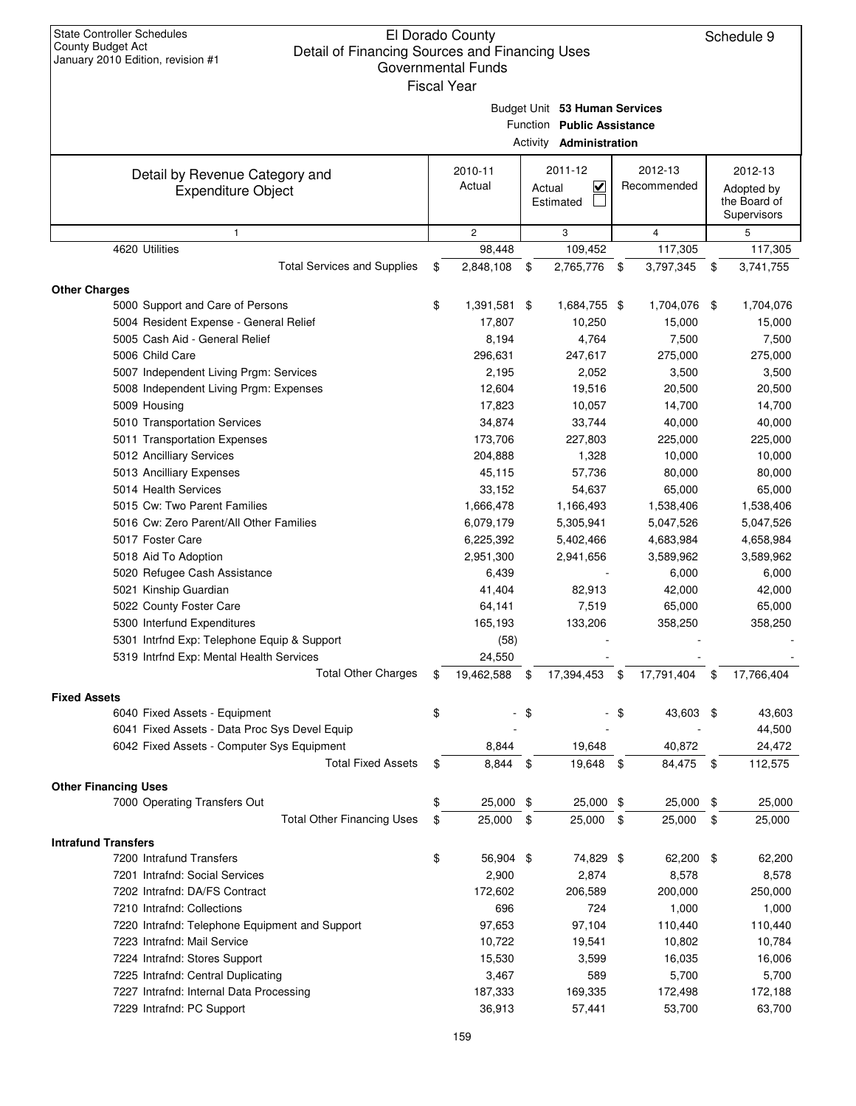|                                                        | <b>Fiscal Year</b>        |                                   |                            |     |                      |
|--------------------------------------------------------|---------------------------|-----------------------------------|----------------------------|-----|----------------------|
|                                                        |                           | Budget Unit 53 Human Services     |                            |     |                      |
|                                                        |                           | Function Public Assistance        |                            |     |                      |
|                                                        |                           | Activity <b>Administration</b>    |                            |     |                      |
| Detail by Revenue Category and                         | 2010-11                   | 2011-12                           | 2012-13                    |     | 2012-13              |
| <b>Expenditure Object</b>                              | Actual                    | $\overline{\mathbf{v}}$<br>Actual | Recommended                |     | Adopted by           |
|                                                        |                           | Estimated                         |                            |     | the Board of         |
|                                                        |                           |                                   |                            |     | Supervisors          |
| $\mathbf{1}$                                           | $\mathbf{2}$              | 3                                 | $\overline{4}$             |     | 5                    |
| 4620 Utilities<br><b>Total Services and Supplies</b>   | \$<br>98,448<br>2,848,108 | \$<br>109,452<br>2,765,776        | \$<br>117,305<br>3,797,345 | \$  | 117,305<br>3,741,755 |
| <b>Other Charges</b>                                   |                           |                                   |                            |     |                      |
| 5000 Support and Care of Persons                       | \$<br>1,391,581 \$        | 1,684,755 \$                      | 1,704,076                  | -\$ | 1,704,076            |
| 5004 Resident Expense - General Relief                 | 17,807                    | 10,250                            | 15,000                     |     | 15,000               |
| 5005 Cash Aid - General Relief                         | 8,194                     | 4,764                             | 7,500                      |     | 7,500                |
| 5006 Child Care                                        | 296,631                   | 247,617                           | 275,000                    |     | 275,000              |
| 5007 Independent Living Prgm: Services                 | 2,195                     | 2,052                             | 3,500                      |     | 3,500                |
| 5008 Independent Living Prgm: Expenses                 | 12,604                    | 19,516                            | 20,500                     |     | 20,500               |
| 5009 Housing                                           | 17,823                    | 10,057                            | 14,700                     |     | 14,700               |
| 5010 Transportation Services                           | 34,874                    | 33,744                            | 40,000                     |     | 40,000               |
| 5011 Transportation Expenses                           | 173,706                   | 227,803                           | 225,000                    |     | 225,000              |
| 5012 Ancilliary Services                               | 204,888                   | 1,328                             | 10,000                     |     | 10,000               |
| 5013 Ancilliary Expenses                               | 45,115                    | 57,736                            | 80,000                     |     | 80,000               |
| 5014 Health Services                                   | 33,152                    | 54,637                            | 65,000                     |     | 65,000               |
| 5015 Cw: Two Parent Families                           | 1,666,478                 | 1,166,493                         | 1,538,406                  |     | 1,538,406            |
| 5016 Cw: Zero Parent/All Other Families                | 6,079,179                 | 5,305,941                         | 5,047,526                  |     | 5,047,526            |
| 5017 Foster Care                                       | 6,225,392                 | 5,402,466                         | 4,683,984                  |     | 4,658,984            |
| 5018 Aid To Adoption                                   | 2,951,300                 | 2,941,656                         | 3,589,962                  |     | 3,589,962            |
| 5020 Refugee Cash Assistance                           | 6,439                     |                                   | 6,000                      |     | 6,000                |
| 5021 Kinship Guardian                                  | 41,404                    | 82,913                            | 42,000                     |     | 42,000               |
| 5022 County Foster Care                                | 64,141                    | 7,519                             | 65,000                     |     | 65,000               |
| 5300 Interfund Expenditures                            | 165,193                   | 133,206                           | 358,250                    |     | 358,250              |
| 5301 Intrfnd Exp: Telephone Equip & Support            | (58)                      |                                   |                            |     |                      |
| 5319 Intrfnd Exp: Mental Health Services               | 24,550                    |                                   |                            |     |                      |
| <b>Total Other Charges</b>                             | \$<br>19,462,588          | \$<br>17,394,453                  | \$<br>17,791,404           | \$  | 17,766,404           |
| <b>Fixed Assets</b>                                    |                           |                                   |                            |     |                      |
| 6040 Fixed Assets - Equipment                          | \$                        | \$                                | \$<br>43,603 \$            |     | 43,603               |
| 6041 Fixed Assets - Data Proc Sys Devel Equip          |                           |                                   |                            |     | 44,500               |
| 6042 Fixed Assets - Computer Sys Equipment             | 8,844                     | 19,648                            | 40,872                     |     | 24,472               |
| <b>Total Fixed Assets</b>                              | \$<br>8,844               | \$<br>19,648                      | \$<br>84,475               | \$  | 112,575              |
| <b>Other Financing Uses</b>                            |                           |                                   |                            |     |                      |
| 7000 Operating Transfers Out                           | \$<br>25,000              | \$<br>25,000                      | \$<br>25,000               | \$  | 25,000               |
| <b>Total Other Financing Uses</b>                      | \$<br>25,000              | \$<br>25,000                      | \$<br>25,000               | \$  | 25,000               |
| <b>Intrafund Transfers</b><br>7200 Intrafund Transfers | \$<br>56,904 \$           | 74,829 \$                         | 62,200                     | \$  | 62,200               |
| 7201 Intrafnd: Social Services                         | 2,900                     | 2,874                             | 8,578                      |     | 8,578                |
| 7202 Intrafnd: DA/FS Contract                          | 172,602                   | 206,589                           | 200,000                    |     | 250,000              |
| 7210 Intrafnd: Collections                             | 696                       | 724                               | 1,000                      |     | 1,000                |
| 7220 Intrafnd: Telephone Equipment and Support         | 97,653                    | 97,104                            | 110,440                    |     | 110,440              |
| 7223 Intrafnd: Mail Service                            | 10,722                    | 19,541                            | 10,802                     |     | 10,784               |
| 7224 Intrafnd: Stores Support                          | 15,530                    | 3,599                             | 16,035                     |     | 16,006               |
|                                                        | 3,467                     | 589                               | 5,700                      |     |                      |
| 7225 Intrafnd: Central Duplicating                     |                           |                                   |                            |     | 5,700                |
| 7227 Intrafnd: Internal Data Processing                | 187,333                   | 169,335                           | 172,498                    |     | 172,188              |
| 7229 Intrafnd: PC Support                              | 36,913                    | 57,441                            | 53,700                     |     | 63,700               |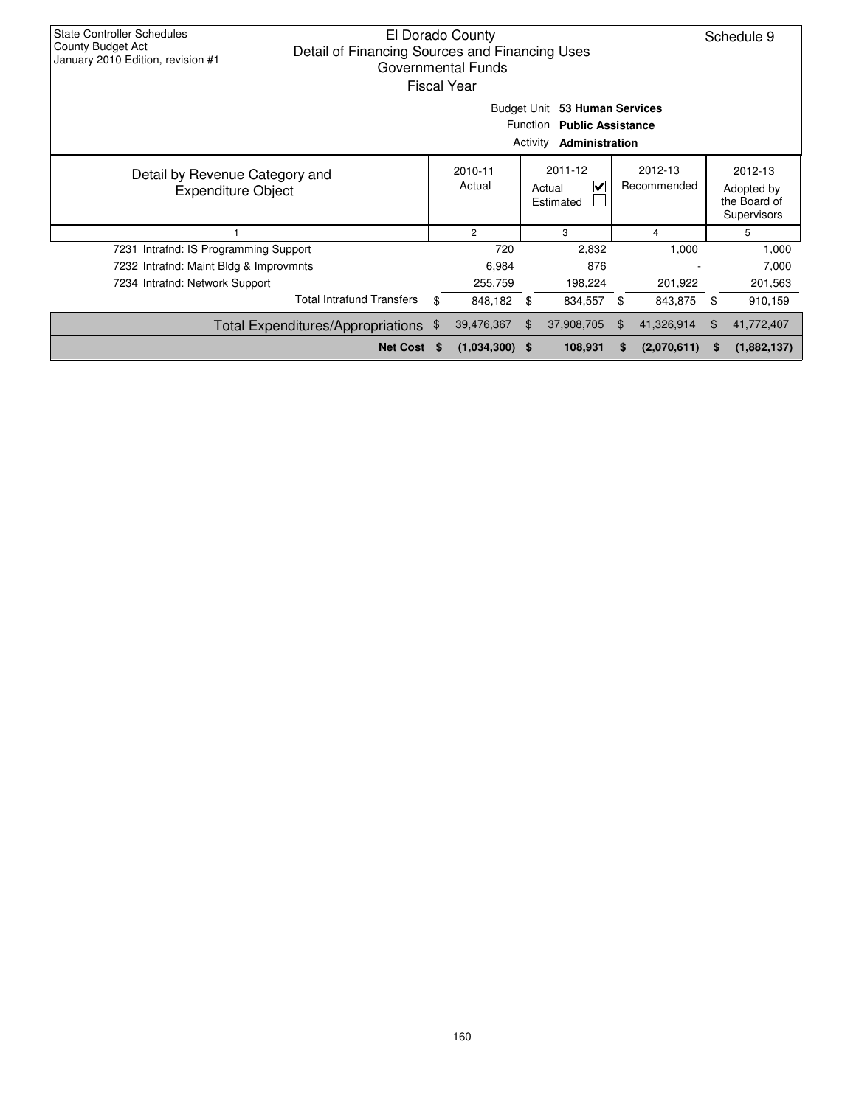| <b>State Controller Schedules</b><br>El Dorado County<br>County Budget Act<br>Detail of Financing Sources and Financing Uses<br>January 2010 Edition, revision #1<br><b>Governmental Funds</b><br><b>Fiscal Year</b> |    |                   |               |                                     |    |                        |    |                                                      |  |
|----------------------------------------------------------------------------------------------------------------------------------------------------------------------------------------------------------------------|----|-------------------|---------------|-------------------------------------|----|------------------------|----|------------------------------------------------------|--|
| Budget Unit 53 Human Services<br>Function Public Assistance<br>Activity<br>Administration                                                                                                                            |    |                   |               |                                     |    |                        |    |                                                      |  |
| Detail by Revenue Category and<br><b>Expenditure Object</b>                                                                                                                                                          |    | 2010-11<br>Actual |               | 2011-12<br>V<br>Actual<br>Estimated |    | 2012-13<br>Recommended |    | 2012-13<br>Adopted by<br>the Board of<br>Supervisors |  |
|                                                                                                                                                                                                                      |    | $\overline{c}$    |               | 3                                   |    | 4                      |    | 5                                                    |  |
| 7231 Intrafnd: IS Programming Support                                                                                                                                                                                |    | 720               |               | 2,832                               |    | 1,000                  |    | 1,000                                                |  |
| 7232 Intrafnd: Maint Bldg & Improvmnts                                                                                                                                                                               |    | 6,984             |               | 876                                 |    |                        |    | 7,000                                                |  |
| 7234 Intrafnd: Network Support                                                                                                                                                                                       |    | 255,759           |               | 198,224                             |    | 201,922                |    | 201,563                                              |  |
| <b>Total Intrafund Transfers</b>                                                                                                                                                                                     | \$ | 848,182           | $\frac{1}{2}$ | 834,557                             | \$ | 843,875                | \$ | 910,159                                              |  |
| Total Expenditures/Appropriations \$                                                                                                                                                                                 |    | 39,476,367        | \$.           | 37,908,705                          | \$ | 41,326,914             | \$ | 41,772,407                                           |  |
| Net Cost \$                                                                                                                                                                                                          |    | $(1,034,300)$ \$  |               | 108,931                             | S  | (2,070,611)            | S  | (1,882,137)                                          |  |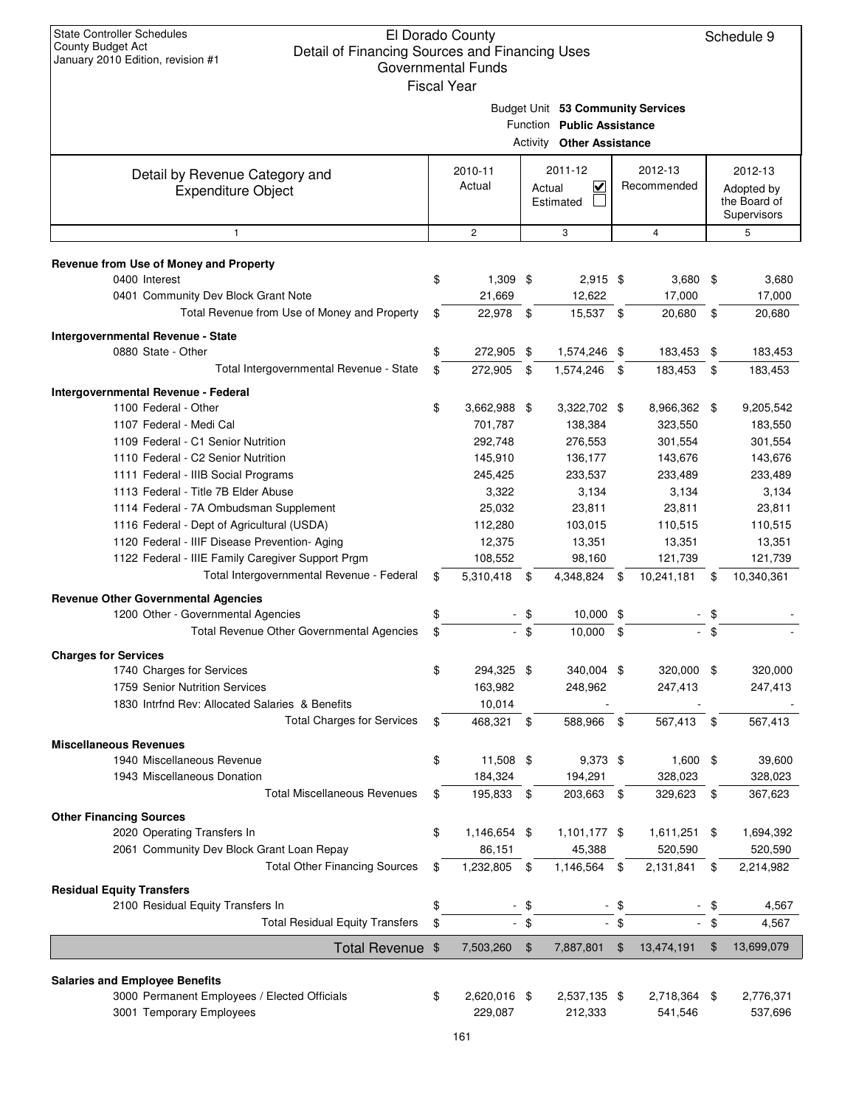| $\alpha$ . $\alpha$ , $\beta$ $\alpha$ , $\beta$ $\alpha$ . $\alpha$ . $\beta$ , $\alpha$ , $\beta$ , $\beta$ , $\beta$ , $\beta$ , $\beta$ | Governmental Funds |               |                                                                                                     |      |                |                                           |
|---------------------------------------------------------------------------------------------------------------------------------------------|--------------------|---------------|-----------------------------------------------------------------------------------------------------|------|----------------|-------------------------------------------|
|                                                                                                                                             | <b>Fiscal Year</b> |               | Budget Unit 53 Community Services<br>Function Public Assistance<br><b>Activity Other Assistance</b> |      |                |                                           |
| Detail by Revenue Category and                                                                                                              | 2010-11            |               | 2011-12                                                                                             |      | 2012-13        | 2012-13                                   |
| <b>Expenditure Object</b>                                                                                                                   | Actual             | Actual        | $\overline{\mathsf{v}}$<br>Estimated                                                                |      | Recommended    | Adopted by<br>the Board of<br>Supervisors |
| $\mathbf{1}$                                                                                                                                | $\mathbf{2}$       |               | 3                                                                                                   |      | 4              | 5                                         |
| Revenue from Use of Money and Property<br>0400 Interest                                                                                     | \$<br>$1,309$ \$   |               | $2,915$ \$                                                                                          |      | 3,680          | \$<br>3,680                               |
| 0401 Community Dev Block Grant Note                                                                                                         | 21,669             |               | 12,622                                                                                              |      | 17,000         | 17,000                                    |
| Total Revenue from Use of Money and Property                                                                                                | \$<br>22,978       | - \$          | 15,537 \$                                                                                           |      | 20,680         | \$<br>20,680                              |
| Intergovernmental Revenue - State                                                                                                           |                    |               |                                                                                                     |      |                |                                           |
| 0880 State - Other                                                                                                                          | \$<br>272,905 \$   |               | 1,574,246 \$                                                                                        |      | 183,453        | \$<br>183,453                             |
| Total Intergovernmental Revenue - State                                                                                                     | \$<br>272,905 \$   |               | 1,574,246 \$                                                                                        |      | 183,453        | \$<br>183,453                             |
| <b>Intergovernmental Revenue - Federal</b>                                                                                                  |                    |               |                                                                                                     |      |                |                                           |
| 1100 Federal - Other                                                                                                                        | \$<br>3,662,988 \$ |               | 3,322,702 \$                                                                                        |      | 8,966,362      | \$<br>9,205,542                           |
| 1107 Federal - Medi Cal                                                                                                                     | 701,787            |               | 138,384                                                                                             |      | 323,550        | 183,550                                   |
| 1109 Federal - C1 Senior Nutrition                                                                                                          | 292,748            |               | 276,553                                                                                             |      | 301,554        | 301,554                                   |
| 1110 Federal - C2 Senior Nutrition                                                                                                          | 145,910            |               | 136,177                                                                                             |      | 143,676        | 143,676                                   |
| 1111 Federal - IIIB Social Programs                                                                                                         | 245,425            |               | 233,537                                                                                             |      | 233,489        | 233,489                                   |
| 1113 Federal - Title 7B Elder Abuse                                                                                                         | 3,322              |               | 3,134                                                                                               |      | 3,134          | 3,134                                     |
| 1114 Federal - 7A Ombudsman Supplement                                                                                                      | 25,032             |               | 23,811                                                                                              |      | 23,811         | 23,811                                    |
| 1116 Federal - Dept of Agricultural (USDA)                                                                                                  | 112,280            |               | 103,015                                                                                             |      | 110,515        | 110,515                                   |
| 1120 Federal - IIIF Disease Prevention- Aging                                                                                               | 12,375             |               | 13,351                                                                                              |      | 13,351         | 13,351                                    |
| 1122 Federal - IIIE Family Caregiver Support Prgm                                                                                           | 108,552            |               | 98,160                                                                                              |      | 121,739        | 121,739                                   |
| Total Intergovernmental Revenue - Federal                                                                                                   | \$<br>5,310,418    | \$            | 4,348,824                                                                                           | \$   | 10,241,181     | \$<br>10,340,361                          |
| <b>Revenue Other Governmental Agencies</b>                                                                                                  |                    |               |                                                                                                     |      |                |                                           |
| 1200 Other - Governmental Agencies                                                                                                          | \$                 | - \$          | $10,000$ \$                                                                                         |      |                | \$                                        |
| Total Revenue Other Governmental Agencies                                                                                                   | \$                 | $-$ \$        | $10,000$ \$                                                                                         |      |                | \$                                        |
| <b>Charges for Services</b>                                                                                                                 |                    |               |                                                                                                     |      |                |                                           |
| 1740 Charges for Services                                                                                                                   | \$<br>294,325 \$   |               | 340,004 \$                                                                                          |      | 320,000 \$     | 320,000                                   |
| 1759 Senior Nutrition Services                                                                                                              | 163,982            |               | 248.962                                                                                             |      | 247,413        | 247,413                                   |
| 1830 Intrind Rev: Allocated Salaries & Benefits                                                                                             | 10,014             |               |                                                                                                     |      |                |                                           |
| <b>Total Charges for Services</b>                                                                                                           | \$<br>468,321      | \$            | 588,966 \$                                                                                          |      | 567,413        | \$<br>567,413                             |
| <b>Miscellaneous Revenues</b>                                                                                                               |                    |               |                                                                                                     |      |                |                                           |
| 1940 Miscellaneous Revenue                                                                                                                  | \$<br>11,508 \$    |               | 9,373 \$                                                                                            |      | $1,600$ \$     | 39,600                                    |
| 1943 Miscellaneous Donation                                                                                                                 | 184,324            |               | 194,291                                                                                             |      | 328,023        | 328,023                                   |
| <b>Total Miscellaneous Revenues</b>                                                                                                         | \$<br>195,833      | \$            | 203,663 \$                                                                                          |      | 329,623        | \$<br>367,623                             |
| <b>Other Financing Sources</b>                                                                                                              |                    |               |                                                                                                     |      |                |                                           |
| 2020 Operating Transfers In                                                                                                                 | \$<br>1,146,654 \$ |               | 1,101,177 \$                                                                                        |      | $1,611,251$ \$ | 1,694,392                                 |
| 2061 Community Dev Block Grant Loan Repay                                                                                                   | 86,151             |               | 45,388                                                                                              |      | 520,590        | 520,590                                   |
| <b>Total Other Financing Sources</b>                                                                                                        | \$<br>1,232,805    | \$            | 1,146,564                                                                                           | \$   | 2,131,841      | \$<br>2,214,982                           |
| <b>Residual Equity Transfers</b>                                                                                                            |                    |               |                                                                                                     |      |                |                                           |
| 2100 Residual Equity Transfers In                                                                                                           | \$                 | \$            |                                                                                                     | \$   |                | 4,567                                     |
| <b>Total Residual Equity Transfers</b>                                                                                                      | \$                 | $-$ \$        |                                                                                                     | - \$ |                | \$<br>4,567                               |
| Total Revenue \$                                                                                                                            | 7,503,260          | $\frac{1}{2}$ | 7,887,801                                                                                           | \$   | 13,474,191     | \$<br>13,699,079                          |
| <b>Salaries and Employee Benefits</b>                                                                                                       |                    |               |                                                                                                     |      |                |                                           |
| 3000 Permanent Employees / Elected Officials                                                                                                | \$<br>2,620,016 \$ |               | 2,537,135 \$                                                                                        |      | 2,718,364 \$   | 2,776,371                                 |
| 3001 Temporary Employees                                                                                                                    | 229,087            |               | 212,333                                                                                             |      | 541,546        | 537,696                                   |
|                                                                                                                                             |                    |               |                                                                                                     |      |                |                                           |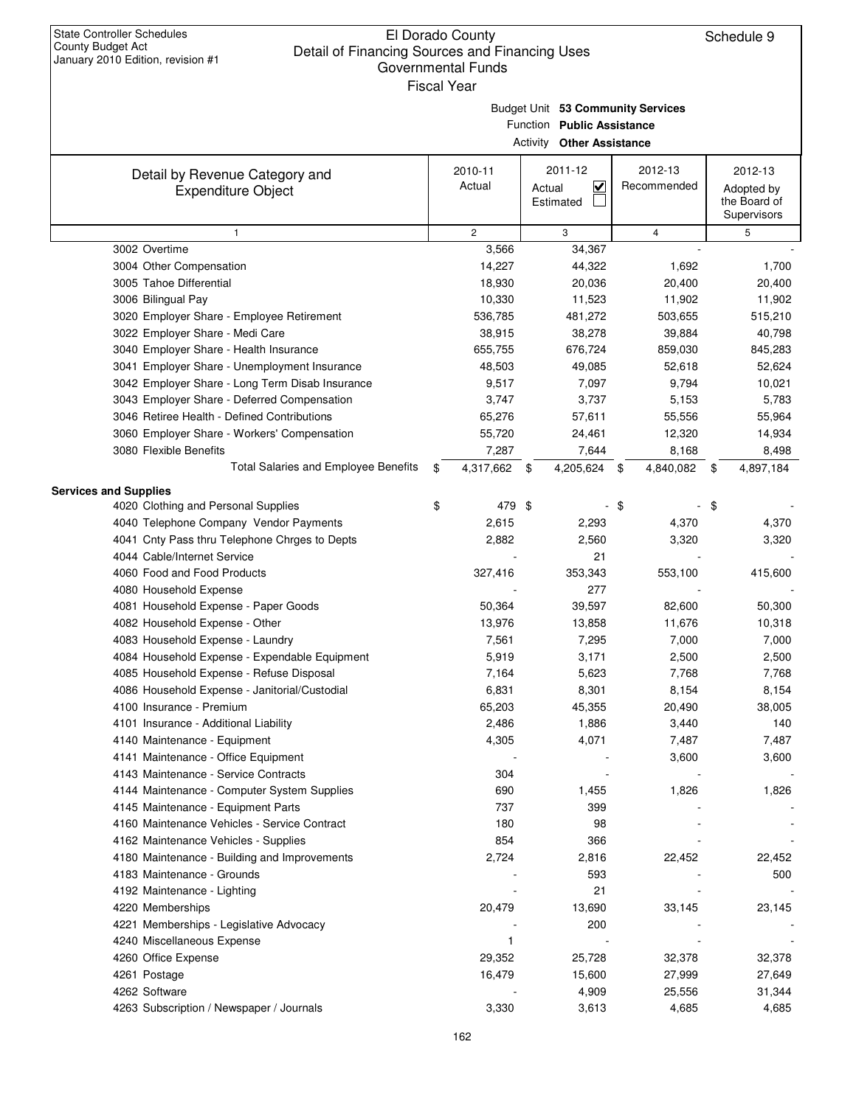Budget Unit **53 Community Services**

|                                                             | Function Public Assistance |                   |                     |                                    |    |                        |      |                                                      |  |  |  |
|-------------------------------------------------------------|----------------------------|-------------------|---------------------|------------------------------------|----|------------------------|------|------------------------------------------------------|--|--|--|
|                                                             |                            |                   |                     | <b>Activity Other Assistance</b>   |    |                        |      |                                                      |  |  |  |
| Detail by Revenue Category and<br><b>Expenditure Object</b> |                            | 2010-11<br>Actual | Actual<br>Estimated | 2011-12<br>$\overline{\mathsf{v}}$ |    | 2012-13<br>Recommended |      | 2012-13<br>Adopted by<br>the Board of<br>Supervisors |  |  |  |
| $\mathbf{1}$                                                |                            | $\mathbf{2}$      |                     | 3                                  |    | $\overline{4}$         |      | 5                                                    |  |  |  |
| 3002 Overtime                                               |                            | 3,566             |                     | 34,367                             |    |                        |      |                                                      |  |  |  |
| 3004 Other Compensation                                     |                            | 14,227            |                     | 44,322                             |    | 1,692                  |      | 1,700                                                |  |  |  |
| 3005 Tahoe Differential                                     |                            | 18,930            |                     | 20,036                             |    | 20,400                 |      | 20,400                                               |  |  |  |
| 3006 Bilingual Pay                                          |                            | 10,330            |                     | 11,523                             |    | 11,902                 |      | 11,902                                               |  |  |  |
| 3020 Employer Share - Employee Retirement                   |                            | 536,785           |                     | 481,272                            |    | 503,655                |      | 515,210                                              |  |  |  |
| 3022 Employer Share - Medi Care                             |                            | 38,915            |                     | 38,278                             |    | 39,884                 |      | 40,798                                               |  |  |  |
| 3040 Employer Share - Health Insurance                      |                            | 655,755           |                     | 676,724                            |    | 859,030                |      | 845,283                                              |  |  |  |
| 3041 Employer Share - Unemployment Insurance                |                            | 48,503            |                     | 49,085                             |    | 52,618                 |      | 52,624                                               |  |  |  |
| 3042 Employer Share - Long Term Disab Insurance             |                            | 9,517             |                     | 7,097                              |    | 9,794                  |      | 10,021                                               |  |  |  |
| 3043 Employer Share - Deferred Compensation                 |                            | 3,747             |                     | 3,737                              |    | 5,153                  |      | 5,783                                                |  |  |  |
| 3046 Retiree Health - Defined Contributions                 |                            | 65,276            |                     | 57,611                             |    | 55,556                 |      | 55,964                                               |  |  |  |
| 3060 Employer Share - Workers' Compensation                 |                            | 55,720            |                     | 24,461                             |    | 12,320                 |      | 14,934                                               |  |  |  |
| 3080 Flexible Benefits                                      |                            | 7,287             |                     | 7,644                              |    | 8,168                  |      | 8,498                                                |  |  |  |
| Total Salaries and Employee Benefits                        | \$                         | 4,317,662         | -\$                 | 4,205,624 \$                       |    | 4,840,082              | - \$ | 4,897,184                                            |  |  |  |
| <b>Services and Supplies</b>                                |                            |                   |                     |                                    |    |                        |      |                                                      |  |  |  |
| 4020 Clothing and Personal Supplies                         | \$                         | 479 \$            |                     |                                    | \$ |                        | \$   |                                                      |  |  |  |
| 4040 Telephone Company Vendor Payments                      |                            | 2,615             |                     | 2,293                              |    | 4,370                  |      | 4,370                                                |  |  |  |
| 4041 Cnty Pass thru Telephone Chrges to Depts               |                            | 2,882             |                     | 2,560                              |    | 3,320                  |      | 3,320                                                |  |  |  |
| 4044 Cable/Internet Service                                 |                            |                   |                     | 21                                 |    |                        |      |                                                      |  |  |  |
| 4060 Food and Food Products                                 |                            | 327,416           |                     | 353,343                            |    | 553,100                |      | 415,600                                              |  |  |  |
| 4080 Household Expense                                      |                            |                   |                     | 277                                |    |                        |      |                                                      |  |  |  |
| 4081 Household Expense - Paper Goods                        |                            | 50,364            |                     | 39,597                             |    | 82,600                 |      | 50,300                                               |  |  |  |
| 4082 Household Expense - Other                              |                            | 13,976            |                     | 13,858                             |    | 11,676                 |      | 10,318                                               |  |  |  |
| 4083 Household Expense - Laundry                            |                            | 7,561             |                     | 7,295                              |    | 7,000                  |      | 7,000                                                |  |  |  |
| 4084 Household Expense - Expendable Equipment               |                            | 5,919             |                     | 3,171                              |    | 2,500                  |      | 2,500                                                |  |  |  |
| 4085 Household Expense - Refuse Disposal                    |                            | 7,164             |                     | 5,623                              |    | 7,768                  |      | 7,768                                                |  |  |  |
| 4086 Household Expense - Janitorial/Custodial               |                            | 6,831             |                     | 8,301                              |    | 8,154                  |      | 8,154                                                |  |  |  |
| 4100 Insurance - Premium                                    |                            | 65,203            |                     | 45,355                             |    | 20,490                 |      | 38,005                                               |  |  |  |
| 4101 Insurance - Additional Liability                       |                            | 2,486             |                     | 1,886                              |    | 3,440                  |      | 140                                                  |  |  |  |
| 4140 Maintenance - Equipment                                |                            | 4,305             |                     | 4,071                              |    | 7,487                  |      | 7,487                                                |  |  |  |
| 4141 Maintenance - Office Equipment                         |                            |                   |                     |                                    |    | 3,600                  |      | 3,600                                                |  |  |  |
| 4143 Maintenance - Service Contracts                        |                            | 304               |                     |                                    |    |                        |      |                                                      |  |  |  |
| 4144 Maintenance - Computer System Supplies                 |                            | 690               |                     | 1,455                              |    | 1,826                  |      | 1,826                                                |  |  |  |
| 4145 Maintenance - Equipment Parts                          |                            | 737               |                     | 399                                |    |                        |      |                                                      |  |  |  |
| 4160 Maintenance Vehicles - Service Contract                |                            | 180               |                     | 98                                 |    |                        |      |                                                      |  |  |  |
| 4162 Maintenance Vehicles - Supplies                        |                            | 854               |                     | 366                                |    |                        |      |                                                      |  |  |  |
| 4180 Maintenance - Building and Improvements                |                            | 2,724             |                     | 2,816                              |    | 22,452                 |      | 22,452                                               |  |  |  |
| 4183 Maintenance - Grounds                                  |                            |                   |                     | 593                                |    |                        |      | 500                                                  |  |  |  |
| 4192 Maintenance - Lighting                                 |                            |                   |                     | 21                                 |    |                        |      |                                                      |  |  |  |
| 4220 Memberships                                            |                            | 20,479            |                     | 13,690                             |    | 33,145                 |      | 23,145                                               |  |  |  |
| 4221 Memberships - Legislative Advocacy                     |                            |                   |                     | 200                                |    |                        |      |                                                      |  |  |  |
| 4240 Miscellaneous Expense                                  |                            | $\mathbf{1}$      |                     |                                    |    |                        |      |                                                      |  |  |  |
| 4260 Office Expense                                         |                            | 29,352            |                     | 25,728                             |    | 32,378                 |      | 32,378                                               |  |  |  |
| 4261 Postage                                                |                            | 16,479            |                     | 15,600                             |    | 27,999                 |      | 27,649                                               |  |  |  |
| 4262 Software                                               |                            |                   |                     | 4,909                              |    | 25,556                 |      | 31,344                                               |  |  |  |
| 4263 Subscription / Newspaper / Journals                    |                            | 3,330             |                     | 3,613                              |    | 4,685                  |      | 4,685                                                |  |  |  |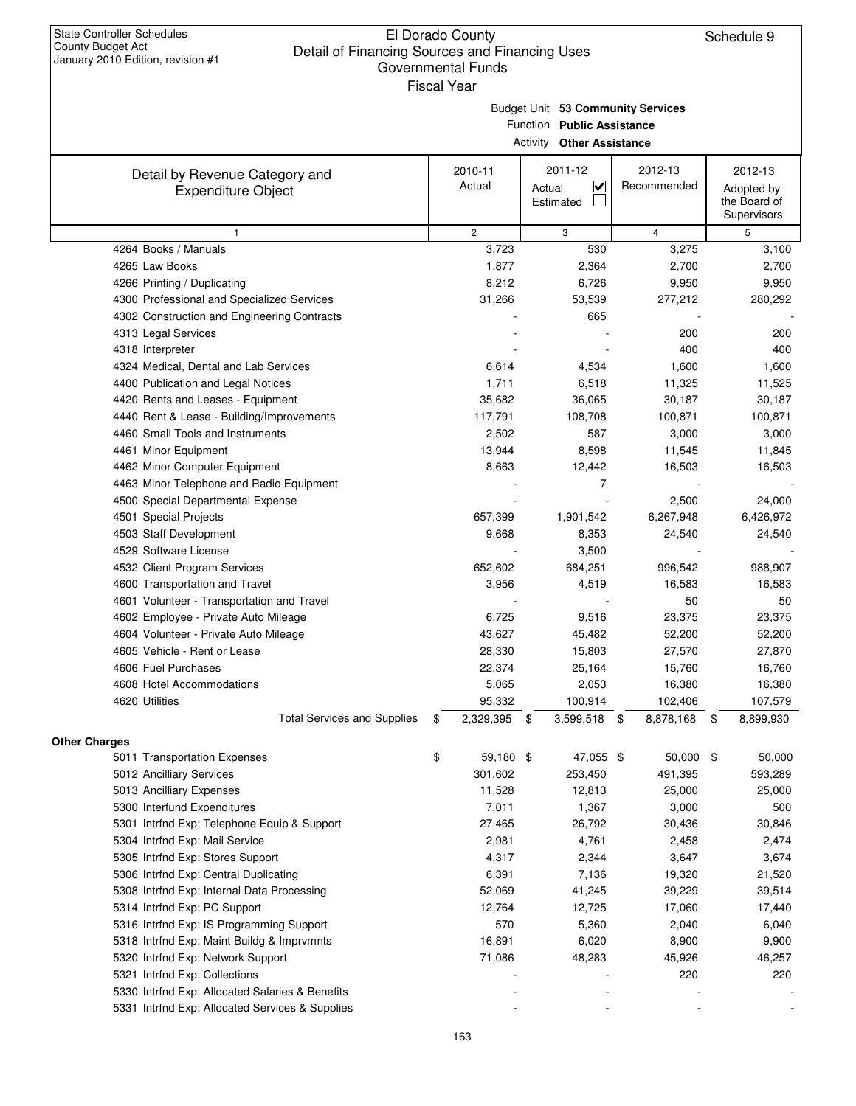Budget Unit **53 Community Services**

| Function Public Assistance<br><b>Activity Other Assistance</b> |    |                   |                     |                         |                        |           |    |                                                      |  |  |
|----------------------------------------------------------------|----|-------------------|---------------------|-------------------------|------------------------|-----------|----|------------------------------------------------------|--|--|
| Detail by Revenue Category and<br><b>Expenditure Object</b>    |    | 2010-11<br>Actual | Actual<br>Estimated | 2011-12<br>$\checkmark$ | 2012-13<br>Recommended |           |    | 2012-13<br>Adopted by<br>the Board of<br>Supervisors |  |  |
| $\mathbf{1}$                                                   |    | $\overline{c}$    |                     | 3                       | $\overline{4}$         |           |    | 5                                                    |  |  |
| 4264 Books / Manuals                                           |    | 3,723             |                     | 530                     |                        | 3,275     |    | 3,100                                                |  |  |
| 4265 Law Books                                                 |    | 1,877             |                     | 2,364                   |                        | 2,700     |    | 2,700                                                |  |  |
| 4266 Printing / Duplicating                                    |    | 8,212             |                     | 6,726                   |                        | 9,950     |    | 9,950                                                |  |  |
| 4300 Professional and Specialized Services                     |    | 31,266            |                     | 53,539                  |                        | 277,212   |    | 280,292                                              |  |  |
| 4302 Construction and Engineering Contracts                    |    |                   |                     | 665                     |                        |           |    |                                                      |  |  |
| 4313 Legal Services                                            |    |                   |                     |                         |                        | 200       |    | 200                                                  |  |  |
| 4318 Interpreter                                               |    |                   |                     |                         |                        | 400       |    | 400                                                  |  |  |
| 4324 Medical, Dental and Lab Services                          |    | 6,614             |                     | 4,534                   |                        | 1,600     |    | 1,600                                                |  |  |
| 4400 Publication and Legal Notices                             |    | 1,711             |                     | 6,518                   |                        | 11,325    |    | 11,525                                               |  |  |
| 4420 Rents and Leases - Equipment                              |    | 35,682            |                     | 36,065                  |                        | 30,187    |    | 30,187                                               |  |  |
| 4440 Rent & Lease - Building/Improvements                      |    | 117,791           |                     | 108,708                 |                        | 100,871   |    | 100,871                                              |  |  |
| 4460 Small Tools and Instruments                               |    | 2,502             |                     | 587                     |                        | 3,000     |    | 3,000                                                |  |  |
| 4461 Minor Equipment                                           |    | 13,944            |                     | 8,598                   |                        | 11,545    |    | 11,845                                               |  |  |
| 4462 Minor Computer Equipment                                  |    | 8,663             |                     | 12,442                  |                        | 16,503    |    | 16,503                                               |  |  |
| 4463 Minor Telephone and Radio Equipment                       |    |                   |                     | 7                       |                        |           |    |                                                      |  |  |
| 4500 Special Departmental Expense                              |    |                   |                     |                         |                        | 2,500     |    | 24,000                                               |  |  |
| 4501 Special Projects                                          |    | 657,399           |                     | 1,901,542               | 6,267,948              |           |    | 6,426,972                                            |  |  |
| 4503 Staff Development                                         |    | 9,668             |                     | 8,353                   |                        | 24,540    |    | 24,540                                               |  |  |
| 4529 Software License                                          |    |                   |                     | 3,500                   |                        |           |    |                                                      |  |  |
| 4532 Client Program Services                                   |    | 652,602           |                     | 684,251                 |                        | 996,542   |    | 988,907                                              |  |  |
| 4600 Transportation and Travel                                 |    | 3,956             |                     | 4,519                   |                        | 16,583    |    | 16,583                                               |  |  |
| 4601 Volunteer - Transportation and Travel                     |    |                   |                     |                         |                        | 50        |    | 50                                                   |  |  |
| 4602 Employee - Private Auto Mileage                           |    | 6,725             |                     | 9,516                   |                        | 23,375    |    | 23,375                                               |  |  |
| 4604 Volunteer - Private Auto Mileage                          |    | 43,627            |                     | 45,482                  |                        | 52,200    |    | 52,200                                               |  |  |
| 4605 Vehicle - Rent or Lease                                   |    | 28,330            |                     | 15,803                  |                        | 27,570    |    | 27,870                                               |  |  |
| 4606 Fuel Purchases                                            |    | 22,374            |                     | 25,164                  |                        | 15,760    |    | 16,760                                               |  |  |
| 4608 Hotel Accommodations                                      |    | 5,065             |                     | 2,053                   |                        | 16,380    |    | 16,380                                               |  |  |
| 4620 Utilities                                                 |    | 95,332            |                     | 100,914                 |                        | 102,406   |    | 107,579                                              |  |  |
| <b>Total Services and Supplies</b>                             | \$ | 2,329,395         | \$                  | 3,599,518 \$            | 8,878,168              |           | \$ | 8,899,930                                            |  |  |
| Other Charges<br>5011 Transportation Expenses                  | \$ | 59,180 \$         |                     | 47,055 \$               |                        | 50,000 \$ |    | 50,000                                               |  |  |
| 5012 Ancilliary Services                                       |    | 301,602           |                     | 253,450                 |                        | 491,395   |    | 593,289                                              |  |  |
| 5013 Ancilliary Expenses                                       |    | 11,528            |                     | 12,813                  |                        | 25,000    |    | 25,000                                               |  |  |
| 5300 Interfund Expenditures                                    |    | 7,011             |                     | 1,367                   |                        | 3,000     |    | 500                                                  |  |  |
| 5301 Intrfnd Exp: Telephone Equip & Support                    |    | 27,465            |                     | 26,792                  |                        | 30,436    |    | 30,846                                               |  |  |
| 5304 Intrfnd Exp: Mail Service                                 |    | 2,981             |                     | 4,761                   |                        | 2,458     |    | 2,474                                                |  |  |
| 5305 Intrfnd Exp: Stores Support                               |    | 4,317             |                     | 2,344                   |                        | 3,647     |    | 3,674                                                |  |  |
| 5306 Intrfnd Exp: Central Duplicating                          |    | 6,391             |                     | 7,136                   |                        | 19,320    |    | 21,520                                               |  |  |
| 5308 Intrfnd Exp: Internal Data Processing                     |    | 52,069            |                     | 41,245                  |                        | 39,229    |    | 39,514                                               |  |  |
| 5314 Intrfnd Exp: PC Support                                   |    | 12,764            |                     | 12,725                  |                        | 17,060    |    | 17,440                                               |  |  |
| 5316 Intrfnd Exp: IS Programming Support                       |    | 570               |                     | 5,360                   |                        | 2,040     |    | 6,040                                                |  |  |
| 5318 Intrfnd Exp: Maint Buildg & Imprvmnts                     |    | 16,891            |                     | 6,020                   |                        | 8,900     |    | 9,900                                                |  |  |
| 5320 Intrfnd Exp: Network Support                              |    | 71,086            |                     | 48,283                  |                        | 45,926    |    | 46,257                                               |  |  |
| 5321 Intrfnd Exp: Collections                                  |    |                   |                     |                         |                        | 220       |    | 220                                                  |  |  |
| 5330 Intrfnd Exp: Allocated Salaries & Benefits                |    |                   |                     |                         |                        |           |    |                                                      |  |  |
|                                                                |    |                   |                     |                         |                        |           |    |                                                      |  |  |

5331 Intrfnd Exp: Allocated Services & Supplies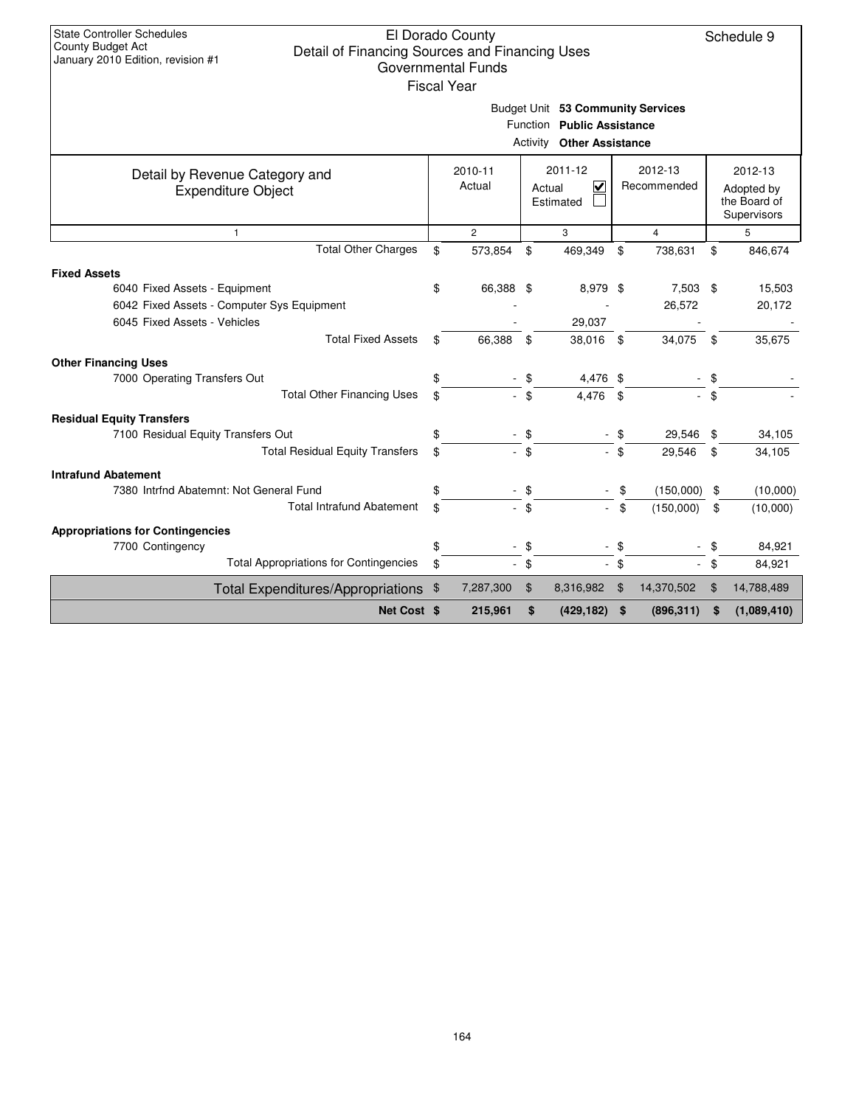| <b>State Controller Schedules</b>                                                                               |    | El Dorado County          |             |                                   |             |                |            | Schedule 9                  |
|-----------------------------------------------------------------------------------------------------------------|----|---------------------------|-------------|-----------------------------------|-------------|----------------|------------|-----------------------------|
| <b>County Budget Act</b><br>Detail of Financing Sources and Financing Uses<br>January 2010 Edition, revision #1 |    |                           |             |                                   |             |                |            |                             |
|                                                                                                                 |    | <b>Governmental Funds</b> |             |                                   |             |                |            |                             |
|                                                                                                                 |    | <b>Fiscal Year</b>        |             |                                   |             |                |            |                             |
|                                                                                                                 |    |                           |             | Budget Unit 53 Community Services |             |                |            |                             |
|                                                                                                                 |    |                           |             | Function Public Assistance        |             |                |            |                             |
|                                                                                                                 |    |                           |             | <b>Activity Other Assistance</b>  |             |                |            |                             |
| Detail by Revenue Category and                                                                                  |    | 2010-11                   |             | 2011-12                           |             | 2012-13        |            | 2012-13                     |
| <b>Expenditure Object</b>                                                                                       |    | Actual                    | V<br>Actual |                                   | Recommended |                | Adopted by |                             |
|                                                                                                                 |    |                           |             | Estimated                         |             |                |            | the Board of<br>Supervisors |
| $\mathbf{1}$                                                                                                    |    | $\overline{2}$            |             | 3                                 |             | $\overline{4}$ |            | 5                           |
| <b>Total Other Charges</b>                                                                                      | \$ | 573,854                   | \$          | 469,349                           | \$          | 738,631        | \$         | 846,674                     |
| <b>Fixed Assets</b>                                                                                             |    |                           |             |                                   |             |                |            |                             |
| 6040 Fixed Assets - Equipment                                                                                   | \$ | 66,388                    | -\$         | 8,979 \$                          |             | 7,503 \$       |            | 15,503                      |
| 6042 Fixed Assets - Computer Sys Equipment                                                                      |    |                           |             |                                   |             | 26,572         |            | 20,172                      |
| 6045 Fixed Assets - Vehicles                                                                                    |    |                           |             | 29,037                            |             |                |            |                             |
| <b>Total Fixed Assets</b>                                                                                       | \$ | 66,388                    | \$          | 38,016 \$                         |             | 34,075         | \$         | 35,675                      |
| <b>Other Financing Uses</b>                                                                                     |    |                           |             |                                   |             |                |            |                             |
| 7000 Operating Transfers Out                                                                                    | \$ |                           |             | 4,476 \$                          |             |                |            |                             |
| <b>Total Other Financing Uses</b>                                                                               | \$ |                           | \$          | 4,476                             | \$          |                | \$         |                             |
| <b>Residual Equity Transfers</b>                                                                                |    |                           |             |                                   |             |                |            |                             |
| 7100 Residual Equity Transfers Out                                                                              | \$ |                           | - \$        |                                   | \$          | 29,546         | \$         | 34,105                      |
| <b>Total Residual Equity Transfers</b>                                                                          | \$ |                           | \$          |                                   | - \$        | 29,546         | \$         | 34,105                      |
| <b>Intrafund Abatement</b>                                                                                      |    |                           |             |                                   |             |                |            |                             |
| 7380 Intrfnd Abatemnt: Not General Fund                                                                         | \$ |                           | \$          |                                   | \$          | (150,000)      | \$         | (10,000)                    |
| <b>Total Intrafund Abatement</b>                                                                                | \$ |                           | \$          |                                   | \$          | (150,000)      | \$         | (10,000)                    |
| <b>Appropriations for Contingencies</b>                                                                         |    |                           |             |                                   |             |                |            |                             |
| 7700 Contingency                                                                                                | \$ |                           | \$.         |                                   | -\$         |                | \$         | 84,921                      |

Total Appropriations for Contingencies  $\sqrt[3]{\begin{array}{c} \hline \end{array}}$   $\sqrt[3]{\begin{array}{c} \hline \end{array}}$   $\sqrt[3]{\begin{array}{c} \hline \end{array}}$   $\sqrt[3]{\begin{array}{c} \hline \end{array}}$   $\sqrt[3]{\begin{array}{c} \hline \end{array}}$   $\sqrt[3]{\begin{array}{c} \hline \end{array}}$  84,921 Total Expenditures/Appropriations \$ 7,287,300 \$ 8,316,982 \$ 14,370,502 \$ 14,788,489

**Net Cost**  $\$$  **215,961**  $\$$  (429,182)  $\$$  (896,311)  $\$$  (1,089,410)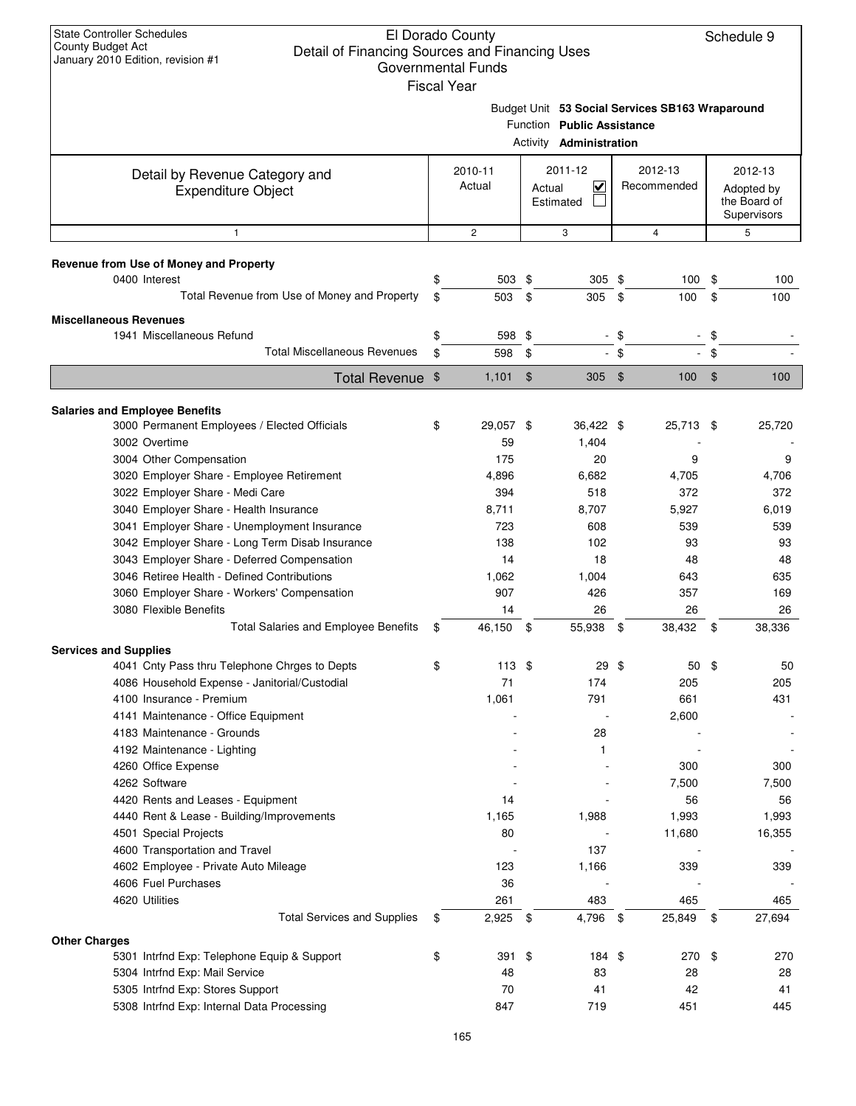|                                                 | <b>Fiscal Year</b> |               |                                   |      |                                                 |              |
|-------------------------------------------------|--------------------|---------------|-----------------------------------|------|-------------------------------------------------|--------------|
|                                                 |                    |               |                                   |      | Budget Unit 53 Social Services SB163 Wraparound |              |
|                                                 |                    |               | Function Public Assistance        |      |                                                 |              |
|                                                 |                    |               | Activity <b>Administration</b>    |      |                                                 |              |
| Detail by Revenue Category and                  | 2010-11            |               | 2011-12                           |      | 2012-13                                         | 2012-13      |
| <b>Expenditure Object</b>                       | Actual             |               | $\overline{\mathbf{v}}$<br>Actual |      | Recommended                                     | Adopted by   |
|                                                 |                    |               | Estimated                         |      |                                                 | the Board of |
|                                                 |                    |               |                                   |      |                                                 | Supervisors  |
| $\mathbf{1}$                                    | $\mathbf{2}$       |               | 3                                 |      | $\overline{4}$                                  | 5            |
| Revenue from Use of Money and Property          |                    |               |                                   |      |                                                 |              |
| 0400 Interest                                   | \$<br>503 \$       |               | $305$ \$                          |      | 100                                             | \$<br>100    |
| Total Revenue from Use of Money and Property    | \$<br>503          | \$            | 305                               | \$   | 100                                             | \$<br>100    |
| <b>Miscellaneous Revenues</b>                   |                    |               |                                   |      |                                                 |              |
| 1941 Miscellaneous Refund                       | \$<br>598 \$       |               | $\sim$                            | \$   |                                                 | \$           |
| <b>Total Miscellaneous Revenues</b>             | \$<br>598          | \$            |                                   | - \$ |                                                 | \$           |
| <b>Total Revenue</b>                            | \$<br>1,101        | $\frac{1}{2}$ | $305$ \$                          |      | $100 - $$                                       | 100          |
| <b>Salaries and Employee Benefits</b>           |                    |               |                                   |      |                                                 |              |
| 3000 Permanent Employees / Elected Officials    | \$<br>29,057 \$    |               | 36,422 \$                         |      | 25,713 \$                                       | 25,720       |
| 3002 Overtime                                   | 59                 |               | 1,404                             |      |                                                 |              |
| 3004 Other Compensation                         | 175                |               | 20                                |      | 9                                               | 9            |
| 3020 Employer Share - Employee Retirement       | 4,896              |               | 6,682                             |      | 4,705                                           | 4,706        |
| 3022 Employer Share - Medi Care                 | 394                |               | 518                               |      | 372                                             | 372          |
| 3040 Employer Share - Health Insurance          | 8,711              |               | 8,707                             |      | 5,927                                           | 6,019        |
| 3041 Employer Share - Unemployment Insurance    | 723                |               | 608                               |      | 539                                             | 539          |
| 3042 Employer Share - Long Term Disab Insurance | 138                |               | 102                               |      | 93                                              | 93           |
| 3043 Employer Share - Deferred Compensation     | 14                 |               | 18                                |      | 48                                              | 48           |
| 3046 Retiree Health - Defined Contributions     | 1,062              |               | 1,004                             |      | 643                                             | 635          |
| 3060 Employer Share - Workers' Compensation     | 907                |               | 426                               |      | 357                                             | 169          |
| 3080 Flexible Benefits                          | 14                 |               | 26                                |      | 26                                              | 26           |
| Total Salaries and Employee Benefits            | \$<br>46,150 \$    |               | 55,938                            | \$   | 38,432                                          | \$<br>38,336 |
| <b>Services and Supplies</b>                    |                    |               |                                   |      |                                                 |              |
| 4041 Cnty Pass thru Telephone Chrges to Depts   | \$<br>113S         |               | 29                                | -\$  | 50                                              | \$<br>50     |
| 4086 Household Expense - Janitorial/Custodial   | 71                 |               | 174                               |      | 205                                             | 205          |
| 4100 Insurance - Premium                        | 1,061              |               | 791                               |      | 661                                             | 431          |
| 4141 Maintenance - Office Equipment             |                    |               |                                   |      | 2,600                                           |              |
| 4183 Maintenance - Grounds                      |                    |               | 28                                |      |                                                 |              |
| 4192 Maintenance - Lighting                     |                    |               | 1                                 |      |                                                 |              |
| 4260 Office Expense                             |                    |               |                                   |      | 300                                             | 300          |
| 4262 Software                                   |                    |               |                                   |      | 7,500                                           | 7,500        |
| 4420 Rents and Leases - Equipment               | 14                 |               |                                   |      | 56                                              | 56           |
| 4440 Rent & Lease - Building/Improvements       | 1,165              |               | 1,988                             |      | 1,993                                           | 1,993        |
| 4501 Special Projects                           | 80                 |               |                                   |      | 11,680                                          | 16,355       |
| 4600 Transportation and Travel                  |                    |               | 137                               |      |                                                 |              |
| 4602 Employee - Private Auto Mileage            | 123                |               | 1,166                             |      | 339                                             | 339          |
| 4606 Fuel Purchases<br>4620 Utilities           | 36<br>261          |               | 483                               |      | 465                                             | 465          |
| <b>Total Services and Supplies</b>              | \$<br>2,925        | - \$          | 4,796 \$                          |      | 25,849                                          | \$<br>27,694 |
| <b>Other Charges</b>                            |                    |               |                                   |      |                                                 |              |
| 5301 Intrfnd Exp: Telephone Equip & Support     | \$<br>391          | \$            | 184 \$                            |      | 270                                             | \$<br>270    |
| 5304 Intrfnd Exp: Mail Service                  | 48                 |               | 83                                |      | 28                                              | 28           |
| 5305 Intrfnd Exp: Stores Support                | 70                 |               | 41                                |      | 42                                              | 41           |
| 5308 Intrfnd Exp: Internal Data Processing      | 847                |               | 719                               |      | 451                                             | 445          |
|                                                 |                    |               |                                   |      |                                                 |              |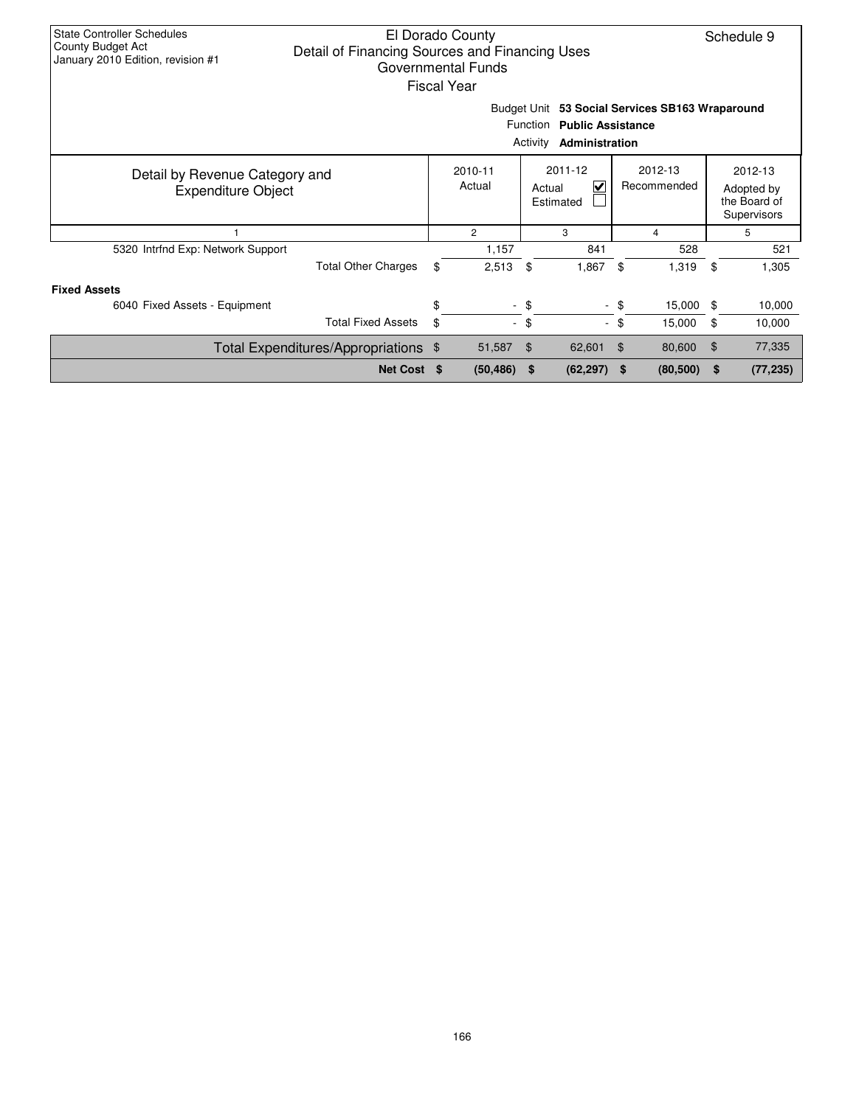| <b>State Controller Schedules</b><br>El Dorado County<br>County Budget Act<br>Detail of Financing Sources and Financing Uses<br>January 2010 Edition, revision #1<br>Governmental Funds<br>Fiscal Year |                                      |     |                   |        |                           |                |                        |    |                                                      |
|--------------------------------------------------------------------------------------------------------------------------------------------------------------------------------------------------------|--------------------------------------|-----|-------------------|--------|---------------------------|----------------|------------------------|----|------------------------------------------------------|
| Budget Unit 53 Social Services SB163 Wraparound<br><b>Public Assistance</b><br><b>Function</b><br>Activity<br>Administration                                                                           |                                      |     |                   |        |                           |                |                        |    |                                                      |
| Detail by Revenue Category and<br><b>Expenditure Object</b>                                                                                                                                            |                                      |     | 2010-11<br>Actual | Actual | 2011-12<br>M<br>Estimated |                | 2012-13<br>Recommended |    | 2012-13<br>Adopted by<br>the Board of<br>Supervisors |
| 1                                                                                                                                                                                                      |                                      |     | $\overline{c}$    |        | 3                         |                | 4                      |    | 5                                                    |
| 5320 Intrfnd Exp: Network Support                                                                                                                                                                      |                                      |     | 1,157             |        | 841                       |                | 528                    |    | 521                                                  |
|                                                                                                                                                                                                        | <b>Total Other Charges</b>           | \$  | 2,513             | \$     | 1,867                     | \$             | 1,319                  | \$ | 1,305                                                |
| <b>Fixed Assets</b>                                                                                                                                                                                    |                                      |     |                   |        |                           |                |                        |    |                                                      |
| 6040 Fixed Assets - Equipment                                                                                                                                                                          |                                      | \$  |                   | $-$ \$ |                           | - \$           | 15,000                 | -S | 10,000                                               |
|                                                                                                                                                                                                        | <b>Total Fixed Assets</b>            | \$  | ÷.                | \$     |                           | - \$           | 15,000                 | \$ | 10,000                                               |
|                                                                                                                                                                                                        | Total Expenditures/Appropriations \$ |     | 51,587            | \$     | 62,601                    | $\mathfrak{F}$ | 80,600                 | \$ | 77,335                                               |
|                                                                                                                                                                                                        | <b>Net Cost</b>                      | \$. | (50, 486)         | \$     | (62, 297)                 | \$             | (80, 500)              | \$ | (77, 235)                                            |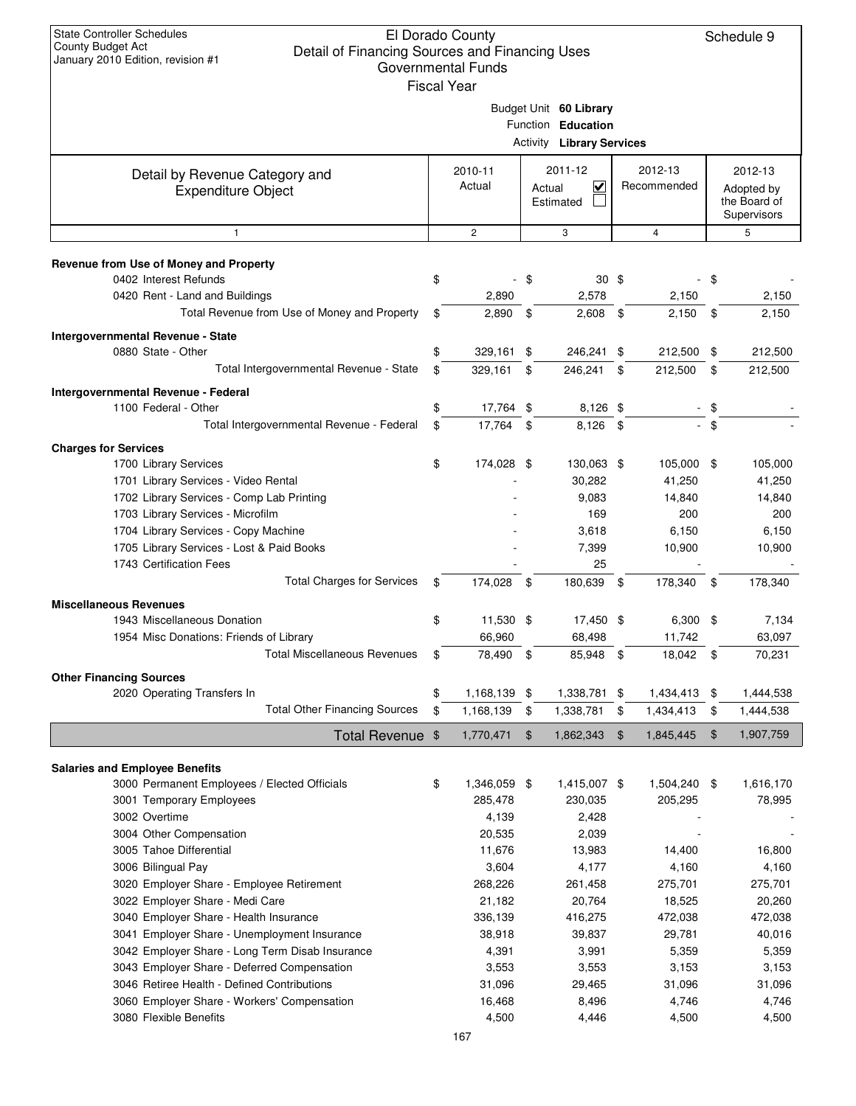|                                                                 | uuvtiiliittiitai lullus<br><b>Fiscal Year</b> |               |                                  |                 |      |                 |
|-----------------------------------------------------------------|-----------------------------------------------|---------------|----------------------------------|-----------------|------|-----------------|
|                                                                 |                                               |               |                                  |                 |      |                 |
|                                                                 |                                               |               | Budget Unit 60 Library           |                 |      |                 |
|                                                                 |                                               |               | Function Education               |                 |      |                 |
|                                                                 |                                               |               | <b>Activity Library Services</b> |                 |      |                 |
| Detail by Revenue Category and                                  | 2010-11                                       |               | 2011-12                          | 2012-13         |      | 2012-13         |
| <b>Expenditure Object</b>                                       | Actual                                        |               | V<br>Actual                      | Recommended     |      | Adopted by      |
|                                                                 |                                               |               | Estimated                        |                 |      | the Board of    |
|                                                                 |                                               |               |                                  |                 |      | Supervisors     |
| $\mathbf{1}$                                                    | $\overline{2}$                                |               | 3                                | $\overline{4}$  |      | 5               |
|                                                                 |                                               |               |                                  |                 |      |                 |
| Revenue from Use of Money and Property<br>0402 Interest Refunds |                                               |               |                                  |                 |      |                 |
|                                                                 | \$<br>2,890                                   | -\$           | 30 <sup>5</sup><br>2,578         | 2,150           | - \$ | 2,150           |
| 0420 Rent - Land and Buildings                                  |                                               |               |                                  |                 |      |                 |
| Total Revenue from Use of Money and Property                    | \$<br>2,890                                   | \$            | $2,608$ \$                       | 2,150           | \$   | 2,150           |
| Intergovernmental Revenue - State                               |                                               |               |                                  |                 |      |                 |
| 0880 State - Other                                              | \$<br>$329,161$ \$                            |               | 246,241 \$                       | 212,500         | \$   | 212,500         |
| Total Intergovernmental Revenue - State                         | \$<br>329,161                                 | \$            | 246,241                          | \$<br>212,500   | \$   | 212,500         |
| <b>Intergovernmental Revenue - Federal</b>                      |                                               |               |                                  |                 |      |                 |
| 1100 Federal - Other                                            | \$<br>17,764 \$                               |               | 8,126 \$                         |                 | \$   |                 |
| Total Intergovernmental Revenue - Federal                       | \$<br>17,764                                  | \$            | $8,126$ \$                       |                 | \$   |                 |
| <b>Charges for Services</b>                                     |                                               |               |                                  |                 |      |                 |
| 1700 Library Services                                           | \$<br>174,028 \$                              |               | 130,063 \$                       | 105,000 \$      |      | 105,000         |
| 1701 Library Services - Video Rental                            |                                               |               | 30,282                           | 41,250          |      | 41,250          |
| 1702 Library Services - Comp Lab Printing                       |                                               |               | 9,083                            | 14,840          |      | 14,840          |
| 1703 Library Services - Microfilm                               |                                               |               | 169                              | 200             |      | 200             |
| 1704 Library Services - Copy Machine                            |                                               |               | 3,618                            | 6,150           |      | 6,150           |
| 1705 Library Services - Lost & Paid Books                       |                                               |               | 7,399                            | 10,900          |      | 10,900          |
| 1743 Certification Fees                                         |                                               |               | 25                               |                 |      |                 |
| <b>Total Charges for Services</b>                               | \$<br>174,028                                 | \$            | 180,639                          | \$<br>178,340   | -\$  | 178,340         |
|                                                                 |                                               |               |                                  |                 |      |                 |
| <b>Miscellaneous Revenues</b><br>1943 Miscellaneous Donation    | \$<br>11,530 \$                               |               | 17,450 \$                        | $6,300$ \$      |      |                 |
| 1954 Misc Donations: Friends of Library                         | 66,960                                        |               | 68,498                           | 11,742          |      | 7,134<br>63,097 |
| <b>Total Miscellaneous Revenues</b>                             | \$<br>78,490                                  | \$            | 85,948 \$                        | 18,042          |      | 70,231          |
|                                                                 |                                               |               |                                  |                 | \$   |                 |
| <b>Other Financing Sources</b>                                  |                                               |               |                                  |                 |      |                 |
| 2020 Operating Transfers In                                     | \$<br>1,168,139 \$                            |               | 1,338,781 \$                     | 1,434,413 \$    |      | 1,444,538       |
| <b>Total Other Financing Sources</b>                            | \$<br>1,168,139                               | \$            | 1,338,781                        | \$<br>1,434,413 | \$   | 1,444,538       |
| Total Revenue \$                                                | 1,770,471                                     | $\frac{1}{2}$ | 1,862,343                        | \$<br>1,845,445 | \$   | 1,907,759       |
|                                                                 |                                               |               |                                  |                 |      |                 |
| <b>Salaries and Employee Benefits</b>                           |                                               |               |                                  |                 |      |                 |
| 3000 Permanent Employees / Elected Officials                    | \$<br>1,346,059 \$                            |               | 1,415,007 \$                     | 1,504,240 \$    |      | 1,616,170       |
| 3001 Temporary Employees                                        | 285,478                                       |               | 230,035                          | 205,295         |      | 78,995          |
| 3002 Overtime                                                   | 4,139                                         |               | 2,428                            |                 |      |                 |
| 3004 Other Compensation                                         | 20,535                                        |               | 2,039                            |                 |      |                 |
| 3005 Tahoe Differential                                         | 11,676                                        |               | 13,983                           | 14,400          |      | 16,800          |
| 3006 Bilingual Pay                                              | 3,604                                         |               | 4,177                            | 4,160           |      | 4,160           |
| 3020 Employer Share - Employee Retirement                       | 268,226                                       |               | 261,458                          | 275,701         |      | 275,701         |
| 3022 Employer Share - Medi Care                                 | 21,182                                        |               | 20,764                           | 18,525          |      | 20,260          |
| 3040 Employer Share - Health Insurance                          | 336,139                                       |               | 416,275                          | 472,038         |      | 472,038         |
| 3041 Employer Share - Unemployment Insurance                    | 38,918                                        |               | 39,837                           | 29,781          |      | 40,016          |
| 3042 Employer Share - Long Term Disab Insurance                 | 4,391                                         |               | 3,991                            | 5,359           |      | 5,359           |
| 3043 Employer Share - Deferred Compensation                     | 3,553                                         |               | 3,553                            | 3,153           |      | 3,153           |
| 3046 Retiree Health - Defined Contributions                     | 31,096                                        |               | 29,465                           | 31,096          |      | 31,096          |
| 3060 Employer Share - Workers' Compensation                     | 16,468                                        |               | 8,496                            | 4,746           |      | 4,746           |
| 3080 Flexible Benefits                                          | 4,500                                         |               | 4,446                            | 4,500           |      | 4,500           |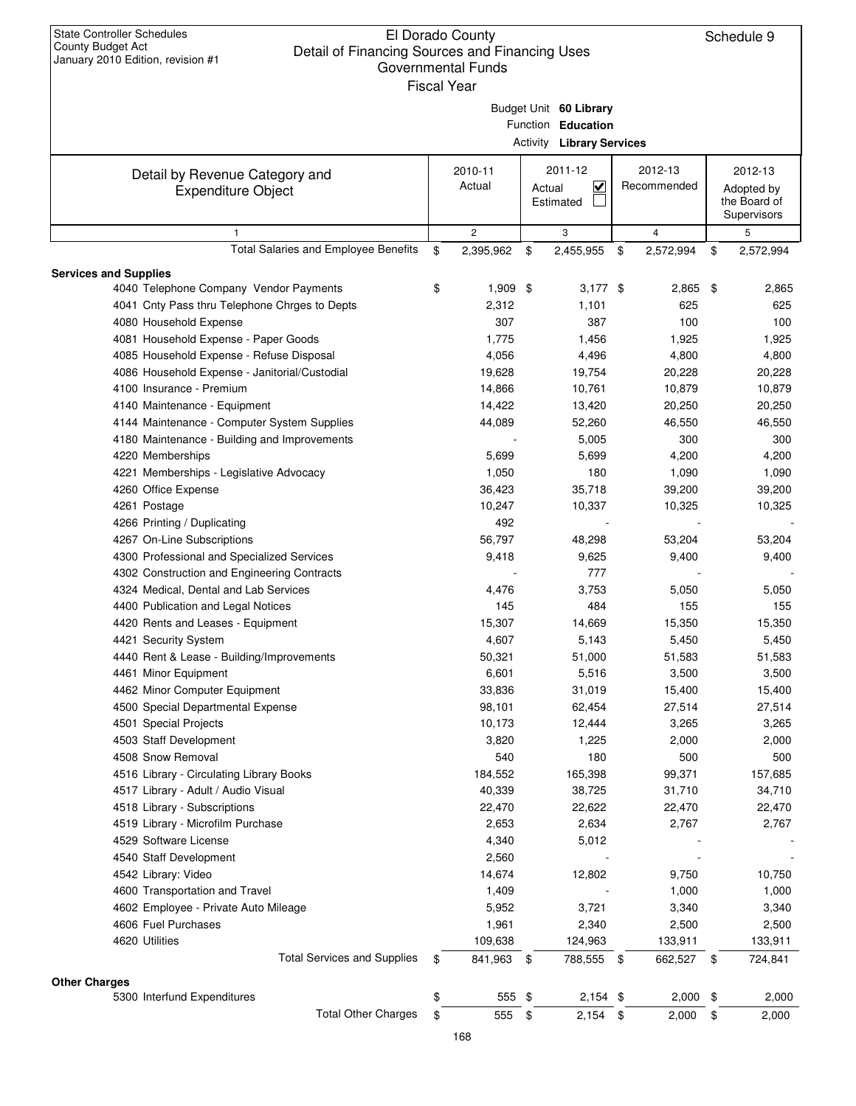| Fiscal Year |
|-------------|
|             |
|             |

| 2011-12<br>2012-13<br>2010-11<br>2012-13<br>Detail by Revenue Category and<br>Actual<br>$\overline{\mathbf{v}}$<br>Recommended<br>Actual<br>Adopted by<br><b>Expenditure Object</b><br>Estimated<br>the Board of<br>Supervisors<br>$\mathbf{2}$<br>5<br>3<br>4<br>$\mathbf{1}$<br>Total Salaries and Employee Benefits<br>\$<br>2,395,962<br>\$<br>2,455,955<br>\$<br>2,572,994<br>\$<br>2,572,994<br><b>Services and Supplies</b><br>4040 Telephone Company Vendor Payments<br>\$<br>$1,909$ \$<br>$3,177$ \$<br>$2,865$ \$<br>2,865<br>4041 Cnty Pass thru Telephone Chrges to Depts<br>2,312<br>1,101<br>625<br>625<br>307<br>4080 Household Expense<br>387<br>100<br>100<br>4081 Household Expense - Paper Goods<br>1,775<br>1,456<br>1,925<br>1,925<br>4085 Household Expense - Refuse Disposal<br>4,056<br>4,496<br>4,800<br>4,800<br>4086 Household Expense - Janitorial/Custodial<br>19,628<br>19,754<br>20,228<br>20,228<br>4100 Insurance - Premium<br>14,866<br>10,761<br>10,879<br>10,879<br>20,250<br>4140 Maintenance - Equipment<br>14,422<br>13,420<br>20,250<br>4144 Maintenance - Computer System Supplies<br>44,089<br>52,260<br>46,550<br>46,550<br>4180 Maintenance - Building and Improvements<br>5,005<br>300<br>300<br>4220 Memberships<br>4,200<br>5,699<br>5,699<br>4,200<br>4221 Memberships - Legislative Advocacy<br>1,050<br>180<br>1,090<br>1,090<br>4260 Office Expense<br>35,718<br>36,423<br>39,200<br>39,200<br>4261 Postage<br>10,247<br>10,337<br>10,325<br>10,325<br>492<br>4266 Printing / Duplicating<br>4267 On-Line Subscriptions<br>56,797<br>48,298<br>53,204<br>53,204<br>4300 Professional and Specialized Services<br>9,418<br>9,625<br>9,400<br>9,400<br>4302 Construction and Engineering Contracts<br>777<br>4324 Medical, Dental and Lab Services<br>3,753<br>4,476<br>5,050<br>5,050<br>145<br>484<br>155<br>4400 Publication and Legal Notices<br>155<br>4420 Rents and Leases - Equipment<br>15,307<br>15,350<br>14,669<br>15,350<br>4,607<br>4421 Security System<br>5,143<br>5,450<br>5,450<br>4440 Rent & Lease - Building/Improvements<br>50,321<br>51,000<br>51,583<br>51,583<br>4461 Minor Equipment<br>6,601<br>5,516<br>3,500<br>3,500<br>4462 Minor Computer Equipment<br>33,836<br>31,019<br>15,400<br>15,400<br>27,514<br>4500 Special Departmental Expense<br>98,101<br>62,454<br>27,514<br>10,173<br>4501 Special Projects<br>12,444<br>3,265<br>3,265<br>4503 Staff Development<br>3,820<br>1,225<br>2,000<br>2,000<br>4508 Snow Removal<br>540<br>180<br>500<br>500<br>4516 Library - Circulating Library Books<br>184,552<br>165,398<br>99,371<br>157,685<br>4517 Library - Adult / Audio Visual<br>40,339<br>38,725<br>31,710<br>34,710<br>22,470<br>22,622<br>4518 Library - Subscriptions<br>22,470<br>22,470<br>4519 Library - Microfilm Purchase<br>2,767<br>2,653<br>2,634<br>2,767<br>4529 Software License<br>4,340<br>5,012<br>4540 Staff Development<br>2,560<br>4542 Library: Video<br>14,674<br>12,802<br>10,750<br>9,750<br>4600 Transportation and Travel<br>1,409<br>1,000<br>1,000<br>4602 Employee - Private Auto Mileage<br>5,952<br>3,721<br>3,340<br>3,340<br>4606 Fuel Purchases<br>1,961<br>2,500<br>2,340<br>2,500<br>4620 Utilities<br>109,638<br>133,911<br>124,963<br>133,911<br><b>Total Services and Supplies</b><br>841,963 \$<br>788,555 \$<br>662,527 \$<br>724,841<br>\$<br><b>Other Charges</b><br>5300 Interfund Expenditures<br>\$<br>2,000<br>555 \$<br>$2,154$ \$<br>$2,000$ \$<br><b>Total Other Charges</b><br>\$<br>555<br>\$<br>2,154<br>\$<br>2,000<br>\$<br>2,000<br>168 |  |  | Budget Unit 60 Library<br>Function Education<br><b>Activity Library Services</b> |  |  |  |  |
|-------------------------------------------------------------------------------------------------------------------------------------------------------------------------------------------------------------------------------------------------------------------------------------------------------------------------------------------------------------------------------------------------------------------------------------------------------------------------------------------------------------------------------------------------------------------------------------------------------------------------------------------------------------------------------------------------------------------------------------------------------------------------------------------------------------------------------------------------------------------------------------------------------------------------------------------------------------------------------------------------------------------------------------------------------------------------------------------------------------------------------------------------------------------------------------------------------------------------------------------------------------------------------------------------------------------------------------------------------------------------------------------------------------------------------------------------------------------------------------------------------------------------------------------------------------------------------------------------------------------------------------------------------------------------------------------------------------------------------------------------------------------------------------------------------------------------------------------------------------------------------------------------------------------------------------------------------------------------------------------------------------------------------------------------------------------------------------------------------------------------------------------------------------------------------------------------------------------------------------------------------------------------------------------------------------------------------------------------------------------------------------------------------------------------------------------------------------------------------------------------------------------------------------------------------------------------------------------------------------------------------------------------------------------------------------------------------------------------------------------------------------------------------------------------------------------------------------------------------------------------------------------------------------------------------------------------------------------------------------------------------------------------------------------------------------------------------------------------------------------------------------------------------------------------------------------------------------------------------------------------------------------------------------------------------------------------------------------------------------------------------------------------------------------------------------------------------------------------------------------------------------------------------------------------------------------------------------------|--|--|----------------------------------------------------------------------------------|--|--|--|--|
|                                                                                                                                                                                                                                                                                                                                                                                                                                                                                                                                                                                                                                                                                                                                                                                                                                                                                                                                                                                                                                                                                                                                                                                                                                                                                                                                                                                                                                                                                                                                                                                                                                                                                                                                                                                                                                                                                                                                                                                                                                                                                                                                                                                                                                                                                                                                                                                                                                                                                                                                                                                                                                                                                                                                                                                                                                                                                                                                                                                                                                                                                                                                                                                                                                                                                                                                                                                                                                                                                                                                                                                           |  |  |                                                                                  |  |  |  |  |
|                                                                                                                                                                                                                                                                                                                                                                                                                                                                                                                                                                                                                                                                                                                                                                                                                                                                                                                                                                                                                                                                                                                                                                                                                                                                                                                                                                                                                                                                                                                                                                                                                                                                                                                                                                                                                                                                                                                                                                                                                                                                                                                                                                                                                                                                                                                                                                                                                                                                                                                                                                                                                                                                                                                                                                                                                                                                                                                                                                                                                                                                                                                                                                                                                                                                                                                                                                                                                                                                                                                                                                                           |  |  |                                                                                  |  |  |  |  |
|                                                                                                                                                                                                                                                                                                                                                                                                                                                                                                                                                                                                                                                                                                                                                                                                                                                                                                                                                                                                                                                                                                                                                                                                                                                                                                                                                                                                                                                                                                                                                                                                                                                                                                                                                                                                                                                                                                                                                                                                                                                                                                                                                                                                                                                                                                                                                                                                                                                                                                                                                                                                                                                                                                                                                                                                                                                                                                                                                                                                                                                                                                                                                                                                                                                                                                                                                                                                                                                                                                                                                                                           |  |  |                                                                                  |  |  |  |  |
|                                                                                                                                                                                                                                                                                                                                                                                                                                                                                                                                                                                                                                                                                                                                                                                                                                                                                                                                                                                                                                                                                                                                                                                                                                                                                                                                                                                                                                                                                                                                                                                                                                                                                                                                                                                                                                                                                                                                                                                                                                                                                                                                                                                                                                                                                                                                                                                                                                                                                                                                                                                                                                                                                                                                                                                                                                                                                                                                                                                                                                                                                                                                                                                                                                                                                                                                                                                                                                                                                                                                                                                           |  |  |                                                                                  |  |  |  |  |
|                                                                                                                                                                                                                                                                                                                                                                                                                                                                                                                                                                                                                                                                                                                                                                                                                                                                                                                                                                                                                                                                                                                                                                                                                                                                                                                                                                                                                                                                                                                                                                                                                                                                                                                                                                                                                                                                                                                                                                                                                                                                                                                                                                                                                                                                                                                                                                                                                                                                                                                                                                                                                                                                                                                                                                                                                                                                                                                                                                                                                                                                                                                                                                                                                                                                                                                                                                                                                                                                                                                                                                                           |  |  |                                                                                  |  |  |  |  |
|                                                                                                                                                                                                                                                                                                                                                                                                                                                                                                                                                                                                                                                                                                                                                                                                                                                                                                                                                                                                                                                                                                                                                                                                                                                                                                                                                                                                                                                                                                                                                                                                                                                                                                                                                                                                                                                                                                                                                                                                                                                                                                                                                                                                                                                                                                                                                                                                                                                                                                                                                                                                                                                                                                                                                                                                                                                                                                                                                                                                                                                                                                                                                                                                                                                                                                                                                                                                                                                                                                                                                                                           |  |  |                                                                                  |  |  |  |  |
|                                                                                                                                                                                                                                                                                                                                                                                                                                                                                                                                                                                                                                                                                                                                                                                                                                                                                                                                                                                                                                                                                                                                                                                                                                                                                                                                                                                                                                                                                                                                                                                                                                                                                                                                                                                                                                                                                                                                                                                                                                                                                                                                                                                                                                                                                                                                                                                                                                                                                                                                                                                                                                                                                                                                                                                                                                                                                                                                                                                                                                                                                                                                                                                                                                                                                                                                                                                                                                                                                                                                                                                           |  |  |                                                                                  |  |  |  |  |
|                                                                                                                                                                                                                                                                                                                                                                                                                                                                                                                                                                                                                                                                                                                                                                                                                                                                                                                                                                                                                                                                                                                                                                                                                                                                                                                                                                                                                                                                                                                                                                                                                                                                                                                                                                                                                                                                                                                                                                                                                                                                                                                                                                                                                                                                                                                                                                                                                                                                                                                                                                                                                                                                                                                                                                                                                                                                                                                                                                                                                                                                                                                                                                                                                                                                                                                                                                                                                                                                                                                                                                                           |  |  |                                                                                  |  |  |  |  |
|                                                                                                                                                                                                                                                                                                                                                                                                                                                                                                                                                                                                                                                                                                                                                                                                                                                                                                                                                                                                                                                                                                                                                                                                                                                                                                                                                                                                                                                                                                                                                                                                                                                                                                                                                                                                                                                                                                                                                                                                                                                                                                                                                                                                                                                                                                                                                                                                                                                                                                                                                                                                                                                                                                                                                                                                                                                                                                                                                                                                                                                                                                                                                                                                                                                                                                                                                                                                                                                                                                                                                                                           |  |  |                                                                                  |  |  |  |  |
|                                                                                                                                                                                                                                                                                                                                                                                                                                                                                                                                                                                                                                                                                                                                                                                                                                                                                                                                                                                                                                                                                                                                                                                                                                                                                                                                                                                                                                                                                                                                                                                                                                                                                                                                                                                                                                                                                                                                                                                                                                                                                                                                                                                                                                                                                                                                                                                                                                                                                                                                                                                                                                                                                                                                                                                                                                                                                                                                                                                                                                                                                                                                                                                                                                                                                                                                                                                                                                                                                                                                                                                           |  |  |                                                                                  |  |  |  |  |
|                                                                                                                                                                                                                                                                                                                                                                                                                                                                                                                                                                                                                                                                                                                                                                                                                                                                                                                                                                                                                                                                                                                                                                                                                                                                                                                                                                                                                                                                                                                                                                                                                                                                                                                                                                                                                                                                                                                                                                                                                                                                                                                                                                                                                                                                                                                                                                                                                                                                                                                                                                                                                                                                                                                                                                                                                                                                                                                                                                                                                                                                                                                                                                                                                                                                                                                                                                                                                                                                                                                                                                                           |  |  |                                                                                  |  |  |  |  |
|                                                                                                                                                                                                                                                                                                                                                                                                                                                                                                                                                                                                                                                                                                                                                                                                                                                                                                                                                                                                                                                                                                                                                                                                                                                                                                                                                                                                                                                                                                                                                                                                                                                                                                                                                                                                                                                                                                                                                                                                                                                                                                                                                                                                                                                                                                                                                                                                                                                                                                                                                                                                                                                                                                                                                                                                                                                                                                                                                                                                                                                                                                                                                                                                                                                                                                                                                                                                                                                                                                                                                                                           |  |  |                                                                                  |  |  |  |  |
|                                                                                                                                                                                                                                                                                                                                                                                                                                                                                                                                                                                                                                                                                                                                                                                                                                                                                                                                                                                                                                                                                                                                                                                                                                                                                                                                                                                                                                                                                                                                                                                                                                                                                                                                                                                                                                                                                                                                                                                                                                                                                                                                                                                                                                                                                                                                                                                                                                                                                                                                                                                                                                                                                                                                                                                                                                                                                                                                                                                                                                                                                                                                                                                                                                                                                                                                                                                                                                                                                                                                                                                           |  |  |                                                                                  |  |  |  |  |
|                                                                                                                                                                                                                                                                                                                                                                                                                                                                                                                                                                                                                                                                                                                                                                                                                                                                                                                                                                                                                                                                                                                                                                                                                                                                                                                                                                                                                                                                                                                                                                                                                                                                                                                                                                                                                                                                                                                                                                                                                                                                                                                                                                                                                                                                                                                                                                                                                                                                                                                                                                                                                                                                                                                                                                                                                                                                                                                                                                                                                                                                                                                                                                                                                                                                                                                                                                                                                                                                                                                                                                                           |  |  |                                                                                  |  |  |  |  |
|                                                                                                                                                                                                                                                                                                                                                                                                                                                                                                                                                                                                                                                                                                                                                                                                                                                                                                                                                                                                                                                                                                                                                                                                                                                                                                                                                                                                                                                                                                                                                                                                                                                                                                                                                                                                                                                                                                                                                                                                                                                                                                                                                                                                                                                                                                                                                                                                                                                                                                                                                                                                                                                                                                                                                                                                                                                                                                                                                                                                                                                                                                                                                                                                                                                                                                                                                                                                                                                                                                                                                                                           |  |  |                                                                                  |  |  |  |  |
|                                                                                                                                                                                                                                                                                                                                                                                                                                                                                                                                                                                                                                                                                                                                                                                                                                                                                                                                                                                                                                                                                                                                                                                                                                                                                                                                                                                                                                                                                                                                                                                                                                                                                                                                                                                                                                                                                                                                                                                                                                                                                                                                                                                                                                                                                                                                                                                                                                                                                                                                                                                                                                                                                                                                                                                                                                                                                                                                                                                                                                                                                                                                                                                                                                                                                                                                                                                                                                                                                                                                                                                           |  |  |                                                                                  |  |  |  |  |
|                                                                                                                                                                                                                                                                                                                                                                                                                                                                                                                                                                                                                                                                                                                                                                                                                                                                                                                                                                                                                                                                                                                                                                                                                                                                                                                                                                                                                                                                                                                                                                                                                                                                                                                                                                                                                                                                                                                                                                                                                                                                                                                                                                                                                                                                                                                                                                                                                                                                                                                                                                                                                                                                                                                                                                                                                                                                                                                                                                                                                                                                                                                                                                                                                                                                                                                                                                                                                                                                                                                                                                                           |  |  |                                                                                  |  |  |  |  |
|                                                                                                                                                                                                                                                                                                                                                                                                                                                                                                                                                                                                                                                                                                                                                                                                                                                                                                                                                                                                                                                                                                                                                                                                                                                                                                                                                                                                                                                                                                                                                                                                                                                                                                                                                                                                                                                                                                                                                                                                                                                                                                                                                                                                                                                                                                                                                                                                                                                                                                                                                                                                                                                                                                                                                                                                                                                                                                                                                                                                                                                                                                                                                                                                                                                                                                                                                                                                                                                                                                                                                                                           |  |  |                                                                                  |  |  |  |  |
|                                                                                                                                                                                                                                                                                                                                                                                                                                                                                                                                                                                                                                                                                                                                                                                                                                                                                                                                                                                                                                                                                                                                                                                                                                                                                                                                                                                                                                                                                                                                                                                                                                                                                                                                                                                                                                                                                                                                                                                                                                                                                                                                                                                                                                                                                                                                                                                                                                                                                                                                                                                                                                                                                                                                                                                                                                                                                                                                                                                                                                                                                                                                                                                                                                                                                                                                                                                                                                                                                                                                                                                           |  |  |                                                                                  |  |  |  |  |
|                                                                                                                                                                                                                                                                                                                                                                                                                                                                                                                                                                                                                                                                                                                                                                                                                                                                                                                                                                                                                                                                                                                                                                                                                                                                                                                                                                                                                                                                                                                                                                                                                                                                                                                                                                                                                                                                                                                                                                                                                                                                                                                                                                                                                                                                                                                                                                                                                                                                                                                                                                                                                                                                                                                                                                                                                                                                                                                                                                                                                                                                                                                                                                                                                                                                                                                                                                                                                                                                                                                                                                                           |  |  |                                                                                  |  |  |  |  |
|                                                                                                                                                                                                                                                                                                                                                                                                                                                                                                                                                                                                                                                                                                                                                                                                                                                                                                                                                                                                                                                                                                                                                                                                                                                                                                                                                                                                                                                                                                                                                                                                                                                                                                                                                                                                                                                                                                                                                                                                                                                                                                                                                                                                                                                                                                                                                                                                                                                                                                                                                                                                                                                                                                                                                                                                                                                                                                                                                                                                                                                                                                                                                                                                                                                                                                                                                                                                                                                                                                                                                                                           |  |  |                                                                                  |  |  |  |  |
|                                                                                                                                                                                                                                                                                                                                                                                                                                                                                                                                                                                                                                                                                                                                                                                                                                                                                                                                                                                                                                                                                                                                                                                                                                                                                                                                                                                                                                                                                                                                                                                                                                                                                                                                                                                                                                                                                                                                                                                                                                                                                                                                                                                                                                                                                                                                                                                                                                                                                                                                                                                                                                                                                                                                                                                                                                                                                                                                                                                                                                                                                                                                                                                                                                                                                                                                                                                                                                                                                                                                                                                           |  |  |                                                                                  |  |  |  |  |
|                                                                                                                                                                                                                                                                                                                                                                                                                                                                                                                                                                                                                                                                                                                                                                                                                                                                                                                                                                                                                                                                                                                                                                                                                                                                                                                                                                                                                                                                                                                                                                                                                                                                                                                                                                                                                                                                                                                                                                                                                                                                                                                                                                                                                                                                                                                                                                                                                                                                                                                                                                                                                                                                                                                                                                                                                                                                                                                                                                                                                                                                                                                                                                                                                                                                                                                                                                                                                                                                                                                                                                                           |  |  |                                                                                  |  |  |  |  |
|                                                                                                                                                                                                                                                                                                                                                                                                                                                                                                                                                                                                                                                                                                                                                                                                                                                                                                                                                                                                                                                                                                                                                                                                                                                                                                                                                                                                                                                                                                                                                                                                                                                                                                                                                                                                                                                                                                                                                                                                                                                                                                                                                                                                                                                                                                                                                                                                                                                                                                                                                                                                                                                                                                                                                                                                                                                                                                                                                                                                                                                                                                                                                                                                                                                                                                                                                                                                                                                                                                                                                                                           |  |  |                                                                                  |  |  |  |  |
|                                                                                                                                                                                                                                                                                                                                                                                                                                                                                                                                                                                                                                                                                                                                                                                                                                                                                                                                                                                                                                                                                                                                                                                                                                                                                                                                                                                                                                                                                                                                                                                                                                                                                                                                                                                                                                                                                                                                                                                                                                                                                                                                                                                                                                                                                                                                                                                                                                                                                                                                                                                                                                                                                                                                                                                                                                                                                                                                                                                                                                                                                                                                                                                                                                                                                                                                                                                                                                                                                                                                                                                           |  |  |                                                                                  |  |  |  |  |
|                                                                                                                                                                                                                                                                                                                                                                                                                                                                                                                                                                                                                                                                                                                                                                                                                                                                                                                                                                                                                                                                                                                                                                                                                                                                                                                                                                                                                                                                                                                                                                                                                                                                                                                                                                                                                                                                                                                                                                                                                                                                                                                                                                                                                                                                                                                                                                                                                                                                                                                                                                                                                                                                                                                                                                                                                                                                                                                                                                                                                                                                                                                                                                                                                                                                                                                                                                                                                                                                                                                                                                                           |  |  |                                                                                  |  |  |  |  |
|                                                                                                                                                                                                                                                                                                                                                                                                                                                                                                                                                                                                                                                                                                                                                                                                                                                                                                                                                                                                                                                                                                                                                                                                                                                                                                                                                                                                                                                                                                                                                                                                                                                                                                                                                                                                                                                                                                                                                                                                                                                                                                                                                                                                                                                                                                                                                                                                                                                                                                                                                                                                                                                                                                                                                                                                                                                                                                                                                                                                                                                                                                                                                                                                                                                                                                                                                                                                                                                                                                                                                                                           |  |  |                                                                                  |  |  |  |  |
|                                                                                                                                                                                                                                                                                                                                                                                                                                                                                                                                                                                                                                                                                                                                                                                                                                                                                                                                                                                                                                                                                                                                                                                                                                                                                                                                                                                                                                                                                                                                                                                                                                                                                                                                                                                                                                                                                                                                                                                                                                                                                                                                                                                                                                                                                                                                                                                                                                                                                                                                                                                                                                                                                                                                                                                                                                                                                                                                                                                                                                                                                                                                                                                                                                                                                                                                                                                                                                                                                                                                                                                           |  |  |                                                                                  |  |  |  |  |
|                                                                                                                                                                                                                                                                                                                                                                                                                                                                                                                                                                                                                                                                                                                                                                                                                                                                                                                                                                                                                                                                                                                                                                                                                                                                                                                                                                                                                                                                                                                                                                                                                                                                                                                                                                                                                                                                                                                                                                                                                                                                                                                                                                                                                                                                                                                                                                                                                                                                                                                                                                                                                                                                                                                                                                                                                                                                                                                                                                                                                                                                                                                                                                                                                                                                                                                                                                                                                                                                                                                                                                                           |  |  |                                                                                  |  |  |  |  |
|                                                                                                                                                                                                                                                                                                                                                                                                                                                                                                                                                                                                                                                                                                                                                                                                                                                                                                                                                                                                                                                                                                                                                                                                                                                                                                                                                                                                                                                                                                                                                                                                                                                                                                                                                                                                                                                                                                                                                                                                                                                                                                                                                                                                                                                                                                                                                                                                                                                                                                                                                                                                                                                                                                                                                                                                                                                                                                                                                                                                                                                                                                                                                                                                                                                                                                                                                                                                                                                                                                                                                                                           |  |  |                                                                                  |  |  |  |  |
|                                                                                                                                                                                                                                                                                                                                                                                                                                                                                                                                                                                                                                                                                                                                                                                                                                                                                                                                                                                                                                                                                                                                                                                                                                                                                                                                                                                                                                                                                                                                                                                                                                                                                                                                                                                                                                                                                                                                                                                                                                                                                                                                                                                                                                                                                                                                                                                                                                                                                                                                                                                                                                                                                                                                                                                                                                                                                                                                                                                                                                                                                                                                                                                                                                                                                                                                                                                                                                                                                                                                                                                           |  |  |                                                                                  |  |  |  |  |
|                                                                                                                                                                                                                                                                                                                                                                                                                                                                                                                                                                                                                                                                                                                                                                                                                                                                                                                                                                                                                                                                                                                                                                                                                                                                                                                                                                                                                                                                                                                                                                                                                                                                                                                                                                                                                                                                                                                                                                                                                                                                                                                                                                                                                                                                                                                                                                                                                                                                                                                                                                                                                                                                                                                                                                                                                                                                                                                                                                                                                                                                                                                                                                                                                                                                                                                                                                                                                                                                                                                                                                                           |  |  |                                                                                  |  |  |  |  |
|                                                                                                                                                                                                                                                                                                                                                                                                                                                                                                                                                                                                                                                                                                                                                                                                                                                                                                                                                                                                                                                                                                                                                                                                                                                                                                                                                                                                                                                                                                                                                                                                                                                                                                                                                                                                                                                                                                                                                                                                                                                                                                                                                                                                                                                                                                                                                                                                                                                                                                                                                                                                                                                                                                                                                                                                                                                                                                                                                                                                                                                                                                                                                                                                                                                                                                                                                                                                                                                                                                                                                                                           |  |  |                                                                                  |  |  |  |  |
|                                                                                                                                                                                                                                                                                                                                                                                                                                                                                                                                                                                                                                                                                                                                                                                                                                                                                                                                                                                                                                                                                                                                                                                                                                                                                                                                                                                                                                                                                                                                                                                                                                                                                                                                                                                                                                                                                                                                                                                                                                                                                                                                                                                                                                                                                                                                                                                                                                                                                                                                                                                                                                                                                                                                                                                                                                                                                                                                                                                                                                                                                                                                                                                                                                                                                                                                                                                                                                                                                                                                                                                           |  |  |                                                                                  |  |  |  |  |
|                                                                                                                                                                                                                                                                                                                                                                                                                                                                                                                                                                                                                                                                                                                                                                                                                                                                                                                                                                                                                                                                                                                                                                                                                                                                                                                                                                                                                                                                                                                                                                                                                                                                                                                                                                                                                                                                                                                                                                                                                                                                                                                                                                                                                                                                                                                                                                                                                                                                                                                                                                                                                                                                                                                                                                                                                                                                                                                                                                                                                                                                                                                                                                                                                                                                                                                                                                                                                                                                                                                                                                                           |  |  |                                                                                  |  |  |  |  |
|                                                                                                                                                                                                                                                                                                                                                                                                                                                                                                                                                                                                                                                                                                                                                                                                                                                                                                                                                                                                                                                                                                                                                                                                                                                                                                                                                                                                                                                                                                                                                                                                                                                                                                                                                                                                                                                                                                                                                                                                                                                                                                                                                                                                                                                                                                                                                                                                                                                                                                                                                                                                                                                                                                                                                                                                                                                                                                                                                                                                                                                                                                                                                                                                                                                                                                                                                                                                                                                                                                                                                                                           |  |  |                                                                                  |  |  |  |  |
|                                                                                                                                                                                                                                                                                                                                                                                                                                                                                                                                                                                                                                                                                                                                                                                                                                                                                                                                                                                                                                                                                                                                                                                                                                                                                                                                                                                                                                                                                                                                                                                                                                                                                                                                                                                                                                                                                                                                                                                                                                                                                                                                                                                                                                                                                                                                                                                                                                                                                                                                                                                                                                                                                                                                                                                                                                                                                                                                                                                                                                                                                                                                                                                                                                                                                                                                                                                                                                                                                                                                                                                           |  |  |                                                                                  |  |  |  |  |
|                                                                                                                                                                                                                                                                                                                                                                                                                                                                                                                                                                                                                                                                                                                                                                                                                                                                                                                                                                                                                                                                                                                                                                                                                                                                                                                                                                                                                                                                                                                                                                                                                                                                                                                                                                                                                                                                                                                                                                                                                                                                                                                                                                                                                                                                                                                                                                                                                                                                                                                                                                                                                                                                                                                                                                                                                                                                                                                                                                                                                                                                                                                                                                                                                                                                                                                                                                                                                                                                                                                                                                                           |  |  |                                                                                  |  |  |  |  |
|                                                                                                                                                                                                                                                                                                                                                                                                                                                                                                                                                                                                                                                                                                                                                                                                                                                                                                                                                                                                                                                                                                                                                                                                                                                                                                                                                                                                                                                                                                                                                                                                                                                                                                                                                                                                                                                                                                                                                                                                                                                                                                                                                                                                                                                                                                                                                                                                                                                                                                                                                                                                                                                                                                                                                                                                                                                                                                                                                                                                                                                                                                                                                                                                                                                                                                                                                                                                                                                                                                                                                                                           |  |  |                                                                                  |  |  |  |  |
|                                                                                                                                                                                                                                                                                                                                                                                                                                                                                                                                                                                                                                                                                                                                                                                                                                                                                                                                                                                                                                                                                                                                                                                                                                                                                                                                                                                                                                                                                                                                                                                                                                                                                                                                                                                                                                                                                                                                                                                                                                                                                                                                                                                                                                                                                                                                                                                                                                                                                                                                                                                                                                                                                                                                                                                                                                                                                                                                                                                                                                                                                                                                                                                                                                                                                                                                                                                                                                                                                                                                                                                           |  |  |                                                                                  |  |  |  |  |
|                                                                                                                                                                                                                                                                                                                                                                                                                                                                                                                                                                                                                                                                                                                                                                                                                                                                                                                                                                                                                                                                                                                                                                                                                                                                                                                                                                                                                                                                                                                                                                                                                                                                                                                                                                                                                                                                                                                                                                                                                                                                                                                                                                                                                                                                                                                                                                                                                                                                                                                                                                                                                                                                                                                                                                                                                                                                                                                                                                                                                                                                                                                                                                                                                                                                                                                                                                                                                                                                                                                                                                                           |  |  |                                                                                  |  |  |  |  |
|                                                                                                                                                                                                                                                                                                                                                                                                                                                                                                                                                                                                                                                                                                                                                                                                                                                                                                                                                                                                                                                                                                                                                                                                                                                                                                                                                                                                                                                                                                                                                                                                                                                                                                                                                                                                                                                                                                                                                                                                                                                                                                                                                                                                                                                                                                                                                                                                                                                                                                                                                                                                                                                                                                                                                                                                                                                                                                                                                                                                                                                                                                                                                                                                                                                                                                                                                                                                                                                                                                                                                                                           |  |  |                                                                                  |  |  |  |  |
|                                                                                                                                                                                                                                                                                                                                                                                                                                                                                                                                                                                                                                                                                                                                                                                                                                                                                                                                                                                                                                                                                                                                                                                                                                                                                                                                                                                                                                                                                                                                                                                                                                                                                                                                                                                                                                                                                                                                                                                                                                                                                                                                                                                                                                                                                                                                                                                                                                                                                                                                                                                                                                                                                                                                                                                                                                                                                                                                                                                                                                                                                                                                                                                                                                                                                                                                                                                                                                                                                                                                                                                           |  |  |                                                                                  |  |  |  |  |
|                                                                                                                                                                                                                                                                                                                                                                                                                                                                                                                                                                                                                                                                                                                                                                                                                                                                                                                                                                                                                                                                                                                                                                                                                                                                                                                                                                                                                                                                                                                                                                                                                                                                                                                                                                                                                                                                                                                                                                                                                                                                                                                                                                                                                                                                                                                                                                                                                                                                                                                                                                                                                                                                                                                                                                                                                                                                                                                                                                                                                                                                                                                                                                                                                                                                                                                                                                                                                                                                                                                                                                                           |  |  |                                                                                  |  |  |  |  |
|                                                                                                                                                                                                                                                                                                                                                                                                                                                                                                                                                                                                                                                                                                                                                                                                                                                                                                                                                                                                                                                                                                                                                                                                                                                                                                                                                                                                                                                                                                                                                                                                                                                                                                                                                                                                                                                                                                                                                                                                                                                                                                                                                                                                                                                                                                                                                                                                                                                                                                                                                                                                                                                                                                                                                                                                                                                                                                                                                                                                                                                                                                                                                                                                                                                                                                                                                                                                                                                                                                                                                                                           |  |  |                                                                                  |  |  |  |  |
|                                                                                                                                                                                                                                                                                                                                                                                                                                                                                                                                                                                                                                                                                                                                                                                                                                                                                                                                                                                                                                                                                                                                                                                                                                                                                                                                                                                                                                                                                                                                                                                                                                                                                                                                                                                                                                                                                                                                                                                                                                                                                                                                                                                                                                                                                                                                                                                                                                                                                                                                                                                                                                                                                                                                                                                                                                                                                                                                                                                                                                                                                                                                                                                                                                                                                                                                                                                                                                                                                                                                                                                           |  |  |                                                                                  |  |  |  |  |
|                                                                                                                                                                                                                                                                                                                                                                                                                                                                                                                                                                                                                                                                                                                                                                                                                                                                                                                                                                                                                                                                                                                                                                                                                                                                                                                                                                                                                                                                                                                                                                                                                                                                                                                                                                                                                                                                                                                                                                                                                                                                                                                                                                                                                                                                                                                                                                                                                                                                                                                                                                                                                                                                                                                                                                                                                                                                                                                                                                                                                                                                                                                                                                                                                                                                                                                                                                                                                                                                                                                                                                                           |  |  |                                                                                  |  |  |  |  |
|                                                                                                                                                                                                                                                                                                                                                                                                                                                                                                                                                                                                                                                                                                                                                                                                                                                                                                                                                                                                                                                                                                                                                                                                                                                                                                                                                                                                                                                                                                                                                                                                                                                                                                                                                                                                                                                                                                                                                                                                                                                                                                                                                                                                                                                                                                                                                                                                                                                                                                                                                                                                                                                                                                                                                                                                                                                                                                                                                                                                                                                                                                                                                                                                                                                                                                                                                                                                                                                                                                                                                                                           |  |  |                                                                                  |  |  |  |  |
|                                                                                                                                                                                                                                                                                                                                                                                                                                                                                                                                                                                                                                                                                                                                                                                                                                                                                                                                                                                                                                                                                                                                                                                                                                                                                                                                                                                                                                                                                                                                                                                                                                                                                                                                                                                                                                                                                                                                                                                                                                                                                                                                                                                                                                                                                                                                                                                                                                                                                                                                                                                                                                                                                                                                                                                                                                                                                                                                                                                                                                                                                                                                                                                                                                                                                                                                                                                                                                                                                                                                                                                           |  |  |                                                                                  |  |  |  |  |
|                                                                                                                                                                                                                                                                                                                                                                                                                                                                                                                                                                                                                                                                                                                                                                                                                                                                                                                                                                                                                                                                                                                                                                                                                                                                                                                                                                                                                                                                                                                                                                                                                                                                                                                                                                                                                                                                                                                                                                                                                                                                                                                                                                                                                                                                                                                                                                                                                                                                                                                                                                                                                                                                                                                                                                                                                                                                                                                                                                                                                                                                                                                                                                                                                                                                                                                                                                                                                                                                                                                                                                                           |  |  |                                                                                  |  |  |  |  |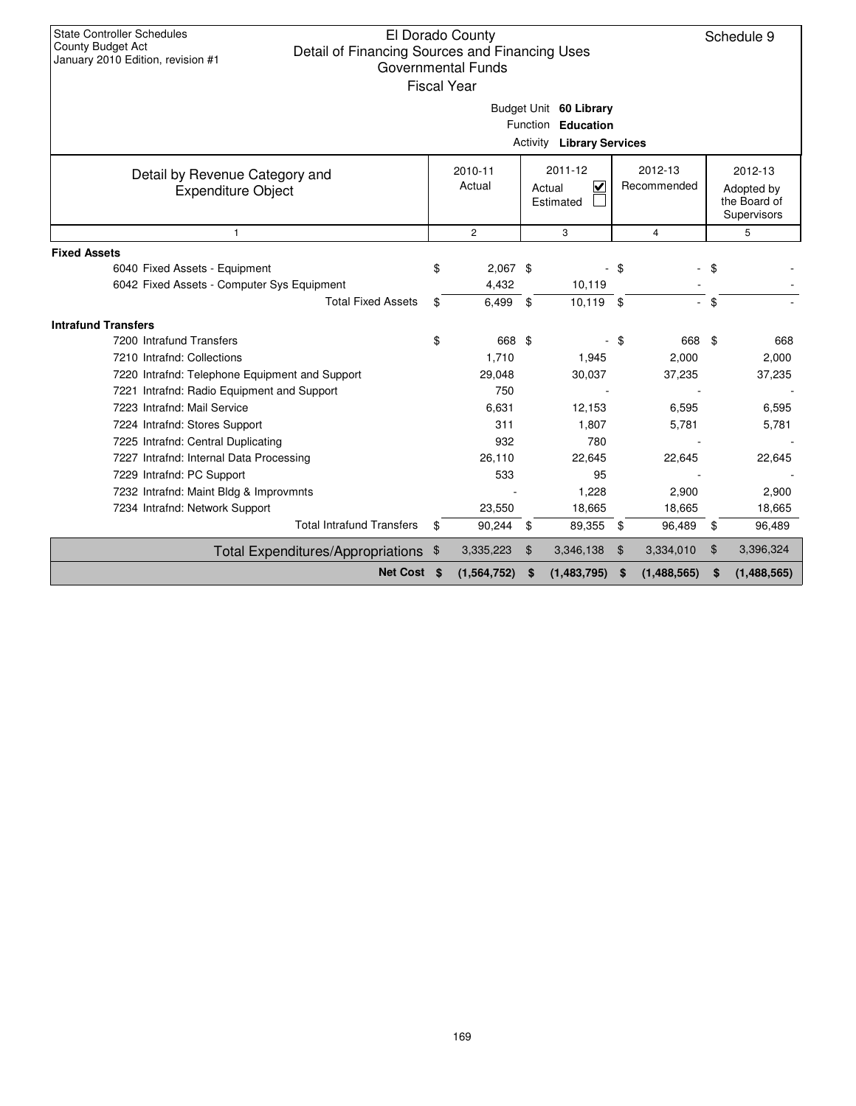| <b>State Controller Schedules</b><br>El Dorado County<br>Schedule 9<br><b>County Budget Act</b><br>Detail of Financing Sources and Financing Uses<br>January 2010 Edition, revision #1<br><b>Governmental Funds</b><br><b>Fiscal Year</b>                                                                                                                                                                                                            |          |                                                                                                 |      |                                                                                           |                |                                                                                    |          |                                                                                 |  |
|------------------------------------------------------------------------------------------------------------------------------------------------------------------------------------------------------------------------------------------------------------------------------------------------------------------------------------------------------------------------------------------------------------------------------------------------------|----------|-------------------------------------------------------------------------------------------------|------|-------------------------------------------------------------------------------------------|----------------|------------------------------------------------------------------------------------|----------|---------------------------------------------------------------------------------|--|
| Budget Unit 60 Library<br>Function Education<br><b>Activity Library Services</b>                                                                                                                                                                                                                                                                                                                                                                     |          |                                                                                                 |      |                                                                                           |                |                                                                                    |          |                                                                                 |  |
| 2011-12<br>2012-13<br>2010-11<br>Detail by Revenue Category and<br>Actual<br>$\checkmark$<br>Recommended<br>Actual<br><b>Expenditure Object</b><br>Estimated                                                                                                                                                                                                                                                                                         |          |                                                                                                 |      |                                                                                           |                |                                                                                    |          | 2012-13<br>Adopted by<br>the Board of<br>Supervisors                            |  |
| 1                                                                                                                                                                                                                                                                                                                                                                                                                                                    |          | $\overline{c}$                                                                                  |      | 3                                                                                         |                | $\overline{4}$                                                                     |          | 5                                                                               |  |
| <b>Fixed Assets</b><br>6040 Fixed Assets - Equipment<br>6042 Fixed Assets - Computer Sys Equipment<br><b>Total Fixed Assets</b>                                                                                                                                                                                                                                                                                                                      | \$<br>\$ | $2,067$ \$<br>4,432<br>6,499                                                                    | - \$ | 10,119<br>$10,119$ \$                                                                     | \$             | L.                                                                                 | \$<br>\$ |                                                                                 |  |
| <b>Intrafund Transfers</b>                                                                                                                                                                                                                                                                                                                                                                                                                           |          |                                                                                                 |      |                                                                                           |                |                                                                                    |          |                                                                                 |  |
| 7200 Intrafund Transfers<br>7210 Intrafnd: Collections<br>7220 Intrafnd: Telephone Equipment and Support<br>7221 Intrafnd: Radio Equipment and Support<br>7223 Intrafnd: Mail Service<br>7224 Intrafnd: Stores Support<br>7225 Intrafnd: Central Duplicating<br>7227 Intrafnd: Internal Data Processing<br>7229 Intrafnd: PC Support<br>7232 Intrafnd: Maint Bldg & Improvmnts<br>7234 Intrafnd: Network Support<br><b>Total Intrafund Transfers</b> | \$<br>\$ | 668 \$<br>1.710<br>29,048<br>750<br>6,631<br>311<br>932<br>26,110<br>533<br>23,550<br>90,244 \$ |      | 1,945<br>30,037<br>12,153<br>1,807<br>780<br>22,645<br>95<br>1,228<br>18,665<br>89,355 \$ | \$             | 668 \$<br>2,000<br>37,235<br>6,595<br>5,781<br>22,645<br>2,900<br>18,665<br>96,489 | \$       | 668<br>2.000<br>37,235<br>6,595<br>5,781<br>22,645<br>2,900<br>18,665<br>96,489 |  |
| Total Expenditures/Appropriations \$                                                                                                                                                                                                                                                                                                                                                                                                                 |          | 3,335,223                                                                                       | \$   | 3,346,138                                                                                 | $\mathfrak{F}$ | 3,334,010                                                                          | \$       | 3,396,324                                                                       |  |
| Net Cost \$                                                                                                                                                                                                                                                                                                                                                                                                                                          |          | (1, 564, 752)                                                                                   | \$   | (1,483,795)                                                                               | \$             | (1,488,565)                                                                        | \$       | (1,488,565)                                                                     |  |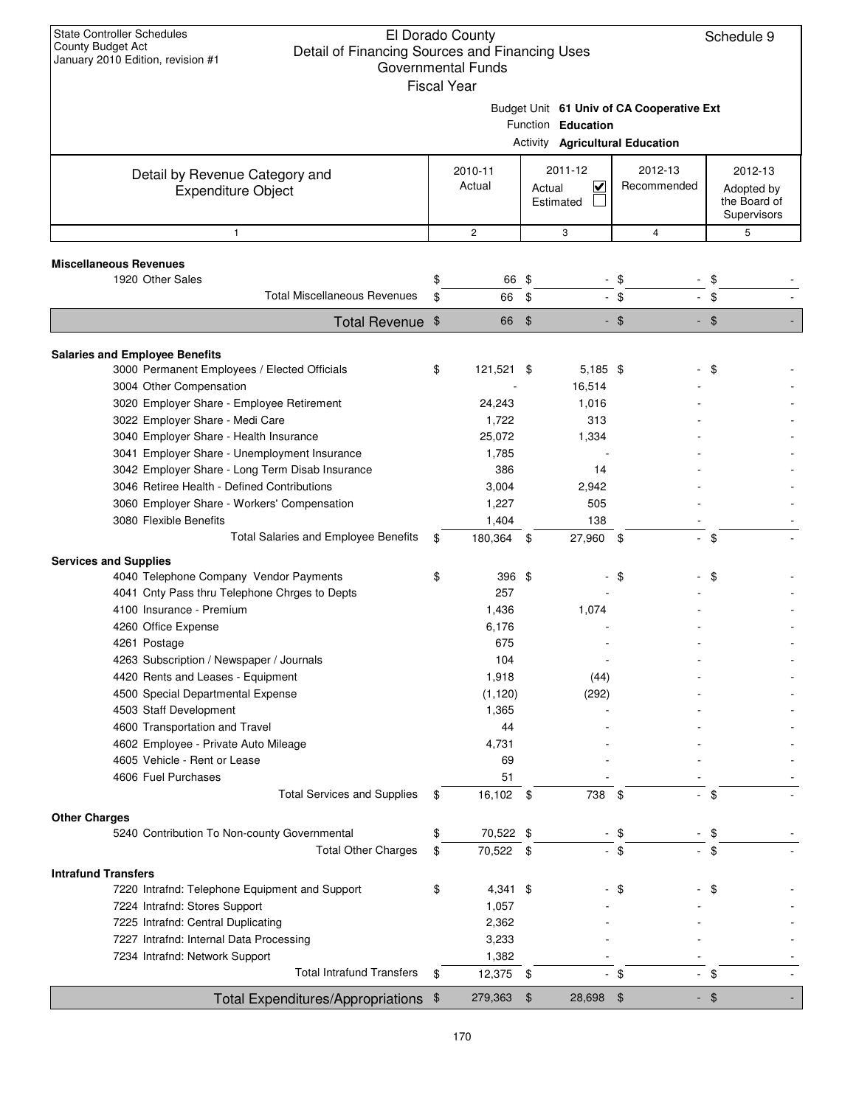| <b>State Controller Schedules</b><br>El Dorado County<br>County Budget Act<br>Detail of Financing Sources and Financing Uses<br>January 2010 Edition, revision #1<br><b>Governmental Funds</b><br><b>Fiscal Year</b> |                                                                 |                   |                |                                      |                                 |                                                      |  |
|----------------------------------------------------------------------------------------------------------------------------------------------------------------------------------------------------------------------|-----------------------------------------------------------------|-------------------|----------------|--------------------------------------|---------------------------------|------------------------------------------------------|--|
|                                                                                                                                                                                                                      | Budget Unit 61 Univ of CA Cooperative Ext<br>Function Education |                   |                |                                      |                                 |                                                      |  |
|                                                                                                                                                                                                                      |                                                                 |                   |                |                                      | Activity Agricultural Education |                                                      |  |
| Detail by Revenue Category and<br><b>Expenditure Object</b>                                                                                                                                                          |                                                                 | 2010-11<br>Actual | Actual         | 2011-12<br>$\checkmark$<br>Estimated | 2012-13<br>Recommended          | 2012-13<br>Adopted by<br>the Board of<br>Supervisors |  |
| $\mathbf{1}$                                                                                                                                                                                                         |                                                                 | $\mathbf{2}$      |                | 3                                    | 4                               | 5                                                    |  |
| <b>Miscellaneous Revenues</b>                                                                                                                                                                                        |                                                                 |                   |                |                                      |                                 |                                                      |  |
| 1920 Other Sales                                                                                                                                                                                                     | \$                                                              | 66 \$             |                |                                      | - \$                            | \$                                                   |  |
| <b>Total Miscellaneous Revenues</b>                                                                                                                                                                                  | \$                                                              | 66                | \$             |                                      | $-$ \$                          | $-$ \$                                               |  |
| Total Revenue \$                                                                                                                                                                                                     |                                                                 | 66                | $\mathfrak{s}$ |                                      | $-$ \$                          | $-$ \$                                               |  |
|                                                                                                                                                                                                                      |                                                                 |                   |                |                                      |                                 |                                                      |  |
| <b>Salaries and Employee Benefits</b><br>3000 Permanent Employees / Elected Officials<br>3004 Other Compensation                                                                                                     | \$                                                              | 121,521 \$        |                | 5,185 \$<br>16,514                   |                                 | -\$                                                  |  |
| 3020 Employer Share - Employee Retirement                                                                                                                                                                            |                                                                 | 24,243            |                | 1,016                                |                                 |                                                      |  |
| 3022 Employer Share - Medi Care                                                                                                                                                                                      |                                                                 | 1,722             |                | 313                                  |                                 |                                                      |  |
| 3040 Employer Share - Health Insurance                                                                                                                                                                               |                                                                 | 25,072            |                | 1,334                                |                                 |                                                      |  |
| 3041 Employer Share - Unemployment Insurance                                                                                                                                                                         |                                                                 | 1,785             |                |                                      |                                 |                                                      |  |
| 3042 Employer Share - Long Term Disab Insurance<br>3046 Retiree Health - Defined Contributions                                                                                                                       |                                                                 | 386               |                | 14                                   |                                 |                                                      |  |
|                                                                                                                                                                                                                      |                                                                 | 3,004<br>1,227    |                | 2,942<br>505                         |                                 |                                                      |  |
| 3060 Employer Share - Workers' Compensation<br>3080 Flexible Benefits                                                                                                                                                |                                                                 | 1,404             |                | 138                                  |                                 |                                                      |  |
| Total Salaries and Employee Benefits                                                                                                                                                                                 | \$                                                              | 180,364 \$        |                | 27,960 \$                            |                                 | $-$ \$                                               |  |
| <b>Services and Supplies</b>                                                                                                                                                                                         |                                                                 |                   |                |                                      |                                 |                                                      |  |
| 4040 Telephone Company Vendor Payments                                                                                                                                                                               | \$                                                              | 396 \$            |                |                                      | \$                              | \$                                                   |  |
| 4041 Cnty Pass thru Telephone Chrges to Depts                                                                                                                                                                        |                                                                 | 257               |                |                                      |                                 |                                                      |  |
| 4100 Insurance - Premium                                                                                                                                                                                             |                                                                 | 1,436             |                | 1,074                                |                                 |                                                      |  |
| 4260 Office Expense                                                                                                                                                                                                  |                                                                 | 6,176             |                |                                      |                                 |                                                      |  |
| 4261 Postage                                                                                                                                                                                                         |                                                                 | 675               |                |                                      |                                 |                                                      |  |
| 4263 Subscription / Newspaper / Journals                                                                                                                                                                             |                                                                 | 104               |                |                                      |                                 |                                                      |  |
| 4420 Rents and Leases - Equipment                                                                                                                                                                                    |                                                                 | 1,918             |                | (44)                                 |                                 |                                                      |  |
| 4500 Special Departmental Expense                                                                                                                                                                                    |                                                                 | (1, 120)          |                | (292)                                |                                 |                                                      |  |
| 4503 Staff Development                                                                                                                                                                                               |                                                                 | 1,365             |                |                                      |                                 |                                                      |  |
| 4600 Transportation and Travel                                                                                                                                                                                       |                                                                 | 44                |                |                                      |                                 |                                                      |  |
| 4602 Employee - Private Auto Mileage                                                                                                                                                                                 |                                                                 | 4,731             |                |                                      |                                 |                                                      |  |
| 4605 Vehicle - Rent or Lease                                                                                                                                                                                         |                                                                 | 69                |                |                                      |                                 |                                                      |  |
| 4606 Fuel Purchases<br><b>Total Services and Supplies</b>                                                                                                                                                            |                                                                 | 51                |                |                                      |                                 |                                                      |  |
|                                                                                                                                                                                                                      | \$                                                              | 16,102            | - \$           | 738                                  | \$                              | \$                                                   |  |
| <b>Other Charges</b><br>5240 Contribution To Non-county Governmental                                                                                                                                                 | \$                                                              | 70,522 \$         |                |                                      | \$                              | -\$                                                  |  |
| <b>Total Other Charges</b>                                                                                                                                                                                           | \$                                                              | 70,522 \$         |                |                                      | $-$ \$                          | $-$ \$                                               |  |
|                                                                                                                                                                                                                      |                                                                 |                   |                |                                      |                                 |                                                      |  |
| <b>Intrafund Transfers</b><br>7220 Intrafnd: Telephone Equipment and Support                                                                                                                                         | \$                                                              | $4,341$ \$        |                |                                      | \$                              | \$                                                   |  |
| 7224 Intrafnd: Stores Support                                                                                                                                                                                        |                                                                 | 1,057             |                |                                      |                                 |                                                      |  |
| 7225 Intrafnd: Central Duplicating                                                                                                                                                                                   |                                                                 | 2,362             |                |                                      |                                 |                                                      |  |
| 7227 Intrafnd: Internal Data Processing                                                                                                                                                                              |                                                                 | 3,233             |                |                                      |                                 |                                                      |  |
| 7234 Intrafnd: Network Support                                                                                                                                                                                       |                                                                 | 1,382             |                |                                      |                                 |                                                      |  |
| <b>Total Intrafund Transfers</b>                                                                                                                                                                                     | \$                                                              | 12,375 \$         |                | $\blacksquare$                       | \$                              | $-$ \$                                               |  |
| Total Expenditures/Appropriations \$                                                                                                                                                                                 |                                                                 | 279,363           | $\frac{1}{2}$  | 28,698 \$                            |                                 | $-$ \$                                               |  |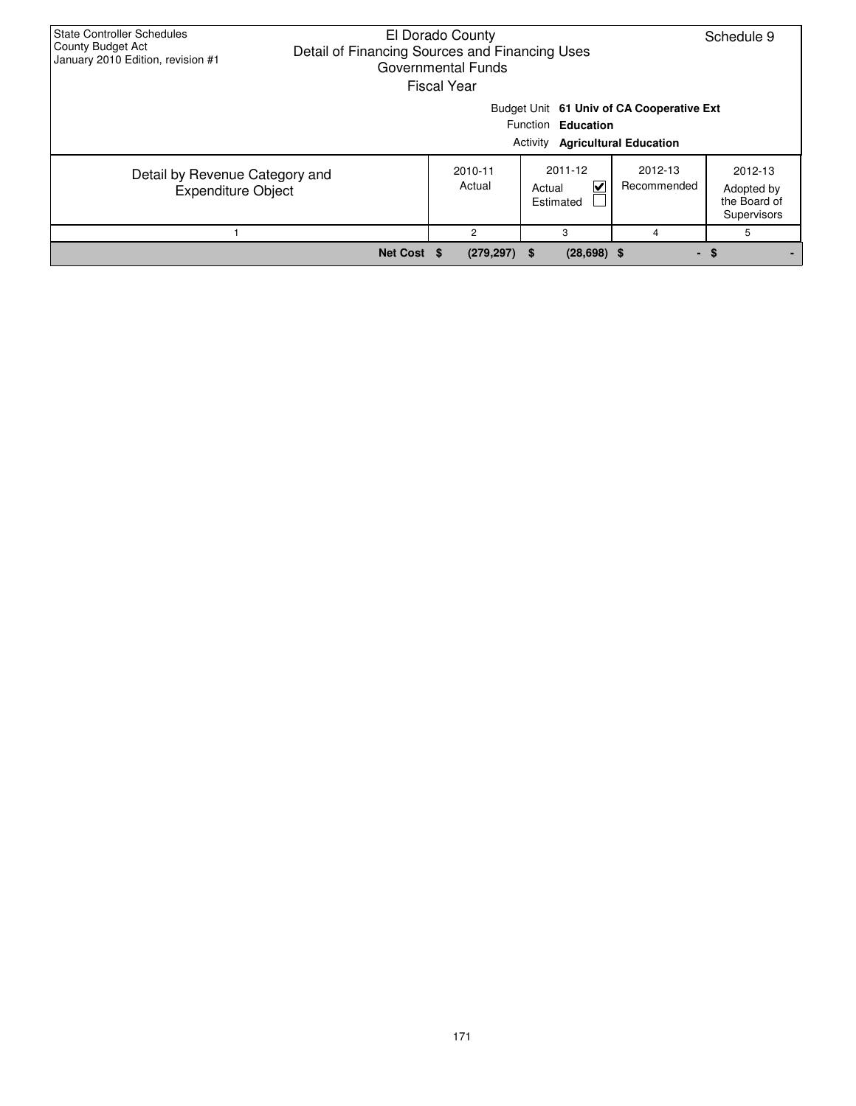| State Controller Schedules<br>County Budget Act<br>January 2010 Edition, revision #1 | El Dorado County<br>Schedule 9<br>Detail of Financing Sources and Financing Uses<br>Governmental Funds<br><b>Fiscal Year</b> |                   |                        |                                                      |      |  |  |  |  |  |
|--------------------------------------------------------------------------------------|------------------------------------------------------------------------------------------------------------------------------|-------------------|------------------------|------------------------------------------------------|------|--|--|--|--|--|
|                                                                                      | Budget Unit 61 Univ of CA Cooperative Ext<br>Function Education<br><b>Activity Agricultural Education</b>                    |                   |                        |                                                      |      |  |  |  |  |  |
| Detail by Revenue Category and<br><b>Expenditure Object</b>                          |                                                                                                                              | 2010-11<br>Actual | 2012-13<br>Recommended | 2012-13<br>Adopted by<br>the Board of<br>Supervisors |      |  |  |  |  |  |
|                                                                                      |                                                                                                                              | $\overline{c}$    | 3                      | 4                                                    | 5    |  |  |  |  |  |
|                                                                                      | Net Cost \$                                                                                                                  | $(279, 297)$ \$   | $(28, 698)$ \$         |                                                      | - \$ |  |  |  |  |  |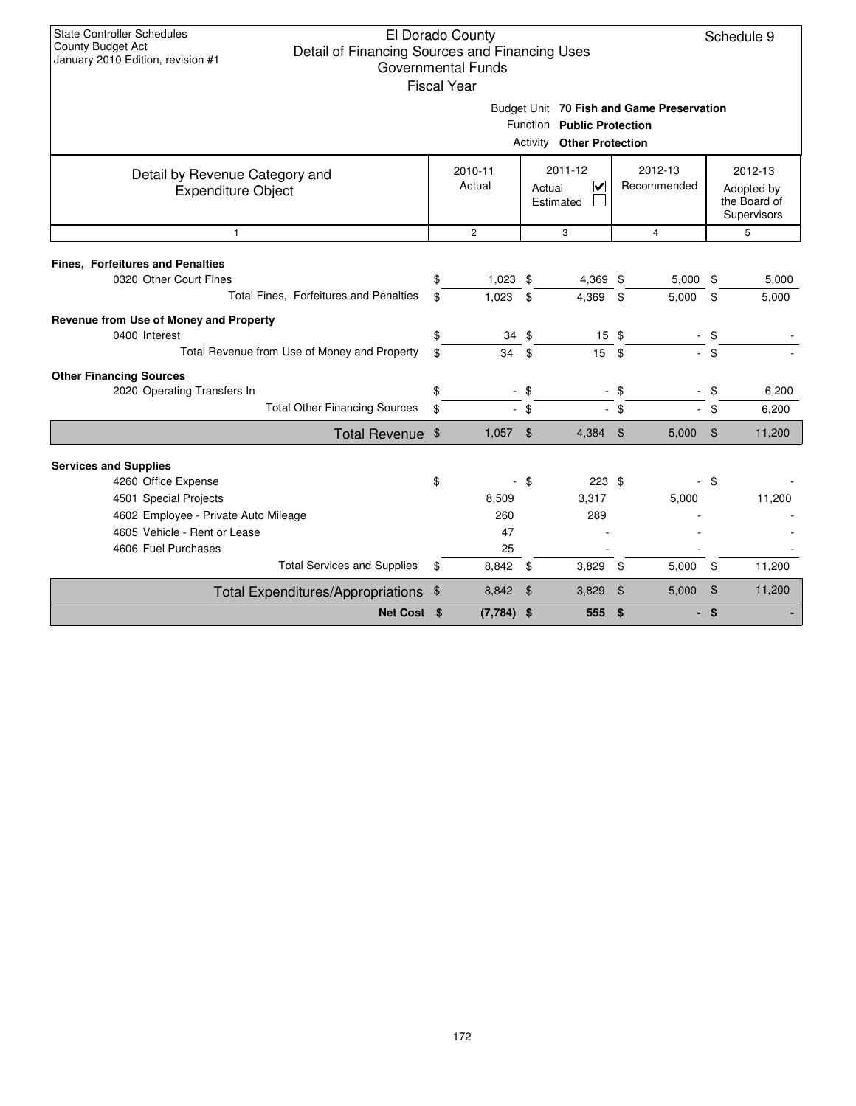| Budget Unit 70 Fish and Game Preservation |
|-------------------------------------------|

|                                                                     |          |                          | Activity                            | Function Public Protection<br><b>Other Protection</b> |                        |            |                            |                                                      |
|---------------------------------------------------------------------|----------|--------------------------|-------------------------------------|-------------------------------------------------------|------------------------|------------|----------------------------|------------------------------------------------------|
| Detail by Revenue Category and<br><b>Expenditure Object</b>         |          | 2010-11<br>Actual        | 2011-12<br>⊽<br>Actual<br>Estimated |                                                       | 2012-13<br>Recommended |            |                            | 2012-13<br>Adopted by<br>the Board of<br>Supervisors |
| $\mathbf{1}$                                                        |          | $\overline{2}$           |                                     | 3                                                     |                        | 4          |                            | 5                                                    |
| <b>Fines, Forfeitures and Penalties</b>                             |          |                          |                                     |                                                       |                        |            |                            |                                                      |
| 0320 Other Court Fines                                              |          | $1,023$ \$               |                                     | 4,369 \$                                              |                        | $5,000$ \$ |                            | 5,000                                                |
| Total Fines, Forfeitures and Penalties                              | \$       | 1,023                    | \$                                  | 4,369                                                 | \$                     | 5,000      | \$                         | 5,000                                                |
| Revenue from Use of Money and Property<br>0400 Interest             | \$       | 34                       | \$                                  | $15 \text{ } $$                                       |                        |            | \$                         |                                                      |
| Total Revenue from Use of Money and Property                        | \$       | 34                       | \$                                  | 15                                                    | \$                     |            | $-$ \$                     |                                                      |
|                                                                     |          |                          |                                     |                                                       |                        |            |                            |                                                      |
| <b>Other Financing Sources</b>                                      |          |                          |                                     |                                                       |                        |            |                            |                                                      |
| 2020 Operating Transfers In<br><b>Total Other Financing Sources</b> | \$<br>\$ | $\sim$<br>$\blacksquare$ | \$<br>\$                            |                                                       | $-$ \$<br>- \$         |            | \$<br>\$                   | 6,200<br>6,200                                       |
|                                                                     |          |                          |                                     |                                                       |                        |            |                            |                                                      |
| Total Revenue \$                                                    |          | 1,057                    | $\mathfrak{F}$                      | 4,384                                                 | \$                     | 5,000      | $\mathfrak{F}$             | 11,200                                               |
| <b>Services and Supplies</b>                                        |          |                          |                                     |                                                       |                        |            |                            |                                                      |
| 4260 Office Expense                                                 | \$       |                          | \$                                  | 223S                                                  |                        |            | \$                         |                                                      |
| 4501 Special Projects                                               |          | 8,509                    |                                     | 3,317                                                 |                        | 5,000      |                            | 11,200                                               |
| 4602 Employee - Private Auto Mileage                                |          | 260                      |                                     | 289                                                   |                        |            |                            |                                                      |
| 4605 Vehicle - Rent or Lease                                        |          | 47                       |                                     |                                                       |                        |            |                            |                                                      |
| 4606 Fuel Purchases                                                 |          | 25                       |                                     |                                                       |                        |            |                            |                                                      |
| <b>Total Services and Supplies</b>                                  | \$       | 8,842                    | -\$                                 | 3,829                                                 | \$                     | 5,000      | \$                         | 11,200                                               |
| Total Expenditures/Appropriations \$                                |          | 8,842                    | $\mathfrak{F}$                      | 3,829                                                 | $\$\$                  | 5,000      | $\boldsymbol{\mathsf{\$}}$ | 11,200                                               |
| Net Cost \$                                                         |          | $(7,784)$ \$             |                                     | 555                                                   | \$                     |            | \$                         |                                                      |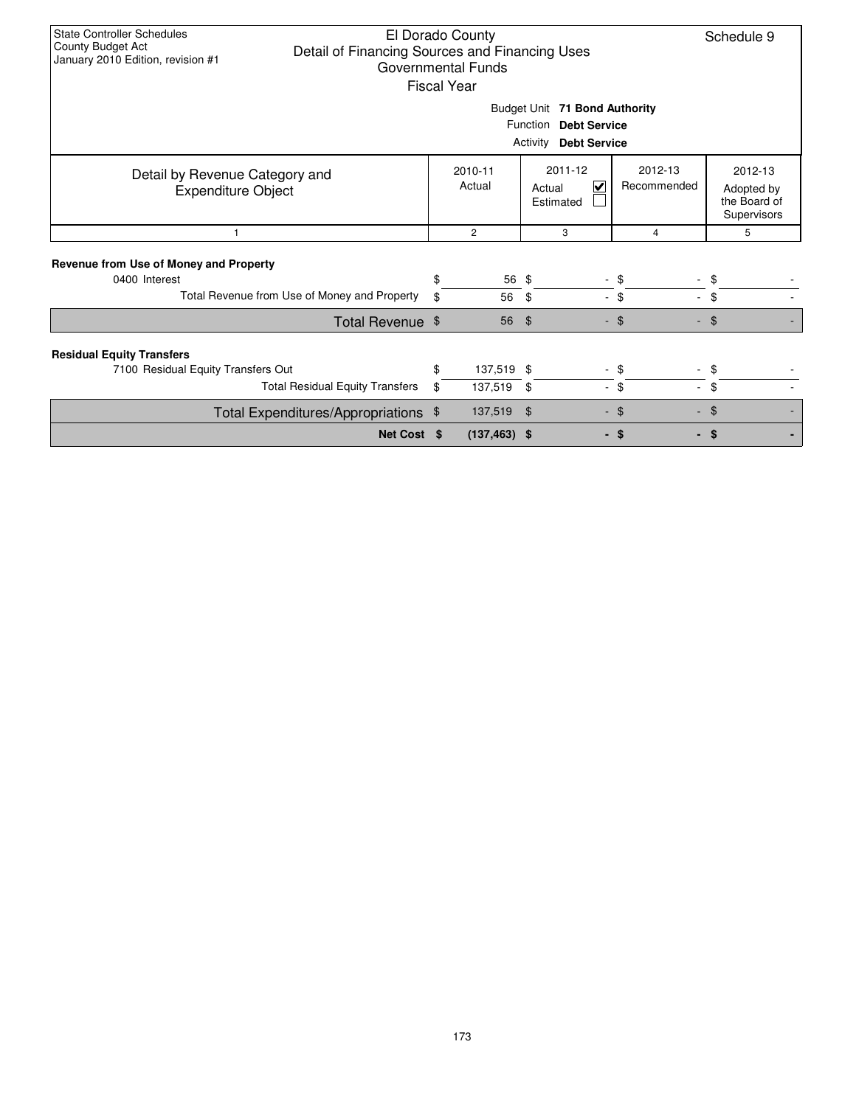| <b>State Controller Schedules</b><br>El Dorado County<br>County Budget Act<br>Detail of Financing Sources and Financing Uses<br>January 2010 Edition, revision #1<br><b>Governmental Funds</b><br><b>Fiscal Year</b> |                          |                       |                                                           |                        |                                                      |  |  |  |  |  |  |
|----------------------------------------------------------------------------------------------------------------------------------------------------------------------------------------------------------------------|--------------------------|-----------------------|-----------------------------------------------------------|------------------------|------------------------------------------------------|--|--|--|--|--|--|
| Budget Unit 71 Bond Authority<br>Function Debt Service<br>Activity<br><b>Debt Service</b>                                                                                                                            |                          |                       |                                                           |                        |                                                      |  |  |  |  |  |  |
| Detail by Revenue Category and<br><b>Expenditure Object</b>                                                                                                                                                          |                          | 2010-11<br>Actual     | 2011-12<br>$\overline{\mathsf{v}}$<br>Actual<br>Estimated | 2012-13<br>Recommended | 2012-13<br>Adopted by<br>the Board of<br>Supervisors |  |  |  |  |  |  |
| $\mathbf{1}$                                                                                                                                                                                                         | $\overline{2}$<br>3<br>4 |                       |                                                           |                        |                                                      |  |  |  |  |  |  |
| Revenue from Use of Money and Property<br>0400 Interest<br>Total Revenue from Use of Money and Property                                                                                                              | \$<br>\$                 | 56 \$<br>56           | \$                                                        | \$<br>$-$ \$<br>$\sim$ | \$<br>\$                                             |  |  |  |  |  |  |
| Total Revenue \$                                                                                                                                                                                                     |                          | 56                    | \$                                                        | - \$                   | $-$ \$                                               |  |  |  |  |  |  |
| <b>Residual Equity Transfers</b><br>7100 Residual Equity Transfers Out<br><b>Total Residual Equity Transfers</b>                                                                                                     | \$<br>\$                 | 137,519 \$<br>137,519 | \$<br>$\overline{a}$                                      | \$<br>\$<br>$\sim$     | \$<br>\$                                             |  |  |  |  |  |  |
| Total Expenditures/Appropriations \$                                                                                                                                                                                 |                          | 137,519               | \$<br>$\sim$                                              | -\$                    | \$                                                   |  |  |  |  |  |  |
| Net Cost \$                                                                                                                                                                                                          |                          | $(137, 463)$ \$       |                                                           | - \$                   | - \$                                                 |  |  |  |  |  |  |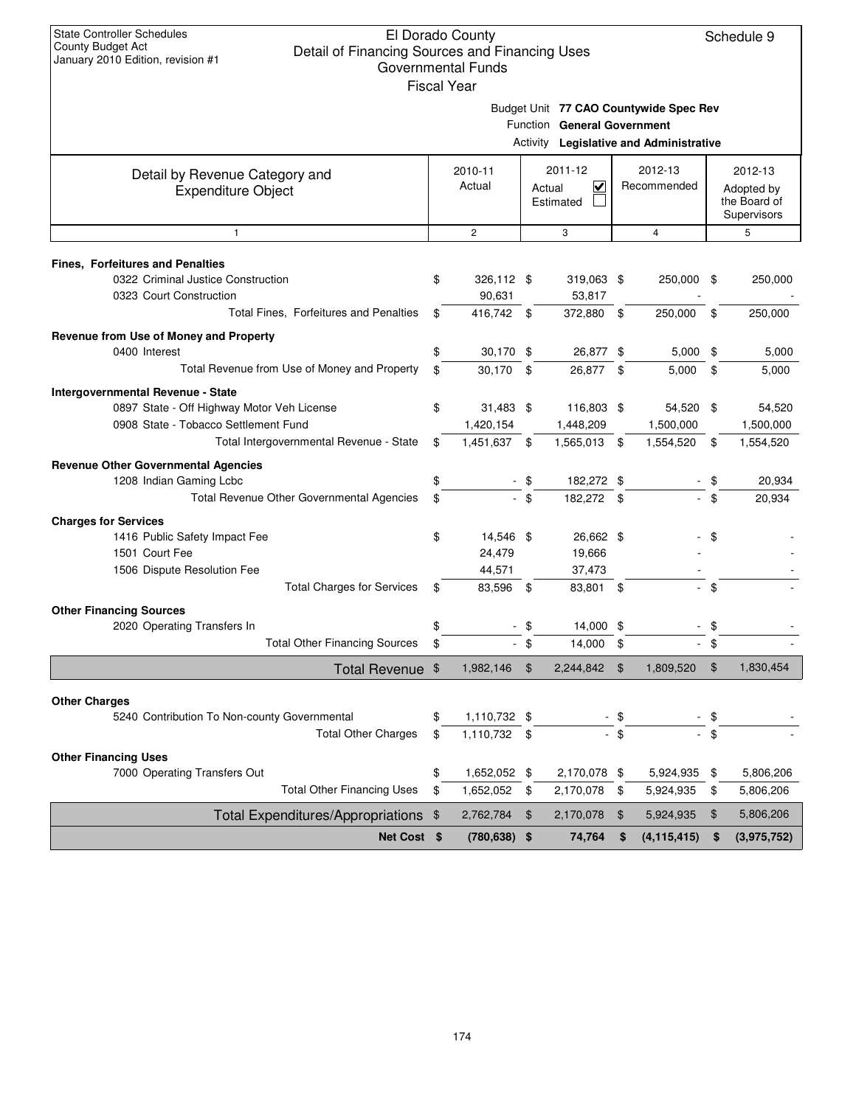Schedule 9

| ่<br>al Year |  |  |  |
|--------------|--|--|--|

Budget Unit **77 CAO Countywide Spec Rev**

Function **General Government**

|                                                                            |          |                           |                | Activity Legislative and Administrative |                |                         |                     |                                                      |
|----------------------------------------------------------------------------|----------|---------------------------|----------------|-----------------------------------------|----------------|-------------------------|---------------------|------------------------------------------------------|
| Detail by Revenue Category and<br><b>Expenditure Object</b>                |          | 2010-11<br>Actual         |                | 2011-12<br>V<br>Actual<br>Estimated     |                | 2012-13<br>Recommended  |                     | 2012-13<br>Adopted by<br>the Board of<br>Supervisors |
| $\mathbf{1}$                                                               |          | $\overline{2}$            |                | 3                                       |                | $\overline{\mathbf{4}}$ |                     | 5                                                    |
| <b>Fines, Forfeitures and Penalties</b>                                    |          |                           |                |                                         |                |                         |                     |                                                      |
| 0322 Criminal Justice Construction<br>0323 Court Construction              | \$       | 326,112 \$<br>90,631      |                | 319,063 \$<br>53,817                    |                | 250,000 \$              |                     | 250,000                                              |
| Total Fines, Forfeitures and Penalties                                     | \$       | 416,742 \$                |                | 372,880 \$                              |                | 250,000                 | $\mathfrak{F}$      | 250,000                                              |
| Revenue from Use of Money and Property                                     |          |                           |                |                                         |                |                         |                     |                                                      |
| 0400 Interest                                                              | \$       | 30,170 \$                 |                | 26,877 \$                               |                | $5,000$ \$              |                     | 5,000                                                |
| Total Revenue from Use of Money and Property                               | \$       | 30,170 \$                 |                | 26,877 \$                               |                | 5,000                   | \$                  | 5,000                                                |
| <b>Intergovernmental Revenue - State</b>                                   |          |                           |                |                                         |                |                         |                     |                                                      |
| 0897 State - Off Highway Motor Veh License                                 | \$       | 31,483 \$                 |                | 116,803 \$                              |                | 54,520 \$               |                     | 54,520                                               |
| 0908 State - Tobacco Settlement Fund                                       |          | 1,420,154                 |                | 1,448,209                               |                | 1,500,000               |                     | 1,500,000                                            |
| Total Intergovernmental Revenue - State                                    | \$       | 1,451,637                 | <b>S</b>       | 1,565,013 \$                            |                | 1,554,520               | \$                  | 1,554,520                                            |
| <b>Revenue Other Governmental Agencies</b>                                 |          |                           |                |                                         |                |                         |                     |                                                      |
| 1208 Indian Gaming Lcbc                                                    | \$       |                           | - \$           | 182,272 \$                              |                |                         | \$                  | 20,934                                               |
| <b>Total Revenue Other Governmental Agencies</b>                           | \$       |                           | - \$           | 182,272 \$                              |                |                         | \$                  | 20,934                                               |
| <b>Charges for Services</b>                                                |          |                           |                |                                         |                |                         |                     |                                                      |
| 1416 Public Safety Impact Fee                                              | \$       | 14,546 \$                 |                | 26,662 \$                               |                |                         | \$                  |                                                      |
| 1501 Court Fee                                                             |          | 24,479                    |                | 19,666                                  |                |                         |                     |                                                      |
| 1506 Dispute Resolution Fee                                                |          | 44,571                    |                | 37,473                                  |                |                         |                     |                                                      |
| <b>Total Charges for Services</b>                                          | \$       | 83,596                    | - \$           | 83,801 \$                               |                |                         | \$                  |                                                      |
| <b>Other Financing Sources</b>                                             |          |                           |                |                                         |                |                         |                     |                                                      |
| 2020 Operating Transfers In                                                | \$       |                           | \$             | 14,000 \$                               |                |                         | \$                  |                                                      |
| <b>Total Other Financing Sources</b>                                       | \$       |                           | \$             | 14,000                                  | - \$           |                         | $-$ \$              |                                                      |
| Total Revenue \$                                                           |          | 1,982,146                 | $\mathfrak{F}$ | 2,244,842                               | \$             | 1,809,520               | $\mathfrak{F}$      | 1,830,454                                            |
|                                                                            |          |                           |                |                                         |                |                         |                     |                                                      |
| <b>Other Charges</b>                                                       |          |                           |                |                                         |                |                         |                     |                                                      |
| 5240 Contribution To Non-county Governmental<br><b>Total Other Charges</b> | \$<br>\$ | 1,110,732 \$<br>1,110,732 |                |                                         | - \$<br>\$     |                         | \$<br>$\mathbf{\$}$ |                                                      |
|                                                                            |          |                           | \$             |                                         |                |                         |                     |                                                      |
| <b>Other Financing Uses</b>                                                |          |                           |                |                                         |                |                         |                     |                                                      |
| 7000 Operating Transfers Out<br><b>Total Other Financing Uses</b>          | \$       | 1,652,052 \$              |                | 2,170,078 \$                            |                | 5,924,935               | \$                  | 5,806,206                                            |
|                                                                            | \$       | 1,652,052                 | -\$            | 2,170,078                               | \$             | 5,924,935               | \$                  | 5,806,206                                            |
| <b>Total Expenditures/Appropriations</b>                                   | \$       | 2,762,784                 | \$             | 2,170,078                               | $\mathfrak{F}$ | 5,924,935               | $\frac{1}{2}$       | 5,806,206                                            |
| Net Cost \$                                                                |          | $(780, 638)$ \$           |                | 74,764                                  | \$             | (4, 115, 415)           | \$                  | (3,975,752)                                          |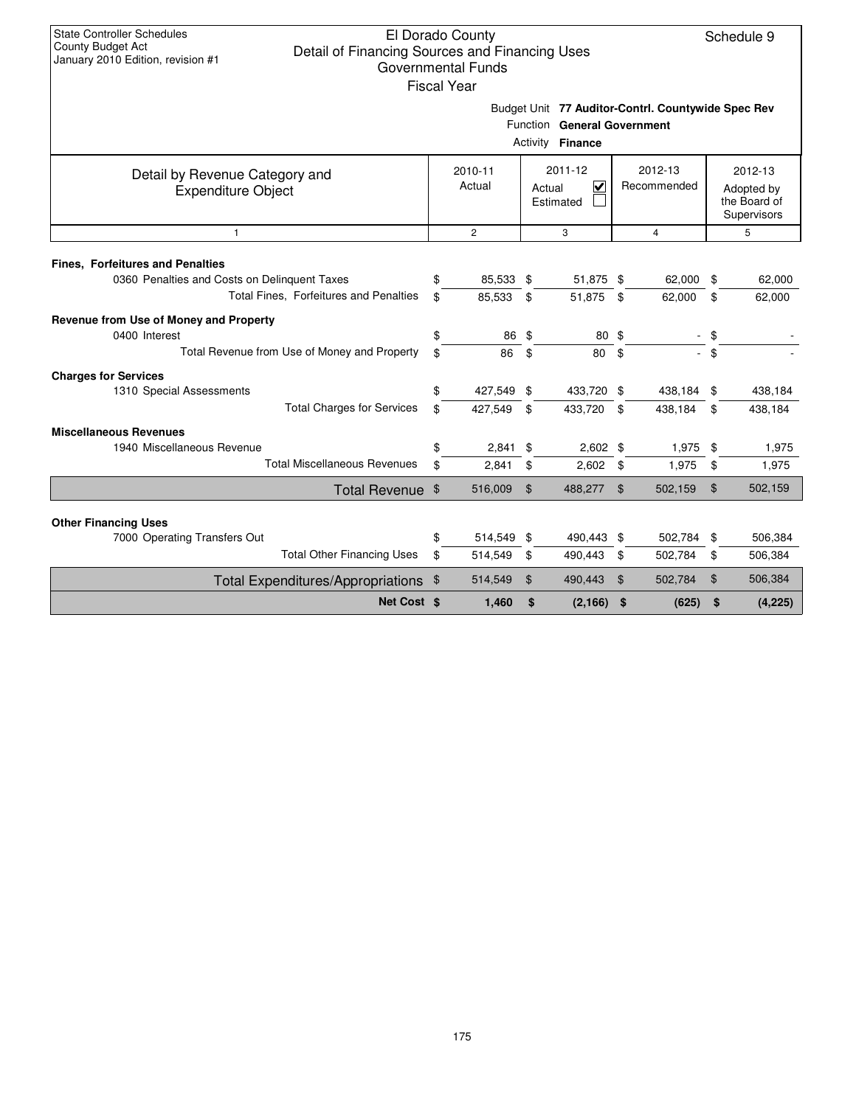|                                                                                                                                   |          | <b>Fiscal Year</b>    |          |                                                        |                |                                                    |                |                                                      |
|-----------------------------------------------------------------------------------------------------------------------------------|----------|-----------------------|----------|--------------------------------------------------------|----------------|----------------------------------------------------|----------------|------------------------------------------------------|
|                                                                                                                                   |          |                       |          | Function General Government<br>Activity <b>Finance</b> |                | Budget Unit 77 Auditor-Contrl. Countywide Spec Rev |                |                                                      |
| Detail by Revenue Category and<br><b>Expenditure Object</b>                                                                       |          | 2010-11<br>Actual     |          | 2011-12<br>$\checkmark$<br>Actual<br>Estimated         |                | 2012-13<br>Recommended                             |                | 2012-13<br>Adopted by<br>the Board of<br>Supervisors |
| $\mathbf{1}$                                                                                                                      |          | $\mathbf{2}$          |          | 3                                                      |                | $\overline{4}$                                     |                | 5                                                    |
| <b>Fines, Forfeitures and Penalties</b><br>0360 Penalties and Costs on Delinquent Taxes<br>Total Fines, Forfeitures and Penalties | \$<br>\$ | 85,533<br>85,533      | \$<br>\$ | 51,875 \$<br>51,875                                    | \$             | 62,000<br>62,000                                   | \$<br>\$       | 62,000<br>62,000                                     |
| Revenue from Use of Money and Property<br>0400 Interest<br>Total Revenue from Use of Money and Property                           | \$<br>\$ | 86<br>86              | \$<br>\$ | 80<br>80                                               | \$<br>\$       |                                                    | - \$<br>$-$ \$ |                                                      |
| <b>Charges for Services</b><br>1310 Special Assessments<br><b>Total Charges for Services</b>                                      | \$<br>\$ | 427,549 \$<br>427,549 | \$       | 433,720 \$<br>433,720                                  | \$             | 438,184 \$<br>438,184                              | \$             | 438,184<br>438,184                                   |
| <b>Miscellaneous Revenues</b><br>1940 Miscellaneous Revenue<br><b>Total Miscellaneous Revenues</b>                                | \$<br>\$ | 2,841<br>2,841        | \$<br>\$ | $2,602$ \$<br>2,602                                    | \$             | 1,975<br>1,975                                     | \$<br>\$       | 1,975<br>1,975                                       |
| Total Revenue \$                                                                                                                  |          | 516,009               | \$       | 488,277                                                | \$             | 502,159                                            | \$             | 502,159                                              |
| <b>Other Financing Uses</b>                                                                                                       |          |                       |          |                                                        |                |                                                    |                |                                                      |
| 7000 Operating Transfers Out                                                                                                      | \$       | 514,549               | \$       | 490,443 \$                                             |                | 502,784 \$                                         |                | 506,384                                              |
| <b>Total Other Financing Uses</b>                                                                                                 | \$       | 514,549               | \$       | 490,443                                                | \$             | 502,784                                            | \$             | 506,384                                              |
| <b>Total Expenditures/Appropriations</b>                                                                                          | \$       | 514,549               | \$       | 490,443                                                | $\mathfrak{F}$ | 502,784                                            | \$             | 506,384                                              |
| Net Cost \$                                                                                                                       |          | 1,460                 | \$       | (2, 166)                                               | \$             | (625)                                              | \$             | (4,225)                                              |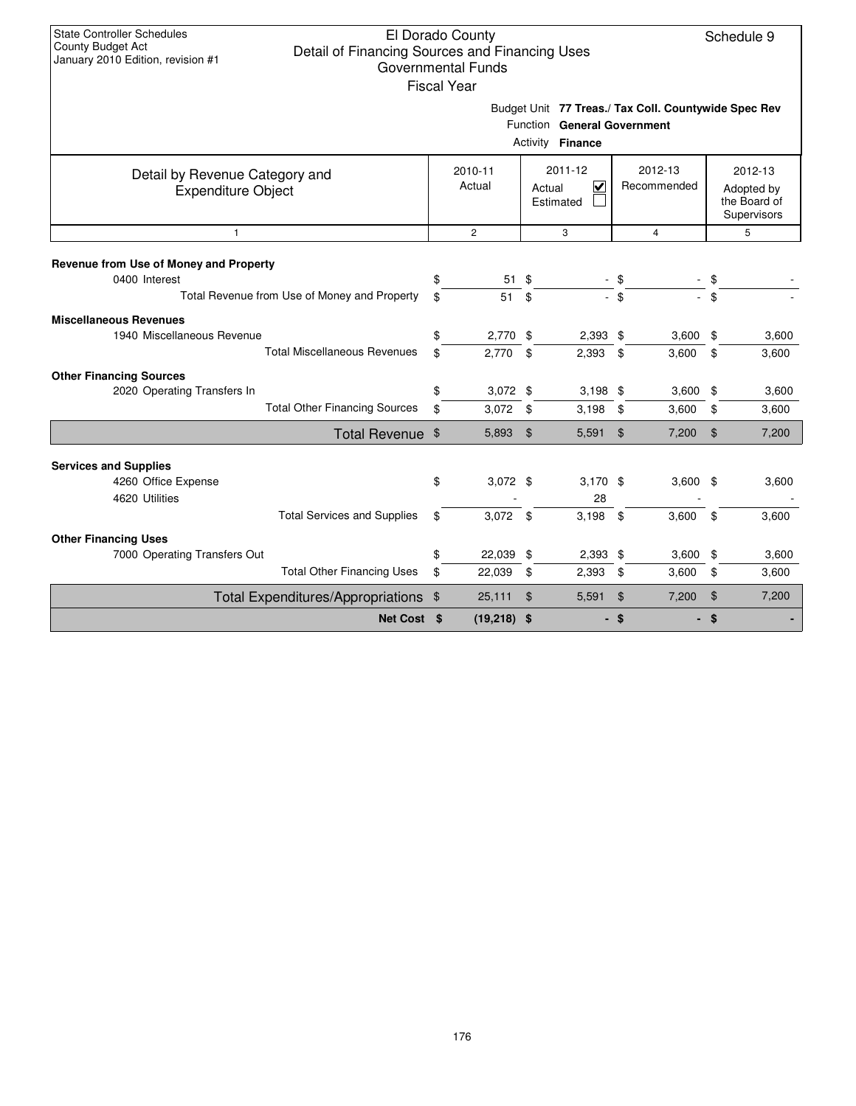|                                                                                                         |          | Governmental Funds<br><b>Fiscal Year</b> |                                     |                                                 |               |                                                      |                |                                                      |
|---------------------------------------------------------------------------------------------------------|----------|------------------------------------------|-------------------------------------|-------------------------------------------------|---------------|------------------------------------------------------|----------------|------------------------------------------------------|
|                                                                                                         |          |                                          |                                     | Function General Government<br>Activity Finance |               | Budget Unit 77 Treas./ Tax Coll. Countywide Spec Rev |                |                                                      |
| Detail by Revenue Category and<br><b>Expenditure Object</b>                                             |          | 2010-11<br>Actual                        | 2011-12<br>V<br>Actual<br>Estimated |                                                 |               | 2012-13<br>Recommended                               |                | 2012-13<br>Adopted by<br>the Board of<br>Supervisors |
| $\mathbf{1}$                                                                                            |          | $\overline{2}$                           |                                     | 3                                               |               | $\overline{4}$                                       |                | 5                                                    |
| Revenue from Use of Money and Property<br>0400 Interest<br>Total Revenue from Use of Money and Property | \$<br>\$ | 51<br>51                                 | \$<br>\$                            |                                                 | \$<br>- \$    |                                                      | \$<br>\$       |                                                      |
| <b>Miscellaneous Revenues</b><br>1940 Miscellaneous Revenue<br><b>Total Miscellaneous Revenues</b>      | \$<br>\$ | 2,770<br>2,770                           | \$<br>\$                            | $2,393$ \$<br>2,393                             | \$            | 3,600<br>3,600                                       | \$<br>\$       | 3,600<br>3,600                                       |
| <b>Other Financing Sources</b><br>2020 Operating Transfers In<br><b>Total Other Financing Sources</b>   | \$<br>\$ | $3,072$ \$<br>3,072                      | \$                                  | $3,198$ \$<br>3,198                             | \$            | 3,600<br>3,600                                       | \$<br>\$       | 3,600<br>3,600                                       |
| Total Revenue \$                                                                                        |          | 5,893                                    | $\mathfrak{F}$                      | $5,591$ \$                                      |               | 7,200                                                | $\mathfrak{S}$ | 7,200                                                |
| <b>Services and Supplies</b><br>4260 Office Expense<br>4620 Utilities                                   | \$       | $3,072$ \$                               |                                     | $3,170$ \$<br>28                                |               | 3,600                                                | \$             | 3,600                                                |
| <b>Total Services and Supplies</b><br><b>Other Financing Uses</b>                                       | \$       | 3,072                                    | \$                                  | 3,198                                           | \$            | 3,600                                                | \$             | 3,600                                                |
| 7000 Operating Transfers Out<br><b>Total Other Financing Uses</b>                                       | \$<br>\$ | 22,039<br>22,039                         | \$<br>\$                            | $2,393$ \$<br>2,393                             | \$            | 3,600<br>3,600                                       | \$<br>\$       | 3,600<br>3,600                                       |
| Total Expenditures/Appropriations                                                                       | \$       | 25,111                                   | $\boldsymbol{\mathsf{\$}}$          | 5,591                                           | $\mathbf{\$}$ | 7,200                                                | $\mathfrak{S}$ | 7,200                                                |
| Net Cost \$                                                                                             |          | $(19,218)$ \$                            |                                     |                                                 | \$            |                                                      | \$             |                                                      |

#### 176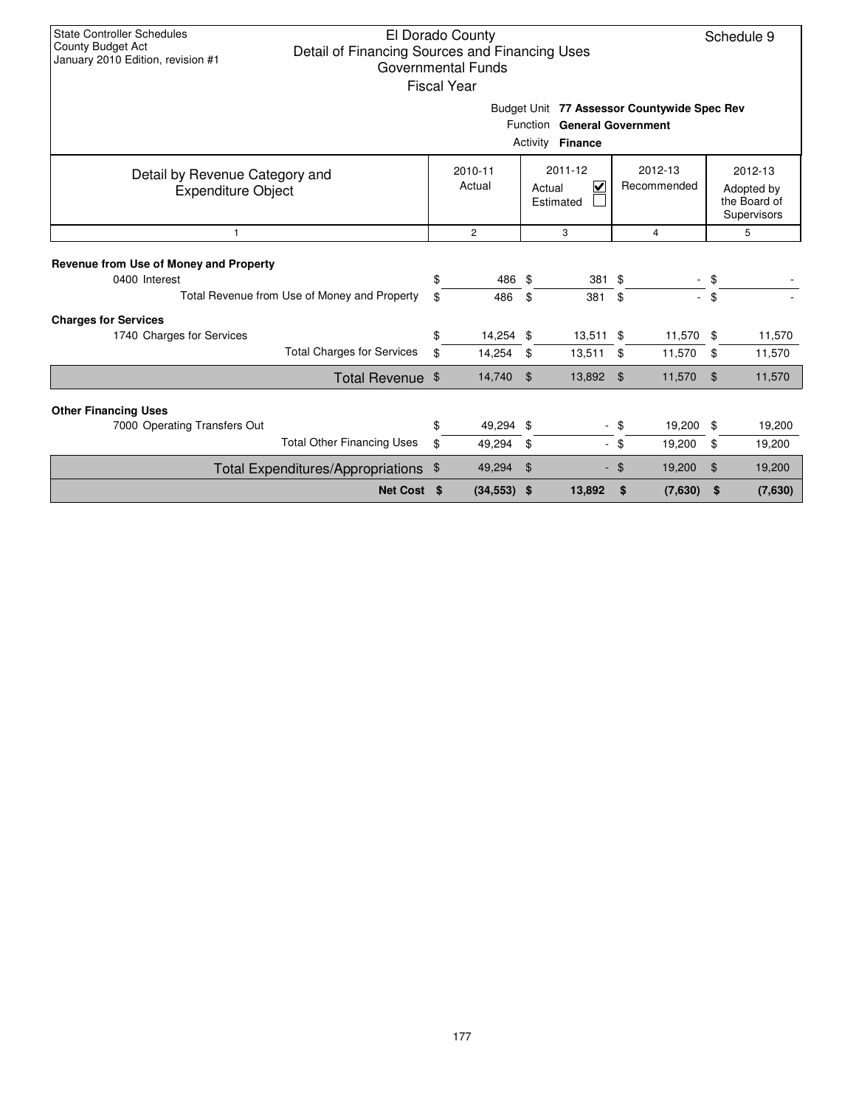| <b>State Controller Schedules</b><br>El Dorado County<br>Schedule 9<br>County Budget Act<br>Detail of Financing Sources and Financing Uses<br>January 2010 Edition, revision #1<br><b>Governmental Funds</b><br><b>Fiscal Year</b> |                                                                                                       |                   |                     |                                     |                          |               |                     |                                                      |                  |  |  |  |  |
|------------------------------------------------------------------------------------------------------------------------------------------------------------------------------------------------------------------------------------|-------------------------------------------------------------------------------------------------------|-------------------|---------------------|-------------------------------------|--------------------------|---------------|---------------------|------------------------------------------------------|------------------|--|--|--|--|
|                                                                                                                                                                                                                                    | Budget Unit 77 Assessor Countywide Spec Rev<br>Function General Government<br>Activity <b>Finance</b> |                   |                     |                                     |                          |               |                     |                                                      |                  |  |  |  |  |
| Detail by Revenue Category and<br><b>Expenditure Object</b>                                                                                                                                                                        |                                                                                                       | 2010-11<br>Actual |                     | 2011-12<br>⊽<br>Actual<br>Estimated | 2012-13<br>Recommended   |               |                     | 2012-13<br>Adopted by<br>the Board of<br>Supervisors |                  |  |  |  |  |
| $\mathbf{1}$                                                                                                                                                                                                                       |                                                                                                       |                   | $\overline{c}$      |                                     | 3                        | 4             |                     |                                                      | 5                |  |  |  |  |
| Revenue from Use of Money and Property<br>0400 Interest                                                                                                                                                                            | Total Revenue from Use of Money and Property                                                          | \$<br>\$          | 486 \$<br>486       | \$                                  | 381 \$<br>381            | \$            |                     | $-$ \$<br>$-$ \$                                     |                  |  |  |  |  |
| <b>Charges for Services</b><br>1740 Charges for Services                                                                                                                                                                           | <b>Total Charges for Services</b>                                                                     | \$<br>\$          | 14,254 \$<br>14,254 | -\$                                 | $13,511$ \$<br>13,511    | \$            | 11,570 \$<br>11,570 | \$                                                   | 11,570<br>11,570 |  |  |  |  |
|                                                                                                                                                                                                                                    | Total Revenue \$                                                                                      |                   | 14,740              | _\$                                 | 13,892 \$                |               | 11,570              | \$                                                   | 11,570           |  |  |  |  |
| <b>Other Financing Uses</b><br>7000 Operating Transfers Out                                                                                                                                                                        | <b>Total Other Financing Uses</b>                                                                     | \$<br>\$          | 49,294 \$<br>49,294 | -\$                                 | $\overline{\phantom{a}}$ | \$<br>- \$    | 19,200<br>19,200    | \$<br>\$                                             | 19,200<br>19,200 |  |  |  |  |
|                                                                                                                                                                                                                                    | Total Expenditures/Appropriations \$                                                                  |                   | 49,294              | \$<br>÷.                            |                          | 19,200<br>-\$ |                     | \$                                                   | 19,200           |  |  |  |  |
|                                                                                                                                                                                                                                    | Net Cost \$                                                                                           |                   | $(34,553)$ \$       |                                     | 13,892                   | \$            | (7,630)             | \$                                                   | (7,630)          |  |  |  |  |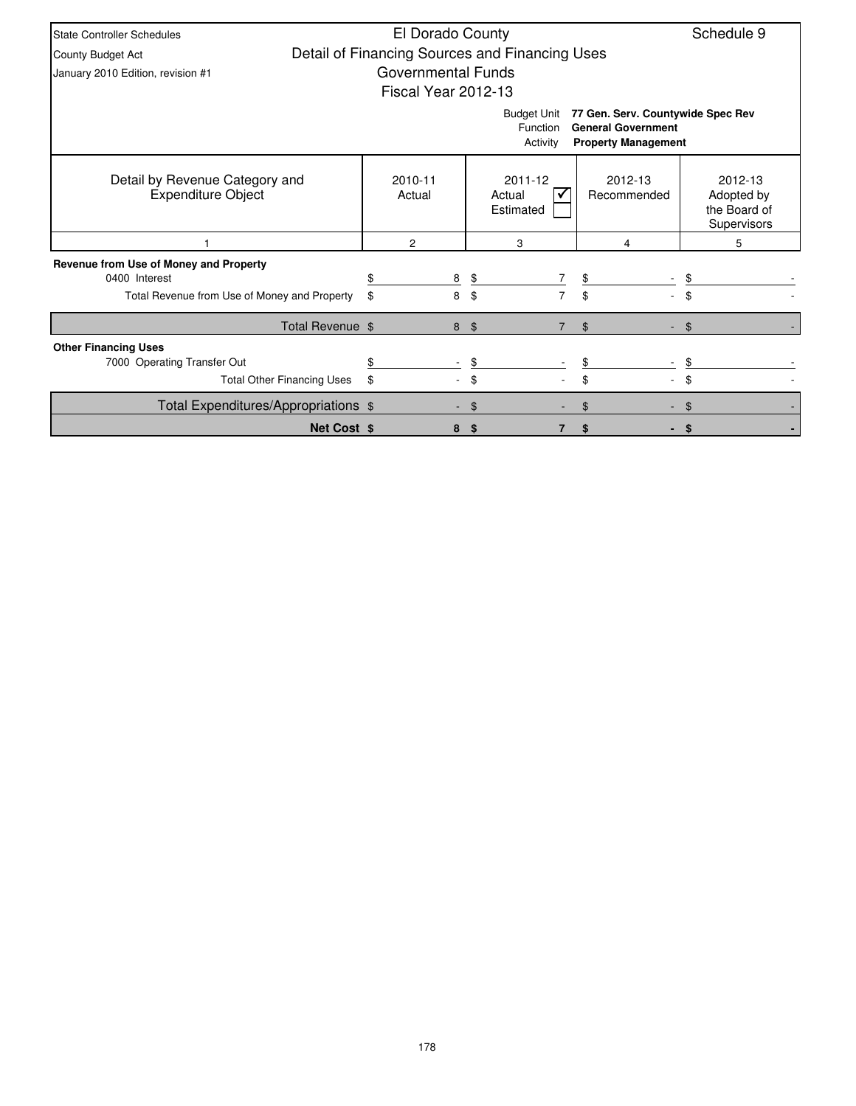| <b>State Controller Schedules</b>                           | El Dorado County    |   |                                                |                                                                                              | Schedule 9                                           |
|-------------------------------------------------------------|---------------------|---|------------------------------------------------|----------------------------------------------------------------------------------------------|------------------------------------------------------|
| County Budget Act                                           |                     |   | Detail of Financing Sources and Financing Uses |                                                                                              |                                                      |
| January 2010 Edition, revision #1                           | Governmental Funds  |   |                                                |                                                                                              |                                                      |
|                                                             | Fiscal Year 2012-13 |   |                                                |                                                                                              |                                                      |
|                                                             |                     |   | <b>Budget Unit</b><br>Function<br>Activity     | 77 Gen. Serv. Countywide Spec Rev<br><b>General Government</b><br><b>Property Management</b> |                                                      |
| Detail by Revenue Category and<br><b>Expenditure Object</b> | 2010-11<br>Actual   |   | 2011-12<br>Actual<br>Estimated                 | 2012-13<br>Recommended                                                                       | 2012-13<br>Adopted by<br>the Board of<br>Supervisors |
|                                                             | 2                   |   | 3                                              | 4                                                                                            | 5                                                    |
| Revenue from Use of Money and Property                      |                     |   |                                                |                                                                                              |                                                      |
| 0400 Interest                                               |                     | 8 | \$<br>7                                        | \$                                                                                           |                                                      |
| Total Revenue from Use of Money and Property                | \$                  | 8 | $\overline{7}$<br>\$                           | \$                                                                                           |                                                      |
| Total Revenue \$                                            |                     | 8 | \$                                             | \$                                                                                           | $\mathfrak{L}$                                       |
| <b>Other Financing Uses</b>                                 |                     |   |                                                |                                                                                              |                                                      |
| 7000 Operating Transfer Out                                 |                     |   | \$                                             |                                                                                              |                                                      |
| <b>Total Other Financing Uses</b>                           | \$                  |   | \$                                             | \$                                                                                           | \$                                                   |
| Total Expenditures/Appropriations \$                        |                     |   | S                                              |                                                                                              |                                                      |
| <b>Net Cost \$</b>                                          |                     | 8 | 7<br>S                                         | \$                                                                                           | \$                                                   |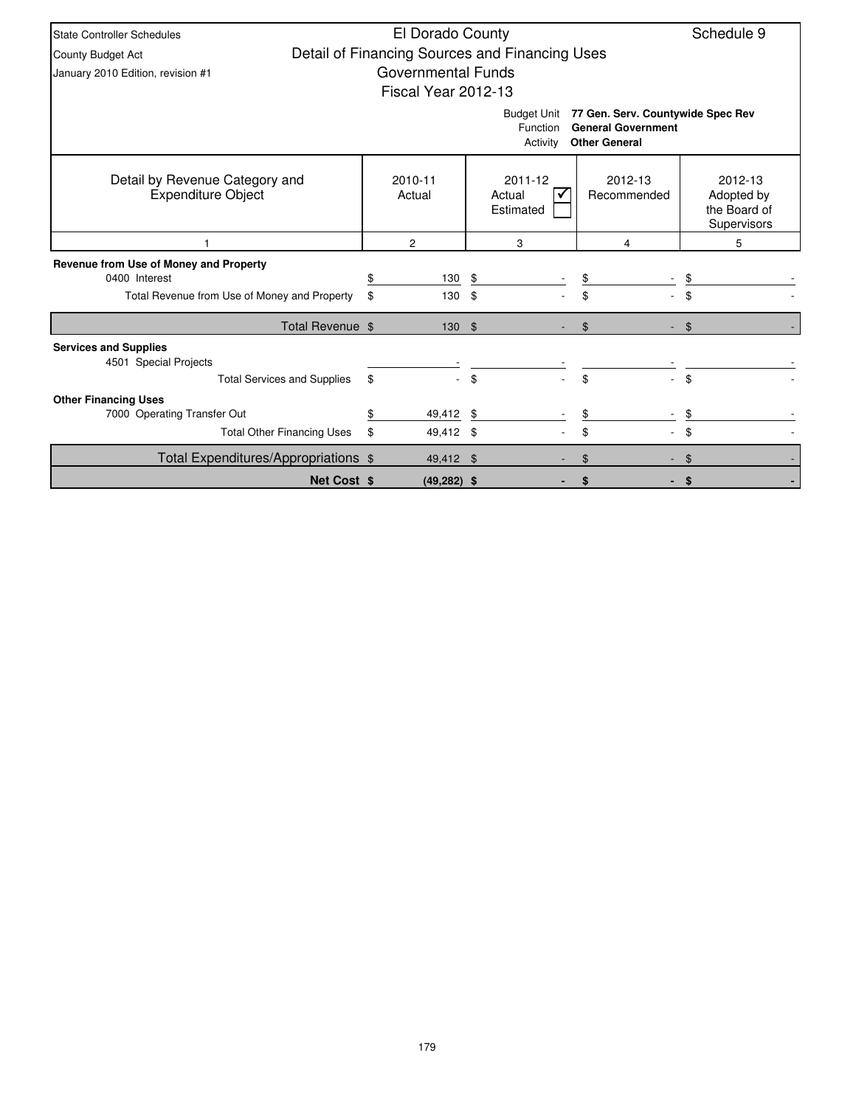| <b>State Controller Schedules</b>                                                           | El Dorado County          |                                                |                                                                                        | Schedule 9                                           |
|---------------------------------------------------------------------------------------------|---------------------------|------------------------------------------------|----------------------------------------------------------------------------------------|------------------------------------------------------|
| <b>County Budget Act</b>                                                                    |                           | Detail of Financing Sources and Financing Uses |                                                                                        |                                                      |
| January 2010 Edition, revision #1                                                           | <b>Governmental Funds</b> |                                                |                                                                                        |                                                      |
|                                                                                             | Fiscal Year 2012-13       |                                                |                                                                                        |                                                      |
|                                                                                             |                           | <b>Budget Unit</b><br>Function<br>Activity     | 77 Gen. Serv. Countywide Spec Rev<br><b>General Government</b><br><b>Other General</b> |                                                      |
| Detail by Revenue Category and<br><b>Expenditure Object</b>                                 | 2010-11<br>Actual         | 2011-12<br>Actual<br>Estimated                 | 2012-13<br>Recommended                                                                 | 2012-13<br>Adopted by<br>the Board of<br>Supervisors |
|                                                                                             | $\overline{2}$            | 3                                              | 4                                                                                      | 5                                                    |
| Revenue from Use of Money and Property                                                      |                           |                                                |                                                                                        |                                                      |
| 0400 Interest                                                                               | 130<br>\$                 | \$                                             | \$                                                                                     |                                                      |
| Total Revenue from Use of Money and Property                                                | \$<br>130                 | \$                                             | \$                                                                                     |                                                      |
| Total Revenue \$                                                                            | 130S                      |                                                | \$                                                                                     | \$                                                   |
| <b>Services and Supplies</b><br>4501 Special Projects<br><b>Total Services and Supplies</b> | \$                        | \$                                             | \$                                                                                     | \$                                                   |
| <b>Other Financing Uses</b>                                                                 |                           |                                                |                                                                                        |                                                      |
| 7000 Operating Transfer Out                                                                 | 49,412<br>\$              |                                                | \$                                                                                     |                                                      |
| <b>Total Other Financing Uses</b>                                                           | \$<br>49,412 \$           |                                                | \$                                                                                     | \$                                                   |
| Total Expenditures/Appropriations \$                                                        | 49,412 \$                 |                                                |                                                                                        |                                                      |
| <b>Net Cost \$</b>                                                                          | $(49, 282)$ \$            |                                                | S                                                                                      | - \$                                                 |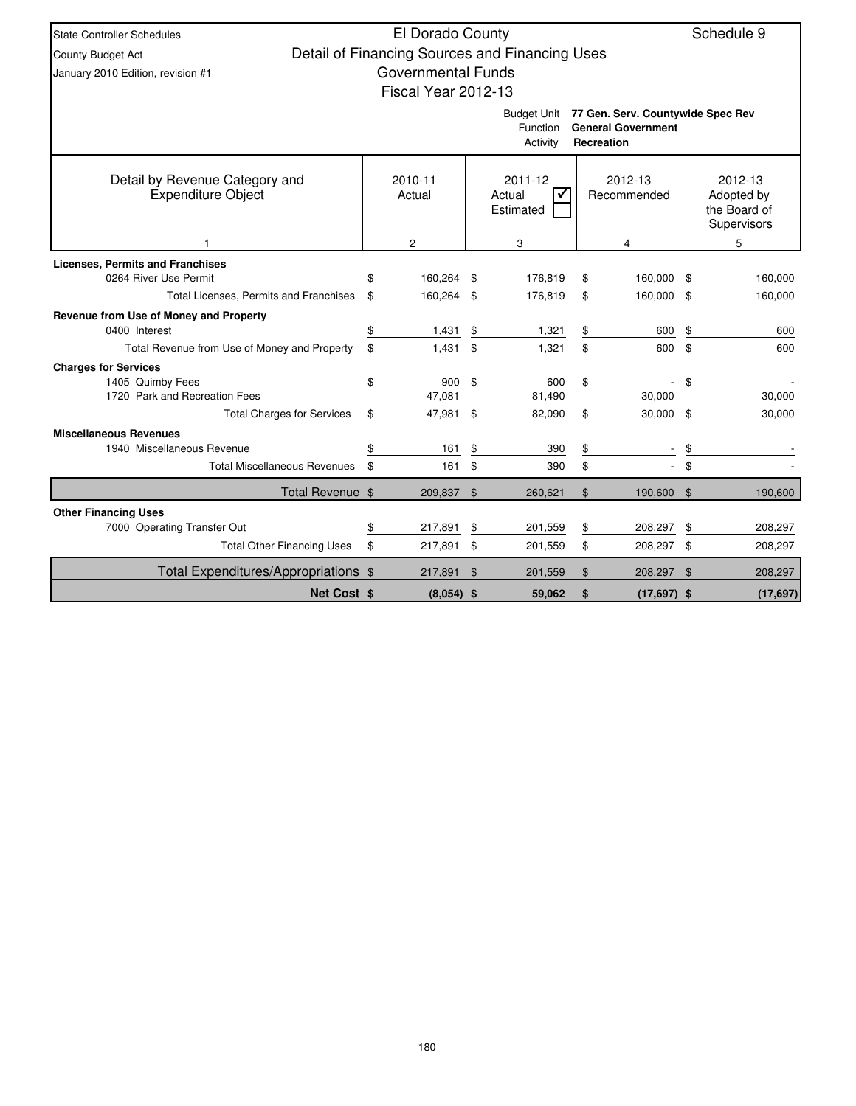| <b>State Controller Schedules</b>            | El Dorado County          |                |                                                |                |                                                                |     | Schedule 9                  |
|----------------------------------------------|---------------------------|----------------|------------------------------------------------|----------------|----------------------------------------------------------------|-----|-----------------------------|
| County Budget Act                            |                           |                | Detail of Financing Sources and Financing Uses |                |                                                                |     |                             |
| January 2010 Edition, revision #1            | <b>Governmental Funds</b> |                |                                                |                |                                                                |     |                             |
|                                              | Fiscal Year 2012-13       |                |                                                |                |                                                                |     |                             |
|                                              |                           |                |                                                |                |                                                                |     |                             |
|                                              |                           |                | Budget Unit<br>Function                        |                | 77 Gen. Serv. Countywide Spec Rev<br><b>General Government</b> |     |                             |
|                                              |                           |                | Activity                                       |                | <b>Recreation</b>                                              |     |                             |
|                                              |                           |                |                                                |                |                                                                |     |                             |
| Detail by Revenue Category and               | 2010-11                   |                | 2011-12                                        |                | 2012-13                                                        |     | 2012-13                     |
| <b>Expenditure Object</b>                    | Actual                    |                | Actual<br>✔                                    |                | Recommended                                                    |     | Adopted by                  |
|                                              |                           |                | Estimated                                      |                |                                                                |     | the Board of<br>Supervisors |
|                                              | $\overline{c}$            |                | 3                                              |                | 4                                                              | 5   |                             |
| <b>Licenses, Permits and Franchises</b>      |                           |                |                                                |                |                                                                |     |                             |
| 0264 River Use Permit                        | 160,264                   | \$             | 176,819                                        | \$             | 160,000                                                        | \$  | 160,000                     |
| Total Licenses, Permits and Franchises       | \$<br>160,264             | \$             | 176,819                                        | \$             | 160,000                                                        | \$  | 160,000                     |
| Revenue from Use of Money and Property       |                           |                |                                                |                |                                                                |     |                             |
| 0400 Interest                                | \$<br>1,431               | \$             | 1,321                                          | \$             | 600                                                            | \$  | 600                         |
| Total Revenue from Use of Money and Property | \$<br>1,431               | \$             | 1,321                                          | \$             | 600                                                            | \$  | 600                         |
| <b>Charges for Services</b>                  |                           |                |                                                |                |                                                                |     |                             |
| 1405 Quimby Fees                             | \$<br>900                 | \$             | 600                                            | \$             |                                                                | \$  |                             |
| 1720 Park and Recreation Fees                | 47,081                    |                | 81,490                                         |                | 30,000                                                         |     | 30,000                      |
| <b>Total Charges for Services</b>            | \$<br>47,981              | \$             | 82,090                                         | \$             | 30,000                                                         | \$  | 30,000                      |
| <b>Miscellaneous Revenues</b>                |                           |                |                                                |                |                                                                |     |                             |
| 1940 Miscellaneous Revenue                   | \$<br>161                 | \$             | 390                                            | \$             |                                                                | \$  |                             |
| <b>Total Miscellaneous Revenues</b>          | \$<br>161                 | \$             | 390                                            | \$             |                                                                | \$  |                             |
| Total Revenue \$                             | 209,837                   | $\mathfrak{L}$ | 260.621                                        | $\mathfrak{L}$ | 190,600                                                        | \$  | 190.600                     |
| <b>Other Financing Uses</b>                  |                           |                |                                                |                |                                                                |     |                             |
| 7000 Operating Transfer Out                  | \$<br>217,891             | \$             | 201,559                                        | \$             | 208,297                                                        | \$  | 208,297                     |
| <b>Total Other Financing Uses</b>            | \$<br>217,891             | \$             | 201,559                                        | \$             | 208,297 \$                                                     |     | 208,297                     |
| Total Expenditures/Appropriations \$         | 217,891                   | -\$            | 201,559                                        | \$             | 208,297                                                        | -\$ | 208,297                     |
| <b>Net Cost \$</b>                           | $(8,054)$ \$              |                | 59,062                                         | \$             | $(17,697)$ \$                                                  |     | (17, 697)                   |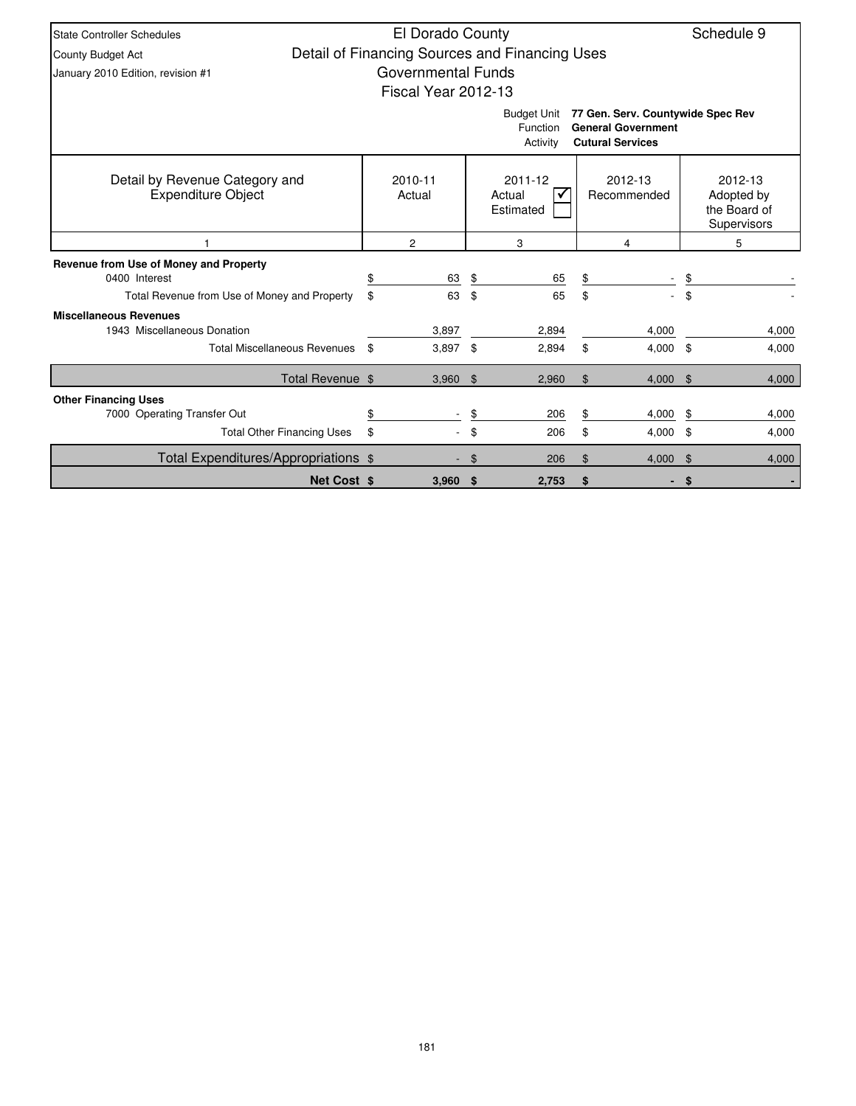| <b>State Controller Schedules</b>                           | El Dorado County          |                                                |                                                                                           |      | Schedule 9                                           |
|-------------------------------------------------------------|---------------------------|------------------------------------------------|-------------------------------------------------------------------------------------------|------|------------------------------------------------------|
| County Budget Act                                           |                           | Detail of Financing Sources and Financing Uses |                                                                                           |      |                                                      |
| January 2010 Edition, revision #1                           | <b>Governmental Funds</b> |                                                |                                                                                           |      |                                                      |
|                                                             | Fiscal Year 2012-13       |                                                |                                                                                           |      |                                                      |
|                                                             |                           | <b>Budget Unit</b><br>Function<br>Activity     | 77 Gen. Serv. Countywide Spec Rev<br><b>General Government</b><br><b>Cutural Services</b> |      |                                                      |
| Detail by Revenue Category and<br><b>Expenditure Object</b> | 2010-11<br>Actual         | 2011-12<br>Actual<br>Estimated                 | 2012-13<br>Recommended                                                                    |      | 2012-13<br>Adopted by<br>the Board of<br>Supervisors |
|                                                             | 2                         | 3                                              | 4                                                                                         |      | 5                                                    |
| Revenue from Use of Money and Property                      |                           |                                                |                                                                                           |      |                                                      |
| 0400 Interest                                               | \$<br>63                  | \$<br>65                                       | \$                                                                                        |      |                                                      |
| Total Revenue from Use of Money and Property                | \$<br>63                  | \$<br>65                                       | \$                                                                                        | \$   |                                                      |
| <b>Miscellaneous Revenues</b>                               |                           |                                                |                                                                                           |      |                                                      |
| 1943 Miscellaneous Donation                                 | 3.897                     | 2,894                                          | 4.000                                                                                     |      | 4,000                                                |
| <b>Total Miscellaneous Revenues</b>                         | \$<br>3,897               | \$<br>2.894                                    | \$<br>$4,000$ \$                                                                          |      | 4,000                                                |
| Total Revenue \$                                            | 3,960                     | \$<br>2,960                                    | \$<br>4,000                                                                               | \$   | 4,000                                                |
| <b>Other Financing Uses</b>                                 |                           |                                                |                                                                                           |      |                                                      |
| 7000 Operating Transfer Out                                 | \$                        | \$<br>206                                      | \$<br>4,000                                                                               | \$   | 4,000                                                |
| <b>Total Other Financing Uses</b>                           | \$                        | \$<br>206                                      | \$<br>4,000                                                                               | - \$ | 4,000                                                |
| Total Expenditures/Appropriations \$                        |                           | \$<br>206                                      | \$<br>$4,000$ \$                                                                          |      | 4,000                                                |
| <b>Net Cost \$</b>                                          | $3,960$ \$                | 2,753                                          | \$                                                                                        | \$   |                                                      |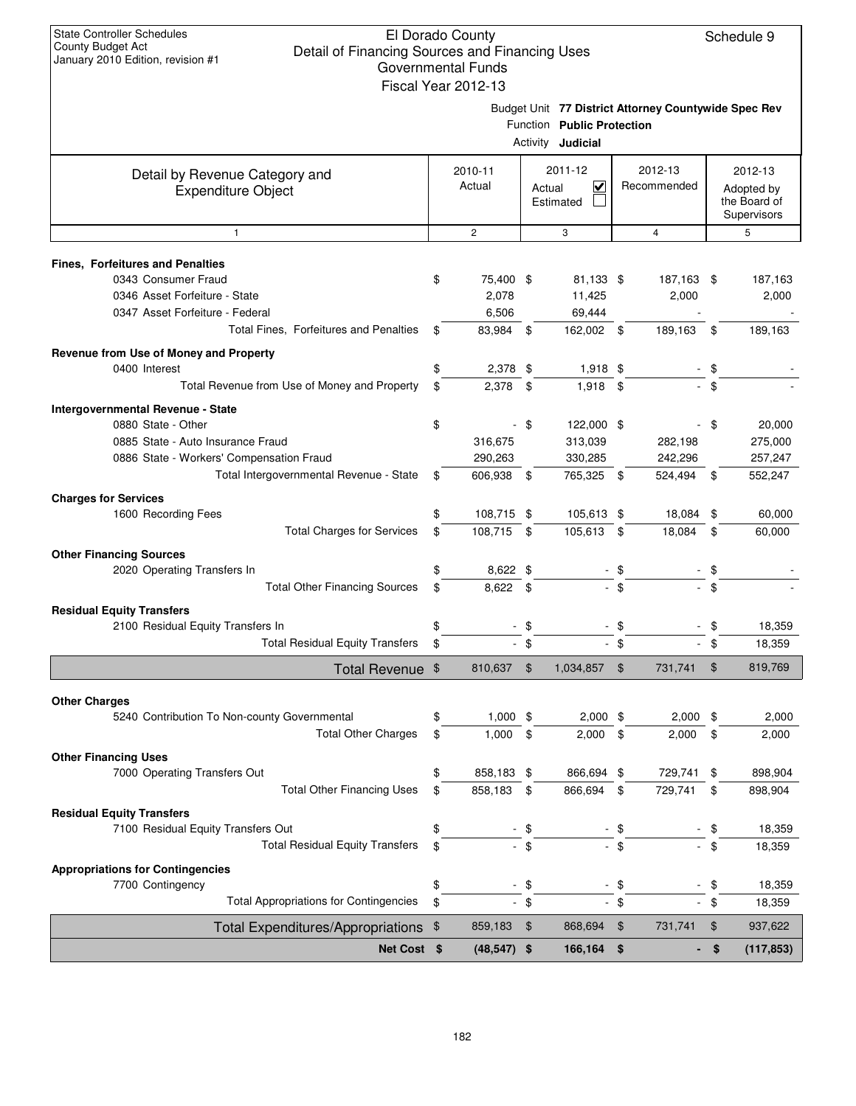|                                                                                                     |          | Governmental Funds<br>Fiscal Year 2012-13 |                |                                                        |                |                        |                                                      |                                                      |  |
|-----------------------------------------------------------------------------------------------------|----------|-------------------------------------------|----------------|--------------------------------------------------------|----------------|------------------------|------------------------------------------------------|------------------------------------------------------|--|
|                                                                                                     |          |                                           |                | Function Public Protection<br>Activity <b>Judicial</b> |                |                        | Budget Unit 77 District Attorney Countywide Spec Rev |                                                      |  |
| Detail by Revenue Category and<br><b>Expenditure Object</b>                                         |          | 2010-11<br>Actual                         |                | 2011-12<br>⊻<br>Actual<br>Estimated                    |                | 2012-13<br>Recommended |                                                      | 2012-13<br>Adopted by<br>the Board of<br>Supervisors |  |
| $\mathbf{1}$                                                                                        |          | $\overline{c}$                            |                | 3                                                      |                | $\overline{4}$         |                                                      | 5                                                    |  |
| <b>Fines. Forfeitures and Penalties</b>                                                             |          |                                           |                |                                                        |                |                        |                                                      |                                                      |  |
| 0343 Consumer Fraud<br>0346 Asset Forfeiture - State<br>0347 Asset Forfeiture - Federal             | \$       | 75,400 \$<br>2,078<br>6,506               |                | 81,133 \$<br>11,425<br>69,444                          |                | 187,163 \$<br>2,000    |                                                      | 187,163<br>2,000                                     |  |
| Total Fines, Forfeitures and Penalties                                                              | \$       | 83,984 \$                                 |                | 162,002 \$                                             |                | 189,163                | \$                                                   | 189,163                                              |  |
| Revenue from Use of Money and Property<br>0400 Interest                                             | \$       | 2,378 \$                                  |                | $1,918$ \$                                             |                |                        | \$                                                   |                                                      |  |
| Total Revenue from Use of Money and Property                                                        | \$       | $2,378$ \$                                |                | $1,918$ \$                                             |                |                        | $-$ \$                                               |                                                      |  |
| Intergovernmental Revenue - State                                                                   |          |                                           |                |                                                        |                |                        |                                                      |                                                      |  |
| 0880 State - Other<br>0885 State - Auto Insurance Fraud<br>0886 State - Workers' Compensation Fraud | \$       | 316,675<br>290,263                        | $-$ \$         | 122,000 \$<br>313,039<br>330,285                       |                | 282,198<br>242,296     | - \$                                                 | 20,000<br>275,000<br>257,247                         |  |
| Total Intergovernmental Revenue - State                                                             | \$       | 606,938 \$                                |                | 765,325 \$                                             |                | 524,494 \$             |                                                      | 552,247                                              |  |
| <b>Charges for Services</b>                                                                         |          |                                           |                |                                                        |                |                        |                                                      |                                                      |  |
| 1600 Recording Fees                                                                                 | \$       | 108,715 \$                                |                | 105,613 \$                                             |                | 18,084                 | -\$                                                  | 60,000                                               |  |
| <b>Total Charges for Services</b>                                                                   | \$       | 108,715 \$                                |                | 105,613                                                | \$             | 18,084                 | \$                                                   | 60,000                                               |  |
| <b>Other Financing Sources</b><br>2020 Operating Transfers In                                       | \$       | 8,622 \$                                  |                |                                                        | - \$           |                        | \$                                                   |                                                      |  |
| <b>Total Other Financing Sources</b>                                                                | \$       | 8,622 \$                                  |                |                                                        | $-$ \$         |                        | \$                                                   |                                                      |  |
| <b>Residual Equity Transfers</b>                                                                    |          |                                           |                |                                                        |                |                        |                                                      |                                                      |  |
| 2100 Residual Equity Transfers In<br><b>Total Residual Equity Transfers</b>                         | \$<br>\$ |                                           | \$<br>$-$ \$   |                                                        | - \$<br>- \$   |                        | \$<br>\$                                             | 18,359<br>18,359                                     |  |
| Total Revenue \$                                                                                    |          | 810,637                                   | $\mathfrak{F}$ | 1,034,857                                              | $\mathfrak{F}$ | 731,741                | \$                                                   | 819,769                                              |  |
|                                                                                                     |          |                                           |                |                                                        |                |                        |                                                      |                                                      |  |
| <b>Other Charges</b><br>5240 Contribution To Non-county Governmental                                | \$       | $1,000$ \$                                |                | $2,000$ \$                                             |                | 2,000                  | - \$                                                 | 2,000                                                |  |
| <b>Total Other Charges</b>                                                                          | \$       | 1,000                                     | $\sqrt{3}$     | 2,000                                                  | \$             | 2,000                  | \$                                                   | 2,000                                                |  |
| <b>Other Financing Uses</b>                                                                         |          |                                           |                |                                                        |                |                        |                                                      |                                                      |  |
| 7000 Operating Transfers Out                                                                        | \$       | 858,183 \$                                |                | 866,694                                                | \$             | 729,741                | \$                                                   | 898,904                                              |  |
| <b>Total Other Financing Uses</b>                                                                   | \$       | 858,183                                   | \$             | 866,694                                                | \$             | 729,741                | \$                                                   | 898,904                                              |  |
| <b>Residual Equity Transfers</b><br>7100 Residual Equity Transfers Out                              | \$       |                                           | - \$           |                                                        | - \$           |                        | \$                                                   | 18,359                                               |  |
| <b>Total Residual Equity Transfers</b>                                                              | \$       |                                           | $-$ \$         |                                                        | $-$ \$         |                        | \$                                                   | 18,359                                               |  |
| <b>Appropriations for Contingencies</b>                                                             |          |                                           |                |                                                        |                |                        |                                                      |                                                      |  |
| 7700 Contingency                                                                                    | \$       |                                           | \$             |                                                        | - \$           |                        | \$                                                   | 18,359                                               |  |
| <b>Total Appropriations for Contingencies</b>                                                       | \$       |                                           | $-$ \$         |                                                        | $-$ \$         |                        | - \$                                                 | 18,359                                               |  |
| Total Expenditures/Appropriations \$                                                                |          | 859,183                                   | \$             | 868,694                                                | \$             | 731,741                | \$                                                   | 937,622                                              |  |
| Net Cost \$                                                                                         |          | $(48, 547)$ \$                            |                | 166,164 \$                                             |                | ۰.                     | \$                                                   | (117, 853)                                           |  |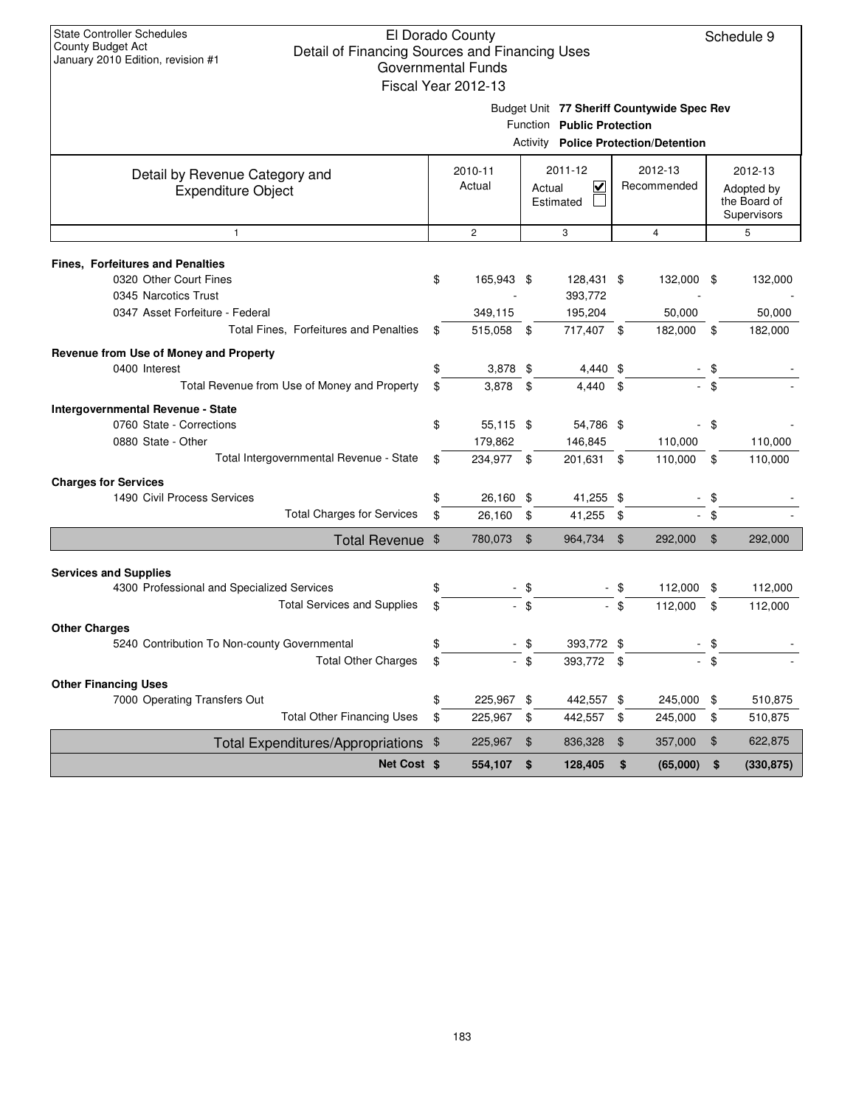|                                                                            | uuvtiiliiltillal Lullus<br>Fiscal Year 2012-13 |        |                                                                                                                         |               |                |                |                                           |
|----------------------------------------------------------------------------|------------------------------------------------|--------|-------------------------------------------------------------------------------------------------------------------------|---------------|----------------|----------------|-------------------------------------------|
|                                                                            |                                                |        | Budget Unit 77 Sheriff Countywide Spec Rev<br>Function Public Protection<br><b>Activity Police Protection/Detention</b> |               |                |                |                                           |
| Detail by Revenue Category and                                             | 2010-11                                        |        | 2011-12                                                                                                                 |               | 2012-13        |                | 2012-13                                   |
| <b>Expenditure Object</b>                                                  | Actual                                         | Actual | $\overline{\mathbf{v}}$<br>Estimated                                                                                    |               | Recommended    |                | Adopted by<br>the Board of<br>Supervisors |
| $\mathbf{1}$                                                               | $\overline{c}$                                 |        | 3                                                                                                                       |               | $\overline{4}$ |                | 5                                         |
| <b>Fines, Forfeitures and Penalties</b>                                    |                                                |        |                                                                                                                         |               |                |                |                                           |
| 0320 Other Court Fines<br>0345 Narcotics Trust                             | \$<br>165,943 \$                               |        | 128,431 \$<br>393,772                                                                                                   |               | 132,000 \$     |                | 132,000                                   |
| 0347 Asset Forfeiture - Federal                                            | 349,115                                        |        | 195,204                                                                                                                 |               | 50,000         |                | 50,000                                    |
| Total Fines, Forfeitures and Penalties                                     | \$<br>515,058 \$                               |        | 717,407 \$                                                                                                              |               | 182,000        | \$             | 182,000                                   |
| Revenue from Use of Money and Property                                     |                                                |        |                                                                                                                         |               |                |                |                                           |
| 0400 Interest                                                              | \$<br>$3,878$ \$                               |        | 4,440 \$                                                                                                                |               |                | \$             |                                           |
| Total Revenue from Use of Money and Property                               | \$<br>3,878                                    | \$     | 4.440                                                                                                                   | \$            |                |                |                                           |
| Intergovernmental Revenue - State                                          |                                                |        |                                                                                                                         |               |                |                |                                           |
| 0760 State - Corrections                                                   | \$<br>55,115 \$                                |        | 54,786 \$                                                                                                               |               |                | \$             |                                           |
| 0880 State - Other                                                         | 179,862                                        |        | 146,845                                                                                                                 |               | 110,000        |                | 110,000                                   |
| Total Intergovernmental Revenue - State                                    | \$<br>234,977 \$                               |        | 201,631 \$                                                                                                              |               | 110,000        | \$             | 110,000                                   |
| <b>Charges for Services</b>                                                |                                                |        |                                                                                                                         |               |                |                |                                           |
| 1490 Civil Process Services                                                | \$<br>26,160 \$                                |        | 41,255 \$                                                                                                               |               |                | \$             |                                           |
| <b>Total Charges for Services</b>                                          | \$<br>26,160                                   | \$     | 41,255                                                                                                                  | \$            |                | \$             |                                           |
| Total Revenue \$                                                           | 780,073 \$                                     |        | 964,734                                                                                                                 | \$            | 292,000        | $\mathfrak{S}$ | 292,000                                   |
|                                                                            |                                                |        |                                                                                                                         |               |                |                |                                           |
| <b>Services and Supplies</b><br>4300 Professional and Specialized Services | \$                                             | - \$   |                                                                                                                         | -\$           | 112,000        | \$             | 112,000                                   |
| <b>Total Services and Supplies</b>                                         | \$                                             | $-$ \$ |                                                                                                                         | - \$          | 112,000        | \$             | 112,000                                   |
| <b>Other Charges</b>                                                       |                                                |        |                                                                                                                         |               |                |                |                                           |
| 5240 Contribution To Non-county Governmental                               | \$                                             | $-$ \$ | 393,772 \$                                                                                                              |               |                |                |                                           |
| <b>Total Other Charges</b>                                                 | \$                                             | $-$ \$ | 393,772 \$                                                                                                              |               |                | \$             |                                           |
| <b>Other Financing Uses</b>                                                |                                                |        |                                                                                                                         |               |                |                |                                           |
| 7000 Operating Transfers Out                                               | \$<br>225,967 \$                               |        | 442,557 \$                                                                                                              |               | 245,000        | \$             | 510,875                                   |
| <b>Total Other Financing Uses</b>                                          | \$<br>225,967                                  | \$     | 442,557 \$                                                                                                              |               | 245,000        | \$             | 510,875                                   |
| <b>Total Expenditures/Appropriations</b>                                   | \$<br>225,967                                  | \$     | 836,328                                                                                                                 | $\frac{1}{2}$ | 357,000        | \$             | 622,875                                   |
| Net Cost \$                                                                | 554,107                                        | \$     | 128,405                                                                                                                 | \$            | (65,000)       | \$             | (330, 875)                                |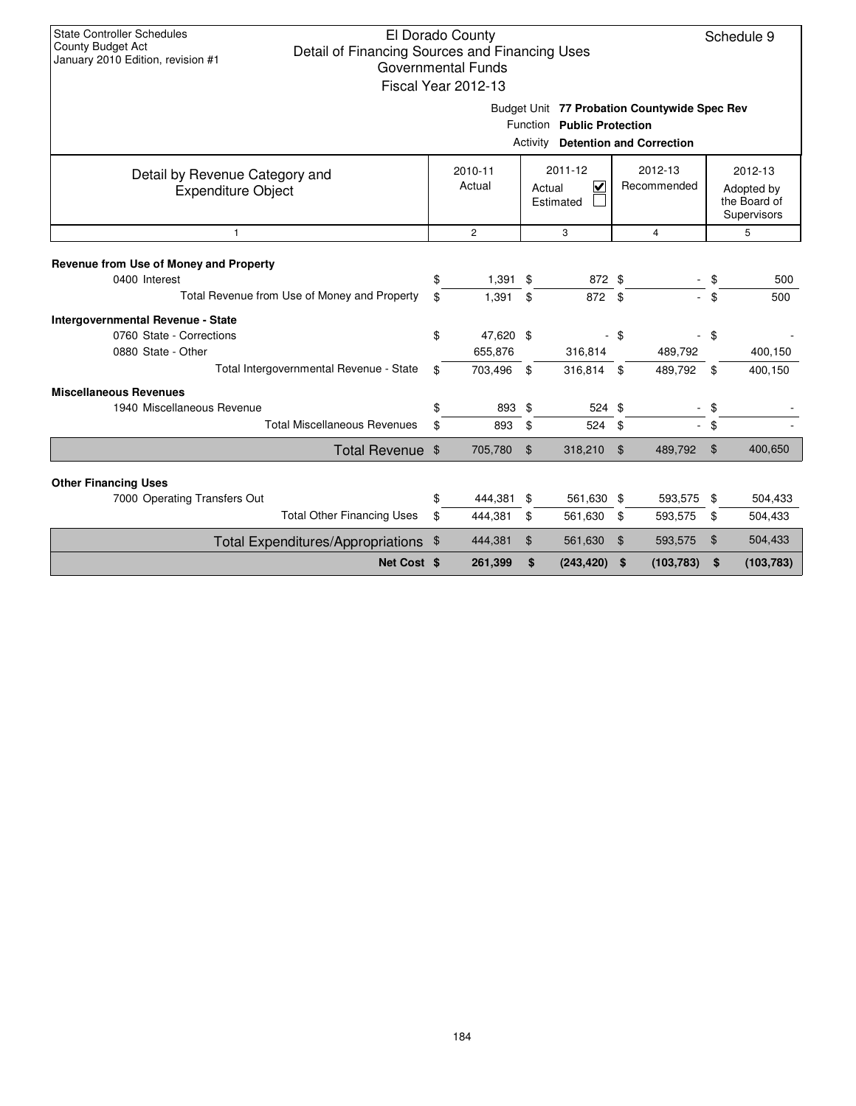|                                                             |                                                                                                          | Governmental Funds<br>Fiscal Year 2012-13 |              |                            |                |                                                                                 |                |            |
|-------------------------------------------------------------|----------------------------------------------------------------------------------------------------------|-------------------------------------------|--------------|----------------------------|----------------|---------------------------------------------------------------------------------|----------------|------------|
|                                                             |                                                                                                          |                                           | Activity     | Function Public Protection |                | Budget Unit 77 Probation Countywide Spec Rev<br><b>Detention and Correction</b> |                |            |
| Detail by Revenue Category and<br><b>Expenditure Object</b> | 2011-12<br>2012-13<br>2010-11<br>Actual<br>$\overline{\mathbf{v}}$<br>Recommended<br>Actual<br>Estimated |                                           |              |                            |                | 2012-13<br>Adopted by<br>the Board of<br>Supervisors                            |                |            |
| 1                                                           |                                                                                                          | $\overline{c}$                            |              | 3                          |                | 4                                                                               |                | 5          |
| Revenue from Use of Money and Property<br>0400 Interest     | \$                                                                                                       | 1,391                                     | \$           | 872 \$                     |                |                                                                                 | - \$           | 500        |
| Total Revenue from Use of Money and Property                | \$                                                                                                       | 1,391                                     | \$           | 872 \$                     |                |                                                                                 | - \$           | 500        |
| <b>Intergovernmental Revenue - State</b>                    |                                                                                                          |                                           |              |                            |                |                                                                                 |                |            |
| 0760 State - Corrections                                    | \$                                                                                                       | 47,620 \$                                 |              |                            | - \$           |                                                                                 | - \$           |            |
| 0880 State - Other                                          |                                                                                                          | 655,876                                   |              | 316,814                    |                | 489,792                                                                         |                | 400,150    |
| Total Intergovernmental Revenue - State                     | \$                                                                                                       | 703,496                                   | $\mathbf{s}$ | 316,814 \$                 |                | 489,792 \$                                                                      |                | 400,150    |
| <b>Miscellaneous Revenues</b>                               |                                                                                                          |                                           |              |                            |                |                                                                                 |                |            |
| 1940 Miscellaneous Revenue                                  |                                                                                                          | 893                                       | \$           | 524 \$                     |                | $\overline{\phantom{a}}$                                                        | \$             |            |
| <b>Total Miscellaneous Revenues</b>                         | \$                                                                                                       | 893                                       | \$           | 524                        | \$             |                                                                                 | - \$           |            |
| Total Revenue \$                                            |                                                                                                          | 705,780                                   | \$           | 318,210                    | \$             | 489,792                                                                         | $\mathfrak{F}$ | 400,650    |
| <b>Other Financing Uses</b>                                 |                                                                                                          |                                           |              |                            |                |                                                                                 |                |            |
| 7000 Operating Transfers Out                                | \$                                                                                                       | 444,381                                   | \$           | 561,630 \$                 |                | 593,575 \$                                                                      |                | 504,433    |
| <b>Total Other Financing Uses</b>                           | \$                                                                                                       | 444,381                                   | \$           | 561,630                    | \$             | 593,575                                                                         | \$             | 504,433    |
| Total Expenditures/Appropriations \$                        |                                                                                                          | 444,381                                   | \$           | 561,630                    | $\mathfrak{F}$ | 593,575                                                                         | \$             | 504,433    |
| Net Cost \$                                                 |                                                                                                          | 261,399                                   | \$           | (243, 420)                 | \$             | (103, 783)                                                                      | \$             | (103, 783) |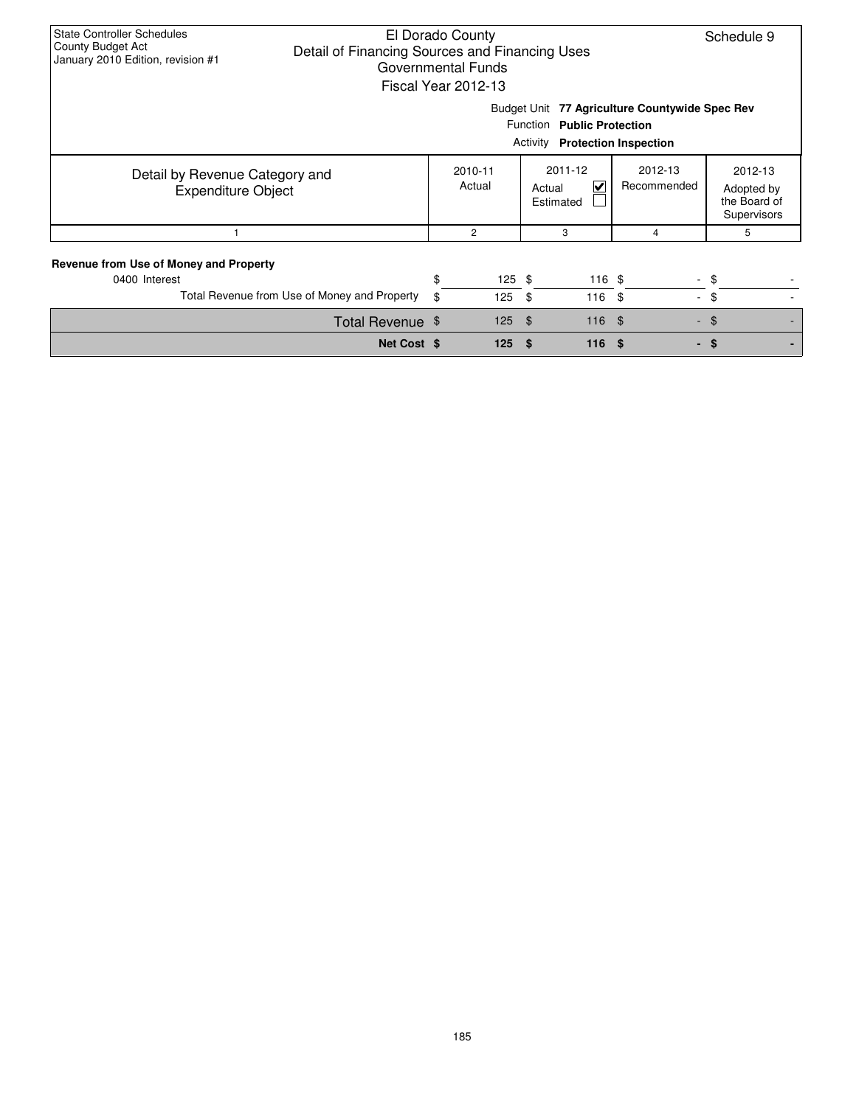| <b>State Controller Schedules</b><br>El Dorado County<br>County Budget Act<br>Detail of Financing Sources and Financing Uses<br>January 2010 Edition, revision #1<br>Governmental Funds<br>Fiscal Year 2012-13<br>Budget Unit 77 Agriculture Countywide Spec Rev |          |                   |                                                                     |                      |                |            |  |  |  |  |  |
|------------------------------------------------------------------------------------------------------------------------------------------------------------------------------------------------------------------------------------------------------------------|----------|-------------------|---------------------------------------------------------------------|----------------------|----------------|------------|--|--|--|--|--|
|                                                                                                                                                                                                                                                                  |          |                   | Function Public Protection<br><b>Activity Protection Inspection</b> |                      |                |            |  |  |  |  |  |
| Detail by Revenue Category and<br><b>Expenditure Object</b>                                                                                                                                                                                                      |          | 2010-11<br>Actual | 2012-13<br>Recommended<br>Adopted by<br>the Board of<br>Supervisors |                      |                |            |  |  |  |  |  |
|                                                                                                                                                                                                                                                                  |          | $\overline{c}$    | 3                                                                   |                      | 4              | 5          |  |  |  |  |  |
| Revenue from Use of Money and Property<br>0400 Interest<br>Total Revenue from Use of Money and Property                                                                                                                                                          | \$<br>\$ | $125$ \$<br>125   | \$                                                                  | $116$ \$<br>$116$ \$ | $\blacksquare$ | - \$<br>\$ |  |  |  |  |  |
| Total Revenue \$                                                                                                                                                                                                                                                 |          | 125               | \$                                                                  | $116$ \$             |                | $-$ \$     |  |  |  |  |  |
| Net Cost \$                                                                                                                                                                                                                                                      |          | 125               | \$                                                                  | 116                  | \$             | - \$       |  |  |  |  |  |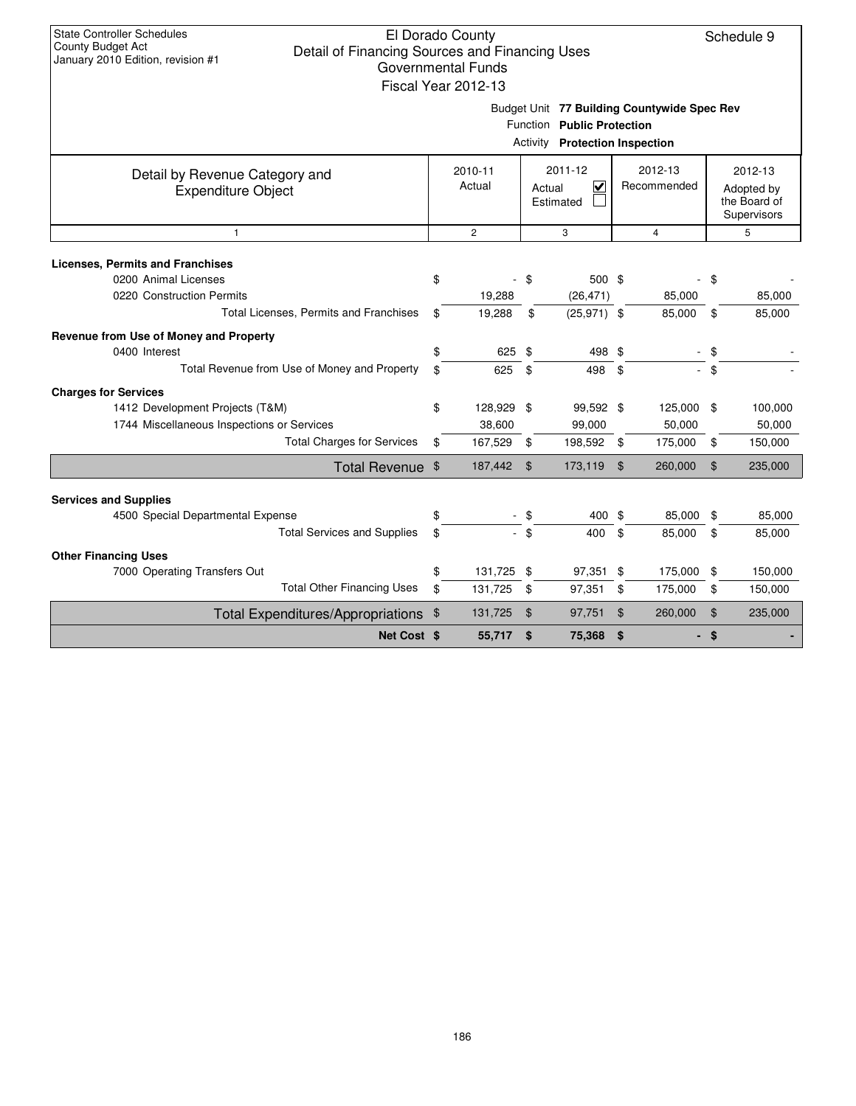|                                                                 |                                                                                                             | Fiscal Year 2012-13 |                |                                                           |                |                        |        |                                                      |  |  |  |
|-----------------------------------------------------------------|-------------------------------------------------------------------------------------------------------------|---------------------|----------------|-----------------------------------------------------------|----------------|------------------------|--------|------------------------------------------------------|--|--|--|
|                                                                 | Budget Unit 77 Building Countywide Spec Rev<br>Function Public Protection<br>Activity Protection Inspection |                     |                |                                                           |                |                        |        |                                                      |  |  |  |
| Detail by Revenue Category and<br><b>Expenditure Object</b>     |                                                                                                             | 2010-11<br>Actual   |                | 2011-12<br>$\overline{\mathbf{v}}$<br>Actual<br>Estimated |                | 2012-13<br>Recommended |        | 2012-13<br>Adopted by<br>the Board of<br>Supervisors |  |  |  |
| $\mathbf{1}$                                                    |                                                                                                             | $\overline{c}$      |                | 3                                                         |                | $\overline{4}$         |        | 5                                                    |  |  |  |
| <b>Licenses, Permits and Franchises</b><br>0200 Animal Licenses | \$                                                                                                          |                     | \$             | 500 \$                                                    |                |                        | \$     |                                                      |  |  |  |
| 0220 Construction Permits                                       |                                                                                                             | 19,288              |                | (26, 471)                                                 |                | 85,000                 |        | 85,000                                               |  |  |  |
| Total Licenses, Permits and Franchises                          | \$                                                                                                          | 19,288              | \$             | $(25,971)$ \$                                             |                | 85,000                 | \$     | 85,000                                               |  |  |  |
| Revenue from Use of Money and Property<br>0400 Interest         | \$                                                                                                          | 625 \$              |                | 498 \$                                                    |                |                        | \$     |                                                      |  |  |  |
| Total Revenue from Use of Money and Property                    | \$                                                                                                          | 625                 | \$             | 498                                                       | \$             |                        | $-$ \$ |                                                      |  |  |  |
| <b>Charges for Services</b>                                     |                                                                                                             |                     |                |                                                           |                |                        |        |                                                      |  |  |  |
| 1412 Development Projects (T&M)                                 | \$                                                                                                          | 128,929 \$          |                | 99,592 \$                                                 |                | 125,000 \$             |        | 100,000                                              |  |  |  |
| 1744 Miscellaneous Inspections or Services                      |                                                                                                             | 38,600              |                | 99,000                                                    |                | 50,000                 |        | 50,000                                               |  |  |  |
| <b>Total Charges for Services</b>                               | \$                                                                                                          | 167,529             | \$             | 198,592 \$                                                |                | 175,000                | \$     | 150,000                                              |  |  |  |
| Total Revenue \$                                                |                                                                                                             | 187,442             | $\mathfrak{F}$ | 173,119                                                   | \$             | 260,000                | \$     | 235,000                                              |  |  |  |
| <b>Services and Supplies</b>                                    |                                                                                                             |                     |                |                                                           |                |                        |        |                                                      |  |  |  |
| 4500 Special Departmental Expense                               | \$                                                                                                          |                     | - \$           | 400 \$                                                    |                | 85,000 \$              |        | 85,000                                               |  |  |  |
| <b>Total Services and Supplies</b>                              | \$                                                                                                          |                     | $-$ \$         | 400                                                       | \$             | 85,000                 | \$     | 85,000                                               |  |  |  |
| <b>Other Financing Uses</b>                                     |                                                                                                             |                     |                |                                                           |                |                        |        |                                                      |  |  |  |
| 7000 Operating Transfers Out                                    | \$                                                                                                          | 131.725             | \$             | 97,351 \$                                                 |                | 175,000                | \$     | 150,000                                              |  |  |  |
| <b>Total Other Financing Uses</b>                               | \$                                                                                                          | 131,725             | \$             | 97,351                                                    | \$             | 175,000                | \$     | 150,000                                              |  |  |  |
| Total Expenditures/Appropriations                               | \$                                                                                                          | 131,725             | \$             | 97,751                                                    | $\mathfrak{L}$ | 260,000                | \$     | 235,000                                              |  |  |  |
| Net Cost \$                                                     |                                                                                                             | 55,717              | \$             | 75,368                                                    | \$             |                        | - \$   |                                                      |  |  |  |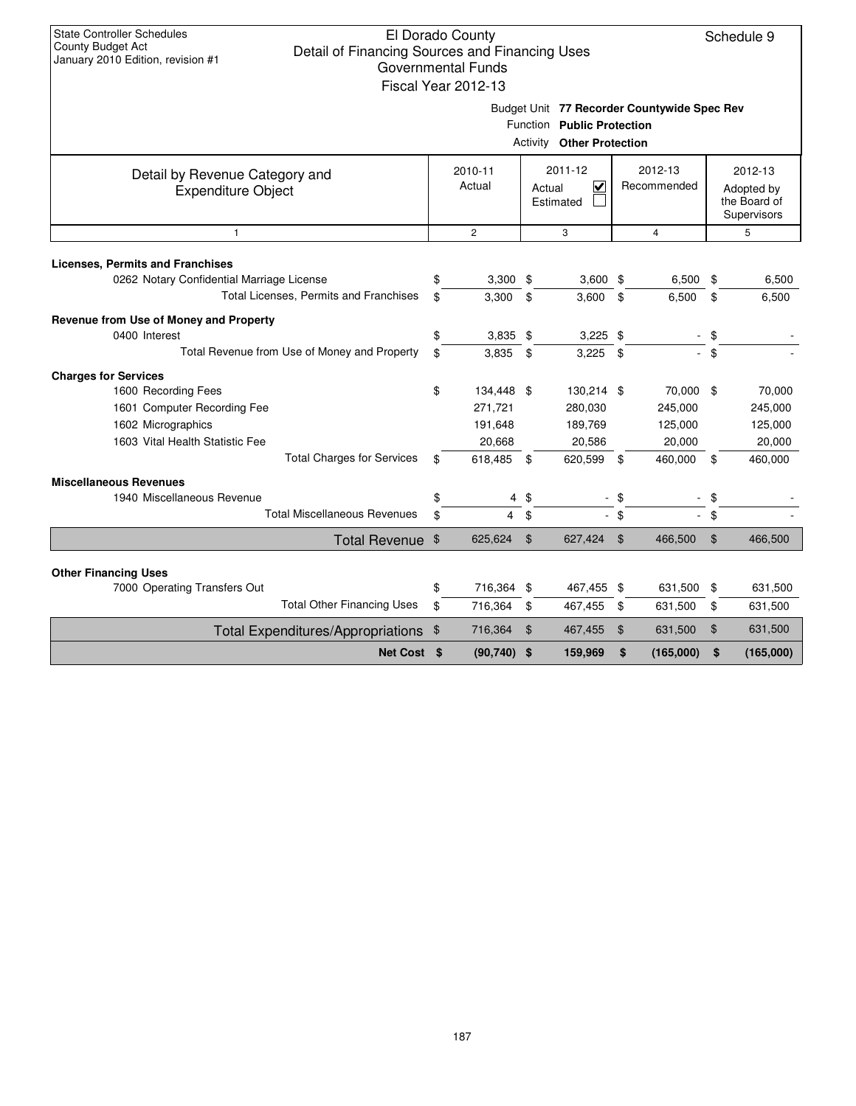|                                                             |                                                                                                        | Fiscal Year 2012-13 |                |                                                |                |                        |    |                                                      |  |  |  |  |
|-------------------------------------------------------------|--------------------------------------------------------------------------------------------------------|---------------------|----------------|------------------------------------------------|----------------|------------------------|----|------------------------------------------------------|--|--|--|--|
|                                                             | Budget Unit 77 Recorder Countywide Spec Rev<br>Function Public Protection<br>Activity Other Protection |                     |                |                                                |                |                        |    |                                                      |  |  |  |  |
| Detail by Revenue Category and<br><b>Expenditure Object</b> |                                                                                                        | 2010-11<br>Actual   |                | 2011-12<br>$\checkmark$<br>Actual<br>Estimated |                | 2012-13<br>Recommended |    | 2012-13<br>Adopted by<br>the Board of<br>Supervisors |  |  |  |  |
| $\mathbf{1}$                                                |                                                                                                        | $\mathbf{2}$        |                | 3                                              |                | $\overline{4}$         |    | 5                                                    |  |  |  |  |
| <b>Licenses, Permits and Franchises</b>                     |                                                                                                        |                     |                |                                                |                |                        |    |                                                      |  |  |  |  |
| 0262 Notary Confidential Marriage License                   | \$                                                                                                     | $3,300$ \$          |                | $3,600$ \$                                     |                | 6,500                  | \$ | 6,500                                                |  |  |  |  |
| Total Licenses, Permits and Franchises                      | \$                                                                                                     | 3,300               | \$             | 3,600                                          | \$             | 6,500                  | \$ | 6,500                                                |  |  |  |  |
| Revenue from Use of Money and Property                      |                                                                                                        |                     |                |                                                |                |                        |    |                                                      |  |  |  |  |
| 0400 Interest                                               | \$                                                                                                     | $3,835$ \$          |                | $3,225$ \$                                     |                |                        | \$ |                                                      |  |  |  |  |
| Total Revenue from Use of Money and Property                | \$                                                                                                     | 3,835               | \$             | 3,225                                          | \$             |                        | \$ |                                                      |  |  |  |  |
| <b>Charges for Services</b>                                 |                                                                                                        |                     |                |                                                |                |                        |    |                                                      |  |  |  |  |
| 1600 Recording Fees                                         | \$                                                                                                     | 134,448 \$          |                | 130,214 \$                                     |                | 70,000 \$              |    | 70,000                                               |  |  |  |  |
| 1601 Computer Recording Fee                                 |                                                                                                        | 271,721             |                | 280,030                                        |                | 245,000                |    | 245,000                                              |  |  |  |  |
| 1602 Micrographics                                          |                                                                                                        | 191,648             |                | 189,769                                        |                | 125,000                |    | 125,000                                              |  |  |  |  |
| 1603 Vital Health Statistic Fee                             |                                                                                                        | 20,668              |                | 20,586                                         |                | 20,000                 |    | 20,000                                               |  |  |  |  |
| <b>Total Charges for Services</b>                           | \$                                                                                                     | 618,485             | -\$            | 620,599                                        | \$             | 460,000                | \$ | 460,000                                              |  |  |  |  |
| <b>Miscellaneous Revenues</b>                               |                                                                                                        |                     |                |                                                |                |                        |    |                                                      |  |  |  |  |
| 1940 Miscellaneous Revenue                                  | \$                                                                                                     |                     | $4 \text{ } $$ |                                                | - \$           |                        | \$ |                                                      |  |  |  |  |
| <b>Total Miscellaneous Revenues</b>                         | \$                                                                                                     | $\overline{4}$      | \$             |                                                | $-$ \$         | $\sim$                 | \$ |                                                      |  |  |  |  |
| <b>Total Revenue</b>                                        | \$                                                                                                     | 625,624             | $\mathfrak{F}$ | 627,424                                        | $\mathfrak{F}$ | 466,500                | \$ | 466,500                                              |  |  |  |  |
| <b>Other Financing Uses</b>                                 |                                                                                                        |                     |                |                                                |                |                        |    |                                                      |  |  |  |  |
| 7000 Operating Transfers Out                                | \$                                                                                                     | 716,364 \$          |                | 467,455 \$                                     |                | 631,500                | \$ | 631,500                                              |  |  |  |  |
| <b>Total Other Financing Uses</b>                           | \$                                                                                                     | 716,364             | \$             | 467,455                                        | \$             | 631,500                | \$ | 631,500                                              |  |  |  |  |
| <b>Total Expenditures/Appropriations</b>                    | \$                                                                                                     | 716,364             | \$             | 467,455                                        | \$             | 631,500                | \$ | 631,500                                              |  |  |  |  |
| Net Cost \$                                                 |                                                                                                        | $(90, 740)$ \$      |                | 159,969                                        | \$             | (165,000)              | \$ | (165,000)                                            |  |  |  |  |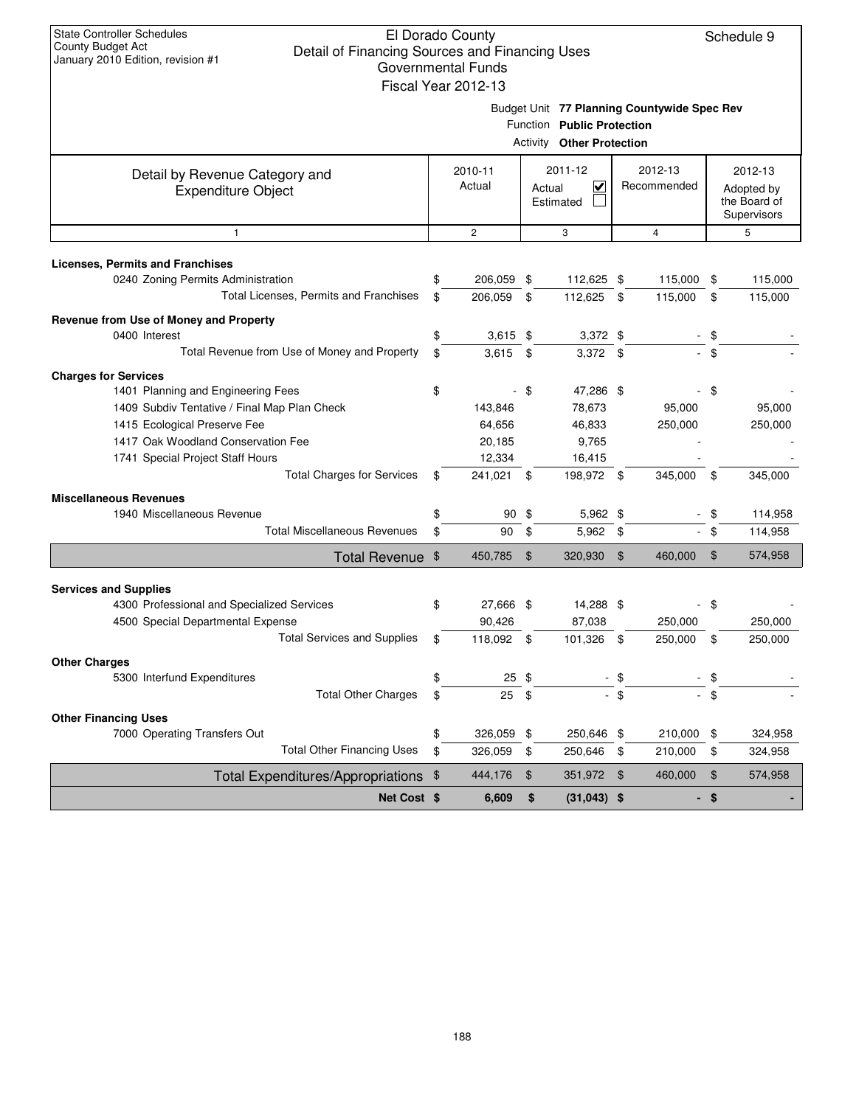|                                                                            | Fiscal Year 2012-13   |               |                                                                                                               |                        |                |                |                                                      |
|----------------------------------------------------------------------------|-----------------------|---------------|---------------------------------------------------------------------------------------------------------------|------------------------|----------------|----------------|------------------------------------------------------|
|                                                                            |                       |               | Budget Unit 77 Planning Countywide Spec Rev<br>Function Public Protection<br><b>Activity Other Protection</b> |                        |                |                |                                                      |
| Detail by Revenue Category and<br><b>Expenditure Object</b>                | 2010-11<br>Actual     | Actual        | 2011-12<br>≺<br>Estimated                                                                                     | 2012-13<br>Recommended |                |                | 2012-13<br>Adopted by<br>the Board of<br>Supervisors |
| $\mathbf{1}$                                                               | $\overline{c}$        |               | 3                                                                                                             |                        | $\overline{4}$ |                | 5                                                    |
| <b>Licenses, Permits and Franchises</b>                                    |                       |               |                                                                                                               |                        |                |                |                                                      |
| 0240 Zoning Permits Administration                                         | \$<br>206,059         | \$            | 112,625 \$                                                                                                    |                        | 115,000        | \$             | 115,000                                              |
| Total Licenses, Permits and Franchises                                     | \$<br>206.059         | \$            | 112,625 \$                                                                                                    |                        | 115,000        | \$             | 115,000                                              |
| Revenue from Use of Money and Property                                     |                       |               |                                                                                                               |                        |                |                |                                                      |
| 0400 Interest                                                              | \$<br>$3,615$ \$      |               | $3,372$ \$                                                                                                    |                        |                | \$             |                                                      |
| Total Revenue from Use of Money and Property                               | \$<br>$3,615$ \$      |               | $3,372$ \$                                                                                                    |                        |                | - \$           |                                                      |
| <b>Charges for Services</b>                                                |                       |               |                                                                                                               |                        |                |                |                                                      |
| 1401 Planning and Engineering Fees                                         | \$                    | - \$          | 47,286 \$                                                                                                     |                        |                | - \$           |                                                      |
| 1409 Subdiv Tentative / Final Map Plan Check                               | 143,846               |               | 78,673                                                                                                        |                        | 95,000         |                | 95,000                                               |
| 1415 Ecological Preserve Fee                                               | 64,656                |               | 46,833                                                                                                        |                        | 250,000        |                | 250,000                                              |
| 1417 Oak Woodland Conservation Fee                                         | 20,185                |               | 9,765                                                                                                         |                        |                |                |                                                      |
| 1741 Special Project Staff Hours                                           | 12,334                |               | 16,415                                                                                                        |                        |                |                |                                                      |
| <b>Total Charges for Services</b>                                          | \$<br>241,021 \$      |               | 198,972 \$                                                                                                    |                        | 345,000        | \$             | 345,000                                              |
| <b>Miscellaneous Revenues</b>                                              |                       |               |                                                                                                               |                        |                |                |                                                      |
| 1940 Miscellaneous Revenue                                                 | \$<br>$90*$           |               | $5,962$ \$                                                                                                    |                        |                | \$             | 114,958                                              |
| <b>Total Miscellaneous Revenues</b>                                        | \$<br>90              | \$            | $5,962$ \$                                                                                                    |                        |                | \$             | 114,958                                              |
| Total Revenue \$                                                           | 450,785               | \$            | 320,930                                                                                                       | $\sqrt{3}$             | 460,000        | $\mathfrak{L}$ | 574,958                                              |
|                                                                            |                       |               |                                                                                                               |                        |                |                |                                                      |
| <b>Services and Supplies</b><br>4300 Professional and Specialized Services | \$<br>27,666 \$       |               | 14,288 \$                                                                                                     |                        |                | - \$           |                                                      |
| 4500 Special Departmental Expense                                          | 90,426                |               | 87,038                                                                                                        |                        | 250,000        |                | 250,000                                              |
| <b>Total Services and Supplies</b>                                         | \$<br>118,092         | \$            | 101,326                                                                                                       | \$                     | 250,000        | \$             | 250,000                                              |
| <b>Other Charges</b>                                                       |                       |               |                                                                                                               |                        |                |                |                                                      |
| 5300 Interfund Expenditures                                                | \$<br>$25 \text{ } $$ |               |                                                                                                               |                        |                |                |                                                      |
| <b>Total Other Charges</b>                                                 | \$<br>25              | $\sqrt[6]{2}$ |                                                                                                               | $-$ \$                 |                |                |                                                      |
| <b>Other Financing Uses</b>                                                |                       |               |                                                                                                               |                        |                |                |                                                      |
| 7000 Operating Transfers Out                                               | \$<br>326,059         | \$            | 250,646 \$                                                                                                    |                        | 210,000        | \$             | 324,958                                              |
| <b>Total Other Financing Uses</b>                                          | \$<br>326,059         | \$            | 250,646                                                                                                       | - \$                   | 210,000        | \$             | 324,958                                              |
| <b>Total Expenditures/Appropriations</b>                                   | \$<br>444,176         | \$            | 351,972 \$                                                                                                    |                        | 460,000        | \$             | 574,958                                              |
| Net Cost \$                                                                | 6,609                 | \$            | $(31,043)$ \$                                                                                                 |                        | . .            | \$             |                                                      |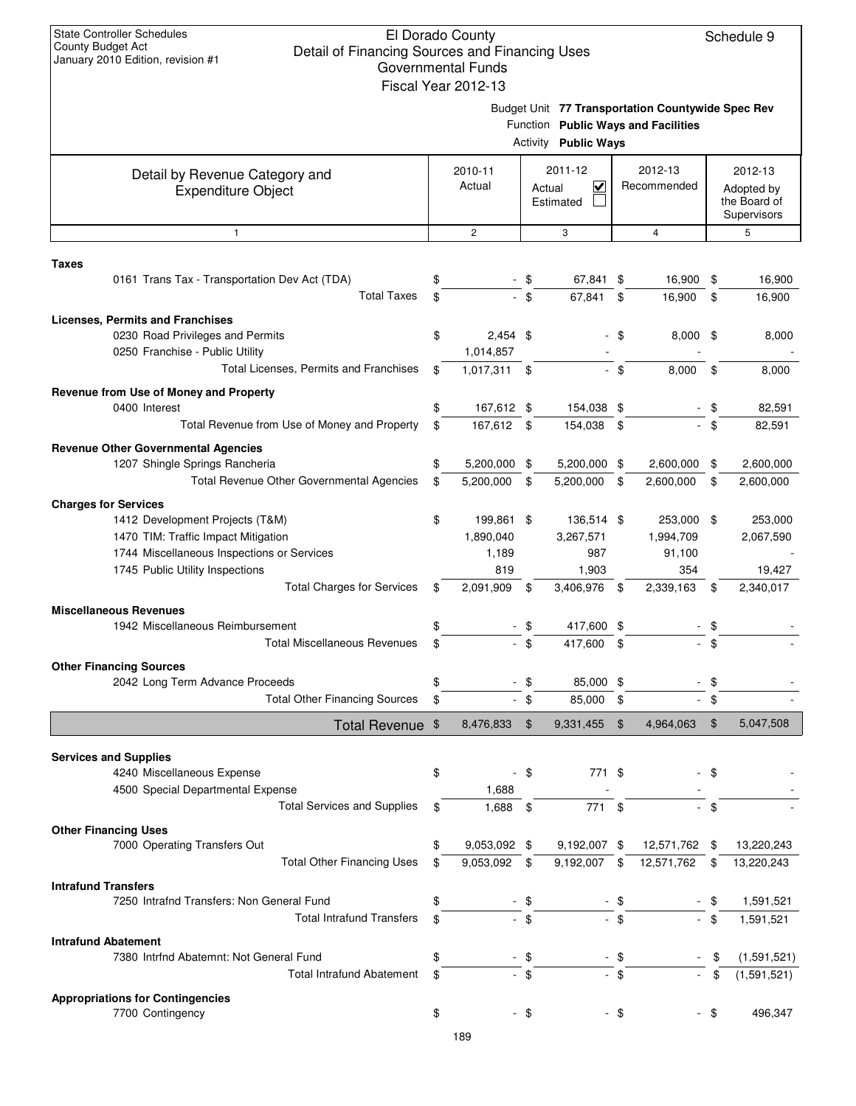| $\alpha$ ilualy $\alpha$ ilu Lullion, itevision $\pi$ i                     |    | Governmental Funds          |        |                                                |                |                                                                                          |                                                      |
|-----------------------------------------------------------------------------|----|-----------------------------|--------|------------------------------------------------|----------------|------------------------------------------------------------------------------------------|------------------------------------------------------|
|                                                                             |    | Fiscal Year 2012-13         |        | <b>Activity Public Ways</b>                    |                | Budget Unit 77 Transportation Countywide Spec Rev<br>Function Public Ways and Facilities |                                                      |
| Detail by Revenue Category and<br><b>Expenditure Object</b>                 |    | 2010-11<br>Actual           |        | 2011-12<br>$\checkmark$<br>Actual<br>Estimated |                | 2012-13<br>Recommended                                                                   | 2012-13<br>Adopted by<br>the Board of<br>Supervisors |
| $\mathbf{1}$                                                                |    | $\overline{c}$              |        | 3                                              |                | $\overline{4}$                                                                           | 5                                                    |
| Taxes                                                                       |    |                             |        |                                                |                |                                                                                          |                                                      |
| 0161 Trans Tax - Transportation Dev Act (TDA)                               |    |                             | - \$   | 67,841 \$                                      |                | 16,900                                                                                   | \$<br>16,900                                         |
| <b>Total Taxes</b>                                                          | \$ |                             | \$     | 67,841                                         | \$             | 16,900                                                                                   | \$<br>16,900                                         |
| <b>Licenses, Permits and Franchises</b><br>0230 Road Privileges and Permits | \$ | $2,454$ \$                  |        |                                                | - \$           | $8,000$ \$                                                                               | 8,000                                                |
| 0250 Franchise - Public Utility<br>Total Licenses, Permits and Franchises   | \$ | 1,014,857<br>$1,017,311$ \$ |        |                                                | - \$           | 8,000                                                                                    | \$<br>8,000                                          |
|                                                                             |    |                             |        |                                                |                |                                                                                          |                                                      |
| Revenue from Use of Money and Property<br>0400 Interest                     | \$ | 167,612 \$                  |        | 154,038 \$                                     |                |                                                                                          | 82,591                                               |
| Total Revenue from Use of Money and Property                                | \$ | 167,612 \$                  |        | 154,038                                        | \$             |                                                                                          | \$<br>82,591                                         |
| <b>Revenue Other Governmental Agencies</b>                                  |    |                             |        |                                                |                |                                                                                          |                                                      |
| 1207 Shingle Springs Rancheria                                              | \$ | 5,200,000 \$                |        | 5,200,000 \$                                   |                | 2,600,000                                                                                | \$<br>2,600,000                                      |
| Total Revenue Other Governmental Agencies                                   | \$ | 5,200,000                   | \$     | 5,200,000                                      | \$             | 2,600,000                                                                                | \$<br>2,600,000                                      |
| <b>Charges for Services</b>                                                 |    |                             |        |                                                |                |                                                                                          |                                                      |
| 1412 Development Projects (T&M)                                             | \$ | 199,861 \$                  |        | 136,514 \$                                     |                | 253,000 \$                                                                               | 253,000                                              |
| 1470 TIM: Traffic Impact Mitigation                                         |    | 1,890,040                   |        | 3,267,571                                      |                | 1,994,709                                                                                | 2,067,590                                            |
| 1744 Miscellaneous Inspections or Services                                  |    | 1,189                       |        | 987                                            |                | 91,100                                                                                   |                                                      |
| 1745 Public Utility Inspections<br><b>Total Charges for Services</b>        | \$ | 819<br>2,091,909            | \$     | 1,903<br>3,406,976 \$                          |                | 354<br>2,339,163                                                                         | \$<br>19,427<br>2,340,017                            |
|                                                                             |    |                             |        |                                                |                |                                                                                          |                                                      |
| <b>Miscellaneous Revenues</b><br>1942 Miscellaneous Reimbursement           |    |                             | - \$   | 417,600 \$                                     |                |                                                                                          | \$                                                   |
| <b>Total Miscellaneous Revenues</b>                                         | \$ |                             | $-$ \$ | 417,600                                        | \$             |                                                                                          |                                                      |
| <b>Other Financing Sources</b>                                              |    |                             |        |                                                |                |                                                                                          |                                                      |
| 2042 Long Term Advance Proceeds                                             | \$ |                             | - \$   | 85,000 \$                                      |                |                                                                                          | \$                                                   |
| <b>Total Other Financing Sources</b>                                        |    |                             | $-$ \$ | 85,000                                         | \$             | $\sim$                                                                                   | \$                                                   |
| Total Revenue \$                                                            |    | 8,476,833                   | \$     | 9,331,455                                      | $\mathfrak{F}$ | 4,964,063                                                                                | \$<br>5,047,508                                      |
|                                                                             |    |                             |        |                                                |                |                                                                                          |                                                      |
| <b>Services and Supplies</b>                                                |    |                             |        |                                                |                |                                                                                          |                                                      |
| 4240 Miscellaneous Expense                                                  | \$ |                             | - \$   | 771 \$                                         |                |                                                                                          | \$                                                   |
| 4500 Special Departmental Expense<br><b>Total Services and Supplies</b>     | S  | 1,688<br>1,688              | \$     | 771                                            | \$             |                                                                                          |                                                      |
|                                                                             |    |                             |        |                                                |                |                                                                                          |                                                      |
| <b>Other Financing Uses</b><br>7000 Operating Transfers Out                 | \$ | 9,053,092 \$                |        | 9,192,007 \$                                   |                | 12,571,762 \$                                                                            | 13,220,243                                           |
| <b>Total Other Financing Uses</b>                                           | \$ | 9,053,092                   | \$     | 9,192,007                                      | \$             | 12,571,762                                                                               | \$<br>13,220,243                                     |
| <b>Intrafund Transfers</b>                                                  |    |                             |        |                                                |                |                                                                                          |                                                      |
| 7250 Intrafnd Transfers: Non General Fund                                   | \$ |                             | - \$   |                                                | \$             |                                                                                          | 1,591,521                                            |
| <b>Total Intrafund Transfers</b>                                            | \$ |                             | $-$ \$ |                                                | - \$           |                                                                                          | \$<br>1,591,521                                      |
| <b>Intrafund Abatement</b>                                                  |    |                             |        |                                                |                |                                                                                          |                                                      |
| 7380 Intrfnd Abatemnt: Not General Fund                                     | \$ |                             | - \$   |                                                | - \$           |                                                                                          | \$<br>(1,591,521)                                    |
| <b>Total Intrafund Abatement</b>                                            | \$ |                             | $-$ \$ |                                                | - \$           |                                                                                          | \$<br>(1,591,521)                                    |
| <b>Appropriations for Contingencies</b>                                     |    |                             |        |                                                |                |                                                                                          |                                                      |
| 7700 Contingency                                                            | \$ |                             | $-$ \$ |                                                | - \$           |                                                                                          | \$<br>496,347                                        |
|                                                                             |    |                             |        |                                                |                |                                                                                          |                                                      |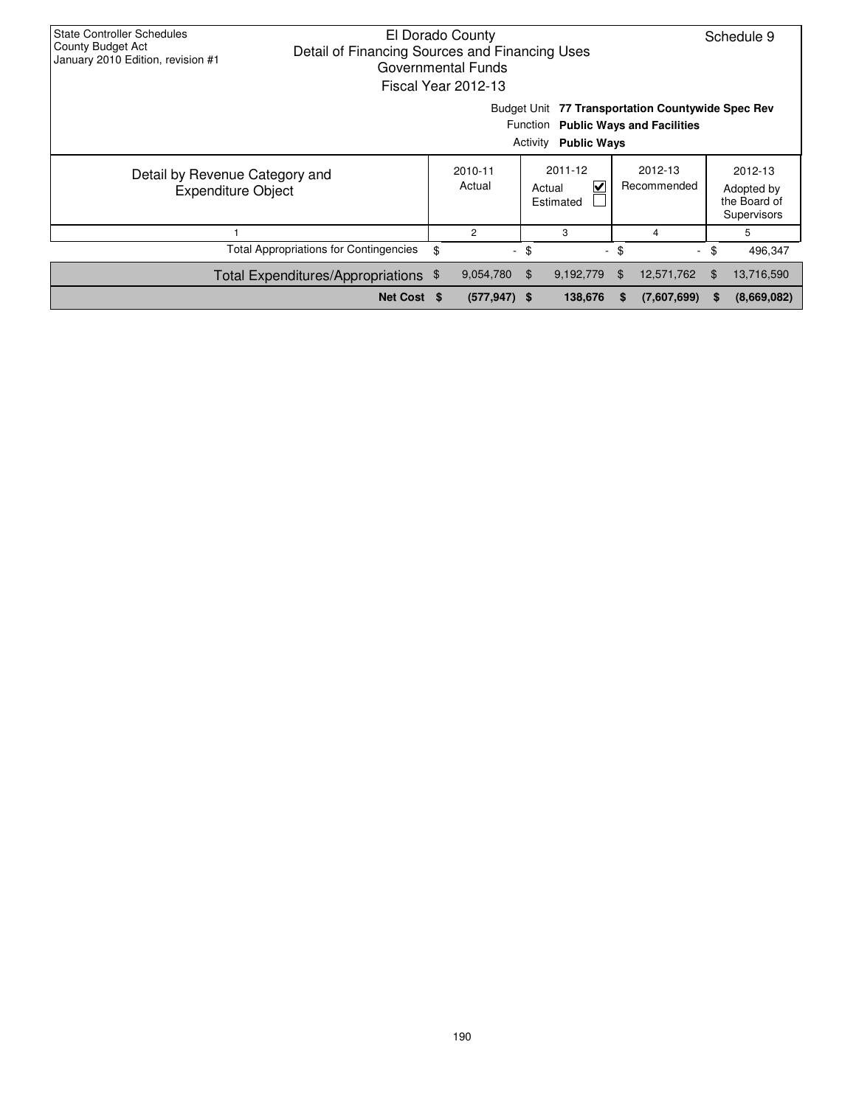| <b>State Controller Schedules</b><br>El Dorado County<br>County Budget Act<br>Detail of Financing Sources and Financing Uses<br>January 2010 Edition, revision #1<br>Governmental Funds<br>Fiscal Year 2012-13 |             |    |                   |                                                               |         |        |             |        |                                                      |  |
|----------------------------------------------------------------------------------------------------------------------------------------------------------------------------------------------------------------|-------------|----|-------------------|---------------------------------------------------------------|---------|--------|-------------|--------|------------------------------------------------------|--|
| Budget Unit 77 Transportation Countywide Spec Rev<br>Function Public Ways and Facilities<br>Activity<br><b>Public Ways</b>                                                                                     |             |    |                   |                                                               |         |        |             |        |                                                      |  |
| Detail by Revenue Category and<br><b>Expenditure Object</b>                                                                                                                                                    |             |    | 2010-11<br>Actual | 2011-12<br>2012-13<br>V<br>Recommended<br>Actual<br>Estimated |         |        |             |        | 2012-13<br>Adopted by<br>the Board of<br>Supervisors |  |
|                                                                                                                                                                                                                |             |    | $\overline{2}$    |                                                               | 3       |        | 4           |        | 5                                                    |  |
| <b>Total Appropriations for Contingencies</b>                                                                                                                                                                  |             | \$ | $\sim$            | \$                                                            |         | $-$ \$ |             | $-$ \$ | 496,347                                              |  |
| Total Expenditures/Appropriations \$                                                                                                                                                                           |             |    | 13,716,590        |                                                               |         |        |             |        |                                                      |  |
|                                                                                                                                                                                                                | Net Cost \$ |    | $(577, 947)$ \$   |                                                               | 138,676 | S.     | (7,607,699) | S      | (8,669,082)                                          |  |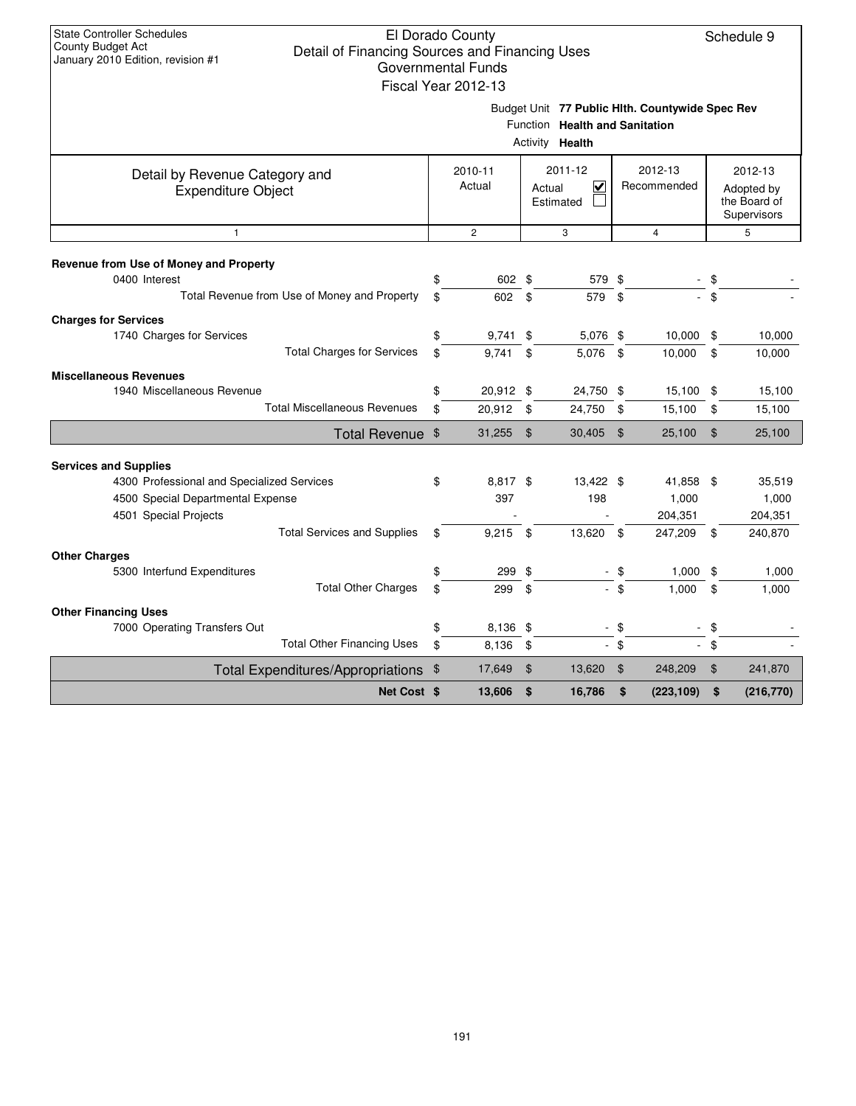|                                                                                                                                                                                |                                                                                                      | Fiscal Year 2012-13      |               |                                                           |                |                                          |                |                                                      |  |
|--------------------------------------------------------------------------------------------------------------------------------------------------------------------------------|------------------------------------------------------------------------------------------------------|--------------------------|---------------|-----------------------------------------------------------|----------------|------------------------------------------|----------------|------------------------------------------------------|--|
|                                                                                                                                                                                | Budget Unit 77 Public Hlth. Countywide Spec Rev<br>Function Health and Sanitation<br>Activity Health |                          |               |                                                           |                |                                          |                |                                                      |  |
| Detail by Revenue Category and<br><b>Expenditure Object</b>                                                                                                                    |                                                                                                      | 2010-11<br>Actual        |               | 2011-12<br>$\overline{\mathbf{v}}$<br>Actual<br>Estimated |                | 2012-13<br>Recommended                   |                | 2012-13<br>Adopted by<br>the Board of<br>Supervisors |  |
| $\mathbf{1}$                                                                                                                                                                   |                                                                                                      | $\overline{c}$           |               | 3                                                         |                | $\overline{4}$                           |                | 5                                                    |  |
| Revenue from Use of Money and Property<br>0400 Interest<br>Total Revenue from Use of Money and Property                                                                        | \$<br>\$                                                                                             | 602 \$<br>602            | \$            | 579 \$<br>579                                             | \$             |                                          | \$<br>\$       |                                                      |  |
| <b>Charges for Services</b><br>1740 Charges for Services<br><b>Total Charges for Services</b>                                                                                  | \$<br>\$                                                                                             | 9,741<br>9,741           | \$<br>\$      | 5,076 \$<br>5,076 \$                                      |                | 10,000<br>10,000                         | \$<br>\$       | 10,000<br>10,000                                     |  |
| <b>Miscellaneous Revenues</b><br>1940 Miscellaneous Revenue<br><b>Total Miscellaneous Revenues</b>                                                                             | \$<br>\$                                                                                             | 20,912 \$<br>20,912 \$   |               | 24,750 \$<br>24,750 \$                                    |                | 15,100 \$<br>15,100                      | \$             | 15,100<br>15,100                                     |  |
| Total Revenue \$                                                                                                                                                               |                                                                                                      | 31,255                   | $\mathbf{\$}$ | $30,405$ \$                                               |                | 25,100                                   | $\mathfrak{S}$ | 25,100                                               |  |
| <b>Services and Supplies</b><br>4300 Professional and Specialized Services<br>4500 Special Departmental Expense<br>4501 Special Projects<br><b>Total Services and Supplies</b> | \$<br>\$                                                                                             | 8,817 \$<br>397<br>9,215 | \$            | 13,422 \$<br>198<br>13,620                                | \$             | 41,858 \$<br>1,000<br>204,351<br>247,209 | $^{\circ}$     | 35,519<br>1,000<br>204,351<br>240,870                |  |
| <b>Other Charges</b><br>5300 Interfund Expenditures<br><b>Total Other Charges</b>                                                                                              | \$<br>\$                                                                                             | 299\$<br>299             | \$            | ۰                                                         | - \$<br>$-$ \$ | 1,000<br>1.000                           | \$<br>\$       | 1,000<br>1,000                                       |  |
| <b>Other Financing Uses</b><br>7000 Operating Transfers Out<br><b>Total Other Financing Uses</b>                                                                               | \$<br>\$                                                                                             | 8,136 \$<br>8,136        | \$            |                                                           | - \$<br>\$     |                                          | \$<br>\$       |                                                      |  |
| <b>Total Expenditures/Appropriations</b>                                                                                                                                       | \$                                                                                                   | 17,649                   | $\frac{1}{2}$ | 13,620                                                    | $\mathfrak{F}$ | 248,209                                  | \$             | 241,870                                              |  |
| Net Cost \$                                                                                                                                                                    |                                                                                                      | 13,606                   | \$            | 16,786                                                    | \$             | (223, 109)                               | \$             | (216, 770)                                           |  |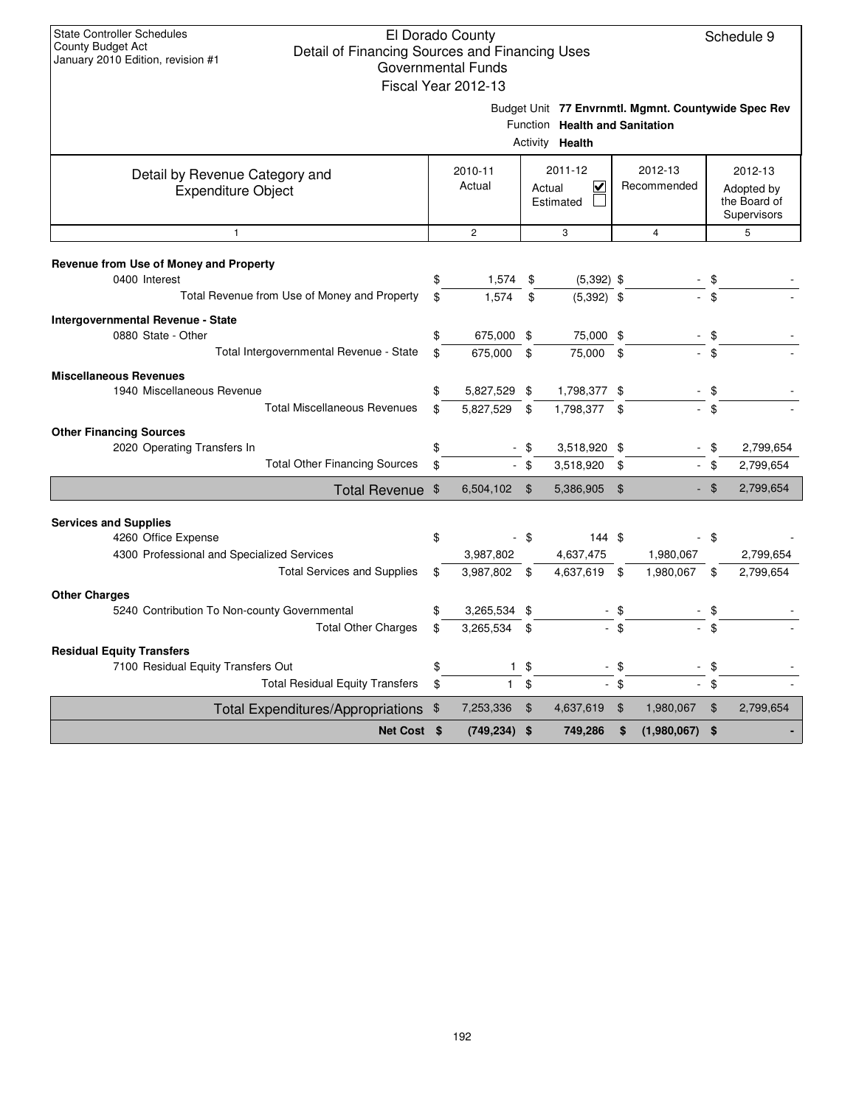|                                                                        | Fiscal Year 2012-13 |      |                                                          |                    |                                                     |                |                                           |
|------------------------------------------------------------------------|---------------------|------|----------------------------------------------------------|--------------------|-----------------------------------------------------|----------------|-------------------------------------------|
|                                                                        |                     |      | Function Health and Sanitation<br>Activity <b>Health</b> |                    | Budget Unit 77 Envrnmtl. Mgmnt. Countywide Spec Rev |                |                                           |
|                                                                        | 2010-11             |      | 2011-12                                                  |                    | 2012-13                                             |                | 2012-13                                   |
| Detail by Revenue Category and<br><b>Expenditure Object</b>            | Actual              |      | $\overline{\mathsf{v}}$<br>Actual<br>Estimated           |                    | Recommended                                         |                | Adopted by<br>the Board of<br>Supervisors |
| $\mathbf{1}$                                                           | $\overline{2}$      |      | 3                                                        |                    | $\overline{4}$                                      |                | 5                                         |
| Revenue from Use of Money and Property<br>0400 Interest                | \$<br>1,574         | \$   | $(5,392)$ \$                                             |                    |                                                     | \$             |                                           |
| Total Revenue from Use of Money and Property                           | \$<br>1.574         | \$   | $(5,392)$ \$                                             |                    |                                                     | $\mathfrak{L}$ |                                           |
|                                                                        |                     |      |                                                          |                    |                                                     |                |                                           |
| <b>Intergovernmental Revenue - State</b><br>0880 State - Other         | \$<br>675,000 \$    |      | 75,000 \$                                                |                    |                                                     | $\sqrt[6]{3}$  |                                           |
| Total Intergovernmental Revenue - State                                | \$<br>675,000       | \$   | 75,000 \$                                                |                    |                                                     | \$             |                                           |
| <b>Miscellaneous Revenues</b>                                          |                     |      |                                                          |                    |                                                     |                |                                           |
| 1940 Miscellaneous Revenue                                             | \$<br>5,827,529 \$  |      | 1,798,377 \$                                             |                    |                                                     | \$             |                                           |
| <b>Total Miscellaneous Revenues</b>                                    | \$<br>5,827,529     | \$   | 1,798,377 \$                                             |                    |                                                     | \$             |                                           |
| <b>Other Financing Sources</b>                                         |                     |      |                                                          |                    |                                                     |                |                                           |
| 2020 Operating Transfers In                                            | \$                  | \$   | 3,518,920 \$                                             |                    |                                                     | \$             | 2,799,654                                 |
| <b>Total Other Financing Sources</b>                                   | \$                  | - \$ | 3,518,920                                                | \$                 |                                                     | $-$ \$         | 2,799,654                                 |
| Total Revenue \$                                                       | 6,504,102           | \$   | 5,386,905                                                | $\mathbf{\hat{S}}$ |                                                     | - \$           | 2,799,654                                 |
|                                                                        |                     |      |                                                          |                    |                                                     |                |                                           |
| <b>Services and Supplies</b>                                           |                     |      |                                                          |                    |                                                     |                |                                           |
| 4260 Office Expense<br>4300 Professional and Specialized Services      | \$<br>3,987,802     | - \$ | 144S<br>4,637,475                                        |                    | 1,980,067                                           | - \$           | 2,799,654                                 |
| <b>Total Services and Supplies</b>                                     | \$<br>3,987,802 \$  |      | 4,637,619                                                | \$                 | 1,980,067                                           | \$             | 2,799,654                                 |
|                                                                        |                     |      |                                                          |                    |                                                     |                |                                           |
| <b>Other Charges</b><br>5240 Contribution To Non-county Governmental   | \$<br>3,265,534 \$  |      |                                                          | \$                 |                                                     | \$             |                                           |
| <b>Total Other Charges</b>                                             | \$<br>3,265,534     | \$   |                                                          | \$                 |                                                     | \$             |                                           |
|                                                                        |                     |      |                                                          |                    |                                                     |                |                                           |
| <b>Residual Equity Transfers</b><br>7100 Residual Equity Transfers Out | \$<br>$\mathbf{1}$  | - \$ |                                                          | \$                 |                                                     | \$             |                                           |
| <b>Total Residual Equity Transfers</b>                                 | \$<br>1             | \$   |                                                          | \$                 |                                                     | \$             |                                           |
| Total Expenditures/Appropriations \$                                   | 7,253,336           | \$   | 4,637,619                                                | $\mathfrak{F}$     | 1,980,067                                           | \$             | 2,799,654                                 |
| Net Cost \$                                                            | $(749, 234)$ \$     |      | 749,286                                                  | \$                 | $(1,980,067)$ \$                                    |                |                                           |
|                                                                        |                     |      |                                                          |                    |                                                     |                |                                           |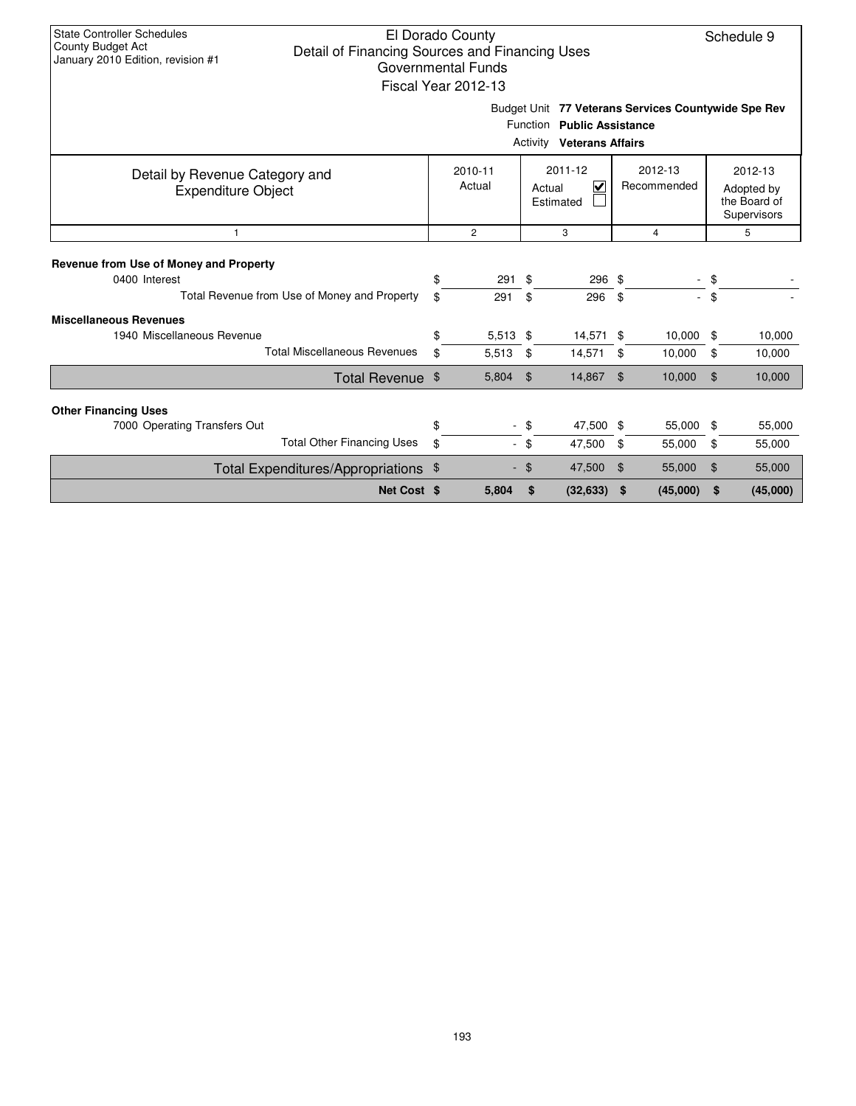| <b>State Controller Schedules</b><br>El Dorado County<br>Schedule 9<br>County Budget Act<br>Detail of Financing Sources and Financing Uses<br>January 2010 Edition, revision #1<br>Governmental Funds<br>Fiscal Year 2012-13 |          |                     |          |                                                                                                                       |                |                        |                |                                                      |  |  |
|------------------------------------------------------------------------------------------------------------------------------------------------------------------------------------------------------------------------------|----------|---------------------|----------|-----------------------------------------------------------------------------------------------------------------------|----------------|------------------------|----------------|------------------------------------------------------|--|--|
|                                                                                                                                                                                                                              |          |                     |          | Budget Unit 77 Veterans Services Countywide Spe Rev<br>Function Public Assistance<br><b>Activity Veterans Affairs</b> |                |                        |                |                                                      |  |  |
| Detail by Revenue Category and<br><b>Expenditure Object</b>                                                                                                                                                                  |          | 2010-11<br>Actual   |          | 2011-12<br>$\overline{\mathbf{v}}$<br>Actual<br>Estimated                                                             |                | 2012-13<br>Recommended |                | 2012-13<br>Adopted by<br>the Board of<br>Supervisors |  |  |
| $\mathbf{1}$                                                                                                                                                                                                                 |          | 5                   |          |                                                                                                                       |                |                        |                |                                                      |  |  |
| Revenue from Use of Money and Property<br>0400 Interest<br>Total Revenue from Use of Money and Property                                                                                                                      | \$<br>\$ | 291<br>291          | \$<br>\$ | 296 \$<br>296                                                                                                         | - \$           | a.                     | \$<br>\$       |                                                      |  |  |
| <b>Miscellaneous Revenues</b>                                                                                                                                                                                                |          |                     |          |                                                                                                                       |                |                        |                |                                                      |  |  |
| 1940 Miscellaneous Revenue<br><b>Total Miscellaneous Revenues</b>                                                                                                                                                            | \$<br>\$ | $5,513$ \$<br>5,513 | \$       | 14,571 \$<br>14,571                                                                                                   | \$             | 10,000<br>10,000       | -\$<br>\$      | 10,000<br>10,000                                     |  |  |
| Total Revenue \$                                                                                                                                                                                                             |          | 5,804               | \$       | 14,867                                                                                                                | \$             | 10,000                 | $\mathfrak{L}$ | 10,000                                               |  |  |
| <b>Other Financing Uses</b>                                                                                                                                                                                                  |          |                     |          |                                                                                                                       |                |                        |                |                                                      |  |  |
| 7000 Operating Transfers Out                                                                                                                                                                                                 | \$       |                     | \$       | 47,500 \$                                                                                                             |                | 55,000                 | \$             | 55,000                                               |  |  |
| <b>Total Other Financing Uses</b>                                                                                                                                                                                            | \$       |                     | - \$     | 47,500                                                                                                                | -\$            | 55,000                 | \$             | 55,000                                               |  |  |
| Total Expenditures/Appropriations \$                                                                                                                                                                                         |          |                     | \$       | 47,500                                                                                                                | $\mathfrak{F}$ | 55,000                 | \$             | 55,000                                               |  |  |
| Net Cost \$                                                                                                                                                                                                                  |          | 5,804               | \$       | (32, 633)                                                                                                             | \$             | (45,000)               | \$             | (45,000)                                             |  |  |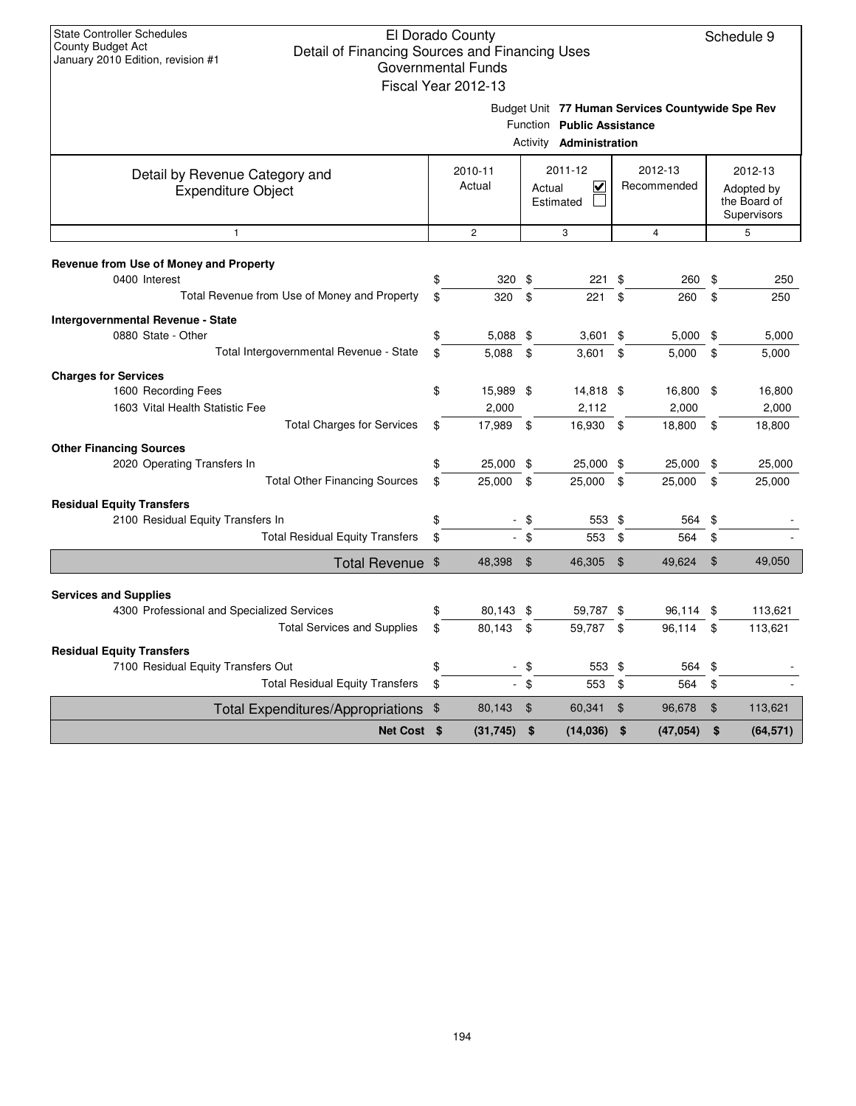|                                                                                                                  |          | Fiscal Year 2012-13              |          |                                                              |          |                                                  |                |                                                      |
|------------------------------------------------------------------------------------------------------------------|----------|----------------------------------|----------|--------------------------------------------------------------|----------|--------------------------------------------------|----------------|------------------------------------------------------|
|                                                                                                                  |          |                                  |          | Function Public Assistance<br>Activity <b>Administration</b> |          | Budget Unit 77 Human Services Countywide Spe Rev |                |                                                      |
| Detail by Revenue Category and<br><b>Expenditure Object</b>                                                      |          | 2010-11<br>Actual                |          | 2011-12<br>$\overline{\mathbf{v}}$<br>Actual<br>Estimated    |          | 2012-13<br>Recommended                           |                | 2012-13<br>Adopted by<br>the Board of<br>Supervisors |
| $\mathbf{1}$                                                                                                     |          | $\overline{2}$                   |          | 3                                                            |          | $\overline{4}$                                   |                | 5                                                    |
| Revenue from Use of Money and Property<br>0400 Interest<br>Total Revenue from Use of Money and Property          | \$<br>\$ | 320<br>320                       | \$<br>\$ | 221<br>221                                                   | \$<br>\$ | 260<br>260                                       | \$<br>\$       | 250<br>250                                           |
| Intergovernmental Revenue - State<br>0880 State - Other<br>Total Intergovernmental Revenue - State               | \$       | $5,088$ \$                       |          | $3,601$ \$                                                   |          | $5,000$ \$                                       |                | 5,000                                                |
| <b>Charges for Services</b><br>1600 Recording Fees<br>1603 Vital Health Statistic Fee                            | \$<br>\$ | 5,088<br>15,989 \$<br>2,000      | \$       | 3,601<br>14,818 \$<br>2,112                                  | \$       | 5,000<br>16,800 \$<br>2,000                      | \$             | 5,000<br>16,800<br>2,000                             |
| <b>Total Charges for Services</b><br><b>Other Financing Sources</b><br>2020 Operating Transfers In               | \$<br>\$ | 17,989<br>25,000 \$              | -\$      | 16,930 \$<br>25,000 \$                                       |          | 18,800<br>25,000                                 | - \$<br>\$     | 18,800<br>25,000                                     |
| <b>Total Other Financing Sources</b><br><b>Residual Equity Transfers</b>                                         | \$       | 25,000                           | \$       | 25,000 \$                                                    |          | 25,000                                           | \$             | 25,000                                               |
| 2100 Residual Equity Transfers In<br><b>Total Residual Equity Transfers</b>                                      | \$<br>\$ |                                  | \$<br>\$ | 553 \$<br>553                                                | \$       | 564<br>564                                       | -\$<br>\$      |                                                      |
| Total Revenue \$                                                                                                 |          | 48,398                           | \$       | 46,305                                                       | -\$      | 49,624                                           | $\mathfrak{S}$ | 49,050                                               |
| <b>Services and Supplies</b><br>4300 Professional and Specialized Services                                       | \$       | 80,143 \$                        |          | 59,787 \$                                                    |          | 96,114 \$                                        |                | 113,621                                              |
| <b>Total Services and Supplies</b>                                                                               | \$       | 80,143                           | \$       | 59,787 \$                                                    |          | 96,114                                           | \$             | 113,621                                              |
| <b>Residual Equity Transfers</b><br>7100 Residual Equity Transfers Out<br><b>Total Residual Equity Transfers</b> | \$<br>\$ | $\blacksquare$<br>$\blacksquare$ | \$<br>\$ | 553 \$<br>553                                                | \$       | 564<br>564                                       | \$<br>\$       |                                                      |
| Total Expenditures/Appropriations \$                                                                             |          | 80,143                           | \$       | 60,341                                                       | \$       | 96,678                                           | \$             | 113,621                                              |
| Net Cost \$                                                                                                      |          | (31, 745)                        | \$       | (14, 036)                                                    | \$       | (47, 054)                                        | \$             | (64, 571)                                            |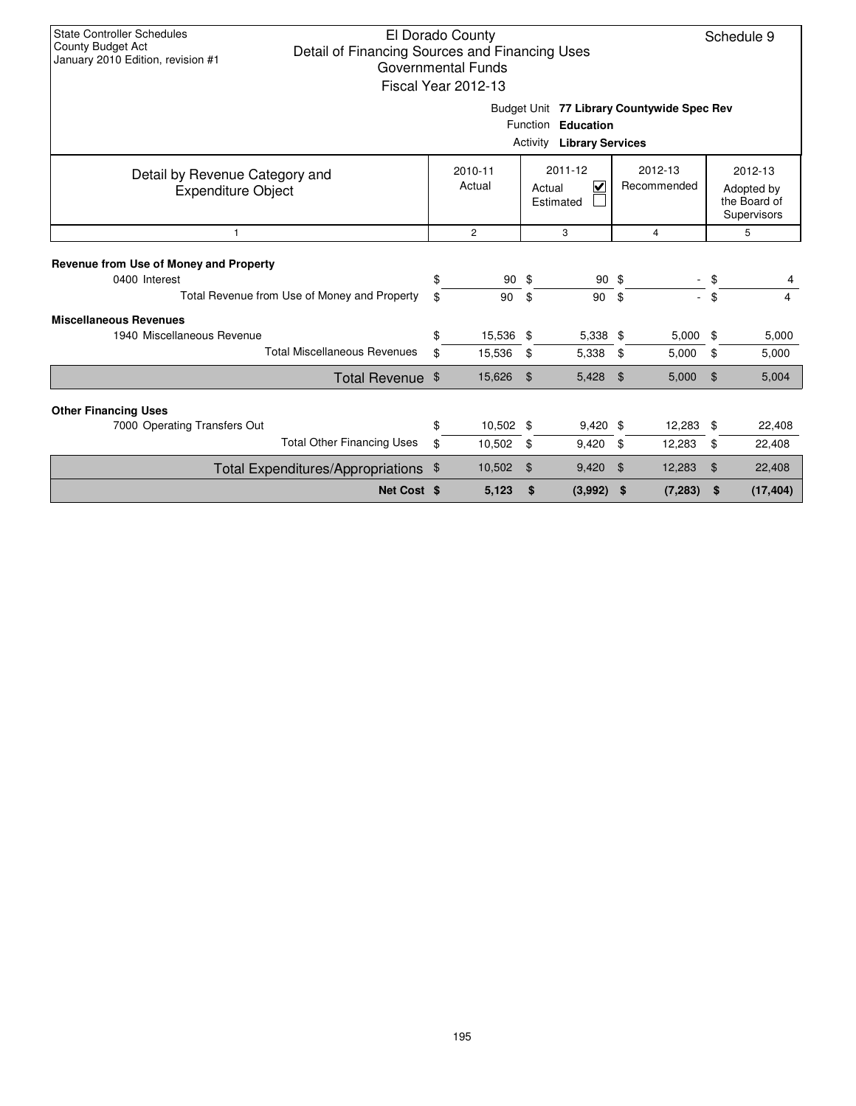| <b>State Controller Schedules</b><br>El Dorado County<br>Schedule 9<br>County Budget Act<br>Detail of Financing Sources and Financing Uses<br>January 2010 Edition, revision #1<br><b>Governmental Funds</b><br>Fiscal Year 2012-13 |    |                     |                     |                 |              |                        |                |                                                      |  |  |  |  |
|-------------------------------------------------------------------------------------------------------------------------------------------------------------------------------------------------------------------------------------|----|---------------------|---------------------|-----------------|--------------|------------------------|----------------|------------------------------------------------------|--|--|--|--|
| Budget Unit 77 Library Countywide Spec Rev<br>Function Education<br><b>Library Services</b><br>Activity                                                                                                                             |    |                     |                     |                 |              |                        |                |                                                      |  |  |  |  |
| Detail by Revenue Category and<br><b>Expenditure Object</b>                                                                                                                                                                         |    | 2010-11<br>Actual   | Actual<br>Estimated | 2011-12<br>V    |              | 2012-13<br>Recommended |                | 2012-13<br>Adopted by<br>the Board of<br>Supervisors |  |  |  |  |
| 1                                                                                                                                                                                                                                   |    | $\overline{c}$<br>3 |                     |                 |              | 4                      |                | 5                                                    |  |  |  |  |
| Revenue from Use of Money and Property<br>0400 Interest                                                                                                                                                                             | \$ | 90                  | - \$                | 90 <sup>°</sup> |              |                        | \$             |                                                      |  |  |  |  |
| Total Revenue from Use of Money and Property                                                                                                                                                                                        | \$ | 90                  | \$                  | 90              | \$           |                        | \$             | 4                                                    |  |  |  |  |
| <b>Miscellaneous Revenues</b><br>1940 Miscellaneous Revenue                                                                                                                                                                         | \$ | 15,536 \$           |                     | 5,338 \$        |              | 5,000                  | \$             | 5,000                                                |  |  |  |  |
| <b>Total Miscellaneous Revenues</b>                                                                                                                                                                                                 | \$ | 15,536              | \$                  | 5,338           | \$           | 5,000                  | \$             | 5,000                                                |  |  |  |  |
| Total Revenue \$                                                                                                                                                                                                                    |    | 15,626              | $\mathfrak{F}$      | 5,428           | \$           | 5,000                  | $\mathfrak{L}$ | 5,004                                                |  |  |  |  |
| <b>Other Financing Uses</b>                                                                                                                                                                                                         |    |                     |                     |                 |              |                        |                |                                                      |  |  |  |  |
| 7000 Operating Transfers Out                                                                                                                                                                                                        | \$ | 10,502 \$           |                     | $9,420$ \$      |              | 12,283                 | \$             | 22,408                                               |  |  |  |  |
| <b>Total Other Financing Uses</b>                                                                                                                                                                                                   | \$ | 10,502              | \$                  | 9,420           | 12,283<br>\$ |                        | \$             | 22,408                                               |  |  |  |  |
| Total Expenditures/Appropriations \$                                                                                                                                                                                                |    | 10,502<br>$\$\$     |                     | 9,420           | 12,283<br>\$ |                        | \$             | 22,408                                               |  |  |  |  |
| Net Cost \$                                                                                                                                                                                                                         |    | 5,123               | \$                  | (3,992)         | \$           | (7, 283)               | \$             | (17, 404)                                            |  |  |  |  |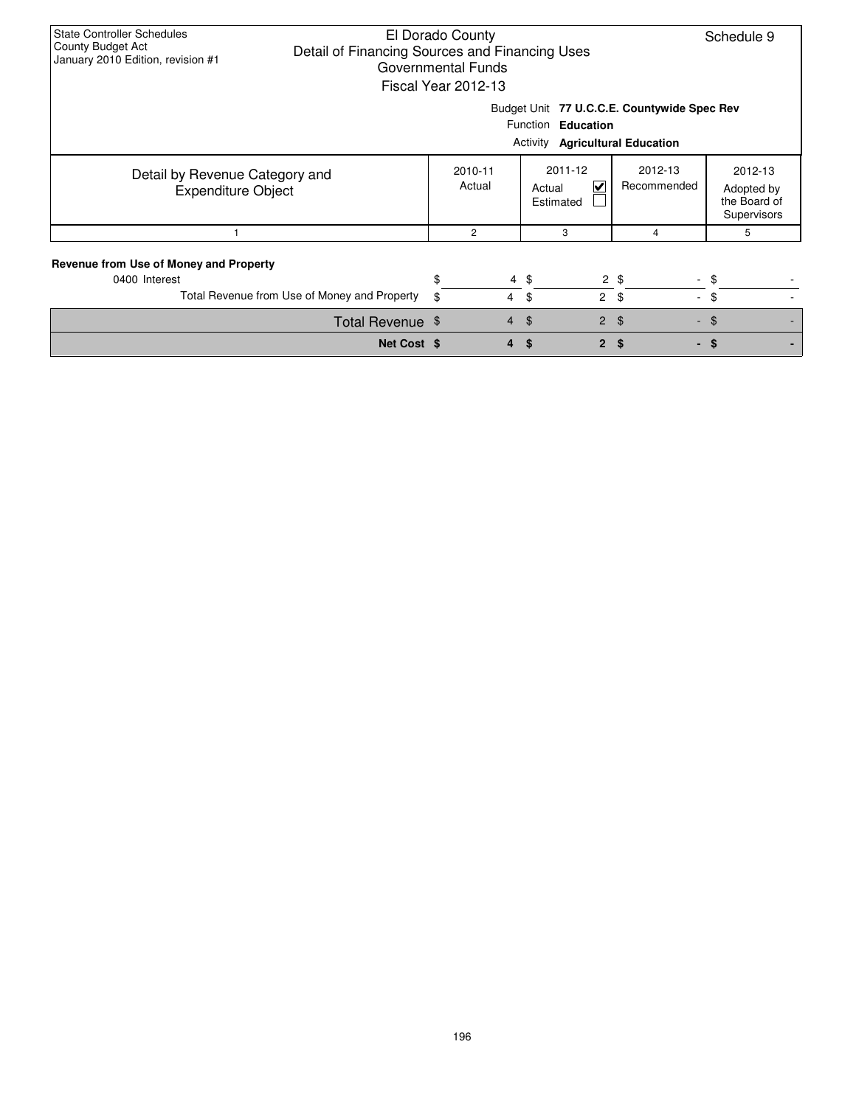| <b>State Controller Schedules</b><br>El Dorado County<br>Schedule 9<br>County Budget Act<br>Detail of Financing Sources and Financing Uses<br>January 2010 Edition, revision #1<br><b>Governmental Funds</b><br>Fiscal Year 2012-13 |                  |          |                |                      |                                              |                          |                                                      |  |  |  |
|-------------------------------------------------------------------------------------------------------------------------------------------------------------------------------------------------------------------------------------|------------------|----------|----------------|----------------------|----------------------------------------------|--------------------------|------------------------------------------------------|--|--|--|
| Budget Unit 77 U.C.C.E. Countywide Spec Rev<br>Function Education<br><b>Activity Agricultural Education</b>                                                                                                                         |                  |          |                |                      |                                              |                          |                                                      |  |  |  |
| Detail by Revenue Category and<br><b>Expenditure Object</b>                                                                                                                                                                         |                  | 2010-11  | Actual         | Actual               | 2011-12<br>$\blacktriangledown$<br>Estimated | 2012-13<br>Recommended   | 2012-13<br>Adopted by<br>the Board of<br>Supervisors |  |  |  |
|                                                                                                                                                                                                                                     |                  |          | 2              |                      | 3                                            | 4                        | 5                                                    |  |  |  |
| Revenue from Use of Money and Property<br>0400 Interest<br>Total Revenue from Use of Money and Property                                                                                                                             |                  | \$<br>\$ | $\overline{4}$ | $4 \text{ } $$<br>\$ | $2 \quad$                                    | $2 \text{ } $$<br>$\sim$ | - \$<br>\$                                           |  |  |  |
|                                                                                                                                                                                                                                     | Total Revenue \$ |          | $\overline{4}$ | $\mathfrak{L}$       | $\overline{2}$                               | \$                       | $-$ \$                                               |  |  |  |
|                                                                                                                                                                                                                                     | Net Cost \$      |          |                | \$.                  | $\mathbf{2}$                                 | \$                       | $-$ \$                                               |  |  |  |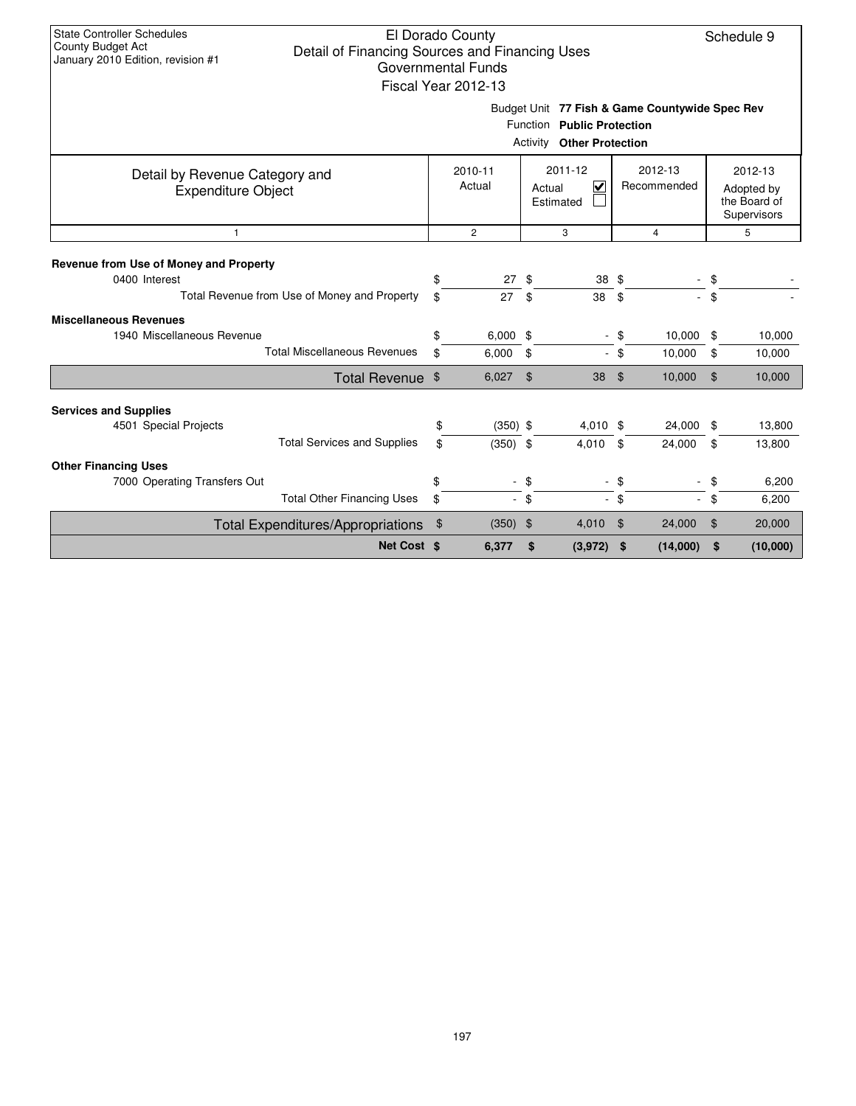|                                                                                                         |          | QUVUIIIIIUIIIII UIIUS<br>Fiscal Year 2012-13 |           |                                                                                                                  |     |                        |               |                                                      |
|---------------------------------------------------------------------------------------------------------|----------|----------------------------------------------|-----------|------------------------------------------------------------------------------------------------------------------|-----|------------------------|---------------|------------------------------------------------------|
|                                                                                                         |          |                                              |           | Budget Unit 77 Fish & Game Countywide Spec Rev<br>Function Public Protection<br><b>Activity Other Protection</b> |     |                        |               |                                                      |
| Detail by Revenue Category and<br><b>Expenditure Object</b>                                             |          | 2010-11<br>Actual                            |           | 2011-12<br>$\overline{\mathbf{v}}$<br>Actual<br>Estimated                                                        |     | 2012-13<br>Recommended |               | 2012-13<br>Adopted by<br>the Board of<br>Supervisors |
| $\mathbf{1}$                                                                                            |          | $\overline{c}$                               |           | 3                                                                                                                |     | $\overline{4}$         |               | 5                                                    |
| Revenue from Use of Money and Property<br>0400 Interest<br>Total Revenue from Use of Money and Property | \$<br>\$ | 27<br>27                                     | -\$<br>\$ | 38 \$<br>38                                                                                                      | \$  |                        | \$<br>$-$ \$  |                                                      |
| <b>Miscellaneous Revenues</b>                                                                           |          |                                              |           |                                                                                                                  |     |                        |               |                                                      |
| 1940 Miscellaneous Revenue                                                                              | \$       | $6,000$ \$                                   |           | $\blacksquare$                                                                                                   | \$  | 10,000                 | \$            | 10,000                                               |
| <b>Total Miscellaneous Revenues</b>                                                                     | \$       | 6,000                                        | \$        | ÷.                                                                                                               | -\$ | 10,000                 | \$            | 10,000                                               |
| Total Revenue \$                                                                                        |          | 6,027                                        | \$        | 38                                                                                                               | \$  | 10,000                 | $\frac{1}{2}$ | 10,000                                               |
| <b>Services and Supplies</b>                                                                            |          |                                              |           |                                                                                                                  |     |                        |               |                                                      |
| 4501 Special Projects                                                                                   | \$       | $(350)$ \$                                   |           | 4,010 \$                                                                                                         |     | 24,000                 | \$            | 13,800                                               |
| <b>Total Services and Supplies</b>                                                                      | \$       | $(350)$ \$                                   |           | $4,010$ \$                                                                                                       |     | 24,000                 | \$            | 13,800                                               |
| <b>Other Financing Uses</b>                                                                             |          |                                              |           |                                                                                                                  |     |                        |               |                                                      |
| 7000 Operating Transfers Out                                                                            | \$       |                                              | \$        |                                                                                                                  | \$  |                        | \$            | 6,200                                                |
| <b>Total Other Financing Uses</b>                                                                       | \$       | ÷.                                           | \$        | $\mathbf{r}$                                                                                                     | \$  |                        | \$            | 6,200                                                |
| <b>Total Expenditures/Appropriations</b>                                                                | \$       | $(350)$ \$                                   |           | 4,010                                                                                                            | \$  | 24,000                 | \$            | 20,000                                               |
| Net Cost \$                                                                                             |          | 6,377                                        | \$        | (3,972)                                                                                                          | \$  | (14,000)               | \$            | (10,000)                                             |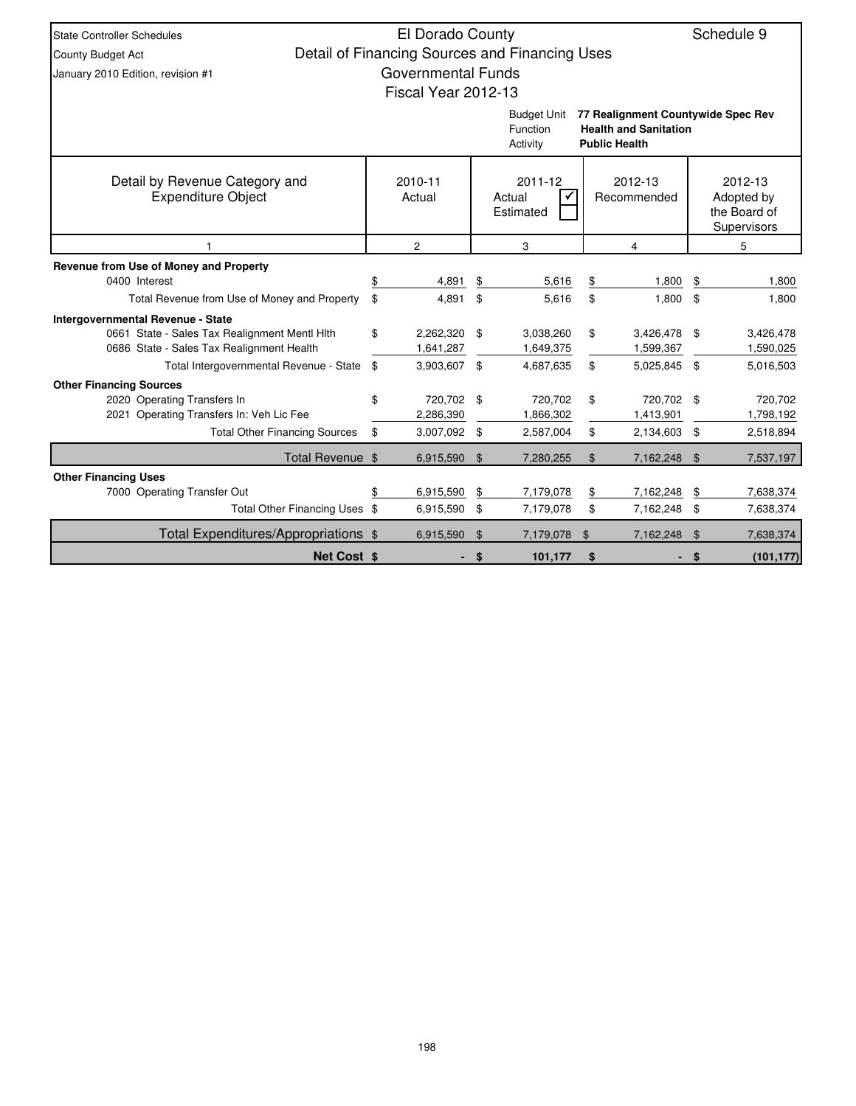| <b>State Controller Schedules</b>                                                                                                                 |          | El Dorado County                        |                |                                                |                |                                                                                            |                | Schedule 9                                           |
|---------------------------------------------------------------------------------------------------------------------------------------------------|----------|-----------------------------------------|----------------|------------------------------------------------|----------------|--------------------------------------------------------------------------------------------|----------------|------------------------------------------------------|
| County Budget Act                                                                                                                                 |          |                                         |                | Detail of Financing Sources and Financing Uses |                |                                                                                            |                |                                                      |
| January 2010 Edition, revision #1                                                                                                                 |          | <b>Governmental Funds</b>               |                |                                                |                |                                                                                            |                |                                                      |
|                                                                                                                                                   |          | Fiscal Year 2012-13                     |                |                                                |                |                                                                                            |                |                                                      |
|                                                                                                                                                   |          |                                         |                | <b>Budget Unit</b><br>Function<br>Activity     |                | 77 Realignment Countywide Spec Rev<br><b>Health and Sanitation</b><br><b>Public Health</b> |                |                                                      |
| Detail by Revenue Category and<br><b>Expenditure Object</b>                                                                                       |          | 2010-11<br>Actual                       |                | 2011-12<br>Actual<br>$\checkmark$<br>Estimated |                | 2012-13<br>Recommended                                                                     |                | 2012-13<br>Adopted by<br>the Board of<br>Supervisors |
|                                                                                                                                                   |          | $\overline{c}$                          |                | 3                                              |                | $\overline{4}$                                                                             |                | 5                                                    |
| Revenue from Use of Money and Property<br>0400 Interest                                                                                           |          | 4,891                                   | \$             | 5,616                                          | \$             | 1,800                                                                                      | \$             | 1,800                                                |
| Total Revenue from Use of Money and Property                                                                                                      | \$       | 4,891                                   | \$             | 5,616                                          | $\mathfrak{S}$ | 1,800                                                                                      | $\mathfrak{s}$ | 1,800                                                |
| <b>Intergovernmental Revenue - State</b><br>0661 State - Sales Tax Realignment Mentl Hlth<br>0686 State - Sales Tax Realignment Health            | \$       | 2,262,320 \$<br>1,641,287               |                | 3,038,260<br>1,649,375                         | \$             | 3,426,478 \$<br>1,599,367                                                                  |                | 3,426,478<br>1,590,025                               |
| Total Intergovernmental Revenue - State                                                                                                           | \$       | 3,903,607 \$                            |                | 4,687,635                                      | \$             | 5,025,845 \$                                                                               |                | 5,016,503                                            |
| <b>Other Financing Sources</b><br>2020 Operating Transfers In<br>2021 Operating Transfers In: Veh Lic Fee<br><b>Total Other Financing Sources</b> | \$<br>\$ | 720,702 \$<br>2,286,390<br>3,007,092 \$ |                | 720,702<br>1,866,302<br>2,587,004              | \$<br>\$       | 720,702 \$<br>1,413,901<br>2,134,603 \$                                                    |                | 720,702<br>1,798,192<br>2,518,894                    |
| Total Revenue \$                                                                                                                                  |          | 6,915,590                               | $\mathfrak{L}$ | 7,280,255                                      | $\$\$          | 7,162,248 \$                                                                               |                | 7,537,197                                            |
| <b>Other Financing Uses</b>                                                                                                                       |          |                                         |                |                                                |                |                                                                                            |                |                                                      |
| 7000 Operating Transfer Out                                                                                                                       | \$       | 6,915,590                               | \$             | 7,179,078                                      | \$             | 7,162,248                                                                                  | \$             | 7,638,374                                            |
| Total Other Financing Uses \$                                                                                                                     |          | 6,915,590                               | -\$            | 7,179,078                                      | \$             | 7,162,248                                                                                  | \$             | 7,638,374                                            |
| Total Expenditures/Appropriations \$                                                                                                              |          | 6,915,590                               | \$             | 7,179,078                                      | \$             | 7,162,248                                                                                  | \$             | 7,638,374                                            |
| Net Cost \$                                                                                                                                       |          |                                         | \$             | 101,177                                        | \$             |                                                                                            | -\$            | (101, 177)                                           |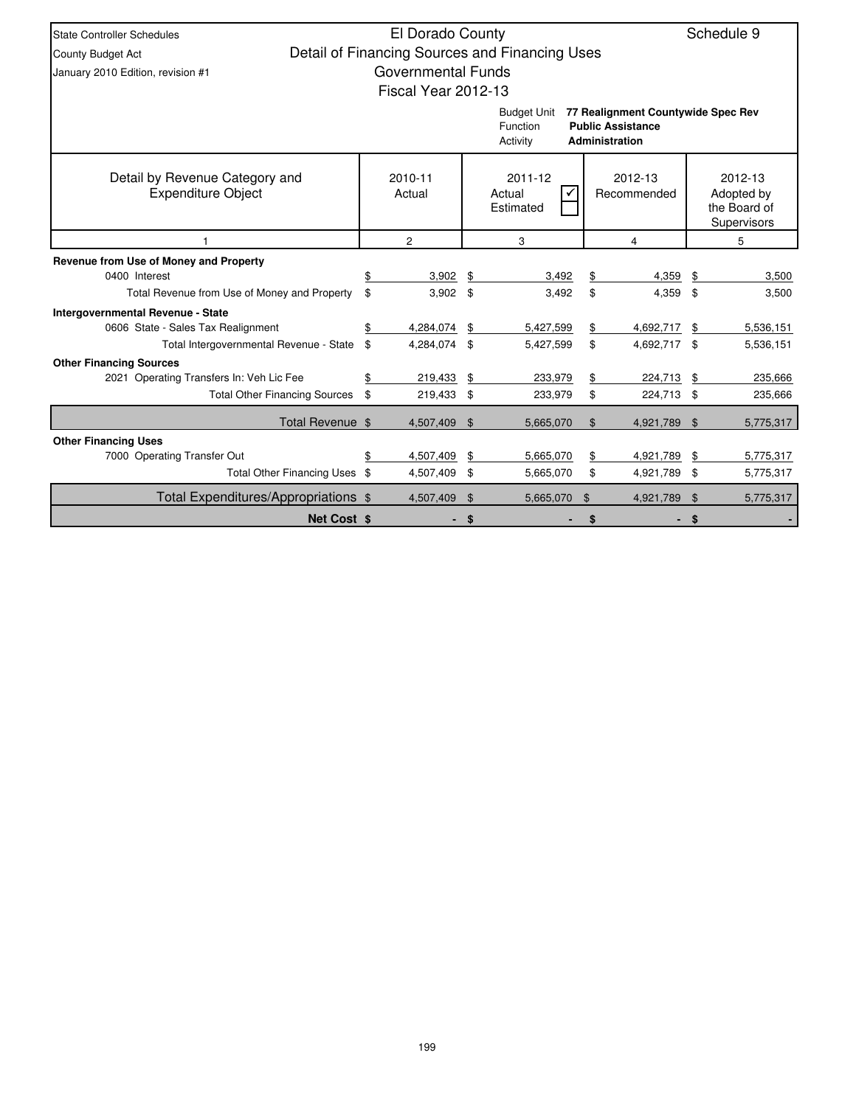| State Controller Schedules                                              | El Dorado County          |      |                                                |       |                                                                                  |     | Schedule 9                                           |
|-------------------------------------------------------------------------|---------------------------|------|------------------------------------------------|-------|----------------------------------------------------------------------------------|-----|------------------------------------------------------|
| County Budget Act                                                       |                           |      | Detail of Financing Sources and Financing Uses |       |                                                                                  |     |                                                      |
| January 2010 Edition, revision #1                                       | <b>Governmental Funds</b> |      |                                                |       |                                                                                  |     |                                                      |
|                                                                         | Fiscal Year 2012-13       |      |                                                |       |                                                                                  |     |                                                      |
|                                                                         |                           |      | <b>Budget Unit</b><br>Function<br>Activity     |       | 77 Realignment Countywide Spec Rev<br><b>Public Assistance</b><br>Administration |     |                                                      |
| Detail by Revenue Category and<br><b>Expenditure Object</b>             | 2010-11<br>Actual         |      | 2011-12<br>Actual<br>Estimated                 |       | 2012-13<br>Recommended                                                           |     | 2012-13<br>Adopted by<br>the Board of<br>Supervisors |
|                                                                         | $\overline{2}$            |      | 3                                              |       | 4                                                                                |     | 5                                                    |
| Revenue from Use of Money and Property                                  |                           |      |                                                |       |                                                                                  |     |                                                      |
| 0400 Interest                                                           | \$<br>3,902               | \$   | 3,492                                          | \$    | 4,359                                                                            | \$  | 3,500                                                |
| Total Revenue from Use of Money and Property                            | \$<br>$3,902$ \$          |      | 3,492                                          | \$    | 4,359                                                                            | \$  | 3,500                                                |
| Intergovernmental Revenue - State<br>0606 State - Sales Tax Realignment | 4,284,074                 | \$   | 5,427,599                                      | \$    | 4,692,717                                                                        | \$  | 5,536,151                                            |
| Total Intergovernmental Revenue - State                                 | \$<br>4,284,074 \$        |      | 5,427,599                                      | \$    | 4,692,717 \$                                                                     |     | 5,536,151                                            |
| <b>Other Financing Sources</b>                                          |                           |      |                                                |       |                                                                                  |     |                                                      |
| 2021 Operating Transfers In: Veh Lic Fee                                | \$<br>219,433             | \$   | 233,979                                        | \$    | 224,713                                                                          | \$  | 235,666                                              |
| <b>Total Other Financing Sources</b>                                    | \$<br>219,433 \$          |      | 233,979                                        | \$    | 224,713                                                                          | \$  | 235,666                                              |
| Total Revenue \$                                                        | 4,507,409                 | - \$ | 5,665,070                                      | $\$\$ | 4,921,789                                                                        | \$  | 5,775,317                                            |
| <b>Other Financing Uses</b>                                             |                           |      |                                                |       |                                                                                  |     |                                                      |
| 7000 Operating Transfer Out                                             | \$<br>4,507,409           | \$   | 5,665,070                                      | \$    | 4,921,789                                                                        | \$  | 5,775,317                                            |
| Total Other Financing Uses \$                                           | 4,507,409 \$              |      | 5,665,070                                      | \$    | 4,921,789                                                                        | -\$ | 5,775,317                                            |
| Total Expenditures/Appropriations \$                                    | 4,507,409                 | \$   | 5,665,070                                      | \$    | 4,921,789                                                                        | \$  | 5,775,317                                            |
| <b>Net Cost \$</b>                                                      |                           | \$   |                                                |       |                                                                                  |     |                                                      |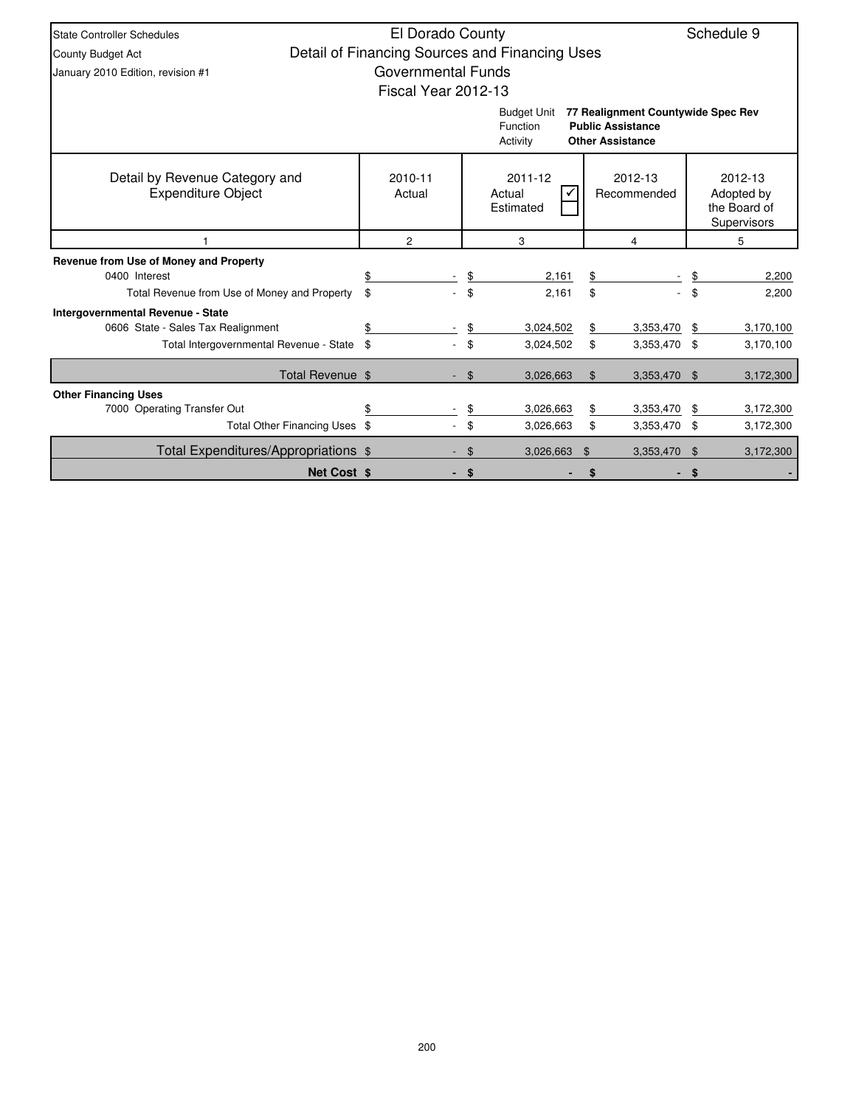| <b>State Controller Schedules</b>                                                                                         | El Dorado County     |                |                                                |                                                                                           |           | Schedule 9                                           |
|---------------------------------------------------------------------------------------------------------------------------|----------------------|----------------|------------------------------------------------|-------------------------------------------------------------------------------------------|-----------|------------------------------------------------------|
| County Budget Act                                                                                                         |                      |                | Detail of Financing Sources and Financing Uses |                                                                                           |           |                                                      |
| January 2010 Edition, revision #1                                                                                         | Governmental Funds   |                |                                                |                                                                                           |           |                                                      |
|                                                                                                                           | Fiscal Year 2012-13  |                |                                                |                                                                                           |           |                                                      |
|                                                                                                                           |                      |                | <b>Budget Unit</b><br>Function<br>Activity     | 77 Realignment Countywide Spec Rev<br><b>Public Assistance</b><br><b>Other Assistance</b> |           |                                                      |
| Detail by Revenue Category and<br><b>Expenditure Object</b>                                                               | 2010-11<br>Actual    |                | 2011-12<br>Actual<br>Estimated                 | 2012-13<br>Recommended                                                                    |           | 2012-13<br>Adopted by<br>the Board of<br>Supervisors |
|                                                                                                                           | $\overline{c}$       |                | 3                                              | 4                                                                                         |           | 5                                                    |
| Revenue from Use of Money and Property                                                                                    |                      |                |                                                |                                                                                           |           |                                                      |
| 0400 Interest                                                                                                             |                      | \$             | 2,161                                          | \$                                                                                        | \$        | 2,200                                                |
| Total Revenue from Use of Money and Property                                                                              | \$<br>$\overline{a}$ | \$             | 2,161                                          | \$                                                                                        | \$        | 2,200                                                |
| <b>Intergovernmental Revenue - State</b><br>0606 State - Sales Tax Realignment<br>Total Intergovernmental Revenue - State | \$                   | \$<br>\$       | 3,024,502<br>3,024,502                         | \$<br>3,353,470<br>\$<br>3,353,470                                                        | \$<br>-\$ | 3,170,100<br>3,170,100                               |
|                                                                                                                           |                      |                |                                                |                                                                                           |           |                                                      |
| Total Revenue \$                                                                                                          |                      | $\mathfrak{S}$ | 3,026,663                                      | $\$\$<br>3,353,470                                                                        | \$        | 3,172,300                                            |
| <b>Other Financing Uses</b>                                                                                               |                      |                |                                                |                                                                                           |           |                                                      |
| 7000 Operating Transfer Out                                                                                               |                      | \$             | 3,026,663                                      | 3,353,470<br>\$                                                                           | \$        | 3,172,300                                            |
| Total Other Financing Uses \$                                                                                             |                      | \$             | 3,026,663                                      | \$<br>3,353,470                                                                           | \$        | 3,172,300                                            |
| Total Expenditures/Appropriations \$                                                                                      |                      | \$             | 3,026,663                                      | $\mathfrak{L}$<br>3,353,470                                                               | \$        | 3,172,300                                            |
| <b>Net Cost \$</b>                                                                                                        |                      | \$             |                                                |                                                                                           |           |                                                      |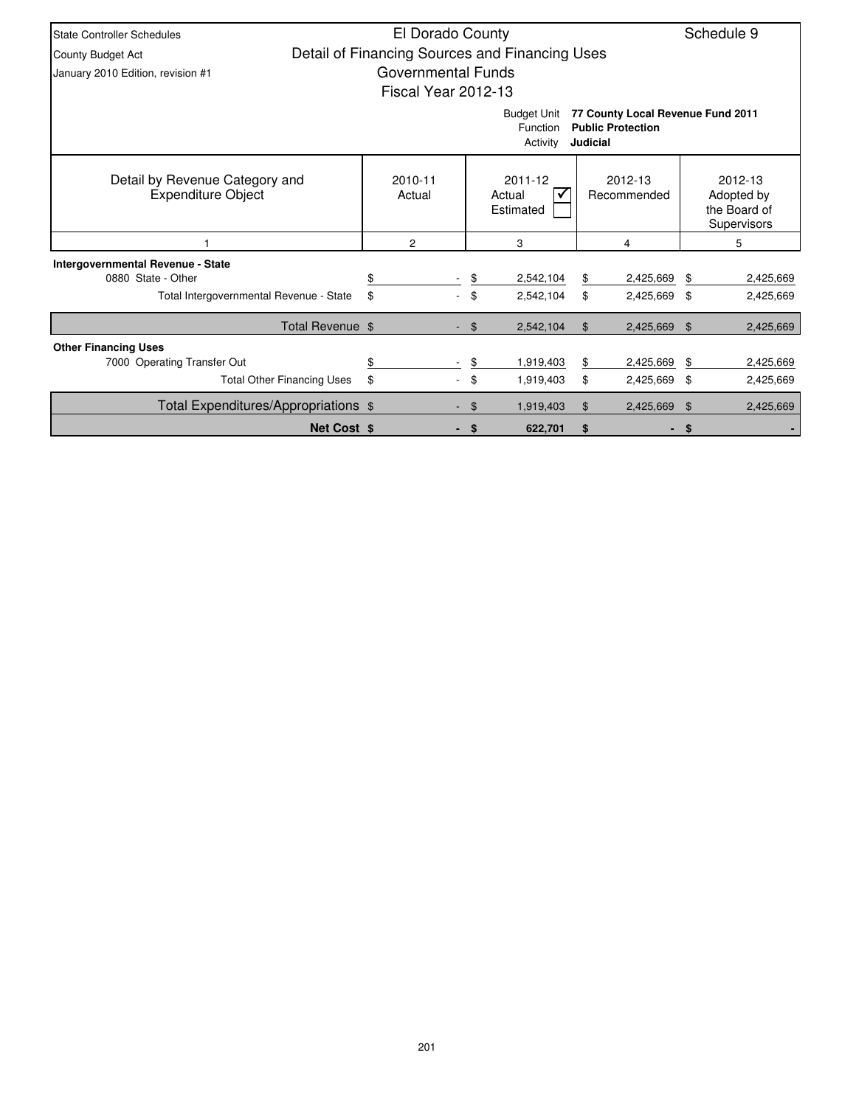| <b>State Controller Schedules</b>                           | El Dorado County                               |                | Schedule 9                                 |          |                                                               |    |                                                      |
|-------------------------------------------------------------|------------------------------------------------|----------------|--------------------------------------------|----------|---------------------------------------------------------------|----|------------------------------------------------------|
| <b>County Budget Act</b>                                    | Detail of Financing Sources and Financing Uses |                |                                            |          |                                                               |    |                                                      |
| January 2010 Edition, revision #1                           | Governmental Funds                             |                |                                            |          |                                                               |    |                                                      |
|                                                             | Fiscal Year 2012-13                            |                |                                            |          |                                                               |    |                                                      |
|                                                             |                                                |                | <b>Budget Unit</b><br>Function<br>Activity | Judicial | 77 County Local Revenue Fund 2011<br><b>Public Protection</b> |    |                                                      |
| Detail by Revenue Category and<br><b>Expenditure Object</b> | 2010-11<br>Actual                              |                | 2011-12<br>Actual<br>✓<br>Estimated        |          | 2012-13<br>Recommended                                        |    | 2012-13<br>Adopted by<br>the Board of<br>Supervisors |
|                                                             | 2                                              |                | 3                                          |          | 4                                                             |    | 5                                                    |
| <b>Intergovernmental Revenue - State</b>                    |                                                |                |                                            |          |                                                               |    |                                                      |
| 0880 State - Other                                          |                                                | \$             | 2,542,104                                  | \$       | 2,425,669                                                     | \$ | 2,425,669                                            |
| Total Intergovernmental Revenue - State                     | \$                                             | \$             | 2,542,104                                  | \$       | 2,425,669 \$                                                  |    | 2,425,669                                            |
| Total Revenue \$                                            |                                                | - \$           | 2,542,104                                  | $\$\$    | 2,425,669                                                     | \$ | 2,425,669                                            |
| <b>Other Financing Uses</b>                                 |                                                |                |                                            |          |                                                               |    |                                                      |
| 7000 Operating Transfer Out                                 | \$                                             | \$             | 1,919,403                                  | \$       | 2,425,669                                                     | \$ | 2,425,669                                            |
| <b>Total Other Financing Uses</b>                           | \$                                             | \$             | 1,919,403                                  | \$       | 2,425,669 \$                                                  |    | 2,425,669                                            |
| Total Expenditures/Appropriations \$                        |                                                | $\mathfrak{F}$ | 1,919,403                                  | \$       | 2,425,669                                                     | \$ | 2,425,669                                            |
| <b>Net Cost \$</b>                                          |                                                | \$             | 622,701                                    | \$       | ٠                                                             | \$ |                                                      |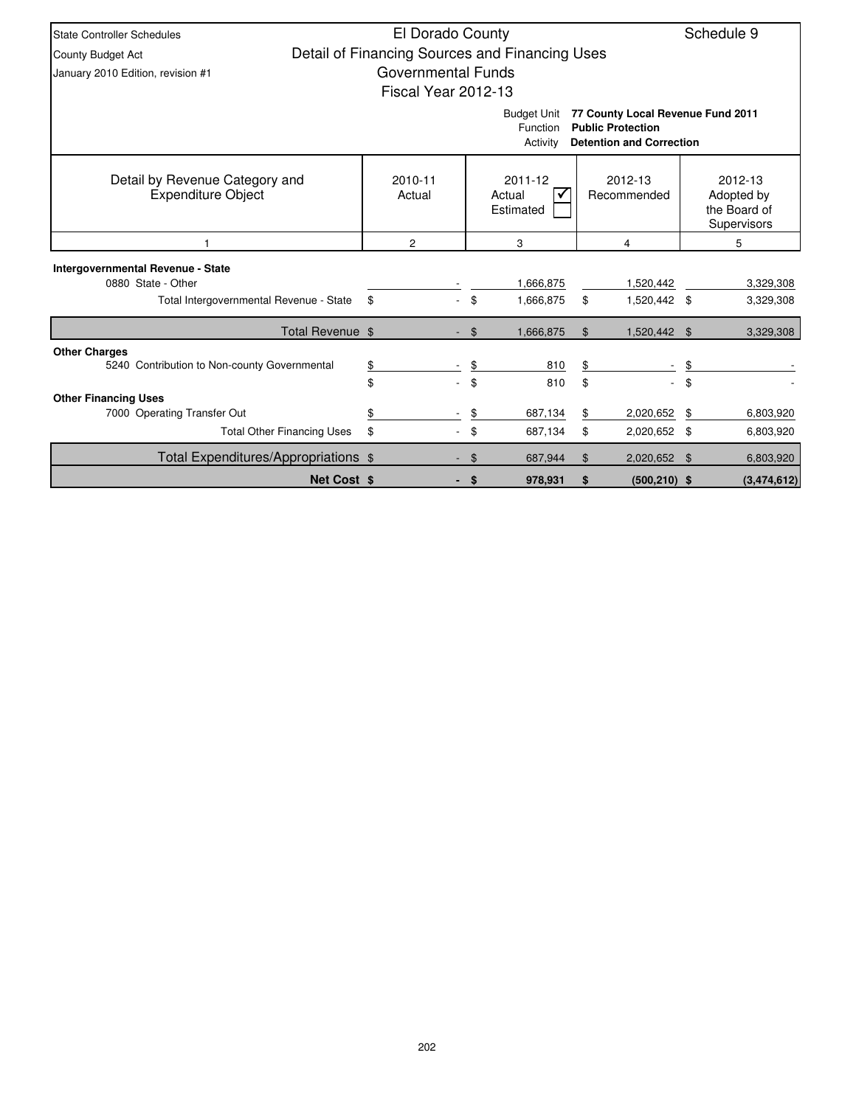| <b>State Controller Schedules</b>                                    | El Dorado County                               |                                |                                            |                                                                                                  |                | Schedule 9                                           |
|----------------------------------------------------------------------|------------------------------------------------|--------------------------------|--------------------------------------------|--------------------------------------------------------------------------------------------------|----------------|------------------------------------------------------|
| County Budget Act                                                    | Detail of Financing Sources and Financing Uses |                                |                                            |                                                                                                  |                |                                                      |
| January 2010 Edition, revision #1                                    | <b>Governmental Funds</b>                      |                                |                                            |                                                                                                  |                |                                                      |
|                                                                      | Fiscal Year 2012-13                            |                                |                                            |                                                                                                  |                |                                                      |
|                                                                      |                                                |                                | <b>Budget Unit</b><br>Function<br>Activity | 77 County Local Revenue Fund 2011<br><b>Public Protection</b><br><b>Detention and Correction</b> |                |                                                      |
| Detail by Revenue Category and<br><b>Expenditure Object</b>          | 2010-11<br>Actual                              |                                | 2011-12<br>Actual<br>Estimated             | 2012-13<br>Recommended                                                                           |                | 2012-13<br>Adopted by<br>the Board of<br>Supervisors |
|                                                                      | $\overline{c}$                                 |                                | 3                                          | 4                                                                                                |                | 5                                                    |
| Intergovernmental Revenue - State                                    |                                                |                                |                                            |                                                                                                  |                |                                                      |
| 0880 State - Other                                                   |                                                |                                | 1,666,875                                  | 1,520,442                                                                                        |                | 3,329,308                                            |
| Total Intergovernmental Revenue - State                              | \$                                             | \$<br>$\overline{\phantom{0}}$ | 1,666,875                                  | \$<br>1,520,442 \$                                                                               |                | 3,329,308                                            |
| Total Revenue \$                                                     |                                                | $\mathfrak{F}$                 | 1,666,875                                  | \$<br>1,520,442                                                                                  | $\mathfrak{L}$ | 3,329,308                                            |
| <b>Other Charges</b><br>5240 Contribution to Non-county Governmental | \$                                             | \$                             | 810                                        | \$                                                                                               | \$             |                                                      |
|                                                                      | \$                                             | \$                             | 810                                        | \$                                                                                               | \$             |                                                      |
| <b>Other Financing Uses</b>                                          |                                                |                                |                                            |                                                                                                  |                |                                                      |
| 7000 Operating Transfer Out                                          | \$                                             | \$                             | 687,134                                    | \$<br>2,020,652                                                                                  | \$             | 6,803,920                                            |
| <b>Total Other Financing Uses</b>                                    | \$                                             | \$                             | 687,134                                    | \$<br>2,020,652 \$                                                                               |                | 6,803,920                                            |
| Total Expenditures/Appropriations \$                                 |                                                | \$                             | 687,944                                    | \$<br>2,020,652                                                                                  | \$             | 6,803,920                                            |
| <b>Net Cost \$</b>                                                   |                                                | \$                             | 978,931                                    | \$<br>$(500, 210)$ \$                                                                            |                | (3,474,612)                                          |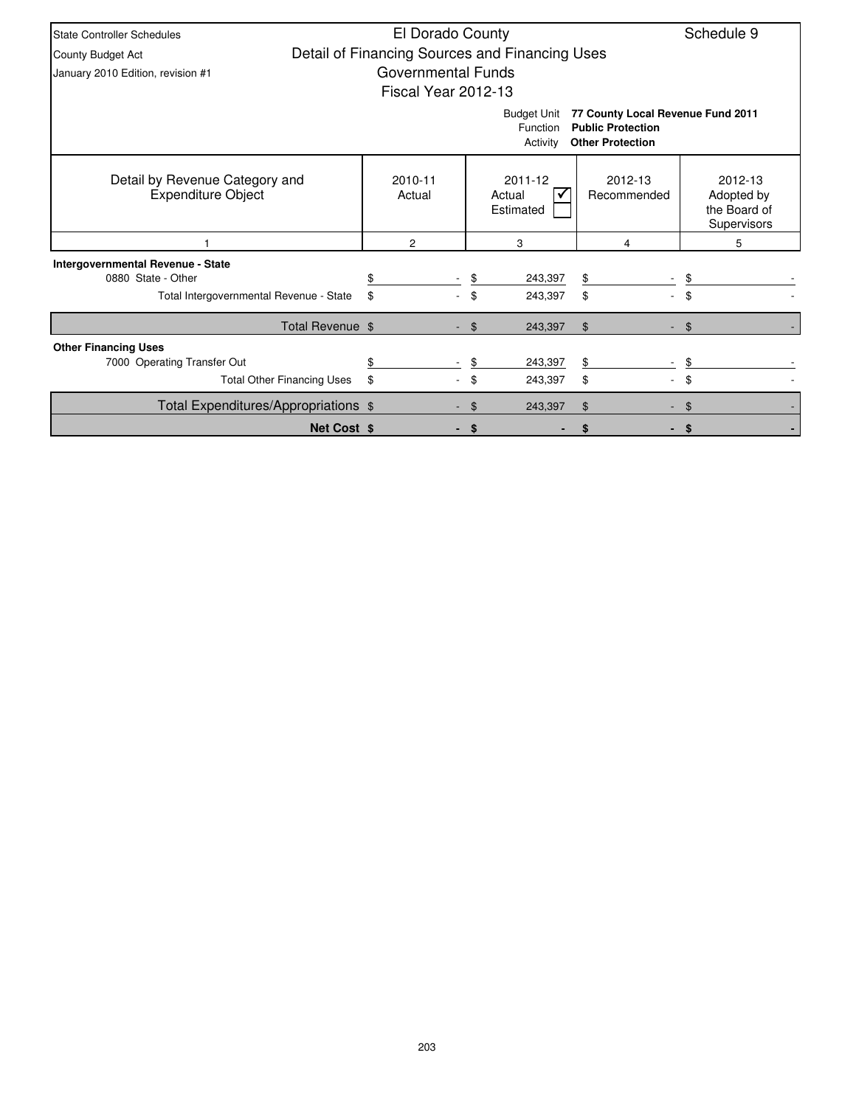| <b>State Controller Schedules</b>                           | El Dorado County                               |     |                                            |                                                                                          | Schedule 9                                           |
|-------------------------------------------------------------|------------------------------------------------|-----|--------------------------------------------|------------------------------------------------------------------------------------------|------------------------------------------------------|
| <b>County Budget Act</b>                                    | Detail of Financing Sources and Financing Uses |     |                                            |                                                                                          |                                                      |
| January 2010 Edition, revision #1                           | Governmental Funds                             |     |                                            |                                                                                          |                                                      |
|                                                             | Fiscal Year 2012-13                            |     |                                            |                                                                                          |                                                      |
|                                                             |                                                |     | <b>Budget Unit</b><br>Function<br>Activity | 77 County Local Revenue Fund 2011<br><b>Public Protection</b><br><b>Other Protection</b> |                                                      |
| Detail by Revenue Category and<br><b>Expenditure Object</b> | 2010-11<br>Actual                              |     | 2011-12<br>Actual<br>Estimated             | 2012-13<br>Recommended                                                                   | 2012-13<br>Adopted by<br>the Board of<br>Supervisors |
|                                                             | $\overline{2}$                                 |     | 3                                          | 4                                                                                        | 5                                                    |
| Intergovernmental Revenue - State                           |                                                |     |                                            |                                                                                          |                                                      |
| 0880 State - Other                                          |                                                | \$  | 243,397                                    | \$                                                                                       | \$.                                                  |
| Total Intergovernmental Revenue - State                     | \$                                             |     | 243,397                                    | \$                                                                                       |                                                      |
| Total Revenue \$                                            |                                                | \$  | 243,397                                    | \$                                                                                       | $\mathfrak{L}$                                       |
| <b>Other Financing Uses</b>                                 |                                                |     |                                            |                                                                                          |                                                      |
| 7000 Operating Transfer Out                                 |                                                | \$  | 243,397                                    | \$                                                                                       |                                                      |
| <b>Total Other Financing Uses</b>                           | \$                                             | \$  | 243,397                                    | \$                                                                                       | \$                                                   |
| Total Expenditures/Appropriations \$                        |                                                | \$. | 243,397                                    | \$                                                                                       |                                                      |
| <b>Net Cost \$</b>                                          |                                                | S   |                                            |                                                                                          | S.                                                   |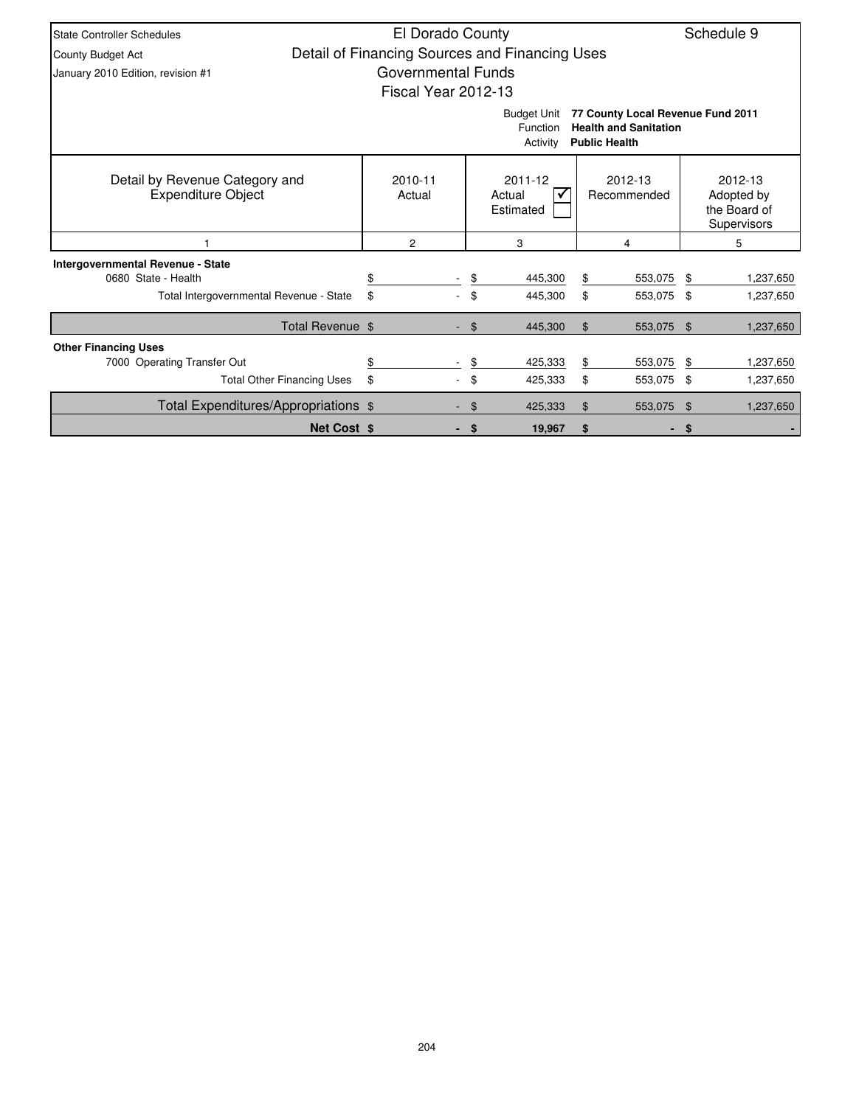| <b>State Controller Schedules</b>                                                                                                       | El Dorado County<br>Schedule 9                 |        |                                |    |                        |     |                                                      |  |  |
|-----------------------------------------------------------------------------------------------------------------------------------------|------------------------------------------------|--------|--------------------------------|----|------------------------|-----|------------------------------------------------------|--|--|
| County Budget Act                                                                                                                       | Detail of Financing Sources and Financing Uses |        |                                |    |                        |     |                                                      |  |  |
| January 2010 Edition, revision #1                                                                                                       | Governmental Funds                             |        |                                |    |                        |     |                                                      |  |  |
|                                                                                                                                         | Fiscal Year 2012-13                            |        |                                |    |                        |     |                                                      |  |  |
| 77 County Local Revenue Fund 2011<br><b>Budget Unit</b><br><b>Health and Sanitation</b><br>Function<br><b>Public Health</b><br>Activity |                                                |        |                                |    |                        |     |                                                      |  |  |
| Detail by Revenue Category and<br><b>Expenditure Object</b>                                                                             | 2010-11<br>Actual                              |        | 2011-12<br>Actual<br>Estimated |    | 2012-13<br>Recommended |     | 2012-13<br>Adopted by<br>the Board of<br>Supervisors |  |  |
|                                                                                                                                         | 2                                              |        | 3                              |    | 4                      |     | 5                                                    |  |  |
| <b>Intergovernmental Revenue - State</b>                                                                                                |                                                |        |                                |    |                        |     |                                                      |  |  |
| 0680 State - Health                                                                                                                     |                                                | \$     | 445,300                        | \$ | 553,075                | -\$ | 1,237,650                                            |  |  |
| Total Intergovernmental Revenue - State                                                                                                 | \$                                             | \$     | 445,300                        | \$ | 553,075 \$             |     | 1,237,650                                            |  |  |
| Total Revenue \$                                                                                                                        |                                                | $-$ \$ | 445,300                        | \$ | 553,075 \$             |     | 1,237,650                                            |  |  |
| <b>Other Financing Uses</b>                                                                                                             |                                                |        |                                |    |                        |     |                                                      |  |  |
| 7000 Operating Transfer Out                                                                                                             | \$                                             | \$     | 425,333                        | \$ | 553,075                | -\$ | 1,237,650                                            |  |  |
| <b>Total Other Financing Uses</b>                                                                                                       | \$                                             | \$     | 425,333                        | \$ | 553,075 \$             |     | 1,237,650                                            |  |  |
| Total Expenditures/Appropriations \$                                                                                                    |                                                | \$     | 425,333                        | \$ | 553,075 \$             |     | 1,237,650                                            |  |  |
| <b>Net Cost \$</b>                                                                                                                      |                                                | - \$   | 19,967                         | \$ | ٠                      | \$  |                                                      |  |  |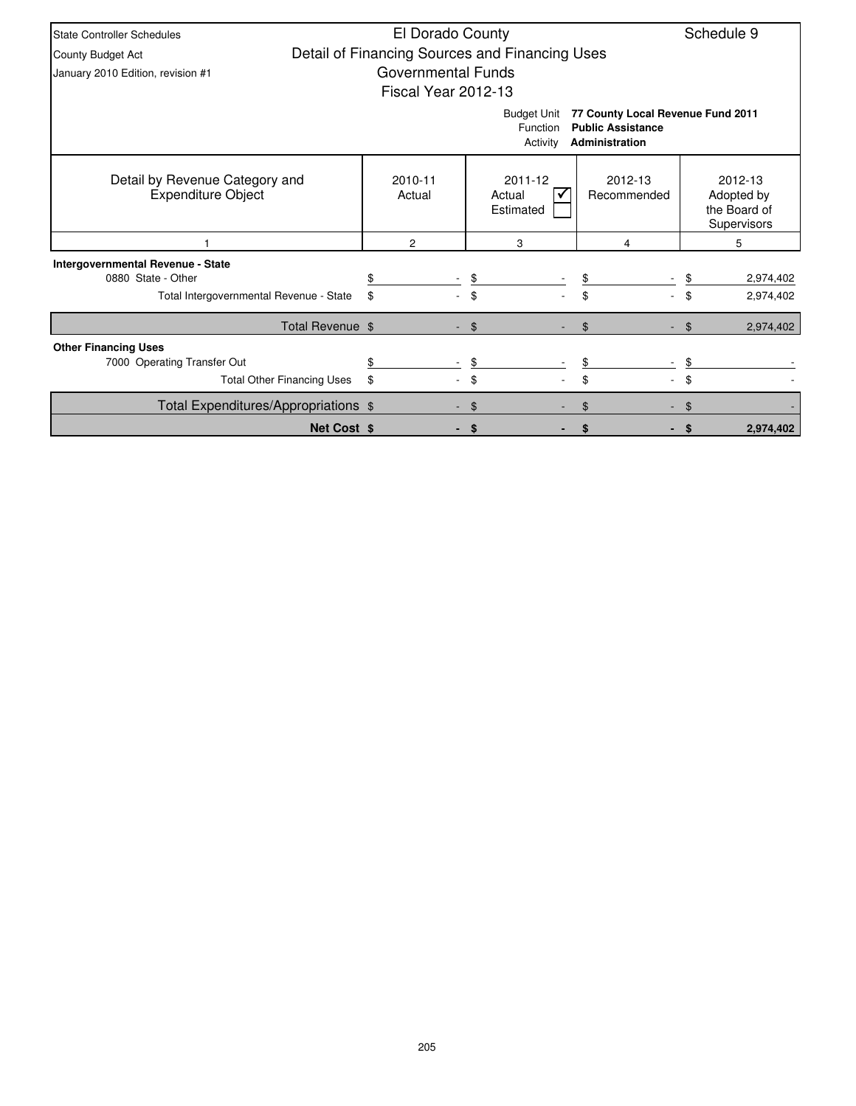| <b>State Controller Schedules</b>                           | El Dorado County          |                                                |                                                                                 | Schedule 9                                           |
|-------------------------------------------------------------|---------------------------|------------------------------------------------|---------------------------------------------------------------------------------|------------------------------------------------------|
| <b>County Budget Act</b>                                    |                           | Detail of Financing Sources and Financing Uses |                                                                                 |                                                      |
| January 2010 Edition, revision #1                           | <b>Governmental Funds</b> |                                                |                                                                                 |                                                      |
|                                                             | Fiscal Year 2012-13       |                                                |                                                                                 |                                                      |
|                                                             |                           | <b>Budget Unit</b><br>Function<br>Activity     | 77 County Local Revenue Fund 2011<br><b>Public Assistance</b><br>Administration |                                                      |
| Detail by Revenue Category and<br><b>Expenditure Object</b> | 2010-11<br>Actual         | 2011-12<br>Actual<br>Estimated                 | 2012-13<br>Recommended                                                          | 2012-13<br>Adopted by<br>the Board of<br>Supervisors |
|                                                             | 2                         | 3                                              | 4                                                                               | 5                                                    |
| Intergovernmental Revenue - State                           |                           |                                                |                                                                                 |                                                      |
| 0880 State - Other                                          |                           | \$                                             | \$                                                                              | 2,974,402                                            |
| Total Intergovernmental Revenue - State                     | \$                        |                                                | \$                                                                              | \$<br>2,974,402                                      |
| Total Revenue \$                                            |                           | $\mathfrak{F}$                                 | \$                                                                              | 2,974,402<br>$\mathfrak{L}$                          |
| <b>Other Financing Uses</b>                                 |                           |                                                |                                                                                 |                                                      |
| 7000 Operating Transfer Out                                 |                           | \$                                             |                                                                                 |                                                      |
| <b>Total Other Financing Uses</b>                           | \$                        | \$                                             | \$                                                                              | \$                                                   |
| Total Expenditures/Appropriations \$                        |                           | \$                                             | \$                                                                              |                                                      |
| <b>Net Cost \$</b>                                          |                           | S                                              |                                                                                 | 2,974,402                                            |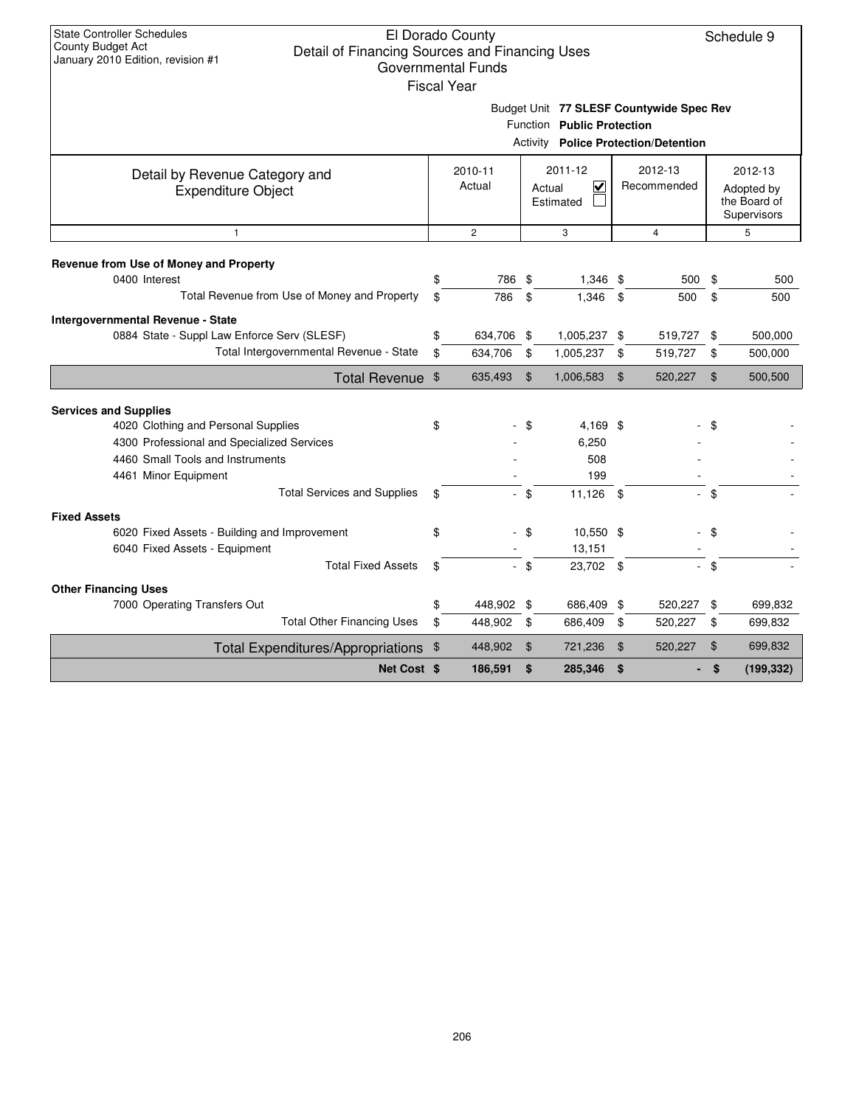Schedule 9

| Fiscal Year |  |
|-------------|--|
|             |  |
|             |  |

Budget Unit **77 SLESF Countywide Spec Rev**

|                                              |        | Function Public Protection<br><b>Activity Police Protection/Detention</b> |                                                |              |             |         |                                           |         |  |  |
|----------------------------------------------|--------|---------------------------------------------------------------------------|------------------------------------------------|--------------|-------------|---------|-------------------------------------------|---------|--|--|
| Detail by Revenue Category and               |        | 2010-11                                                                   |                                                | 2011-12      |             | 2012-13 |                                           | 2012-13 |  |  |
| <b>Expenditure Object</b>                    | Actual |                                                                           | $\overline{\mathsf{v}}$<br>Actual<br>Estimated |              | Recommended |         | Adopted by<br>the Board of<br>Supervisors |         |  |  |
| $\mathbf{1}$                                 |        | $\mathbf{2}$                                                              |                                                | 3            |             | 4       |                                           | 5       |  |  |
| Revenue from Use of Money and Property       |        |                                                                           |                                                |              |             |         |                                           |         |  |  |
| 0400 Interest                                | \$     | 786 \$                                                                    |                                                | $1,346$ \$   |             | 500     | \$                                        | 500     |  |  |
| Total Revenue from Use of Money and Property | \$     | 786                                                                       | \$                                             | 1,346 \$     |             | 500     | \$                                        | 500     |  |  |
| Intergovernmental Revenue - State            |        |                                                                           |                                                |              |             |         |                                           |         |  |  |
| 0884 State - Suppl Law Enforce Serv (SLESF)  | \$     | 634,706 \$                                                                |                                                | 1,005,237 \$ |             | 519,727 | \$                                        | 500,000 |  |  |
| Total Intergovernmental Revenue - State      | \$     | 634,706                                                                   | \$                                             | 1,005,237    | \$          | 519,727 | \$                                        | 500,000 |  |  |
| Total Revenue \$                             |        | 635,493                                                                   | \$                                             | 1,006,583    | \$          | 520,227 | \$                                        | 500,500 |  |  |
| <b>Services and Supplies</b>                 |        |                                                                           |                                                |              |             |         |                                           |         |  |  |
| 4020 Clothing and Personal Supplies          | \$     |                                                                           | \$                                             | 4,169 \$     |             |         | \$                                        |         |  |  |
| 4300 Professional and Specialized Services   |        |                                                                           |                                                | 6,250        |             |         |                                           |         |  |  |
| 4460 Small Tools and Instruments             |        |                                                                           |                                                | 508          |             |         |                                           |         |  |  |
| 4461 Minor Equipment                         |        |                                                                           |                                                | 199          |             |         |                                           |         |  |  |
| <b>Total Services and Supplies</b>           | \$     |                                                                           | - \$                                           | 11,126 \$    |             | ÷.      | \$                                        |         |  |  |
| <b>Fixed Assets</b>                          |        |                                                                           |                                                |              |             |         |                                           |         |  |  |
| 6020 Fixed Assets - Building and Improvement | \$     |                                                                           | - \$                                           | 10,550 \$    |             |         | \$                                        |         |  |  |
| 6040 Fixed Assets - Equipment                |        |                                                                           |                                                | 13,151       |             |         |                                           |         |  |  |
| <b>Total Fixed Assets</b>                    | \$     |                                                                           | - \$                                           | 23,702 \$    |             | ÷.      | - \$                                      |         |  |  |
| <b>Other Financing Uses</b>                  |        |                                                                           |                                                |              |             |         |                                           |         |  |  |
| 7000 Operating Transfers Out                 | \$     | 448,902 \$                                                                |                                                | 686,409 \$   |             | 520,227 | \$                                        | 699,832 |  |  |
| <b>Total Other Financing Uses</b>            | \$     | 448,902                                                                   | \$                                             | 686,409 \$   |             | 520,227 | \$                                        | 699,832 |  |  |

Total Expenditures/Appropriations \$ 448,902 \$ 721,236 \$ 520,227 \$ 699,832

**Net Cost**  $\$$  **186,591**  $\$$  **285,346**  $\$$  **- \$** (199,332)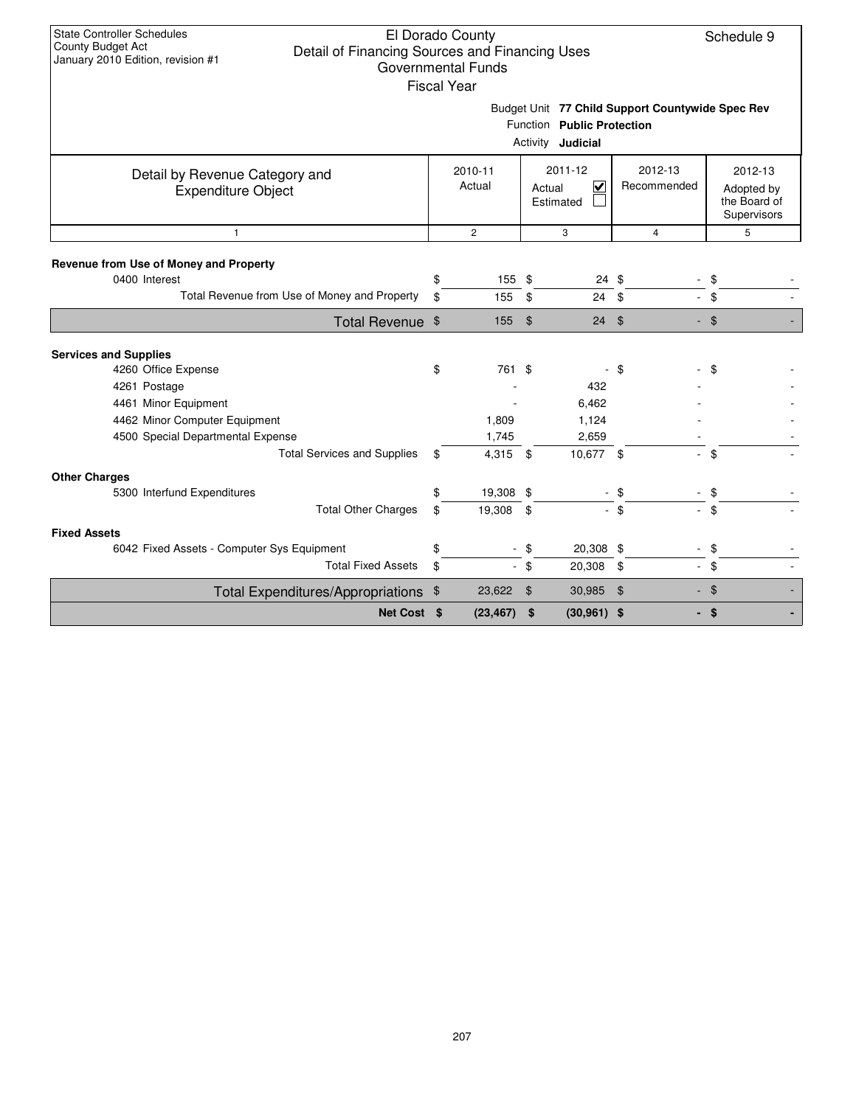| <b>State Controller Schedules</b><br>El Dorado County<br><b>County Budget Act</b><br>Detail of Financing Sources and Financing Uses<br>January 2010 Edition, revision #1<br><b>Governmental Funds</b> | Schedule 9        |                |                     |                                                           |                          |                                                      |  |  |  |  |  |  |
|-------------------------------------------------------------------------------------------------------------------------------------------------------------------------------------------------------|-------------------|----------------|---------------------|-----------------------------------------------------------|--------------------------|------------------------------------------------------|--|--|--|--|--|--|
| <b>Fiscal Year</b>                                                                                                                                                                                    |                   |                |                     |                                                           |                          |                                                      |  |  |  |  |  |  |
| Budget Unit 77 Child Support Countywide Spec Rev<br>Function Public Protection<br>Activity <b>Judicial</b>                                                                                            |                   |                |                     |                                                           |                          |                                                      |  |  |  |  |  |  |
| Detail by Revenue Category and<br><b>Expenditure Object</b>                                                                                                                                           | 2010-11<br>Actual |                |                     | 2011-12<br>$\overline{\mathbf{v}}$<br>Actual<br>Estimated | 2012-13<br>Recommended   | 2012-13<br>Adopted by<br>the Board of<br>Supervisors |  |  |  |  |  |  |
| $\mathbf{1}$                                                                                                                                                                                          |                   | $\overline{c}$ |                     | 3                                                         | $\overline{4}$           | 5                                                    |  |  |  |  |  |  |
| Revenue from Use of Money and Property<br>0400 Interest<br>Total Revenue from Use of Money and Property                                                                                               | \$<br>\$          | 155<br>155     | \$<br>$\frac{1}{2}$ | 24 \$<br>$24$ \$                                          |                          | \$<br>$-$ \$                                         |  |  |  |  |  |  |
| Total Revenue \$                                                                                                                                                                                      |                   | 155            | $\sqrt{3}$          | $24$ \$                                                   |                          | $-$ \$                                               |  |  |  |  |  |  |
|                                                                                                                                                                                                       |                   |                |                     |                                                           |                          |                                                      |  |  |  |  |  |  |
| <b>Services and Supplies</b>                                                                                                                                                                          |                   |                |                     |                                                           |                          |                                                      |  |  |  |  |  |  |
| 4260 Office Expense                                                                                                                                                                                   | \$                | 761 \$         |                     |                                                           | - \$                     | \$                                                   |  |  |  |  |  |  |
| 4261 Postage                                                                                                                                                                                          |                   |                |                     | 432                                                       |                          |                                                      |  |  |  |  |  |  |
| 4461 Minor Equipment                                                                                                                                                                                  |                   |                |                     | 6,462                                                     |                          |                                                      |  |  |  |  |  |  |
| 4462 Minor Computer Equipment                                                                                                                                                                         |                   | 1,809          |                     | 1,124                                                     |                          |                                                      |  |  |  |  |  |  |
| 4500 Special Departmental Expense                                                                                                                                                                     |                   | 1,745          |                     | 2,659                                                     |                          |                                                      |  |  |  |  |  |  |
| <b>Total Services and Supplies</b>                                                                                                                                                                    | \$                | 4,315 \$       |                     | 10,677 \$                                                 | ÷.                       | \$                                                   |  |  |  |  |  |  |
| <b>Other Charges</b>                                                                                                                                                                                  |                   |                |                     |                                                           |                          |                                                      |  |  |  |  |  |  |
| 5300 Interfund Expenditures                                                                                                                                                                           | \$                | 19,308 \$      |                     |                                                           | \$                       | \$                                                   |  |  |  |  |  |  |
| <b>Total Other Charges</b>                                                                                                                                                                            | \$                | 19,308         | \$                  |                                                           | $-$ \$                   | $-$ \$                                               |  |  |  |  |  |  |
| <b>Fixed Assets</b>                                                                                                                                                                                   |                   |                |                     |                                                           |                          |                                                      |  |  |  |  |  |  |
| 6042 Fixed Assets - Computer Sys Equipment                                                                                                                                                            | \$                |                | \$                  | 20,308 \$                                                 | $\overline{\phantom{a}}$ | \$                                                   |  |  |  |  |  |  |
| <b>Total Fixed Assets</b>                                                                                                                                                                             | \$                | $\sim$         | -\$                 | 20,308 \$                                                 |                          | - \$                                                 |  |  |  |  |  |  |
| Total Expenditures/Appropriations \$                                                                                                                                                                  |                   | 23,622         | \$                  | 30,985 \$                                                 |                          | $-$ \$                                               |  |  |  |  |  |  |
| Net Cost \$                                                                                                                                                                                           |                   | (23, 467)      | - \$                | $(30,961)$ \$                                             |                          | - \$                                                 |  |  |  |  |  |  |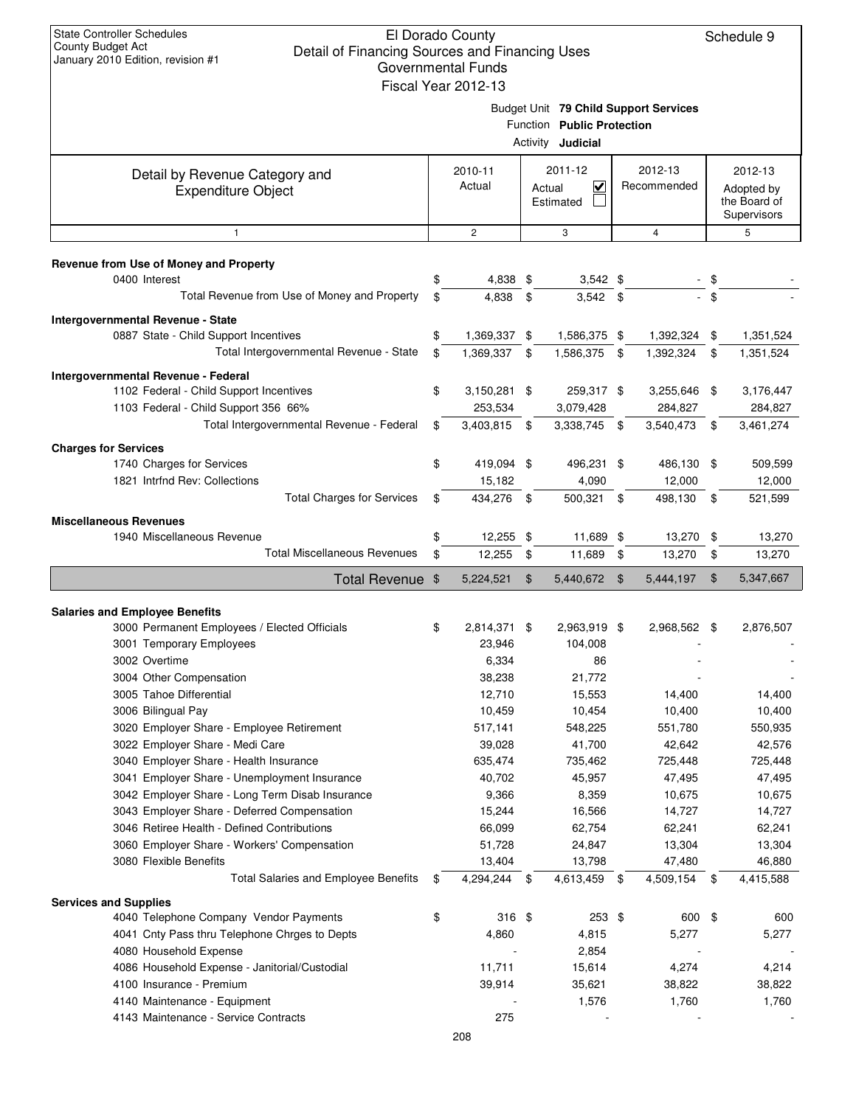## El Dorado County Detail of Financing Sources and Financing Uses Governmental Funds

| Governmental Funds                                                     |                                       |                     |                |                                   |             |                |                |              |  |  |
|------------------------------------------------------------------------|---------------------------------------|---------------------|----------------|-----------------------------------|-------------|----------------|----------------|--------------|--|--|
|                                                                        |                                       | Fiscal Year 2012-13 |                |                                   |             |                |                |              |  |  |
|                                                                        | Budget Unit 79 Child Support Services |                     |                |                                   |             |                |                |              |  |  |
|                                                                        | Function Public Protection            |                     |                |                                   |             |                |                |              |  |  |
|                                                                        |                                       |                     |                | Activity <b>Judicial</b>          |             |                |                |              |  |  |
|                                                                        |                                       | 2010-11             |                | 2011-12                           |             | 2012-13        |                | 2012-13      |  |  |
| Detail by Revenue Category and                                         |                                       | Actual              |                | $\overline{\mathbf{v}}$<br>Actual | Recommended |                | Adopted by     |              |  |  |
| <b>Expenditure Object</b>                                              |                                       |                     |                | Estimated                         |             |                |                | the Board of |  |  |
|                                                                        |                                       |                     |                |                                   |             |                |                | Supervisors  |  |  |
| $\mathbf{1}$                                                           |                                       | $\overline{2}$      |                | 3                                 |             | $\overline{4}$ |                | 5            |  |  |
|                                                                        |                                       |                     |                |                                   |             |                |                |              |  |  |
| Revenue from Use of Money and Property<br>0400 Interest                | \$                                    | 4,838               | \$             | $3,542$ \$                        |             |                | \$             |              |  |  |
| Total Revenue from Use of Money and Property                           | \$                                    |                     |                |                                   |             |                | $-$ \$         |              |  |  |
|                                                                        |                                       | 4,838               | -\$            | $3,542$ \$                        |             |                |                |              |  |  |
| Intergovernmental Revenue - State                                      |                                       |                     |                |                                   |             |                |                |              |  |  |
| 0887 State - Child Support Incentives                                  | \$                                    | 1,369,337 \$        |                | 1,586,375 \$                      |             | 1,392,324 \$   |                | 1,351,524    |  |  |
| Total Intergovernmental Revenue - State                                | \$                                    | 1,369,337 \$        |                | 1,586,375 \$                      |             | 1,392,324      | \$             | 1,351,524    |  |  |
| Intergovernmental Revenue - Federal                                    |                                       |                     |                |                                   |             |                |                |              |  |  |
| 1102 Federal - Child Support Incentives                                | \$                                    | 3,150,281 \$        |                | 259,317 \$                        |             | 3,255,646 \$   |                | 3,176,447    |  |  |
| 1103 Federal - Child Support 356 66%                                   |                                       | 253,534             |                | 3,079,428                         |             | 284,827        |                | 284,827      |  |  |
| Total Intergovernmental Revenue - Federal                              | \$                                    | 3,403,815           | -\$            | 3,338,745 \$                      |             | 3,540,473      | -\$            | 3,461,274    |  |  |
| <b>Charges for Services</b>                                            |                                       |                     |                |                                   |             |                |                |              |  |  |
| 1740 Charges for Services                                              | \$                                    | 419,094 \$          |                | 496,231 \$                        |             | 486,130 \$     |                | 509,599      |  |  |
| 1821 Intrfnd Rev: Collections                                          |                                       | 15,182              |                | 4,090                             |             | 12,000         |                | 12,000       |  |  |
| <b>Total Charges for Services</b>                                      | \$                                    | 434,276 \$          |                | 500,321 \$                        |             | 498,130 \$     |                | 521,599      |  |  |
| <b>Miscellaneous Revenues</b>                                          |                                       |                     |                |                                   |             |                |                |              |  |  |
| 1940 Miscellaneous Revenue                                             | \$                                    | 12,255 \$           |                | 11,689 \$                         |             | 13,270 \$      |                | 13,270       |  |  |
| <b>Total Miscellaneous Revenues</b>                                    | \$                                    | 12,255              | -\$            | 11,689 \$                         |             | 13,270         | \$             | 13,270       |  |  |
|                                                                        |                                       |                     |                |                                   |             |                |                |              |  |  |
| Total Revenue \$                                                       |                                       | 5,224,521           | $\mathfrak{F}$ | 5,440,672 \$                      |             | 5,444,197      | $\mathfrak{F}$ | 5,347,667    |  |  |
| <b>Salaries and Employee Benefits</b>                                  |                                       |                     |                |                                   |             |                |                |              |  |  |
| 3000 Permanent Employees / Elected Officials                           | \$                                    | 2,814,371 \$        |                | 2,963,919 \$                      |             | 2,968,562 \$   |                | 2,876,507    |  |  |
| 3001 Temporary Employees                                               |                                       | 23,946              |                | 104,008                           |             |                |                |              |  |  |
| 3002 Overtime                                                          |                                       | 6,334               |                | 86                                |             |                |                |              |  |  |
| 3004 Other Compensation                                                |                                       | 38,238              |                | 21,772                            |             |                |                |              |  |  |
| 3005 Tahoe Differential                                                |                                       | 12,710              |                | 15,553                            |             | 14,400         |                | 14,400       |  |  |
| 3006 Bilingual Pay                                                     |                                       | 10,459              |                | 10,454                            |             | 10,400         |                | 10,400       |  |  |
| 3020 Employer Share - Employee Retirement                              |                                       | 517,141             |                | 548,225                           |             | 551,780        |                | 550,935      |  |  |
| 3022 Employer Share - Medi Care                                        |                                       | 39,028              |                | 41,700                            |             | 42,642         |                | 42,576       |  |  |
| 3040 Employer Share - Health Insurance                                 |                                       | 635,474             |                | 735,462                           |             | 725,448        |                | 725,448      |  |  |
| 3041 Employer Share - Unemployment Insurance                           |                                       | 40,702              |                | 45,957                            |             | 47,495         |                | 47,495       |  |  |
| 3042 Employer Share - Long Term Disab Insurance                        |                                       | 9,366               |                | 8,359                             |             | 10,675         |                | 10,675       |  |  |
| 3043 Employer Share - Deferred Compensation                            |                                       | 15,244              |                | 16,566                            |             | 14,727         |                | 14,727       |  |  |
| 3046 Retiree Health - Defined Contributions                            |                                       | 66,099              |                | 62,754                            |             | 62,241         |                | 62,241       |  |  |
| 3060 Employer Share - Workers' Compensation                            |                                       | 51,728              |                | 24,847                            |             | 13,304         |                | 13,304       |  |  |
| 3080 Flexible Benefits                                                 |                                       | 13,404              |                | 13,798                            |             | 47,480         |                | 46,880       |  |  |
| <b>Total Salaries and Employee Benefits</b>                            | \$                                    | 4,294,244           | - \$           | 4,613,459 \$                      |             | 4,509,154      | - \$           | 4,415,588    |  |  |
|                                                                        |                                       |                     |                |                                   |             |                |                |              |  |  |
| <b>Services and Supplies</b><br>4040 Telephone Company Vendor Payments | \$                                    | $316$ \$            |                | 253 \$                            |             | 600 \$         |                | 600          |  |  |
| 4041 Cnty Pass thru Telephone Chrges to Depts                          |                                       | 4,860               |                | 4,815                             |             | 5,277          |                | 5,277        |  |  |
| 4080 Household Expense                                                 |                                       |                     |                | 2,854                             |             |                |                |              |  |  |
| 4086 Household Expense - Janitorial/Custodial                          |                                       | 11,711              |                | 15,614                            |             | 4,274          |                | 4,214        |  |  |
| 4100 Insurance - Premium                                               |                                       | 39,914              |                | 35,621                            |             | 38,822         |                | 38,822       |  |  |
| 4140 Maintenance - Equipment                                           |                                       |                     |                | 1,576                             |             | 1,760          |                | 1,760        |  |  |
| 4143 Maintenance - Service Contracts                                   |                                       | 275                 |                |                                   |             |                |                |              |  |  |
|                                                                        |                                       |                     |                |                                   |             |                |                |              |  |  |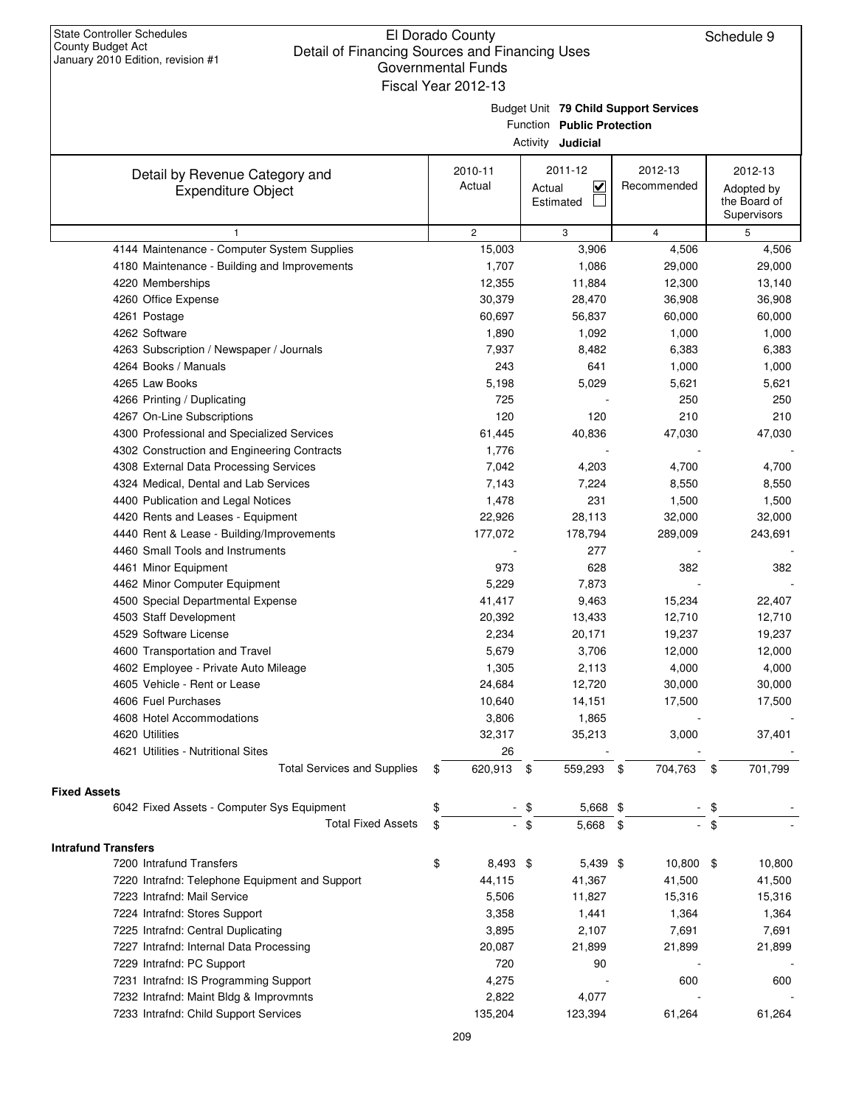## El Dorado County Detail of Financing Sources and Financing Uses Governmental Funds

|                                                             | Fiscal Year 2012-13                   |                                |                |               |  |  |  |  |  |
|-------------------------------------------------------------|---------------------------------------|--------------------------------|----------------|---------------|--|--|--|--|--|
|                                                             | Budget Unit 79 Child Support Services |                                |                |               |  |  |  |  |  |
|                                                             |                                       | Function Public Protection     |                |               |  |  |  |  |  |
|                                                             |                                       | Activity <b>Judicial</b>       |                |               |  |  |  |  |  |
|                                                             | 2010-11                               | 2011-12                        | 2012-13        | 2012-13       |  |  |  |  |  |
| Detail by Revenue Category and<br><b>Expenditure Object</b> | Actual                                | $\blacktriangledown$<br>Actual | Recommended    | Adopted by    |  |  |  |  |  |
|                                                             |                                       | Estimated                      |                | the Board of  |  |  |  |  |  |
|                                                             |                                       |                                |                | Supervisors   |  |  |  |  |  |
| 1                                                           | $\overline{c}$                        | 3                              | $\overline{4}$ | 5             |  |  |  |  |  |
| 4144 Maintenance - Computer System Supplies                 | 15,003                                | 3,906                          | 4,506          | 4,506         |  |  |  |  |  |
| 4180 Maintenance - Building and Improvements                | 1,707                                 | 1,086                          | 29,000         | 29,000        |  |  |  |  |  |
| 4220 Memberships                                            | 12,355                                | 11,884                         | 12,300         | 13,140        |  |  |  |  |  |
| 4260 Office Expense                                         | 30,379                                | 28,470                         | 36,908         | 36,908        |  |  |  |  |  |
| 4261 Postage                                                | 60,697                                | 56,837                         | 60,000         | 60,000        |  |  |  |  |  |
| 4262 Software                                               | 1,890                                 | 1,092                          | 1,000          | 1,000         |  |  |  |  |  |
| 4263 Subscription / Newspaper / Journals                    | 7,937                                 | 8,482                          | 6,383          | 6,383         |  |  |  |  |  |
| 4264 Books / Manuals                                        | 243                                   | 641                            | 1,000          | 1,000         |  |  |  |  |  |
| 4265 Law Books                                              | 5,198                                 | 5,029                          | 5,621          | 5,621         |  |  |  |  |  |
| 4266 Printing / Duplicating                                 | 725                                   |                                | 250            | 250           |  |  |  |  |  |
| 4267 On-Line Subscriptions                                  | 120                                   | 120                            | 210            | 210           |  |  |  |  |  |
| 4300 Professional and Specialized Services                  | 61,445                                | 40,836                         | 47,030         | 47,030        |  |  |  |  |  |
| 4302 Construction and Engineering Contracts                 | 1,776                                 |                                |                |               |  |  |  |  |  |
| 4308 External Data Processing Services                      | 7,042                                 | 4,203                          | 4,700          | 4,700         |  |  |  |  |  |
| 4324 Medical, Dental and Lab Services                       | 7,143                                 | 7,224                          | 8,550          | 8,550         |  |  |  |  |  |
| 4400 Publication and Legal Notices                          | 1,478                                 | 231                            | 1,500          | 1,500         |  |  |  |  |  |
| 4420 Rents and Leases - Equipment                           | 22,926                                | 28,113                         | 32,000         | 32,000        |  |  |  |  |  |
| 4440 Rent & Lease - Building/Improvements                   | 177,072                               | 178,794                        | 289,009        | 243,691       |  |  |  |  |  |
| 4460 Small Tools and Instruments                            |                                       | 277                            |                |               |  |  |  |  |  |
| 4461 Minor Equipment                                        | 973                                   | 628                            | 382            | 382           |  |  |  |  |  |
| 4462 Minor Computer Equipment                               | 5,229                                 | 7,873                          |                |               |  |  |  |  |  |
| 4500 Special Departmental Expense                           | 41,417                                | 9,463                          | 15,234         | 22,407        |  |  |  |  |  |
| 4503 Staff Development                                      | 20,392                                | 13,433                         | 12,710         | 12,710        |  |  |  |  |  |
| 4529 Software License                                       | 2,234                                 | 20,171                         | 19,237         | 19,237        |  |  |  |  |  |
| 4600 Transportation and Travel                              | 5,679                                 | 3,706                          | 12,000         | 12,000        |  |  |  |  |  |
| 4602 Employee - Private Auto Mileage                        | 1,305                                 | 2,113                          | 4,000          | 4,000         |  |  |  |  |  |
| 4605 Vehicle - Rent or Lease                                | 24,684                                | 12,720                         | 30,000         | 30,000        |  |  |  |  |  |
| 4606 Fuel Purchases                                         | 10,640                                | 14,151                         | 17,500         | 17,500        |  |  |  |  |  |
| 4608 Hotel Accommodations                                   | 3,806                                 | 1,865                          |                |               |  |  |  |  |  |
| 4620 Utilities                                              | 32,317                                | 35,213                         | 3,000          | 37,401        |  |  |  |  |  |
| 4621 Utilities - Nutritional Sites                          | 26                                    |                                |                |               |  |  |  |  |  |
| <b>Total Services and Supplies</b>                          | 620,913<br>\$                         | 559,293<br>\$                  | 704,763<br>\$  | 701,799<br>\$ |  |  |  |  |  |
| <b>Fixed Assets</b>                                         |                                       |                                |                |               |  |  |  |  |  |
| 6042 Fixed Assets - Computer Sys Equipment                  | \$                                    | 5,668 \$<br>\$                 |                | \$            |  |  |  |  |  |
| <b>Total Fixed Assets</b>                                   | \$                                    | \$<br>5,668 \$                 |                | \$            |  |  |  |  |  |
| <b>Intrafund Transfers</b>                                  |                                       |                                |                |               |  |  |  |  |  |
| 7200 Intrafund Transfers                                    | \$<br>8,493 \$                        | 5,439 \$                       | 10,800 \$      | 10,800        |  |  |  |  |  |
| 7220 Intrafnd: Telephone Equipment and Support              | 44,115                                | 41,367                         | 41,500         | 41,500        |  |  |  |  |  |
| 7223 Intrafnd: Mail Service                                 | 5,506                                 | 11,827                         | 15,316         | 15,316        |  |  |  |  |  |
| 7224 Intrafnd: Stores Support                               | 3,358                                 | 1,441                          | 1,364          | 1,364         |  |  |  |  |  |
| 7225 Intrafnd: Central Duplicating                          | 3,895                                 | 2,107                          | 7,691          | 7,691         |  |  |  |  |  |
| 7227 Intrafnd: Internal Data Processing                     | 20,087                                | 21,899                         | 21,899         | 21,899        |  |  |  |  |  |
| 7229 Intrafnd: PC Support                                   | 720                                   | 90                             |                |               |  |  |  |  |  |
| 7231 Intrafnd: IS Programming Support                       | 4,275                                 |                                | 600            | 600           |  |  |  |  |  |
| 7232 Intrafnd: Maint Bldg & Improvmnts                      | 2,822                                 | 4,077                          |                |               |  |  |  |  |  |
| 7233 Intrafnd: Child Support Services                       | 135,204                               | 123,394                        | 61,264         | 61,264        |  |  |  |  |  |